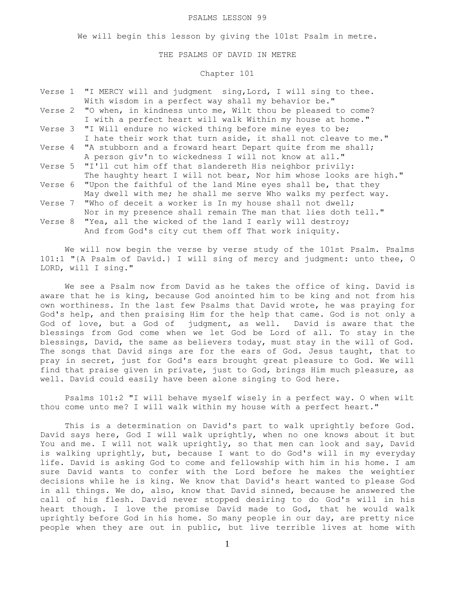#### PSALMS LESSON 99

We will begin this lesson by giving the 101st Psalm in metre.

#### THE PSALMS OF DAVID IN METRE

# Chapter 101

|  | Verse 1 "I MERCY will and judgment sing, Lord, I will sing to thee.  |
|--|----------------------------------------------------------------------|
|  | With wisdom in a perfect way shall my behavior be."                  |
|  | Verse 2 "O when, in kindness unto me, Wilt thou be pleased to come?  |
|  | I with a perfect heart will walk Within my house at home."           |
|  | Verse 3 "I Will endure no wicked thing before mine eyes to be;       |
|  | I hate their work that turn aside, it shall not cleave to me."       |
|  | Verse 4 "A stubborn and a froward heart Depart quite from me shall;  |
|  | A person giv'n to wickedness I will not know at all."                |
|  | Verse 5 "I'll cut him off that slandereth His neighbor privily:      |
|  | The haughty heart I will not bear, Nor him whose looks are high."    |
|  | Verse 6 "Upon the faithful of the land Mine eyes shall be, that they |
|  | May dwell with me; he shall me serve Who walks my perfect way.       |
|  | Verse 7 "Who of deceit a worker is In my house shall not dwell;      |
|  | Nor in my presence shall remain The man that lies doth tell."        |
|  | Verse 8 "Yea, all the wicked of the land I early will destroy;       |
|  | And from God's city cut them off That work iniquity.                 |

We will now begin the verse by verse study of the 101st Psalm. Psalms 101:1 "{A Psalm of David.} I will sing of mercy and judgment: unto thee, O LORD, will I sing."

 We see a Psalm now from David as he takes the office of king. David is aware that he is king, because God anointed him to be king and not from his own worthiness. In the last few Psalms that David wrote, he was praying for God's help, and then praising Him for the help that came. God is not only a God of love, but a God of judgment, as well. David is aware that the blessings from God come when we let God be Lord of all. To stay in the blessings, David, the same as believers today, must stay in the will of God. The songs that David sings are for the ears of God. Jesus taught, that to pray in secret, just for God's ears brought great pleasure to God. We will find that praise given in private, just to God, brings Him much pleasure, as well. David could easily have been alone singing to God here.

 Psalms 101:2 "I will behave myself wisely in a perfect way. O when wilt thou come unto me? I will walk within my house with a perfect heart."

 This is a determination on David's part to walk uprightly before God. David says here, God I will walk uprightly, when no one knows about it but You and me. I will not walk uprightly, so that men can look and say, David is walking uprightly, but, because I want to do God's will in my everyday life. David is asking God to come and fellowship with him in his home. I am sure David wants to confer with the Lord before he makes the weightier decisions while he is king. We know that David's heart wanted to please God in all things. We do, also, know that David sinned, because he answered the call of his flesh. David never stopped desiring to do God's will in his heart though. I love the promise David made to God, that he would walk uprightly before God in his home. So many people in our day, are pretty nice people when they are out in public, but live terrible lives at home with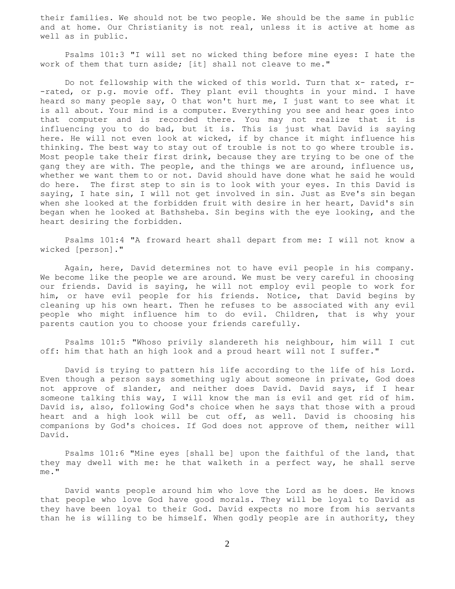their families. We should not be two people. We should be the same in public and at home. Our Christianity is not real, unless it is active at home as well as in public.

 Psalms 101:3 "I will set no wicked thing before mine eyes: I hate the work of them that turn aside; [it] shall not cleave to me."

 Do not fellowship with the wicked of this world. Turn that x- rated, r- -rated, or p.g. movie off. They plant evil thoughts in your mind. I have heard so many people say, O that won't hurt me, I just want to see what it is all about. Your mind is a computer. Everything you see and hear goes into that computer and is recorded there. You may not realize that it is influencing you to do bad, but it is. This is just what David is saying here. He will not even look at wicked, if by chance it might influence his thinking. The best way to stay out of trouble is not to go where trouble is. Most people take their first drink, because they are trying to be one of the gang they are with. The people, and the things we are around, influence us, whether we want them to or not. David should have done what he said he would do here. The first step to sin is to look with your eyes. In this David is saying, I hate sin, I will not get involved in sin. Just as Eve's sin began when she looked at the forbidden fruit with desire in her heart, David's sin began when he looked at Bathsheba. Sin begins with the eye looking, and the heart desiring the forbidden.

 Psalms 101:4 "A froward heart shall depart from me: I will not know a wicked [person]."

 Again, here, David determines not to have evil people in his company. We become like the people we are around. We must be very careful in choosing our friends. David is saying, he will not employ evil people to work for him, or have evil people for his friends. Notice, that David begins by cleaning up his own heart. Then he refuses to be associated with any evil people who might influence him to do evil. Children, that is why your parents caution you to choose your friends carefully.

 Psalms 101:5 "Whoso privily slandereth his neighbour, him will I cut off: him that hath an high look and a proud heart will not I suffer."

 David is trying to pattern his life according to the life of his Lord. Even though a person says something ugly about someone in private, God does not approve of slander, and neither does David. David says, if I hear someone talking this way, I will know the man is evil and get rid of him. David is, also, following God's choice when he says that those with a proud heart and a high look will be cut off, as well. David is choosing his companions by God's choices. If God does not approve of them, neither will David.

 Psalms 101:6 "Mine eyes [shall be] upon the faithful of the land, that they may dwell with me: he that walketh in a perfect way, he shall serve me."

 David wants people around him who love the Lord as he does. He knows that people who love God have good morals. They will be loyal to David as they have been loyal to their God. David expects no more from his servants than he is willing to be himself. When godly people are in authority, they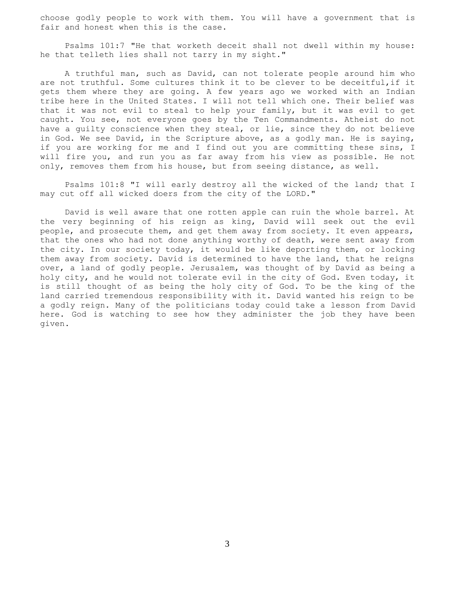choose godly people to work with them. You will have a government that is fair and honest when this is the case.

 Psalms 101:7 "He that worketh deceit shall not dwell within my house: he that telleth lies shall not tarry in my sight."

 A truthful man, such as David, can not tolerate people around him who are not truthful. Some cultures think it to be clever to be deceitful,if it gets them where they are going. A few years ago we worked with an Indian tribe here in the United States. I will not tell which one. Their belief was that it was not evil to steal to help your family, but it was evil to get caught. You see, not everyone goes by the Ten Commandments. Atheist do not have a guilty conscience when they steal, or lie, since they do not believe in God. We see David, in the Scripture above, as a godly man. He is saying, if you are working for me and I find out you are committing these sins, I will fire you, and run you as far away from his view as possible. He not only, removes them from his house, but from seeing distance, as well.

 Psalms 101:8 "I will early destroy all the wicked of the land; that I may cut off all wicked doers from the city of the LORD."

 David is well aware that one rotten apple can ruin the whole barrel. At the very beginning of his reign as king, David will seek out the evil people, and prosecute them, and get them away from society. It even appears, that the ones who had not done anything worthy of death, were sent away from the city. In our society today, it would be like deporting them, or locking them away from society. David is determined to have the land, that he reigns over, a land of godly people. Jerusalem, was thought of by David as being a holy city, and he would not tolerate evil in the city of God. Even today, it is still thought of as being the holy city of God. To be the king of the land carried tremendous responsibility with it. David wanted his reign to be a godly reign. Many of the politicians today could take a lesson from David here. God is watching to see how they administer the job they have been given.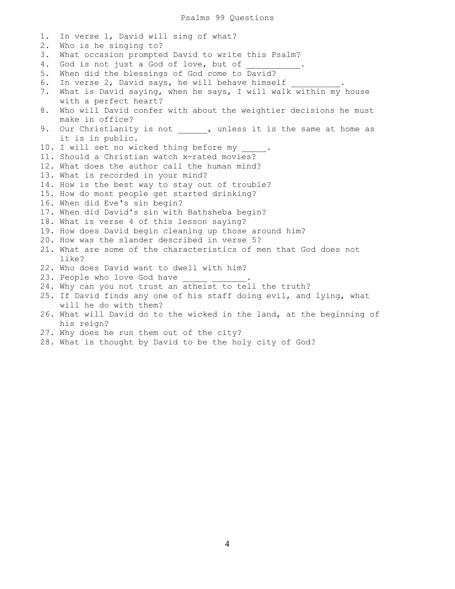Psalms 99 Questions

1. In verse 1, David will sing of what? 2. Who is he singing to? 3. What occasion prompted David to write this Psalm? 4. God is not just a God of love, but of 5. When did the blessings of God come to David? 6. In verse 2, David says, he will behave himself 7. What is David saying, when he says, I will walk within my house with a perfect heart? 8. Who will David confer with about the weightier decisions he must make in office? 9. Our Christianity is not \_\_\_\_\_, unless it is the same at home as it is in public. 10. I will set no wicked thing before my 11. Should a Christian watch x-rated movies? 12. What does the author call the human mind? 13. What is recorded in your mind? 14. How is the best way to stay out of trouble? 15. How do most people get started drinking? 16. When did Eve's sin begin? 17. When did David's sin with Bathsheba begin? 18. What is verse 4 of this lesson saying? 19. How does David begin cleaning up those around him? 20. How was the slander described in verse 5? 21. What are some of the characteristics of men that God does not like? 22. Who does David want to dwell with him? 23. People who love God have 24. Why can you not trust an atheist to tell the truth? 25. If David finds any one of his staff doing evil, and lying, what will he do with them? 26. What will David do to the wicked in the land, at the beginning of his reign? 27. Why does he run them out of the city?

28. What is thought by David to be the holy city of God?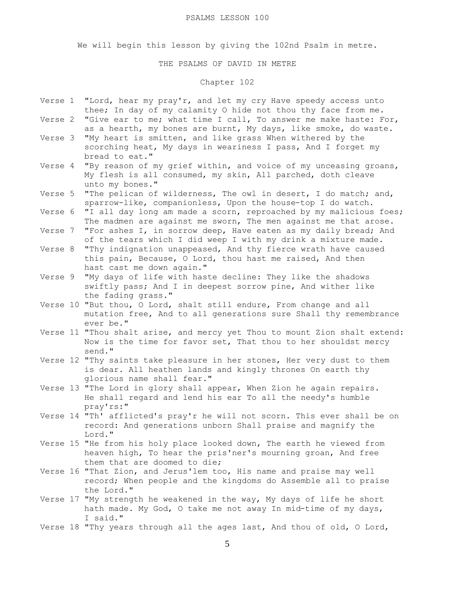#### PSALMS LESSON 100

We will begin this lesson by giving the 102nd Psalm in metre.

### THE PSALMS OF DAVID IN METRE

# Chapter 102

- Verse  $1$  "Lord, hear my pray'r, and let my cry Have speedy access unto thee; In day of my calamity O hide not thou thy face from me.
- Verse 2 "Give ear to me; what time I call, To answer me make haste: For, as a hearth, my bones are burnt, My days, like smoke, do waste.
- Verse 3 "My heart is smitten, and like grass When withered by the scorching heat, My days in weariness I pass, And I forget my bread to eat."
- Verse 4 "By reason of my grief within, and voice of my unceasing groans, My flesh is all consumed, my skin, All parched, doth cleave unto my bones."
- Verse 5 "The pelican of wilderness, The owl in desert, I do match; and, sparrow-like, companionless, Upon the house-top I do watch."
- Verse 6 "I all day long am made a scorn, reproached by my malicious foes; The madmen are against me sworn, The men against me that arose.
- Verse 7 "For ashes I, in sorrow deep, Have eaten as my daily bread; And of the tears which I did weep I with my drink a mixture made.
- Verse 8 "Thy indignation unappeased, And thy fierce wrath have caused this pain, Because, O Lord, thou hast me raised, And then hast cast me down again."
- Verse 9 "My days of life with haste decline: They like the shadows swiftly pass; And I in deepest sorrow pine, And wither like the fading grass."
- Verse 10 "But thou, O Lord, shalt still endure, From change and all mutation free, And to all generations sure Shall thy remembrance ever be."
- Verse 11 "Thou shalt arise, and mercy yet Thou to mount Zion shalt extend: Now is the time for favor set, That thou to her shouldst mercy send."
- Verse 12 "Thy saints take pleasure in her stones, Her very dust to them is dear. All heathen lands and kingly thrones On earth thy glorious name shall fear."
- Verse 13 "The Lord in glory shall appear, When Zion he again repairs. He shall regard and lend his ear To all the needy's humble pray'rs:"
- Verse 14 "Th' afflicted's pray'r he will not scorn. This ever shall be on record: And generations unborn Shall praise and magnify the Lord."
- Verse 15 "He from his holy place looked down, The earth he viewed from heaven high, To hear the pris'ner's mourning groan, And free them that are doomed to die;
- Verse 16 "That Zion, and Jerus'lem too, His name and praise may well record; When people and the kingdoms do Assemble all to praise the Lord."
- Verse 17 "My strength he weakened in the way, My days of life he short hath made. My God, O take me not away In mid-time of my days, I said."
- Verse 18 "Thy years through all the ages last, And thou of old, O Lord,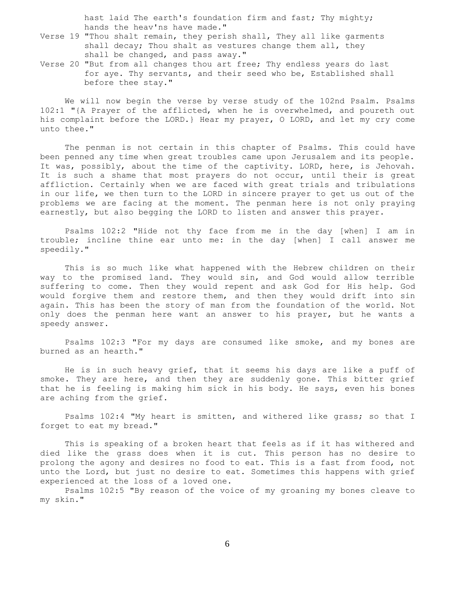hast laid The earth's foundation firm and fast; Thy mighty; hands the heav'ns have made."

- Verse 19 "Thou shalt remain, they perish shall, They all like garments shall decay; Thou shalt as vestures change them all, they shall be changed, and pass away."
- Verse 20 "But from all changes thou art free; Thy endless years do last for aye. Thy servants, and their seed who be, Established shall before thee stay."

 We will now begin the verse by verse study of the 102nd Psalm. Psalms 102:1 "{A Prayer of the afflicted, when he is overwhelmed, and poureth out his complaint before the LORD.} Hear my prayer, O LORD, and let my cry come unto thee."

 The penman is not certain in this chapter of Psalms. This could have been penned any time when great troubles came upon Jerusalem and its people. It was, possibly, about the time of the captivity. LORD, here, is Jehovah. It is such a shame that most prayers do not occur, until their is great affliction. Certainly when we are faced with great trials and tribulations in our life, we then turn to the LORD in sincere prayer to get us out of the problems we are facing at the moment. The penman here is not only praying earnestly, but also begging the LORD to listen and answer this prayer.

 Psalms 102:2 "Hide not thy face from me in the day [when] I am in trouble; incline thine ear unto me: in the day [when] I call answer me speedily."

 This is so much like what happened with the Hebrew children on their way to the promised land. They would sin, and God would allow terrible suffering to come. Then they would repent and ask God for His help. God would forgive them and restore them, and then they would drift into sin again. This has been the story of man from the foundation of the world. Not only does the penman here want an answer to his prayer, but he wants a speedy answer.

 Psalms 102:3 "For my days are consumed like smoke, and my bones are burned as an hearth."

 He is in such heavy grief, that it seems his days are like a puff of smoke. They are here, and then they are suddenly gone. This bitter grief that he is feeling is making him sick in his body. He says, even his bones are aching from the grief.

 Psalms 102:4 "My heart is smitten, and withered like grass; so that I forget to eat my bread."

 This is speaking of a broken heart that feels as if it has withered and died like the grass does when it is cut. This person has no desire to prolong the agony and desires no food to eat. This is a fast from food, not unto the Lord, but just no desire to eat. Sometimes this happens with grief experienced at the loss of a loved one.

 Psalms 102:5 "By reason of the voice of my groaning my bones cleave to my skin."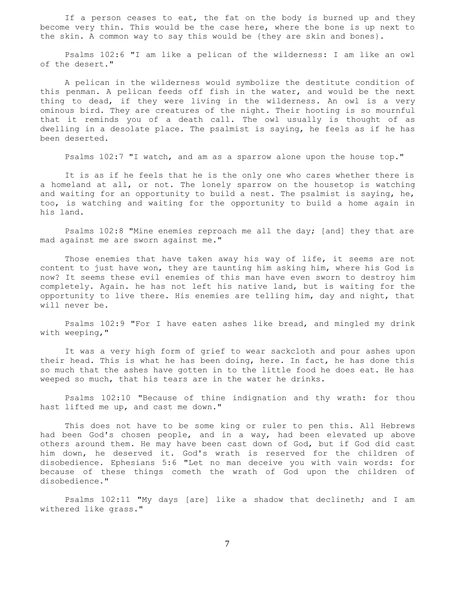If a person ceases to eat, the fat on the body is burned up and they become very thin. This would be the case here, where the bone is up next to the skin. A common way to say this would be {they are skin and bones}.

 Psalms 102:6 "I am like a pelican of the wilderness: I am like an owl of the desert."

 A pelican in the wilderness would symbolize the destitute condition of this penman. A pelican feeds off fish in the water, and would be the next thing to dead, if they were living in the wilderness. An owl is a very ominous bird. They are creatures of the night. Their hooting is so mournful that it reminds you of a death call. The owl usually is thought of as dwelling in a desolate place. The psalmist is saying, he feels as if he has been deserted.

Psalms 102:7 "I watch, and am as a sparrow alone upon the house top."

 It is as if he feels that he is the only one who cares whether there is a homeland at all, or not. The lonely sparrow on the housetop is watching and waiting for an opportunity to build a nest. The psalmist is saying, he, too, is watching and waiting for the opportunity to build a home again in his land.

 Psalms 102:8 "Mine enemies reproach me all the day; [and] they that are mad against me are sworn against me."

 Those enemies that have taken away his way of life, it seems are not content to just have won, they are taunting him asking him, where his God is now? It seems these evil enemies of this man have even sworn to destroy him completely. Again. he has not left his native land, but is waiting for the opportunity to live there. His enemies are telling him, day and night, that will never be.

 Psalms 102:9 "For I have eaten ashes like bread, and mingled my drink with weeping,"

 It was a very high form of grief to wear sackcloth and pour ashes upon their head. This is what he has been doing, here. In fact, he has done this so much that the ashes have gotten in to the little food he does eat. He has weeped so much, that his tears are in the water he drinks.

 Psalms 102:10 "Because of thine indignation and thy wrath: for thou hast lifted me up, and cast me down."

 This does not have to be some king or ruler to pen this. All Hebrews had been God's chosen people, and in a way, had been elevated up above others around them. He may have been cast down of God, but if God did cast him down, he deserved it. God's wrath is reserved for the children of disobedience. Ephesians 5:6 "Let no man deceive you with vain words: for because of these things cometh the wrath of God upon the children of disobedience."

 Psalms 102:11 "My days [are] like a shadow that declineth; and I am withered like grass."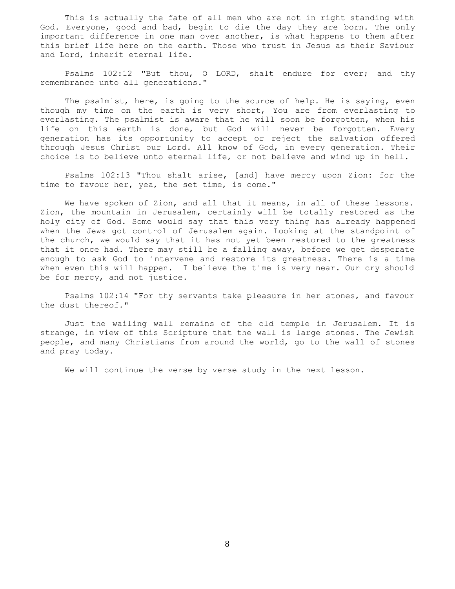This is actually the fate of all men who are not in right standing with God. Everyone, good and bad, begin to die the day they are born. The only important difference in one man over another, is what happens to them after this brief life here on the earth. Those who trust in Jesus as their Saviour and Lord, inherit eternal life.

 Psalms 102:12 "But thou, O LORD, shalt endure for ever; and thy remembrance unto all generations."

 The psalmist, here, is going to the source of help. He is saying, even though my time on the earth is very short, You are from everlasting to everlasting. The psalmist is aware that he will soon be forgotten, when his life on this earth is done, but God will never be forgotten. Every generation has its opportunity to accept or reject the salvation offered through Jesus Christ our Lord. All know of God, in every generation. Their choice is to believe unto eternal life, or not believe and wind up in hell.

 Psalms 102:13 "Thou shalt arise, [and] have mercy upon Zion: for the time to favour her, yea, the set time, is come."

We have spoken of Zion, and all that it means, in all of these lessons. Zion, the mountain in Jerusalem, certainly will be totally restored as the holy city of God. Some would say that this very thing has already happened when the Jews got control of Jerusalem again. Looking at the standpoint of the church, we would say that it has not yet been restored to the greatness that it once had. There may still be a falling away, before we get desperate enough to ask God to intervene and restore its greatness. There is a time when even this will happen. I believe the time is very near. Our cry should be for mercy, and not justice.

 Psalms 102:14 "For thy servants take pleasure in her stones, and favour the dust thereof."

 Just the wailing wall remains of the old temple in Jerusalem. It is strange, in view of this Scripture that the wall is large stones. The Jewish people, and many Christians from around the world, go to the wall of stones and pray today.

We will continue the verse by verse study in the next lesson.

8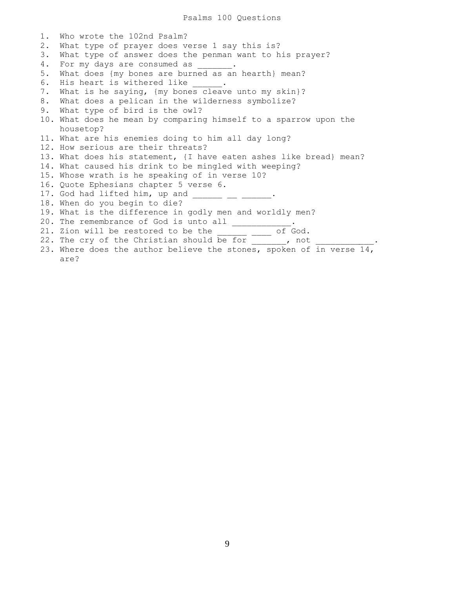Psalms 100 Questions

1. Who wrote the 102nd Psalm? 2. What type of prayer does verse 1 say this is? 3. What type of answer does the penman want to his prayer? 4. For my days are consumed as  $\qquad \qquad$ . 5. What does {my bones are burned as an hearth} mean? 6. His heart is withered like . 7. What is he saying, {my bones cleave unto my skin}? 8. What does a pelican in the wilderness symbolize? 9. What type of bird is the owl? 10. What does he mean by comparing himself to a sparrow upon the housetop? 11. What are his enemies doing to him all day long? 12. How serious are their threats? 13. What does his statement, {I have eaten ashes like bread} mean? 14. What caused his drink to be mingled with weeping? 15. Whose wrath is he speaking of in verse 10? 16. Quote Ephesians chapter 5 verse 6. 17.  $\ddot{0}$  and  $\ddot{0}$  lifted him, up and \_\_\_\_\_\_\_\_\_\_\_\_\_\_\_\_. 18. When do you begin to die? 19. What is the difference in godly men and worldly men? 20. The remembrance of God is unto all  $\frac{1}{\sqrt{1-\frac{1}{2}}}\cdot$ 21. Zion will be restored to be the \_\_\_\_\_\_\_\_ of God. 22. The cry of the Christian should be for , not 23. Where does the author believe the stones, spoken of in verse 14, are?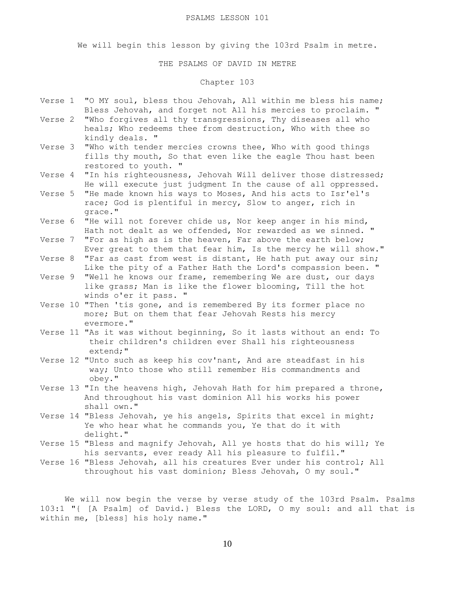#### PSALMS LESSON 101

We will begin this lesson by giving the 103rd Psalm in metre.

### THE PSALMS OF DAVID IN METRE

# Chapter 103

- Verse 1 "O MY soul, bless thou Jehovah, All within me bless his name; Bless Jehovah, and forget not All his mercies to proclaim. "
- Verse 2 "Who forgives all thy transgressions, Thy diseases all who heals; Who redeems thee from destruction, Who with thee so kindly deals. "
- Verse 3 "Who with tender mercies crowns thee, Who with good things fills thy mouth, So that even like the eagle Thou hast been restored to youth. "
- Verse 4 "In his righteousness, Jehovah Will deliver those distressed; He will execute just judgment In the cause of all oppressed.
- Verse 5 "He made known his ways to Moses, And his acts to Isr'el's race; God is plentiful in mercy, Slow to anger, rich in grace."
- Verse 6 "He will not forever chide us, Nor keep anger in his mind, Hath not dealt as we offended, Nor rewarded as we sinned. "
- Verse 7 "For as high as is the heaven, Far above the earth below; Ever great to them that fear him, Is the mercy he will show."
- Verse 8 "Far as cast from west is distant, He hath put away our sin; Like the pity of a Father Hath the Lord's compassion been. "
- Verse 9 "Well he knows our frame, remembering We are dust, our days like grass; Man is like the flower blooming, Till the hot winds o'er it pass. "
- Verse 10 "Then 'tis gone, and is remembered By its former place no more; But on them that fear Jehovah Rests his mercy evermore."
- Verse 11 "As it was without beginning, So it lasts without an end: To their children's children ever Shall his righteousness extend;"
- Verse 12 "Unto such as keep his cov'nant, And are steadfast in his way; Unto those who still remember His commandments and obey."
- Verse 13 "In the heavens high, Jehovah Hath for him prepared a throne, And throughout his vast dominion All his works his power shall own."
- Verse 14 "Bless Jehovah, ye his angels, Spirits that excel in might; Ye who hear what he commands you, Ye that do it with delight."
- Verse 15 "Bless and magnify Jehovah, All ye hosts that do his will; Ye his servants, ever ready All his pleasure to fulfil."
- Verse 16 "Bless Jehovah, all his creatures Ever under his control; All throughout his vast dominion; Bless Jehovah, O my soul."

 We will now begin the verse by verse study of the 103rd Psalm. Psalms 103:1 "{ [A Psalm] of David.} Bless the LORD, O my soul: and all that is within me, [bless] his holy name."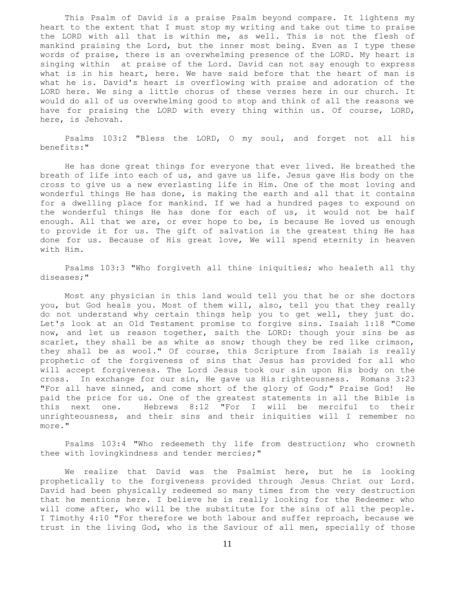This Psalm of David is a praise Psalm beyond compare. It lightens my heart to the extent that I must stop my writing and take out time to praise the LORD with all that is within me, as well. This is not the flesh of mankind praising the Lord, but the inner most being. Even as I type these words of praise, there is an overwhelming presence of the LORD. My heart is singing within at praise of the Lord. David can not say enough to express what is in his heart, here. We have said before that the heart of man is what he is. David's heart is overflowing with praise and adoration of the LORD here. We sing a little chorus of these verses here in our church. It would do all of us overwhelming good to stop and think of all the reasons we have for praising the LORD with every thing within us. Of course, LORD, here, is Jehovah.

 Psalms 103:2 "Bless the LORD, O my soul, and forget not all his benefits:"

 He has done great things for everyone that ever lived. He breathed the breath of life into each of us, and gave us life. Jesus gave His body on the cross to give us a new everlasting life in Him. One of the most loving and wonderful things He has done, is making the earth and all that it contains for a dwelling place for mankind. If we had a hundred pages to expound on the wonderful things He has done for each of us, it would not be half enough. All that we are, or ever hope to be, is because He loved us enough to provide it for us. The gift of salvation is the greatest thing He has done for us. Because of His great love, We will spend eternity in heaven with Him.

 Psalms 103:3 "Who forgiveth all thine iniquities; who healeth all thy diseases;"

 Most any physician in this land would tell you that he or she doctors you, but God heals you. Most of them will, also, tell you that they really do not understand why certain things help you to get well, they just do. Let's look at an Old Testament promise to forgive sins. Isaiah 1:18 "Come now, and let us reason together, saith the LORD: though your sins be as scarlet, they shall be as white as snow; though they be red like crimson, they shall be as wool." Of course, this Scripture from Isaiah is really prophetic of the forgiveness of sins that Jesus has provided for all who will accept forgiveness. The Lord Jesus took our sin upon His body on the cross. In exchange for our sin, He gave us His righteousness. Romans 3:23 "For all have sinned, and come short of the glory of God;" Praise God! He paid the price for us. One of the greatest statements in all the Bible is this next one. Hebrews 8:12 "For I will be merciful to their unrighteousness, and their sins and their iniquities will I remember no more."

 Psalms 103:4 "Who redeemeth thy life from destruction; who crowneth thee with lovingkindness and tender mercies;"

 We realize that David was the Psalmist here, but he is looking prophetically to the forgiveness provided through Jesus Christ our Lord. David had been physically redeemed so many times from the very destruction that he mentions here. I believe he is really looking for the Redeemer who will come after, who will be the substitute for the sins of all the people. I Timothy 4:10 "For therefore we both labour and suffer reproach, because we trust in the living God, who is the Saviour of all men, specially of those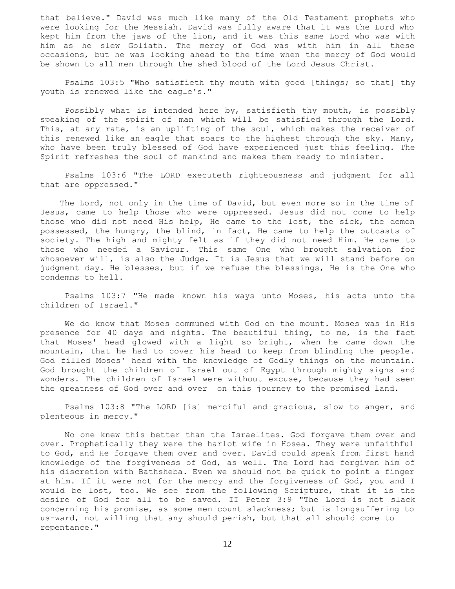that believe." David was much like many of the Old Testament prophets who were looking for the Messiah. David was fully aware that it was the Lord who kept him from the jaws of the lion, and it was this same Lord who was with him as he slew Goliath. The mercy of God was with him in all these occasions, but he was looking ahead to the time when the mercy of God would be shown to all men through the shed blood of the Lord Jesus Christ.

 Psalms 103:5 "Who satisfieth thy mouth with good [things; so that] thy youth is renewed like the eagle's."

 Possibly what is intended here by, satisfieth thy mouth, is possibly speaking of the spirit of man which will be satisfied through the Lord. This, at any rate, is an uplifting of the soul, which makes the receiver of this renewed like an eagle that soars to the highest through the sky. Many, who have been truly blessed of God have experienced just this feeling. The Spirit refreshes the soul of mankind and makes them ready to minister.

 Psalms 103:6 "The LORD executeth righteousness and judgment for all that are oppressed."

 The Lord, not only in the time of David, but even more so in the time of Jesus, came to help those who were oppressed. Jesus did not come to help those who did not need His help, He came to the lost, the sick, the demon possessed, the hungry, the blind, in fact, He came to help the outcasts of society. The high and mighty felt as if they did not need Him. He came to those who needed a Saviour. This same One who brought salvation for whosoever will, is also the Judge. It is Jesus that we will stand before on judgment day. He blesses, but if we refuse the blessings, He is the One who condemns to hell.

 Psalms 103:7 "He made known his ways unto Moses, his acts unto the children of Israel."

 We do know that Moses communed with God on the mount. Moses was in His presence for 40 days and nights. The beautiful thing, to me, is the fact that Moses' head glowed with a light so bright, when he came down the mountain, that he had to cover his head to keep from blinding the people. God filled Moses' head with the knowledge of Godly things on the mountain. God brought the children of Israel out of Egypt through mighty signs and wonders. The children of Israel were without excuse, because they had seen the greatness of God over and over on this journey to the promised land.

 Psalms 103:8 "The LORD [is] merciful and gracious, slow to anger, and plenteous in mercy."

 No one knew this better than the Israelites. God forgave them over and over. Prophetically they were the harlot wife in Hosea. They were unfaithful to God, and He forgave them over and over. David could speak from first hand knowledge of the forgiveness of God, as well. The Lord had forgiven him of his discretion with Bathsheba. Even we should not be quick to point a finger at him. If it were not for the mercy and the forgiveness of God, you and I would be lost, too. We see from the following Scripture, that it is the desire of God for all to be saved. II Peter 3:9 "The Lord is not slack concerning his promise, as some men count slackness; but is longsuffering to us-ward, not willing that any should perish, but that all should come to repentance."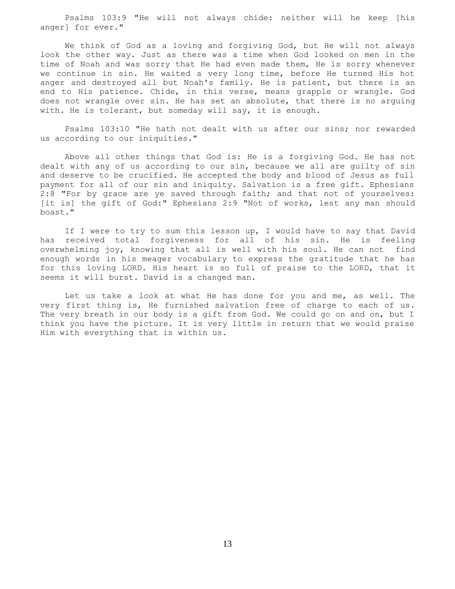Psalms 103:9 "He will not always chide: neither will he keep [his anger] for ever."

 We think of God as a loving and forgiving God, but He will not always look the other way. Just as there was a time when God looked on men in the time of Noah and was sorry that He had even made them, He is sorry whenever we continue in sin. He waited a very long time, before He turned His hot anger and destroyed all but Noah's family. He is patient, but there is an end to His patience. Chide, in this verse, means grapple or wrangle. God does not wrangle over sin. He has set an absolute, that there is no arguing with. He is tolerant, but someday will say, it is enough.

 Psalms 103:10 "He hath not dealt with us after our sins; nor rewarded us according to our iniquities."

 Above all other things that God is: He is a forgiving God. He has not dealt with any of us according to our sin, because we all are guilty of sin and deserve to be crucified. He accepted the body and blood of Jesus as full payment for all of our sin and iniquity. Salvation is a free gift. Ephesians 2:8 "For by grace are ye saved through faith; and that not of yourselves: [it is] the gift of God:" Ephesians 2:9 "Not of works, lest any man should boast."

 If I were to try to sum this lesson up, I would have to say that David has received total forgiveness for all of his sin. He is feeling overwhelming joy, knowing that all is well with his soul. He can not find enough words in his meager vocabulary to express the gratitude that he has for this loving LORD. His heart is so full of praise to the LORD, that it seems it will burst. David is a changed man.

 Let us take a look at what He has done for you and me, as well. The very first thing is, He furnished salvation free of charge to each of us. The very breath in our body is a gift from God. We could go on and on, but I think you have the picture. It is very little in return that we would praise Him with everything that is within us.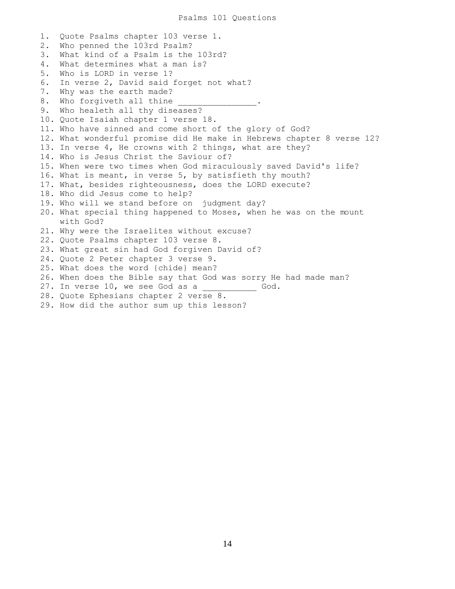1. Quote Psalms chapter 103 verse 1. 2. Who penned the 103rd Psalm? 3. What kind of a Psalm is the 103rd? 4. What determines what a man is? 5. Who is LORD in verse 1? 6. In verse 2, David said forget not what? 7. Why was the earth made? 8. Who forgiveth all thine 9. Who healeth all thy diseases? 10. Quote Isaiah chapter 1 verse 18. 11. Who have sinned and come short of the glory of God? 12. What wonderful promise did He make in Hebrews chapter 8 verse 12? 13. In verse 4, He crowns with 2 things, what are they? 14. Who is Jesus Christ the Saviour of? 15. When were two times when God miraculously saved David's life? 16. What is meant, in verse 5, by satisfieth thy mouth? 17. What, besides righteousness, does the LORD execute? 18. Who did Jesus come to help? 19. Who will we stand before on judgment day? 20. What special thing happened to Moses, when he was on the mount with God? 21. Why were the Israelites without excuse? 22. Quote Psalms chapter 103 verse 8. 23. What great sin had God forgiven David of? 24. Quote 2 Peter chapter 3 verse 9. 25. What does the word {chide} mean? 26. When does the Bible say that God was sorry He had made man? 27. In verse 10, we see God as a \_\_\_\_\_\_\_\_ God. 28. Quote Ephesians chapter 2 verse 8. 29. How did the author sum up this lesson?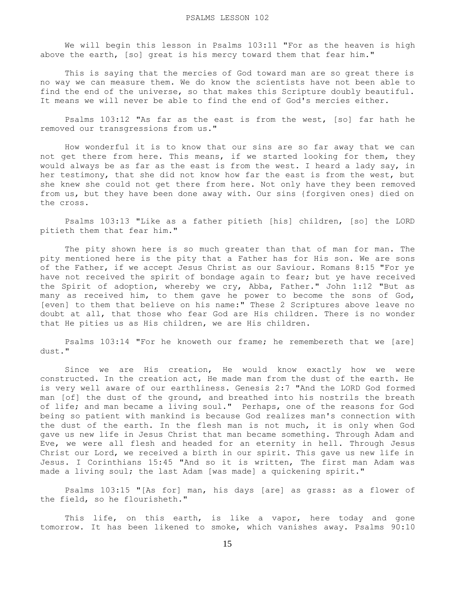We will begin this lesson in Psalms 103:11 "For as the heaven is high above the earth, [so] great is his mercy toward them that fear him."

 This is saying that the mercies of God toward man are so great there is no way we can measure them. We do know the scientists have not been able to find the end of the universe, so that makes this Scripture doubly beautiful. It means we will never be able to find the end of God's mercies either.

 Psalms 103:12 "As far as the east is from the west, [so] far hath he removed our transgressions from us."

 How wonderful it is to know that our sins are so far away that we can not get there from here. This means, if we started looking for them, they would always be as far as the east is from the west. I heard a lady say, in her testimony, that she did not know how far the east is from the west, but she knew she could not get there from here. Not only have they been removed from us, but they have been done away with. Our sins {forgiven ones} died on the cross.

 Psalms 103:13 "Like as a father pitieth [his] children, [so] the LORD pitieth them that fear him."

 The pity shown here is so much greater than that of man for man. The pity mentioned here is the pity that a Father has for His son. We are sons of the Father, if we accept Jesus Christ as our Saviour. Romans 8:15 "For ye have not received the spirit of bondage again to fear; but ye have received the Spirit of adoption, whereby we cry, Abba, Father." John 1:12 "But as many as received him, to them gave he power to become the sons of God, [even] to them that believe on his name:" These 2 Scriptures above leave no doubt at all, that those who fear God are His children. There is no wonder that He pities us as His children, we are His children.

 Psalms 103:14 "For he knoweth our frame; he remembereth that we [are] dust."

 Since we are His creation, He would know exactly how we were constructed. In the creation act, He made man from the dust of the earth. He is very well aware of our earthliness. Genesis 2:7 "And the LORD God formed man [of] the dust of the ground, and breathed into his nostrils the breath of life; and man became a living soul." Perhaps, one of the reasons for God being so patient with mankind is because God realizes man's connection with the dust of the earth. In the flesh man is not much, it is only when God gave us new life in Jesus Christ that man became something. Through Adam and Eve, we were all flesh and headed for an eternity in hell. Through Jesus Christ our Lord, we received a birth in our spirit. This gave us new life in Jesus. I Corinthians 15:45 "And so it is written, The first man Adam was made a living soul; the last Adam [was made] a quickening spirit."

 Psalms 103:15 "[As for] man, his days [are] as grass: as a flower of the field, so he flourisheth."

This life, on this earth, is like a vapor, here today and gone tomorrow. It has been likened to smoke, which vanishes away. Psalms 90:10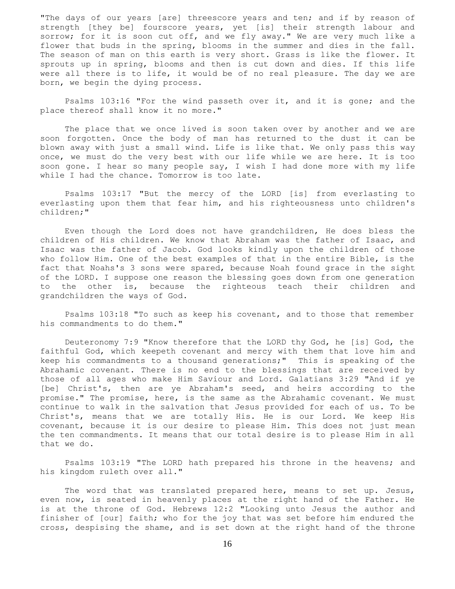"The days of our years [are] threescore years and ten; and if by reason of strength [they be] fourscore years, yet [is] their strength labour and sorrow; for it is soon cut off, and we fly away." We are very much like a flower that buds in the spring, blooms in the summer and dies in the fall. The season of man on this earth is very short. Grass is like the flower. It sprouts up in spring, blooms and then is cut down and dies. If this life were all there is to life, it would be of no real pleasure. The day we are born, we begin the dying process.

 Psalms 103:16 "For the wind passeth over it, and it is gone; and the place thereof shall know it no more."

 The place that we once lived is soon taken over by another and we are soon forgotten. Once the body of man has returned to the dust it can be blown away with just a small wind. Life is like that. We only pass this way once, we must do the very best with our life while we are here. It is too soon gone. I hear so many people say, I wish I had done more with my life while I had the chance. Tomorrow is too late.

 Psalms 103:17 "But the mercy of the LORD [is] from everlasting to everlasting upon them that fear him, and his righteousness unto children's children;"

 Even though the Lord does not have grandchildren, He does bless the children of His children. We know that Abraham was the father of Isaac, and Isaac was the father of Jacob. God looks kindly upon the children of those who follow Him. One of the best examples of that in the entire Bible, is the fact that Noahs's 3 sons were spared, because Noah found grace in the sight of the LORD. I suppose one reason the blessing goes down from one generation to the other is, because the righteous teach their children and grandchildren the ways of God.

 Psalms 103:18 "To such as keep his covenant, and to those that remember his commandments to do them."

 Deuteronomy 7:9 "Know therefore that the LORD thy God, he [is] God, the faithful God, which keepeth covenant and mercy with them that love him and keep his commandments to a thousand generations;" This is speaking of the Abrahamic covenant. There is no end to the blessings that are received by those of all ages who make Him Saviour and Lord. Galatians 3:29 "And if ye [be] Christ's, then are ye Abraham's seed, and heirs according to the promise." The promise, here, is the same as the Abrahamic covenant. We must continue to walk in the salvation that Jesus provided for each of us. To be Christ's, means that we are totally His. He is our Lord. We keep His covenant, because it is our desire to please Him. This does not just mean the ten commandments. It means that our total desire is to please Him in all that we do.

 Psalms 103:19 "The LORD hath prepared his throne in the heavens; and his kingdom ruleth over all."

The word that was translated prepared here, means to set up. Jesus, even now, is seated in heavenly places at the right hand of the Father. He is at the throne of God. Hebrews 12:2 "Looking unto Jesus the author and finisher of [our] faith; who for the joy that was set before him endured the cross, despising the shame, and is set down at the right hand of the throne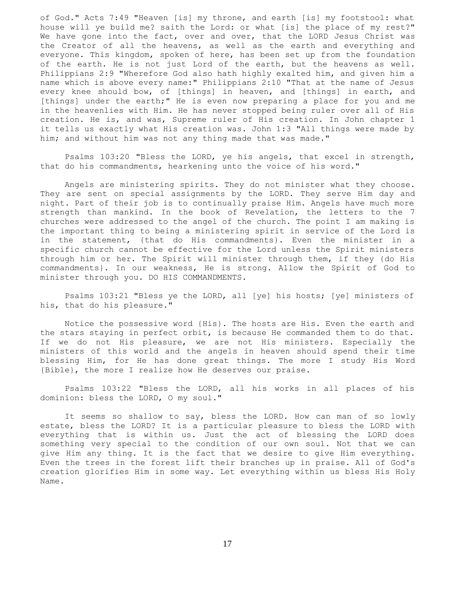of God." Acts 7:49 "Heaven [is] my throne, and earth [is] my footstool: what house will ye build me? saith the Lord: or what [is] the place of my rest?" We have gone into the fact, over and over, that the LORD Jesus Christ was the Creator of all the heavens, as well as the earth and everything and everyone. This kingdom, spoken of here, has been set up from the foundation of the earth. He is not just Lord of the earth, but the heavens as well. Philippians 2:9 "Wherefore God also hath highly exalted him, and given him a name which is above every name:" Philippians 2:10 "That at the name of Jesus every knee should bow, of [things] in heaven, and [things] in earth, and [things] under the earth;" He is even now preparing a place for you and me in the heavenlies with Him. He has never stopped being ruler over all of His creation. He is, and was, Supreme ruler of His creation. In John chapter 1 it tells us exactly what His creation was. John 1:3 "All things were made by him; and without him was not any thing made that was made."

 Psalms 103:20 "Bless the LORD, ye his angels, that excel in strength, that do his commandments, hearkening unto the voice of his word."

 Angels are ministering spirits. They do not minister what they choose. They are sent on special assignments by the LORD. They serve Him day and night. Part of their job is to continually praise Him. Angels have much more strength than mankind. In the book of Revelation, the letters to the 7 churches were addressed to the angel of the church. The point I am making is the important thing to being a ministering spirit in service of the Lord is in the statement, {that do His commandments}. Even the minister in a specific church cannot be effective for the Lord unless the Spirit ministers through him or her. The Spirit will minister through them, if they {do His commandments}. In our weakness, He is strong. Allow the Spirit of God to minister through you. DO HIS COMMANDMENTS.

 Psalms 103:21 "Bless ye the LORD, all [ye] his hosts; [ye] ministers of his, that do his pleasure."

 Notice the possessive word {His}. The hosts are His. Even the earth and the stars staying in perfect orbit, is because He commanded them to do that. If we do not His pleasure, we are not His ministers. Especially the ministers of this world and the angels in heaven should spend their time blessing Him, for He has done great things. The more I study His Word {Bible}, the more I realize how He deserves our praise.

 Psalms 103:22 "Bless the LORD, all his works in all places of his dominion: bless the LORD, O my soul."

 It seems so shallow to say, bless the LORD. How can man of so lowly estate, bless the LORD? It is a particular pleasure to bless the LORD with everything that is within us. Just the act of blessing the LORD does something very special to the condition of our own soul. Not that we can give Him any thing. It is the fact that we desire to give Him everything. Even the trees in the forest lift their branches up in praise. All of God's creation glorifies Him in some way. Let everything within us bless His Holy Name.

17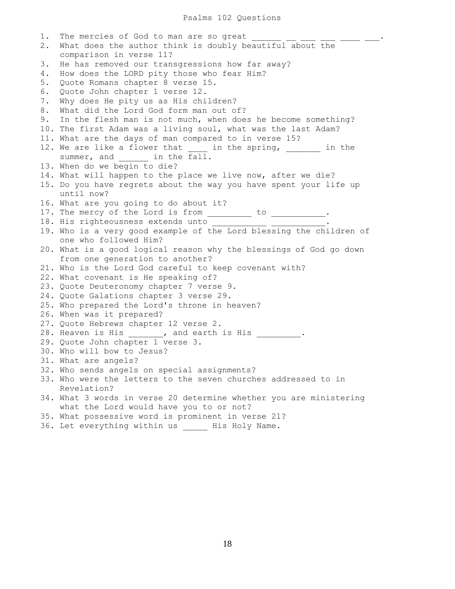1. The mercies of God to man are so great  $\frac{1}{\sqrt{1-\frac{1}{2}}}\frac{1}{\sqrt{1-\frac{1}{2}}}\frac{1}{\sqrt{1-\frac{1}{2}}}\frac{1}{\sqrt{1-\frac{1}{2}}}\frac{1}{\sqrt{1-\frac{1}{2}}}\frac{1}{\sqrt{1-\frac{1}{2}}}\frac{1}{\sqrt{1-\frac{1}{2}}}\frac{1}{\sqrt{1-\frac{1}{2}}}\frac{1}{\sqrt{1-\frac{1}{2}}}\frac{1}{\sqrt{1-\frac{1}{2}}}\frac{1}{\sqrt{1-\frac{1}{2}}}\frac$ 2. What does the author think is doubly beautiful about the comparison in verse 11? 3. He has removed our transgressions how far away? 4. How does the LORD pity those who fear Him? 5. Quote Romans chapter 8 verse 15. 6. Quote John chapter 1 verse 12. 7. Why does He pity us as His children? 8. What did the Lord God form man out of? 9. In the flesh man is not much, when does he become something? 10. The first Adam was a living soul, what was the last Adam? 11. What are the days of man compared to in verse 15? 12. We are like a flower that in the spring, when in the summer, and  $\frac{1}{\text{in the fall}}$ . 13. When do we begin to die? 14. What will happen to the place we live now, after we die? 15. Do you have regrets about the way you have spent your life up until now? 16. What are you going to do about it? 17. The mercy of the Lord is from \_\_\_\_\_\_\_\_ to \_\_\_\_\_\_\_\_\_\_. 18. His righteousness extends unto \_\_\_\_\_\_\_\_\_\_\_\_ \_\_\_\_\_\_\_\_\_\_\_. 19. Who is a very good example of the Lord blessing the children of one who followed Him? 20. What is a good logical reason why the blessings of God go down from one generation to another? 21. Who is the Lord God careful to keep covenant with? 22. What covenant is He speaking of? 23. Quote Deuteronomy chapter 7 verse 9. 24. Quote Galations chapter 3 verse 29. 25. Who prepared the Lord's throne in heaven? 26. When was it prepared? 27. Quote Hebrews chapter 12 verse 2. 28. Heaven is His \_\_\_\_\_\_\_, and earth is His \_\_\_\_\_\_\_\_\_\_. 29. Quote John chapter 1 verse 3. 30. Who will bow to Jesus? 31. What are angels? 32. Who sends angels on special assignments? 33. Who were the letters to the seven churches addressed to in Revelation? 34. What 3 words in verse 20 determine whether you are ministering what the Lord would have you to or not? 35. What possessive word is prominent in verse 21? 36. Let everything within us \_\_\_\_\_\_ His Holy Name.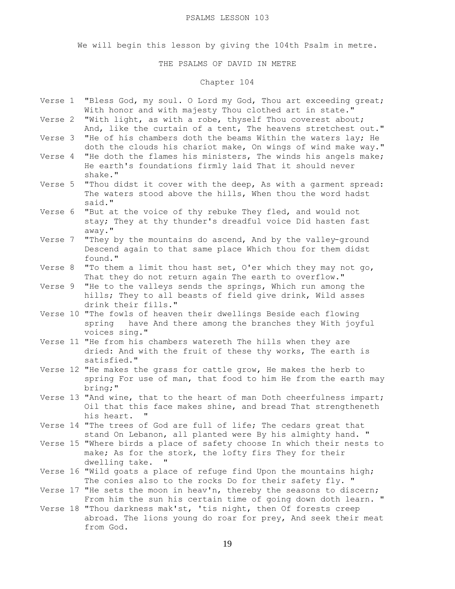#### PSALMS LESSON 103

We will begin this lesson by giving the 104th Psalm in metre.

### THE PSALMS OF DAVID IN METRE

# Chapter 104

- Verse 1 "Bless God, my soul. O Lord my God, Thou art exceeding great; With honor and with majesty Thou clothed art in state."
- Verse 2 "With light, as with a robe, thyself Thou coverest about; And, like the curtain of a tent, The heavens stretchest out."
- Verse 3 "He of his chambers doth the beams Within the waters lay; He doth the clouds his chariot make, On wings of wind make way."
- Verse 4 "He doth the flames his ministers, The winds his angels make; He earth's foundations firmly laid That it should never shake."
- Verse 5 "Thou didst it cover with the deep, As with a garment spread: The waters stood above the hills, When thou the word hadst said."
- Verse 6 "But at the voice of thy rebuke They fled, and would not stay; They at thy thunder's dreadful voice Did hasten fast away."
- Verse 7 "They by the mountains do ascend, And by the valley-ground Descend again to that same place Which thou for them didst found."
- Verse 8 "To them a limit thou hast set, O'er which they may not go, That they do not return again The earth to overflow."
- Verse 9 "He to the valleys sends the springs, Which run among the hills; They to all beasts of field give drink, Wild asses drink their fills."
- Verse 10 "The fowls of heaven their dwellings Beside each flowing spring have And there among the branches they With joyful voices sing."
- Verse 11 "He from his chambers watereth The hills when they are dried: And with the fruit of these thy works, The earth is satisfied."
- Verse 12 "He makes the grass for cattle grow, He makes the herb to spring For use of man, that food to him He from the earth may bring;"
- Verse 13 "And wine, that to the heart of man Doth cheerfulness impart; Oil that this face makes shine, and bread That strengtheneth<br>his beart his heart.
- Verse 14 "The trees of God are full of life; The cedars great that stand On Lebanon, all planted were By his almighty hand. "
- Verse 15 "Where birds a place of safety choose In which their nests to make; As for the stork, the lofty firs They for their dwelling take. "
- Verse 16 "Wild goats a place of refuge find Upon the mountains high; The conies also to the rocks Do for their safety fly. "
- Verse 17 "He sets the moon in heav'n, thereby the seasons to discern; From him the sun his certain time of going down doth learn. "
- Verse 18 "Thou darkness mak'st, 'tis night, then Of forests creep abroad. The lions young do roar for prey, And seek their meat from God.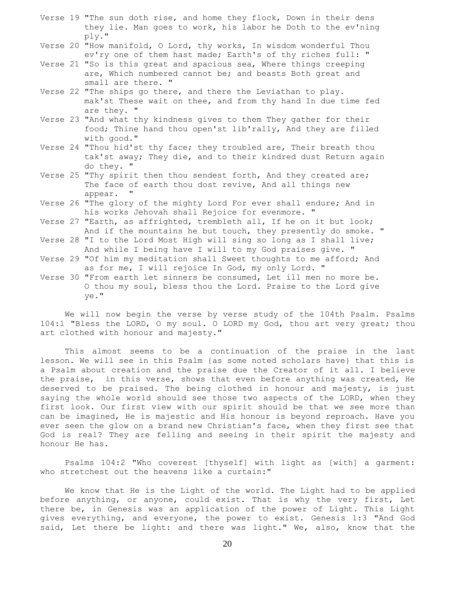- Verse 19 "The sun doth rise, and home they flock, Down in their dens they lie. Man goes to work, his labor he Doth to the ev'ning ply."
- Verse 20 "How manifold, O Lord, thy works, In wisdom wonderful Thou ev'ry one of them hast made; Earth's of thy riches full: "
- Verse 21 "So is this great and spacious sea, Where things creeping are, Which numbered cannot be; and beasts Both great and small are there. "
- Verse 22 "The ships go there, and there the Leviathan to play. mak'st These wait on thee, and from thy hand In due time fed are they. "
- Verse 23 "And what thy kindness gives to them They gather for their food; Thine hand thou open'st lib'rally, And they are filled with good."
- Verse 24 "Thou hid'st thy face; they troubled are, Their breath thou tak'st away; They die, and to their kindred dust Return again do they. "
- Verse 25 "Thy spirit then thou sendest forth, And they created are; The face of earth thou dost revive, And all things new appear.
- Verse 26 "The glory of the mighty Lord For ever shall endure; And in his works Jehovah shall Rejoice for evenmore. "
- Verse 27 "Earth, as affrighted, trembleth all, If he on it but look; And if the mountains he but touch, they presently do smoke. "
- Verse 28 "I to the Lord Most High will sing so long as I shall live; And while I being have I will to my God praises give. "
- Verse 29 "Of him my meditation shall Sweet thoughts to me afford; And as for me, I will rejoice In God, my only Lord. "
- Verse 30 "From earth let sinners be consumed, Let ill men no more be. O thou my soul, bless thou the Lord. Praise to the Lord give ye."

 We will now begin the verse by verse study of the 104th Psalm. Psalms 104:1 "Bless the LORD, O my soul. O LORD my God, thou art very great; thou art clothed with honour and majesty."

 This almost seems to be a continuation of the praise in the last lesson. We will see in this Psalm {as some noted scholars have} that this is a Psalm about creation and the praise due the Creator of it all. I believe the praise, in this verse, shows that even before anything was created, He deserved to be praised. The being clothed in honour and majesty, is just saying the whole world should see those two aspects of the LORD, when they first look. Our first view with our spirit should be that we see more than can be imagined, He is majestic and His honour is beyond reproach. Have you ever seen the glow on a brand new Christian's face, when they first see that God is real? They are felling and seeing in their spirit the majesty and honour He has.

 Psalms 104:2 "Who coverest [thyself] with light as [with] a garment: who stretchest out the heavens like a curtain:"

 We know that He is the Light of the world. The Light had to be applied before anything, or anyone, could exist. That is why the very first, Let there be, in Genesis was an application of the power of Light. This Light gives everything, and everyone, the power to exist. Genesis 1:3 "And God said, Let there be light: and there was light." We, also, know that the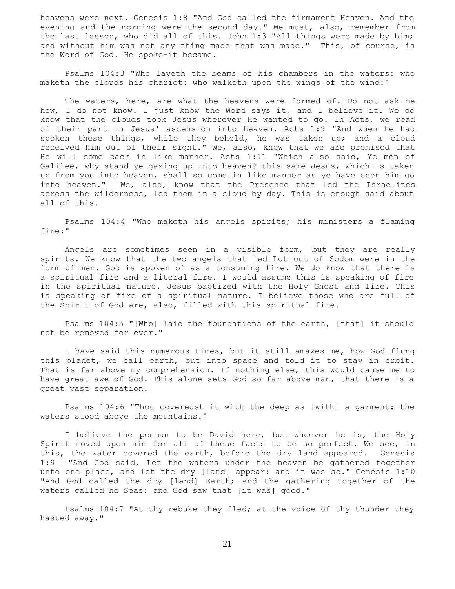heavens were next. Genesis 1:8 "And God called the firmament Heaven. And the evening and the morning were the second day." We must, also, remember from the last lesson, who did all of this. John 1:3 "All things were made by him; and without him was not any thing made that was made." This, of course, is the Word of God. He spoke-it became.

 Psalms 104:3 "Who layeth the beams of his chambers in the waters: who maketh the clouds his chariot: who walketh upon the wings of the wind:"

 The waters, here, are what the heavens were formed of. Do not ask me how, I do not know. I just know the Word says it, and I believe it. We do know that the clouds took Jesus wherever He wanted to go. In Acts, we read of their part in Jesus' ascension into heaven. Acts 1:9 "And when he had spoken these things, while they beheld, he was taken up; and a cloud received him out of their sight." We, also, know that we are promised that He will come back in like manner. Acts 1:11 "Which also said, Ye men of Galilee, why stand ye gazing up into heaven? this same Jesus, which is taken up from you into heaven, shall so come in like manner as ye have seen him go into heaven." We, also, know that the Presence that led the Israelites across the wilderness, led them in a cloud by day. This is enough said about all of this.

 Psalms 104:4 "Who maketh his angels spirits; his ministers a flaming fire:"

 Angels are sometimes seen in a visible form, but they are really spirits. We know that the two angels that led Lot out of Sodom were in the form of men. God is spoken of as a consuming fire. We do know that there is a spiritual fire and a literal fire. I would assume this is speaking of fire in the spiritual nature. Jesus baptized with the Holy Ghost and fire. This is speaking of fire of a spiritual nature. I believe those who are full of the Spirit of God are, also, filled with this spiritual fire.

 Psalms 104:5 "[Who] laid the foundations of the earth, [that] it should not be removed for ever."

 I have said this numerous times, but it still amazes me, how God flung this planet, we call earth, out into space and told it to stay in orbit. That is far above my comprehension. If nothing else, this would cause me to have great awe of God. This alone sets God so far above man, that there is a great vast separation.

 Psalms 104:6 "Thou coveredst it with the deep as [with] a garment: the waters stood above the mountains."

 I believe the penman to be David here, but whoever he is, the Holy Spirit moved upon him for all of these facts to be so perfect. We see, in this, the water covered the earth, before the dry land appeared. Genesis 1:9 "And God said, Let the waters under the heaven be gathered together unto one place, and let the dry [land] appear: and it was so." Genesis 1:10 "And God called the dry [land] Earth; and the gathering together of the waters called he Seas: and God saw that [it was] good."

 Psalms 104:7 "At thy rebuke they fled; at the voice of thy thunder they hasted away."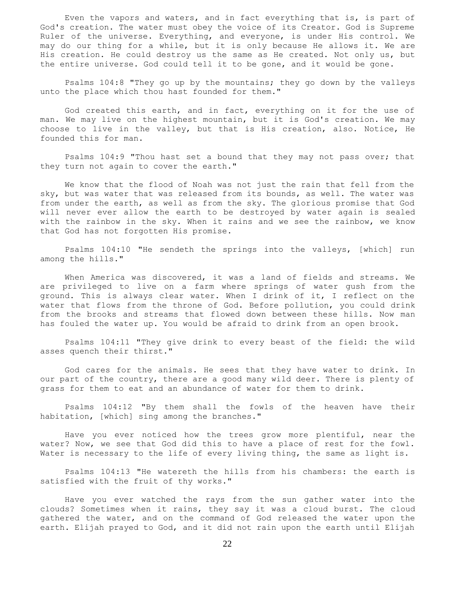Even the vapors and waters, and in fact everything that is, is part of God's creation. The water must obey the voice of its Creator. God is Supreme Ruler of the universe. Everything, and everyone, is under His control. We may do our thing for a while, but it is only because He allows it. We are His creation. He could destroy us the same as He created. Not only us, but the entire universe. God could tell it to be gone, and it would be gone.

 Psalms 104:8 "They go up by the mountains; they go down by the valleys unto the place which thou hast founded for them."

 God created this earth, and in fact, everything on it for the use of man. We may live on the highest mountain, but it is God's creation. We may choose to live in the valley, but that is His creation, also. Notice, He founded this for man.

 Psalms 104:9 "Thou hast set a bound that they may not pass over; that they turn not again to cover the earth."

 We know that the flood of Noah was not just the rain that fell from the sky, but was water that was released from its bounds, as well. The water was from under the earth, as well as from the sky. The glorious promise that God will never ever allow the earth to be destroyed by water again is sealed with the rainbow in the sky. When it rains and we see the rainbow, we know that God has not forgotten His promise.

 Psalms 104:10 "He sendeth the springs into the valleys, [which] run among the hills."

 When America was discovered, it was a land of fields and streams. We are privileged to live on a farm where springs of water gush from the ground. This is always clear water. When I drink of it, I reflect on the water that flows from the throne of God. Before pollution, you could drink from the brooks and streams that flowed down between these hills. Now man has fouled the water up. You would be afraid to drink from an open brook.

 Psalms 104:11 "They give drink to every beast of the field: the wild asses quench their thirst."

 God cares for the animals. He sees that they have water to drink. In our part of the country, there are a good many wild deer. There is plenty of grass for them to eat and an abundance of water for them to drink.

 Psalms 104:12 "By them shall the fowls of the heaven have their habitation, [which] sing among the branches."

 Have you ever noticed how the trees grow more plentiful, near the water? Now, we see that God did this to have a place of rest for the fowl. Water is necessary to the life of every living thing, the same as light is.

 Psalms 104:13 "He watereth the hills from his chambers: the earth is satisfied with the fruit of thy works."

 Have you ever watched the rays from the sun gather water into the clouds? Sometimes when it rains, they say it was a cloud burst. The cloud gathered the water, and on the command of God released the water upon the earth. Elijah prayed to God, and it did not rain upon the earth until Elijah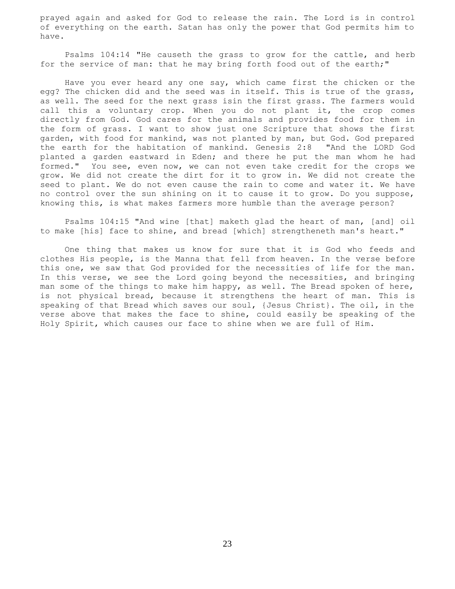prayed again and asked for God to release the rain. The Lord is in control of everything on the earth. Satan has only the power that God permits him to have.

 Psalms 104:14 "He causeth the grass to grow for the cattle, and herb for the service of man: that he may bring forth food out of the earth;"

 Have you ever heard any one say, which came first the chicken or the egg? The chicken did and the seed was in itself. This is true of the grass, as well. The seed for the next grass isin the first grass. The farmers would call this a voluntary crop. When you do not plant it, the crop comes directly from God. God cares for the animals and provides food for them in the form of grass. I want to show just one Scripture that shows the first garden, with food for mankind, was not planted by man, but God. God prepared the earth for the habitation of mankind. Genesis 2:8 "And the LORD God planted a garden eastward in Eden; and there he put the man whom he had formed." You see, even now, we can not even take credit for the crops we grow. We did not create the dirt for it to grow in. We did not create the seed to plant. We do not even cause the rain to come and water it. We have no control over the sun shining on it to cause it to grow. Do you suppose, knowing this, is what makes farmers more humble than the average person?

 Psalms 104:15 "And wine [that] maketh glad the heart of man, [and] oil to make [his] face to shine, and bread [which] strengtheneth man's heart."

 One thing that makes us know for sure that it is God who feeds and clothes His people, is the Manna that fell from heaven. In the verse before this one, we saw that God provided for the necessities of life for the man. In this verse, we see the Lord going beyond the necessities, and bringing man some of the things to make him happy, as well. The Bread spoken of here, is not physical bread, because it strengthens the heart of man. This is speaking of that Bread which saves our soul, {Jesus Christ}. The oil, in the verse above that makes the face to shine, could easily be speaking of the Holy Spirit, which causes our face to shine when we are full of Him.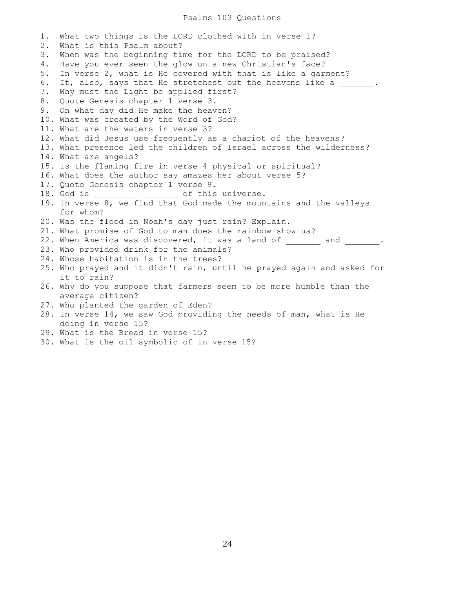#### Psalms 103 Questions

1. What two things is the LORD clothed with in verse 1? 2. What is this Psalm about? 3. When was the beginning time for the LORD to be praised? 4. Have you ever seen the glow on a new Christian's face? 5. In verse 2, what is He covered with that is like a garment? 6. It, also, says that He stretchest out the heavens like a  $\cdots$ 7. Why must the Light be applied first? 8. Quote Genesis chapter 1 verse 3. 9. On what day did He make the heaven? 10. What was created by the Word of God? 11. What are the waters in verse 3? 12. What did Jesus use frequently as a chariot of the heavens? 13. What presence led the children of Israel across the wilderness? 14. What are angels? 15. Is the flaming fire in verse 4 physical or spiritual? 16. What does the author say amazes her about verse 5? 17. Quote Genesis chapter 1 verse 9. 18. God is  $\qquad \qquad$  of this universe. 19. In verse 8, we find that God made the mountains and the valleys for whom? 20. Was the flood in Noah's day just rain? Explain. 21. What promise of God to man does the rainbow show us? 22. When America was discovered, it was a land of and  $\qquad \qquad$ 23. Who provided drink for the animals? 24. Whose habitation is in the trees? 25. Who prayed and it didn't rain, until he prayed again and asked for it to rain? 26. Why do you suppose that farmers seem to be more humble than the average citizen? 27. Who planted the garden of Eden? 28. In verse 14, we saw God providing the needs of man, what is He doing in verse 15? 29. What is the Bread in verse 15?

30. What is the oil symbolic of in verse 15?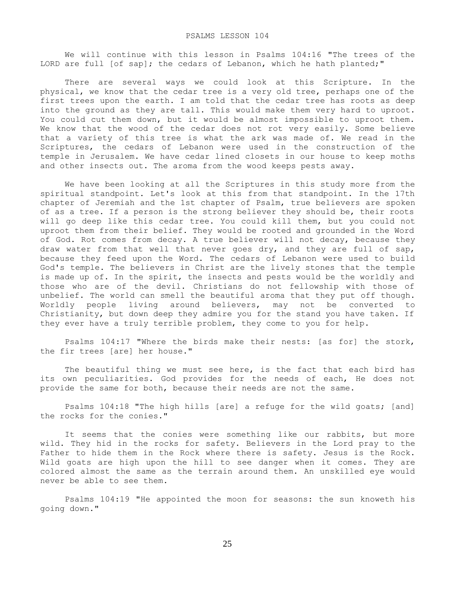We will continue with this lesson in Psalms 104:16 "The trees of the LORD are full [of sap]; the cedars of Lebanon, which he hath planted;"

 There are several ways we could look at this Scripture. In the physical, we know that the cedar tree is a very old tree, perhaps one of the first trees upon the earth. I am told that the cedar tree has roots as deep into the ground as they are tall. This would make them very hard to uproot. You could cut them down, but it would be almost impossible to uproot them. We know that the wood of the cedar does not rot very easily. Some believe that a variety of this tree is what the ark was made of. We read in the Scriptures, the cedars of Lebanon were used in the construction of the temple in Jerusalem. We have cedar lined closets in our house to keep moths and other insects out. The aroma from the wood keeps pests away.

 We have been looking at all the Scriptures in this study more from the spiritual standpoint. Let's look at this from that standpoint. In the 17th chapter of Jeremiah and the 1st chapter of Psalm, true believers are spoken of as a tree. If a person is the strong believer they should be, their roots will go deep like this cedar tree. You could kill them, but you could not uproot them from their belief. They would be rooted and grounded in the Word of God. Rot comes from decay. A true believer will not decay, because they draw water from that well that never goes dry, and they are full of sap, because they feed upon the Word. The cedars of Lebanon were used to build God's temple. The believers in Christ are the lively stones that the temple is made up of. In the spirit, the insects and pests would be the worldly and those who are of the devil. Christians do not fellowship with those of unbelief. The world can smell the beautiful aroma that they put off though. Worldly people living around believers, may not be converted to Christianity, but down deep they admire you for the stand you have taken. If they ever have a truly terrible problem, they come to you for help.

 Psalms 104:17 "Where the birds make their nests: [as for] the stork, the fir trees [are] her house."

 The beautiful thing we must see here, is the fact that each bird has its own peculiarities. God provides for the needs of each, He does not provide the same for both, because their needs are not the same.

 Psalms 104:18 "The high hills [are] a refuge for the wild goats; [and] the rocks for the conies."

 It seems that the conies were something like our rabbits, but more wild. They hid in the rocks for safety. Believers in the Lord pray to the Father to hide them in the Rock where there is safety. Jesus is the Rock. Wild goats are high upon the hill to see danger when it comes. They are colored almost the same as the terrain around them. An unskilled eye would never be able to see them.

 Psalms 104:19 "He appointed the moon for seasons: the sun knoweth his going down."

25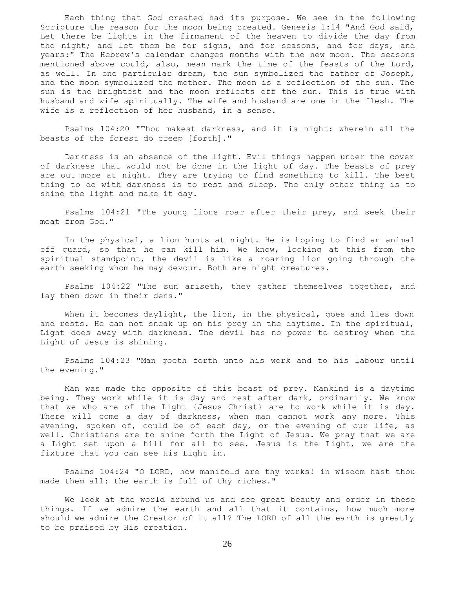Each thing that God created had its purpose. We see in the following Scripture the reason for the moon being created. Genesis 1:14 "And God said, Let there be lights in the firmament of the heaven to divide the day from the night; and let them be for signs, and for seasons, and for days, and years:" The Hebrew's calendar changes months with the new moon. The seasons mentioned above could, also, mean mark the time of the feasts of the Lord, as well. In one particular dream, the sun symbolized the father of Joseph, and the moon symbolized the mother. The moon is a reflection of the sun. The sun is the brightest and the moon reflects off the sun. This is true with husband and wife spiritually. The wife and husband are one in the flesh. The wife is a reflection of her husband, in a sense.

 Psalms 104:20 "Thou makest darkness, and it is night: wherein all the beasts of the forest do creep [forth]."

 Darkness is an absence of the light. Evil things happen under the cover of darkness that would not be done in the light of day. The beasts of prey are out more at night. They are trying to find something to kill. The best thing to do with darkness is to rest and sleep. The only other thing is to shine the light and make it day.

 Psalms 104:21 "The young lions roar after their prey, and seek their meat from God."

 In the physical, a lion hunts at night. He is hoping to find an animal off guard, so that he can kill him. We know, looking at this from the spiritual standpoint, the devil is like a roaring lion going through the earth seeking whom he may devour. Both are night creatures.

 Psalms 104:22 "The sun ariseth, they gather themselves together, and lay them down in their dens."

 When it becomes daylight, the lion, in the physical, goes and lies down and rests. He can not sneak up on his prey in the daytime. In the spiritual, Light does away with darkness. The devil has no power to destroy when the Light of Jesus is shining.

 Psalms 104:23 "Man goeth forth unto his work and to his labour until the evening."

 Man was made the opposite of this beast of prey. Mankind is a daytime being. They work while it is day and rest after dark, ordinarily. We know that we who are of the Light {Jesus Christ} are to work while it is day. There will come a day of darkness, when man cannot work any more. This evening, spoken of, could be of each day, or the evening of our life, as well. Christians are to shine forth the Light of Jesus. We pray that we are a Light set upon a hill for all to see. Jesus is the Light, we are the fixture that you can see His Light in.

 Psalms 104:24 "O LORD, how manifold are thy works! in wisdom hast thou made them all: the earth is full of thy riches."

 We look at the world around us and see great beauty and order in these things. If we admire the earth and all that it contains, how much more should we admire the Creator of it all? The LORD of all the earth is greatly to be praised by His creation.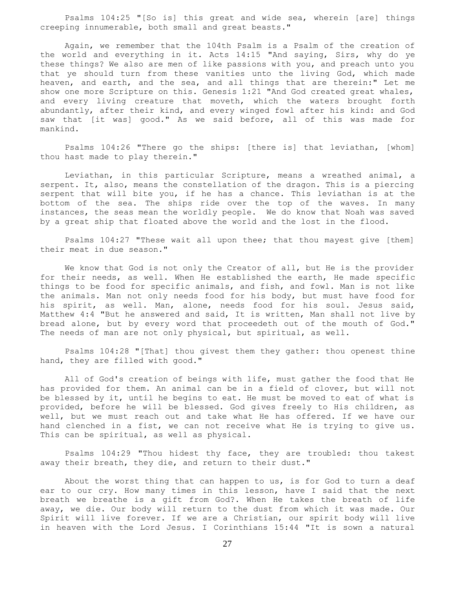Psalms 104:25 "[So is] this great and wide sea, wherein [are] things creeping innumerable, both small and great beasts."

 Again, we remember that the 104th Psalm is a Psalm of the creation of the world and everything in it. Acts 14:15 "And saying, Sirs, why do ye these things? We also are men of like passions with you, and preach unto you that ye should turn from these vanities unto the living God, which made heaven, and earth, and the sea, and all things that are therein:" Let me show one more Scripture on this. Genesis 1:21 "And God created great whales, and every living creature that moveth, which the waters brought forth abundantly, after their kind, and every winged fowl after his kind: and God saw that [it was] good." As we said before, all of this was made for mankind.

 Psalms 104:26 "There go the ships: [there is] that leviathan, [whom] thou hast made to play therein."

 Leviathan, in this particular Scripture, means a wreathed animal, a serpent. It, also, means the constellation of the dragon. This is a piercing serpent that will bite you, if he has a chance. This leviathan is at the bottom of the sea. The ships ride over the top of the waves. In many instances, the seas mean the worldly people. We do know that Noah was saved by a great ship that floated above the world and the lost in the flood.

 Psalms 104:27 "These wait all upon thee; that thou mayest give [them] their meat in due season."

 We know that God is not only the Creator of all, but He is the provider for their needs, as well. When He established the earth, He made specific things to be food for specific animals, and fish, and fowl. Man is not like the animals. Man not only needs food for his body, but must have food for his spirit, as well. Man, alone, needs food for his soul. Jesus said, Matthew 4:4 "But he answered and said, It is written, Man shall not live by bread alone, but by every word that proceedeth out of the mouth of God." The needs of man are not only physical, but spiritual, as well.

 Psalms 104:28 "[That] thou givest them they gather: thou openest thine hand, they are filled with good."

 All of God's creation of beings with life, must gather the food that He has provided for them. An animal can be in a field of clover, but will not be blessed by it, until he begins to eat. He must be moved to eat of what is provided, before he will be blessed. God gives freely to His children, as well, but we must reach out and take what He has offered. If we have our hand clenched in a fist, we can not receive what He is trying to give us. This can be spiritual, as well as physical.

 Psalms 104:29 "Thou hidest thy face, they are troubled: thou takest away their breath, they die, and return to their dust."

 About the worst thing that can happen to us, is for God to turn a deaf ear to our cry. How many times in this lesson, have I said that the next breath we breathe is a gift from God?. When He takes the breath of life away, we die. Our body will return to the dust from which it was made. Our Spirit will live forever. If we are a Christian, our spirit body will live in heaven with the Lord Jesus. I Corinthians 15:44 "It is sown a natural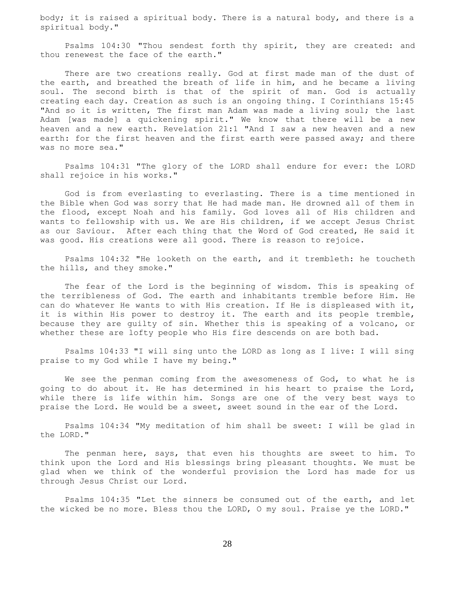body; it is raised a spiritual body. There is a natural body, and there is a spiritual body."

 Psalms 104:30 "Thou sendest forth thy spirit, they are created: and thou renewest the face of the earth."

There are two creations really. God at first made man of the dust of the earth, and breathed the breath of life in him, and he became a living soul. The second birth is that of the spirit of man. God is actually creating each day. Creation as such is an ongoing thing. I Corinthians 15:45 "And so it is written, The first man Adam was made a living soul; the last Adam [was made] a quickening spirit." We know that there will be a new heaven and a new earth. Revelation 21:1 "And I saw a new heaven and a new earth: for the first heaven and the first earth were passed away; and there was no more sea."

 Psalms 104:31 "The glory of the LORD shall endure for ever: the LORD shall rejoice in his works."

 God is from everlasting to everlasting. There is a time mentioned in the Bible when God was sorry that He had made man. He drowned all of them in the flood, except Noah and his family. God loves all of His children and wants to fellowship with us. We are His children, if we accept Jesus Christ as our Saviour. After each thing that the Word of God created, He said it was good. His creations were all good. There is reason to rejoice.

 Psalms 104:32 "He looketh on the earth, and it trembleth: he toucheth the hills, and they smoke."

 The fear of the Lord is the beginning of wisdom. This is speaking of the terribleness of God. The earth and inhabitants tremble before Him. He can do whatever He wants to with His creation. If He is displeased with it, it is within His power to destroy it. The earth and its people tremble, because they are guilty of sin. Whether this is speaking of a volcano, or whether these are lofty people who His fire descends on are both bad.

 Psalms 104:33 "I will sing unto the LORD as long as I live: I will sing praise to my God while I have my being."

We see the penman coming from the awesomeness of God, to what he is going to do about it. He has determined in his heart to praise the Lord, while there is life within him. Songs are one of the very best ways to praise the Lord. He would be a sweet, sweet sound in the ear of the Lord.

 Psalms 104:34 "My meditation of him shall be sweet: I will be glad in the LORD."

 The penman here, says, that even his thoughts are sweet to him. To think upon the Lord and His blessings bring pleasant thoughts. We must be glad when we think of the wonderful provision the Lord has made for us through Jesus Christ our Lord.

 Psalms 104:35 "Let the sinners be consumed out of the earth, and let the wicked be no more. Bless thou the LORD, O my soul. Praise ye the LORD."

28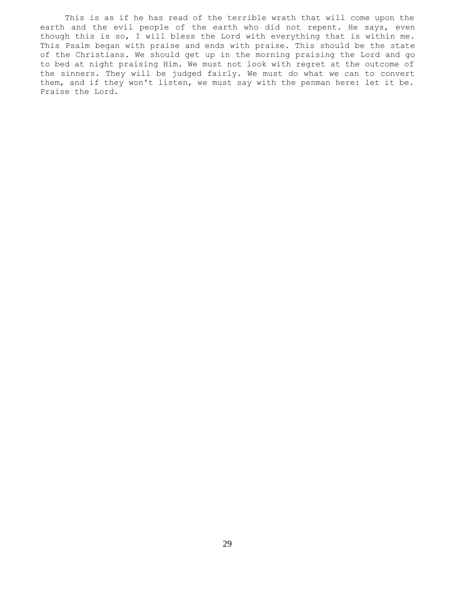This is as if he has read of the terrible wrath that will come upon the earth and the evil people of the earth who did not repent. He says, even though this is so, I will bless the Lord with everything that is within me. This Psalm began with praise and ends with praise. This should be the state of the Christians. We should get up in the morning praising the Lord and go to bed at night praising Him. We must not look with regret at the outcome of the sinners. They will be judged fairly. We must do what we can to convert them, and if they won't listen, we must say with the penman here: let it be. Praise the Lord.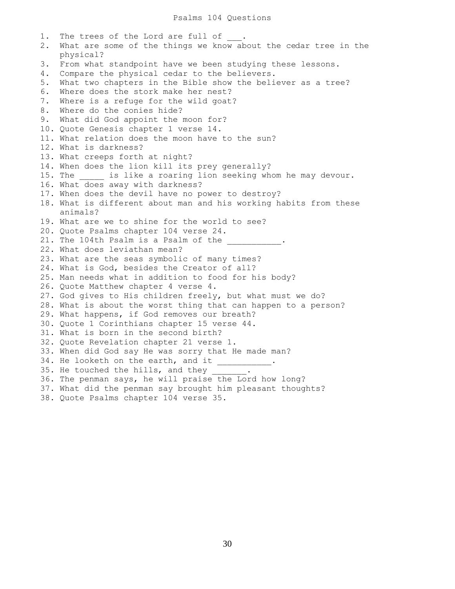1. The trees of the Lord are full of 2. What are some of the things we know about the cedar tree in the physical? 3. From what standpoint have we been studying these lessons. 4. Compare the physical cedar to the believers. 5. What two chapters in the Bible show the believer as a tree? 6. Where does the stork make her nest? 7. Where is a refuge for the wild goat? 8. Where do the conies hide? 9. What did God appoint the moon for? 10. Quote Genesis chapter 1 verse 14. 11. What relation does the moon have to the sun? 12. What is darkness? 13. What creeps forth at night? 14. When does the lion kill its prey generally? 15. The \_\_\_\_\_ is like a roaring lion seeking whom he may devour. 16. What does away with darkness? 17. When does the devil have no power to destroy? 18. What is different about man and his working habits from these animals? 19. What are we to shine for the world to see? 20. Quote Psalms chapter 104 verse 24. 21. The 104th Psalm is a Psalm of the 22. What does leviathan mean? 23. What are the seas symbolic of many times? 24. What is God, besides the Creator of all? 25. Man needs what in addition to food for his body? 26. Quote Matthew chapter 4 verse 4. 27. God gives to His children freely, but what must we do? 28. What is about the worst thing that can happen to a person? 29. What happens, if God removes our breath? 30. Quote 1 Corinthians chapter 15 verse 44. 31. What is born in the second birth? 32. Quote Revelation chapter 21 verse 1. 33. When did God say He was sorry that He made man? 34. He looketh on the earth, and it 35. He touched the hills, and they  $\_$ 36. The penman says, he will praise the Lord how long? 37. What did the penman say brought him pleasant thoughts? 38. Quote Psalms chapter 104 verse 35.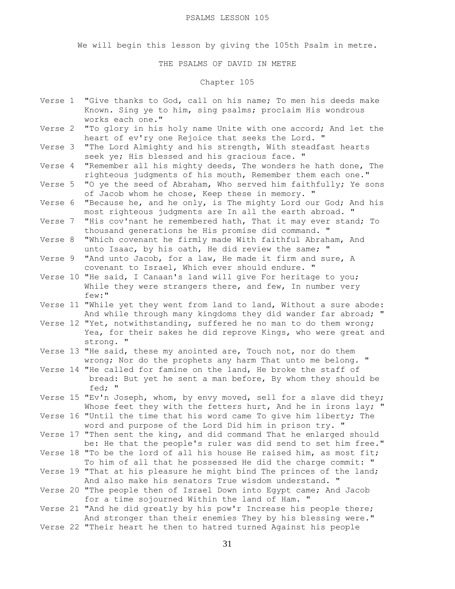We will begin this lesson by giving the 105th Psalm in metre.

### THE PSALMS OF DAVID IN METRE

# Chapter 105

- Verse 1 "Give thanks to God, call on his name; To men his deeds make Known. Sing ye to him, sing psalms; proclaim His wondrous works each one."
- Verse 2 "To glory in his holy name Unite with one accord; And let the heart of ev'ry one Rejoice that seeks the Lord. "
- Verse 3 "The Lord Almighty and his strength, With steadfast hearts seek ye; His blessed and his gracious face. "
- Verse 4 "Remember all his mighty deeds, The wonders he hath done, The righteous judgments of his mouth, Remember them each one."
- Verse 5 "O ye the seed of Abraham, Who served him faithfully; Ye sons of Jacob whom he chose, Keep these in memory. "
- Verse 6 "Because he, and he only, is The mighty Lord our God; And his most righteous judgments are In all the earth abroad. "
- Verse 7 "His cov'nant he remembered hath, That it may ever stand; To thousand generations he His promise did command. "
- Verse 8 "Which covenant he firmly made With faithful Abraham, And unto Isaac, by his oath, He did review the same; "
- Verse 9 "And unto Jacob, for a law, He made it firm and sure, A covenant to Israel, Which ever should endure. "
- Verse 10 "He said, I Canaan's land will give For heritage to you; While they were strangers there, and few, In number very few:"
- Verse 11 "While yet they went from land to land, Without a sure abode: And while through many kingdoms they did wander far abroad; "
- Verse 12 "Yet, notwithstanding, suffered he no man to do them wrong; Yea, for their sakes he did reprove Kings, who were great and strong. "
- Verse 13 "He said, these my anointed are, Touch not, nor do them wrong; Nor do the prophets any harm That unto me belong. "
- Verse 14 "He called for famine on the land, He broke the staff of bread: But yet he sent a man before, By whom they should be fed; "
- Verse 15 "Ev'n Joseph, whom, by envy moved, sell for a slave did they; Whose feet they with the fetters hurt, And he in irons lay; "
- Verse 16 "Until the time that his word came To give him liberty; The word and purpose of the Lord Did him in prison try. "
- Verse 17 "Then sent the king, and did command That he enlarged should be: He that the people's ruler was did send to set him free."
- Verse 18 "To be the lord of all his house He raised him, as most fit; To him of all that he possessed He did the charge commit: "
- Verse 19 "That at his pleasure he might bind The princes of the land; And also make his senators True wisdom understand. "
- Verse 20 "The people then of Israel Down into Egypt came; And Jacob for a time sojourned Within the land of Ham. "
- Verse 21 "And he did greatly by his pow'r Increase his people there; And stronger than their enemies They by his blessing were."
- Verse 22 "Their heart he then to hatred turned Against his people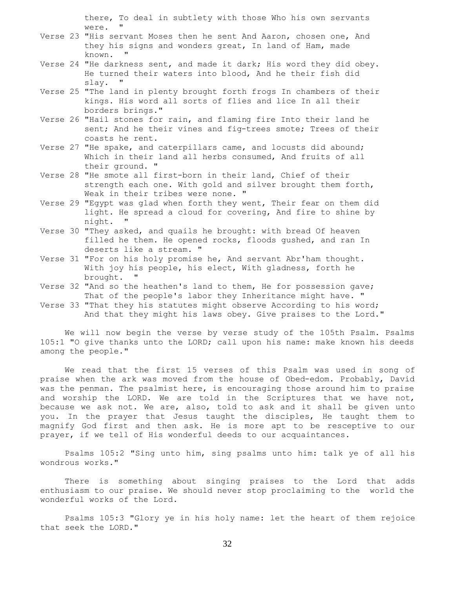there, To deal in subtlety with those Who his own servants were. "

- Verse 23 "His servant Moses then he sent And Aaron, chosen one, And they his signs and wonders great, In land of Ham, made known. "
- Verse 24 "He darkness sent, and made it dark; His word they did obey. He turned their waters into blood, And he their fish did slay. "
- Verse 25 "The land in plenty brought forth frogs In chambers of their kings. His word all sorts of flies and lice In all their borders brings."
- Verse 26 "Hail stones for rain, and flaming fire Into their land he sent; And he their vines and fig-trees smote; Trees of their coasts he rent.
- Verse 27 "He spake, and caterpillars came, and locusts did abound; Which in their land all herbs consumed, And fruits of all their ground. "
- Verse 28 "He smote all first-born in their land, Chief of their strength each one. With gold and silver brought them forth, Weak in their tribes were none. "
- Verse 29 "Egypt was glad when forth they went, Their fear on them did light. He spread a cloud for covering, And fire to shine by night.
- Verse 30 "They asked, and quails he brought: with bread Of heaven filled he them. He opened rocks, floods gushed, and ran In deserts like a stream. "
- Verse 31 "For on his holy promise he, And servant Abr'ham thought. With joy his people, his elect, With gladness, forth he brought. "
- Verse 32 "And so the heathen's land to them, He for possession gave; That of the people's labor they Inheritance might have. "
- Verse 33 "That they his statutes might observe According to his word; And that they might his laws obey. Give praises to the Lord."

 We will now begin the verse by verse study of the 105th Psalm. Psalms 105:1 "O give thanks unto the LORD; call upon his name: make known his deeds among the people."

 We read that the first 15 verses of this Psalm was used in song of praise when the ark was moved from the house of Obed-edom. Probably, David was the penman. The psalmist here, is encouraging those around him to praise and worship the LORD. We are told in the Scriptures that we have not, because we ask not. We are, also, told to ask and it shall be given unto you. In the prayer that Jesus taught the disciples, He taught them to magnify God first and then ask. He is more apt to be resceptive to our prayer, if we tell of His wonderful deeds to our acquaintances.

 Psalms 105:2 "Sing unto him, sing psalms unto him: talk ye of all his wondrous works."

 There is something about singing praises to the Lord that adds enthusiasm to our praise. We should never stop proclaiming to the world the wonderful works of the Lord.

 Psalms 105:3 "Glory ye in his holy name: let the heart of them rejoice that seek the LORD."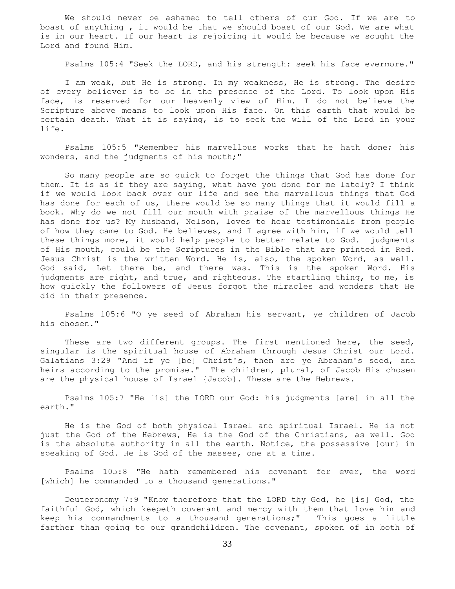We should never be ashamed to tell others of our God. If we are to boast of anything , it would be that we should boast of our God. We are what is in our heart. If our heart is rejoicing it would be because we sought the Lord and found Him.

Psalms 105:4 "Seek the LORD, and his strength: seek his face evermore."

 I am weak, but He is strong. In my weakness, He is strong. The desire of every believer is to be in the presence of the Lord. To look upon His face, is reserved for our heavenly view of Him. I do not believe the Scripture above means to look upon His face. On this earth that would be certain death. What it is saying, is to seek the will of the Lord in your life.

 Psalms 105:5 "Remember his marvellous works that he hath done; his wonders, and the judgments of his mouth;"

 So many people are so quick to forget the things that God has done for them. It is as if they are saying, what have you done for me lately? I think if we would look back over our life and see the marvellous things that God has done for each of us, there would be so many things that it would fill a book. Why do we not fill our mouth with praise of the marvellous things He has done for us? My husband, Nelson, loves to hear testimonials from people of how they came to God. He believes, and I agree with him, if we would tell these things more, it would help people to better relate to God. judgments of His mouth, could be the Scriptures in the Bible that are printed in Red. Jesus Christ is the written Word. He is, also, the spoken Word, as well. God said, Let there be, and there was. This is the spoken Word. His judgments are right, and true, and righteous. The startling thing, to me, is how quickly the followers of Jesus forgot the miracles and wonders that He did in their presence.

 Psalms 105:6 "O ye seed of Abraham his servant, ye children of Jacob his chosen."

These are two different groups. The first mentioned here, the seed, singular is the spiritual house of Abraham through Jesus Christ our Lord. Galatians 3:29 "And if ye [be] Christ's, then are ye Abraham's seed, and heirs according to the promise." The children, plural, of Jacob His chosen are the physical house of Israel {Jacob}. These are the Hebrews.

 Psalms 105:7 "He [is] the LORD our God: his judgments [are] in all the earth."

 He is the God of both physical Israel and spiritual Israel. He is not just the God of the Hebrews, He is the God of the Christians, as well. God is the absolute authority in all the earth. Notice, the possessive {our} in speaking of God. He is God of the masses, one at a time.

 Psalms 105:8 "He hath remembered his covenant for ever, the word [which] he commanded to a thousand generations."

 Deuteronomy 7:9 "Know therefore that the LORD thy God, he [is] God, the faithful God, which keepeth covenant and mercy with them that love him and keep his commandments to a thousand generations;" This goes a little farther than going to our grandchildren. The covenant, spoken of in both of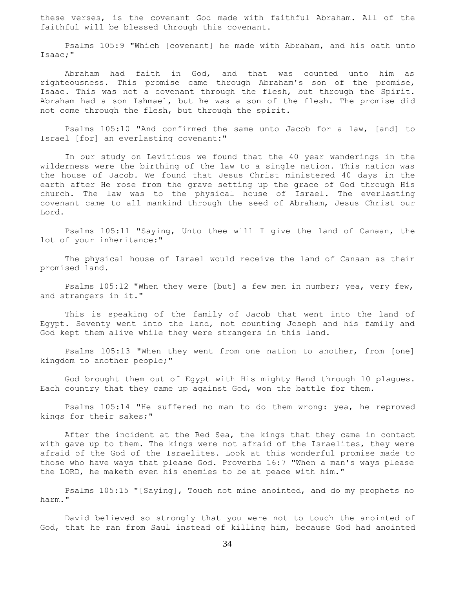these verses, is the covenant God made with faithful Abraham. All of the faithful will be blessed through this covenant.

 Psalms 105:9 "Which [covenant] he made with Abraham, and his oath unto Isaac;"

 Abraham had faith in God, and that was counted unto him as righteousness. This promise came through Abraham's son of the promise, Isaac. This was not a covenant through the flesh, but through the Spirit. Abraham had a son Ishmael, but he was a son of the flesh. The promise did not come through the flesh, but through the spirit.

 Psalms 105:10 "And confirmed the same unto Jacob for a law, [and] to Israel [for] an everlasting covenant:"

 In our study on Leviticus we found that the 40 year wanderings in the wilderness were the birthing of the law to a single nation. This nation was the house of Jacob. We found that Jesus Christ ministered 40 days in the earth after He rose from the grave setting up the grace of God through His church. The law was to the physical house of Israel. The everlasting covenant came to all mankind through the seed of Abraham, Jesus Christ our Lord.

 Psalms 105:11 "Saying, Unto thee will I give the land of Canaan, the lot of your inheritance:"

 The physical house of Israel would receive the land of Canaan as their promised land.

 Psalms 105:12 "When they were [but] a few men in number; yea, very few, and strangers in it."

 This is speaking of the family of Jacob that went into the land of Egypt. Seventy went into the land, not counting Joseph and his family and God kept them alive while they were strangers in this land.

 Psalms 105:13 "When they went from one nation to another, from [one] kingdom to another people;"

 God brought them out of Egypt with His mighty Hand through 10 plagues. Each country that they came up against God, won the battle for them.

 Psalms 105:14 "He suffered no man to do them wrong: yea, he reproved kings for their sakes;"

 After the incident at the Red Sea, the kings that they came in contact with gave up to them. The kings were not afraid of the Israelites, they were afraid of the God of the Israelites. Look at this wonderful promise made to those who have ways that please God. Proverbs 16:7 "When a man's ways please the LORD, he maketh even his enemies to be at peace with him."

 Psalms 105:15 "[Saying], Touch not mine anointed, and do my prophets no harm."

 David believed so strongly that you were not to touch the anointed of God, that he ran from Saul instead of killing him, because God had anointed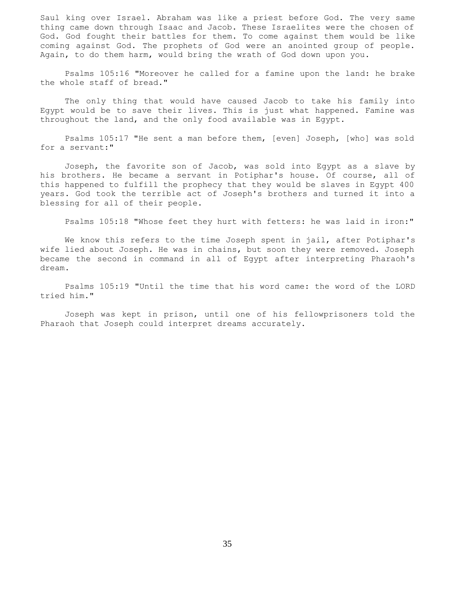Saul king over Israel. Abraham was like a priest before God. The very same thing came down through Isaac and Jacob. These Israelites were the chosen of God. God fought their battles for them. To come against them would be like coming against God. The prophets of God were an anointed group of people. Again, to do them harm, would bring the wrath of God down upon you.

 Psalms 105:16 "Moreover he called for a famine upon the land: he brake the whole staff of bread."

 The only thing that would have caused Jacob to take his family into Egypt would be to save their lives. This is just what happened. Famine was throughout the land, and the only food available was in Egypt.

 Psalms 105:17 "He sent a man before them, [even] Joseph, [who] was sold for a servant:"

 Joseph, the favorite son of Jacob, was sold into Egypt as a slave by his brothers. He became a servant in Potiphar's house. Of course, all of this happened to fulfill the prophecy that they would be slaves in Egypt 400 years. God took the terrible act of Joseph's brothers and turned it into a blessing for all of their people.

Psalms 105:18 "Whose feet they hurt with fetters: he was laid in iron:"

 We know this refers to the time Joseph spent in jail, after Potiphar's wife lied about Joseph. He was in chains, but soon they were removed. Joseph became the second in command in all of Egypt after interpreting Pharaoh's dream.

 Psalms 105:19 "Until the time that his word came: the word of the LORD tried him."

 Joseph was kept in prison, until one of his fellowprisoners told the Pharaoh that Joseph could interpret dreams accurately.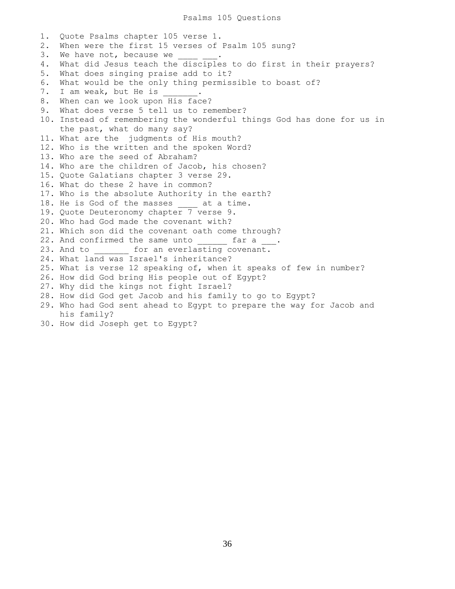#### Psalms 105 Questions

1. Quote Psalms chapter 105 verse 1. 2. When were the first 15 verses of Psalm 105 sung? 3. We have not, because we 4. What did Jesus teach the disciples to do first in their prayers? 5. What does singing praise add to it? 6. What would be the only thing permissible to boast of? 7. I am weak, but He is . 8. When can we look upon His face? 9. What does verse 5 tell us to remember? 10. Instead of remembering the wonderful things God has done for us in the past, what do many say? 11. What are the judgments of His mouth? 12. Who is the written and the spoken Word? 13. Who are the seed of Abraham? 14. Who are the children of Jacob, his chosen? 15. Quote Galatians chapter 3 verse 29. 16. What do these 2 have in common? 17. Who is the absolute Authority in the earth? 18. He is God of the masses at a time. 19. Quote Deuteronomy chapter 7 verse 9. 20. Who had God made the covenant with? 21. Which son did the covenant oath come through? 22. And confirmed the same unto far a . 23. And to **the form an everlasting covenant.** 24. What land was Israel's inheritance? 25. What is verse 12 speaking of, when it speaks of few in number? 26. How did God bring His people out of Egypt? 27. Why did the kings not fight Israel? 28. How did God get Jacob and his family to go to Egypt? 29. Who had God sent ahead to Egypt to prepare the way for Jacob and his family? 30. How did Joseph get to Egypt?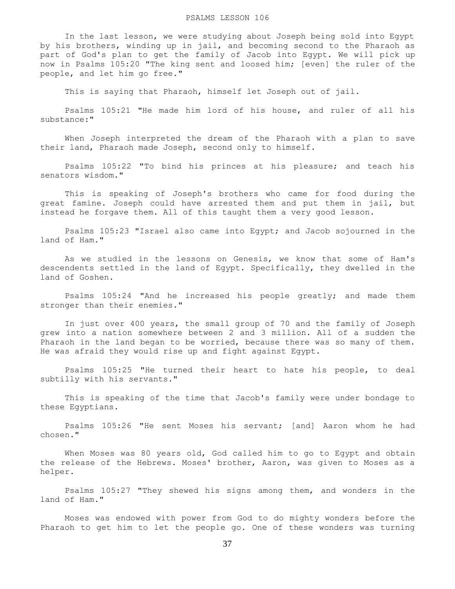#### PSALMS LESSON 106

 In the last lesson, we were studying about Joseph being sold into Egypt by his brothers, winding up in jail, and becoming second to the Pharaoh as part of God's plan to get the family of Jacob into Egypt. We will pick up now in Psalms 105:20 "The king sent and loosed him; [even] the ruler of the people, and let him go free."

This is saying that Pharaoh, himself let Joseph out of jail.

 Psalms 105:21 "He made him lord of his house, and ruler of all his substance:"

 When Joseph interpreted the dream of the Pharaoh with a plan to save their land, Pharaoh made Joseph, second only to himself.

 Psalms 105:22 "To bind his princes at his pleasure; and teach his senators wisdom."

 This is speaking of Joseph's brothers who came for food during the great famine. Joseph could have arrested them and put them in jail, but instead he forgave them. All of this taught them a very good lesson.

 Psalms 105:23 "Israel also came into Egypt; and Jacob sojourned in the land of Ham."

 As we studied in the lessons on Genesis, we know that some of Ham's descendents settled in the land of Egypt. Specifically, they dwelled in the land of Goshen.

 Psalms 105:24 "And he increased his people greatly; and made them stronger than their enemies."

 In just over 400 years, the small group of 70 and the family of Joseph grew into a nation somewhere between 2 and 3 million. All of a sudden the Pharaoh in the land began to be worried, because there was so many of them. He was afraid they would rise up and fight against Egypt.

 Psalms 105:25 "He turned their heart to hate his people, to deal subtilly with his servants."

 This is speaking of the time that Jacob's family were under bondage to these Egyptians.

 Psalms 105:26 "He sent Moses his servant; [and] Aaron whom he had chosen."

When Moses was 80 years old, God called him to go to Egypt and obtain the release of the Hebrews. Moses' brother, Aaron, was given to Moses as a helper.

 Psalms 105:27 "They shewed his signs among them, and wonders in the land of Ham."

 Moses was endowed with power from God to do mighty wonders before the Pharaoh to get him to let the people go. One of these wonders was turning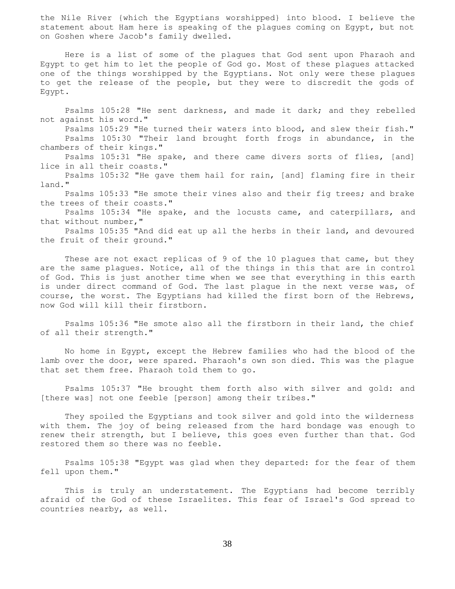the Nile River {which the Egyptians worshipped} into blood. I believe the statement about Ham here is speaking of the plagues coming on Egypt, but not on Goshen where Jacob's family dwelled.

 Here is a list of some of the plagues that God sent upon Pharaoh and Egypt to get him to let the people of God go. Most of these plagues attacked one of the things worshipped by the Egyptians. Not only were these plagues to get the release of the people, but they were to discredit the gods of Egypt.

 Psalms 105:28 "He sent darkness, and made it dark; and they rebelled not against his word."

 Psalms 105:29 "He turned their waters into blood, and slew their fish." Psalms 105:30 "Their land brought forth frogs in abundance, in the chambers of their kings."

Psalms 105:31 "He spake, and there came divers sorts of flies, [and] lice in all their coasts."

 Psalms 105:32 "He gave them hail for rain, [and] flaming fire in their land."

 Psalms 105:33 "He smote their vines also and their fig trees; and brake the trees of their coasts."

 Psalms 105:34 "He spake, and the locusts came, and caterpillars, and that without number,"

 Psalms 105:35 "And did eat up all the herbs in their land, and devoured the fruit of their ground."

These are not exact replicas of 9 of the 10 plagues that came, but they are the same plagues. Notice, all of the things in this that are in control of God. This is just another time when we see that everything in this earth is under direct command of God. The last plague in the next verse was, of course, the worst. The Egyptians had killed the first born of the Hebrews, now God will kill their firstborn.

 Psalms 105:36 "He smote also all the firstborn in their land, the chief of all their strength."

 No home in Egypt, except the Hebrew families who had the blood of the lamb over the door, were spared. Pharaoh's own son died. This was the plague that set them free. Pharaoh told them to go.

 Psalms 105:37 "He brought them forth also with silver and gold: and [there was] not one feeble [person] among their tribes."

 They spoiled the Egyptians and took silver and gold into the wilderness with them. The joy of being released from the hard bondage was enough to renew their strength, but I believe, this goes even further than that. God restored them so there was no feeble.

 Psalms 105:38 "Egypt was glad when they departed: for the fear of them fell upon them."

 This is truly an understatement. The Egyptians had become terribly afraid of the God of these Israelites. This fear of Israel's God spread to countries nearby, as well.

38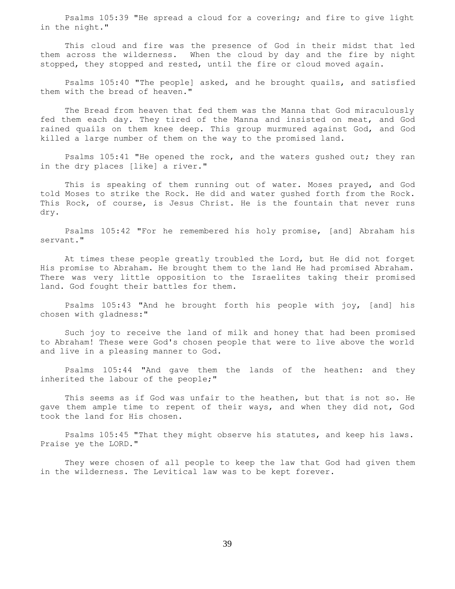Psalms 105:39 "He spread a cloud for a covering; and fire to give light in the night."

 This cloud and fire was the presence of God in their midst that led them across the wilderness. When the cloud by day and the fire by night stopped, they stopped and rested, until the fire or cloud moved again.

 Psalms 105:40 "The people] asked, and he brought quails, and satisfied them with the bread of heaven."

 The Bread from heaven that fed them was the Manna that God miraculously fed them each day. They tired of the Manna and insisted on meat, and God rained quails on them knee deep. This group murmured against God, and God killed a large number of them on the way to the promised land.

 Psalms 105:41 "He opened the rock, and the waters gushed out; they ran in the dry places [like] a river."

 This is speaking of them running out of water. Moses prayed, and God told Moses to strike the Rock. He did and water gushed forth from the Rock. This Rock, of course, is Jesus Christ. He is the fountain that never runs dry.

 Psalms 105:42 "For he remembered his holy promise, [and] Abraham his servant."

 At times these people greatly troubled the Lord, but He did not forget His promise to Abraham. He brought them to the land He had promised Abraham. There was very little opposition to the Israelites taking their promised land. God fought their battles for them.

 Psalms 105:43 "And he brought forth his people with joy, [and] his chosen with gladness:"

 Such joy to receive the land of milk and honey that had been promised to Abraham! These were God's chosen people that were to live above the world and live in a pleasing manner to God.

 Psalms 105:44 "And gave them the lands of the heathen: and they inherited the labour of the people;"

 This seems as if God was unfair to the heathen, but that is not so. He gave them ample time to repent of their ways, and when they did not, God took the land for His chosen.

 Psalms 105:45 "That they might observe his statutes, and keep his laws. Praise ye the LORD."

 They were chosen of all people to keep the law that God had given them in the wilderness. The Levitical law was to be kept forever.

39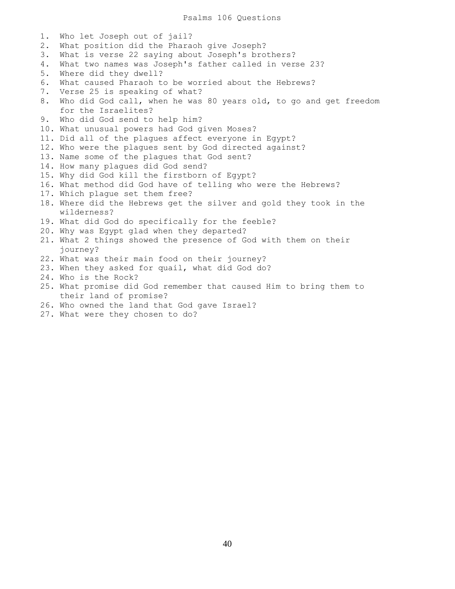Psalms 106 Questions

1. Who let Joseph out of jail? 2. What position did the Pharaoh give Joseph? 3. What is verse 22 saying about Joseph's brothers? 4. What two names was Joseph's father called in verse 23? 5. Where did they dwell? 6. What caused Pharaoh to be worried about the Hebrews? 7. Verse 25 is speaking of what? 8. Who did God call, when he was 80 years old, to go and get freedom for the Israelites? 9. Who did God send to help him? 10. What unusual powers had God given Moses? 11. Did all of the plagues affect everyone in Egypt? 12. Who were the plagues sent by God directed against? 13. Name some of the plagues that God sent? 14. How many plagues did God send? 15. Why did God kill the firstborn of Egypt? 16. What method did God have of telling who were the Hebrews? 17. Which plague set them free? 18. Where did the Hebrews get the silver and gold they took in the wilderness? 19. What did God do specifically for the feeble? 20. Why was Egypt glad when they departed? 21. What 2 things showed the presence of God with them on their journey? 22. What was their main food on their journey? 23. When they asked for quail, what did God do? 24. Who is the Rock? 25. What promise did God remember that caused Him to bring them to their land of promise?

- 26. Who owned the land that God gave Israel?
- 27. What were they chosen to do?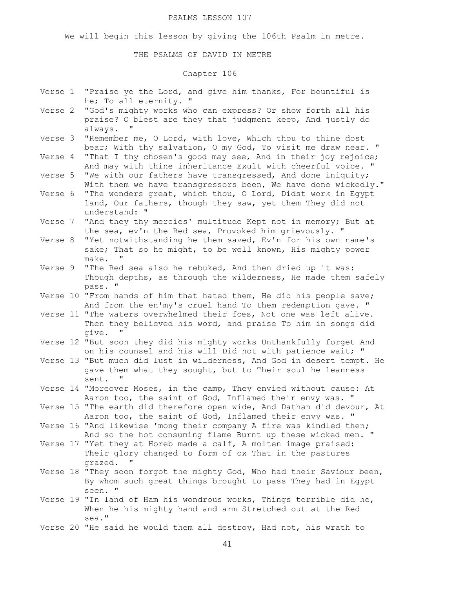#### PSALMS LESSON 107

We will begin this lesson by giving the 106th Psalm in metre.

### THE PSALMS OF DAVID IN METRE

# Chapter 106

- Verse 1 "Praise ye the Lord, and give him thanks, For bountiful is he; To all eternity. "
- Verse 2 "God's mighty works who can express? Or show forth all his praise? O blest are they that judgment keep, And justly do always. "
- Verse 3 "Remember me, O Lord, with love, Which thou to thine dost bear; With thy salvation, O my God, To visit me draw near. "
- Verse 4 "That I thy chosen's good may see, And in their joy rejoice; And may with thine inheritance Exult with cheerful voice. "
- Verse 5 "We with our fathers have transgressed, And done iniquity; With them we have transgressors been, We have done wickedly."
- Verse 6 "The wonders great, which thou, O Lord, Didst work in Egypt land, Our fathers, though they saw, yet them They did not understand: "
- Verse 7 "And they thy mercies' multitude Kept not in memory; But at the sea, ev'n the Red sea, Provoked him grievously. "
- Verse 8 "Yet notwithstanding he them saved, Ev'n for his own name's sake; That so he might, to be well known, His mighty power make. "
- Verse 9 "The Red sea also he rebuked, And then dried up it was: Though depths, as through the wilderness, He made them safely pass. "
- Verse 10 "From hands of him that hated them, He did his people save; And from the en'my's cruel hand To them redemption gave. "
- Verse 11 "The waters overwhelmed their foes, Not one was left alive. Then they believed his word, and praise To him in songs did give. "
- Verse 12 "But soon they did his mighty works Unthankfully forget And on his counsel and his will Did not with patience wait; "
- Verse 13 "But much did lust in wilderness, And God in desert tempt. He gave them what they sought, but to Their soul he leanness sent. "
- Verse 14 "Moreover Moses, in the camp, They envied without cause: At Aaron too, the saint of God, Inflamed their envy was. "
- Verse 15 "The earth did therefore open wide, And Dathan did devour, At Aaron too, the saint of God, Inflamed their envy was. "
- Verse 16 "And likewise 'mong their company A fire was kindled then; And so the hot consuming flame Burnt up these wicked men. "
- Verse 17 "Yet they at Horeb made a calf, A molten image praised: Their glory changed to form of ox That in the pastures grazed.
- Verse 18 "They soon forgot the mighty God, Who had their Saviour been, By whom such great things brought to pass They had in Egypt seen. "
- Verse 19 "In land of Ham his wondrous works, Things terrible did he, When he his mighty hand and arm Stretched out at the Red sea."
- Verse 20 "He said he would them all destroy, Had not, his wrath to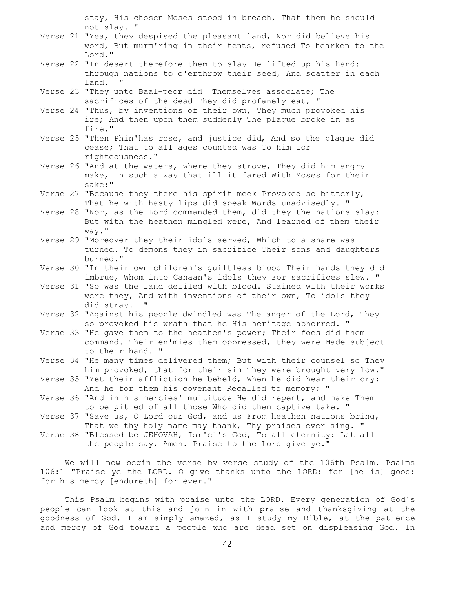stay, His chosen Moses stood in breach, That them he should not slay. "

- Verse 21 "Yea, they despised the pleasant land, Nor did believe his word, But murm'ring in their tents, refused To hearken to the Lord."
- Verse 22 "In desert therefore them to slay He lifted up his hand: through nations to o'erthrow their seed, And scatter in each land. "
- Verse 23 "They unto Baal-peor did Themselves associate; The sacrifices of the dead They did profanely eat, "
- Verse 24 "Thus, by inventions of their own, They much provoked his ire; And then upon them suddenly The plague broke in as fire."
- Verse 25 "Then Phin'has rose, and justice did, And so the plague did cease; That to all ages counted was To him for righteousness."
- Verse 26 "And at the waters, where they strove, They did him angry make, In such a way that ill it fared With Moses for their sake:"
- Verse 27 "Because they there his spirit meek Provoked so bitterly, That he with hasty lips did speak Words unadvisedly. "
- Verse 28 "Nor, as the Lord commanded them, did they the nations slay: But with the heathen mingled were, And learned of them their way."
- Verse 29 "Moreover they their idols served, Which to a snare was turned. To demons they in sacrifice Their sons and daughters burned."
- Verse 30 "In their own children's guiltless blood Their hands they did imbrue, Whom into Canaan's idols they For sacrifices slew. "
- Verse 31 "So was the land defiled with blood. Stained with their works were they, And with inventions of their own, To idols they did stray. "
- Verse 32 "Against his people dwindled was The anger of the Lord, They so provoked his wrath that he His heritage abhorred. "
- Verse 33 "He gave them to the heathen's power; Their foes did them command. Their en'mies them oppressed, they were Made subject to their hand. "
- Verse 34 "He many times delivered them; But with their counsel so They him provoked, that for their sin They were brought very low."
- Verse 35 "Yet their affliction he beheld, When he did hear their cry: And he for them his covenant Recalled to memory; "
- Verse 36 "And in his mercies' multitude He did repent, and make Them to be pitied of all those Who did them captive take. "
- Verse 37 "Save us, O Lord our God, and us From heathen nations bring, That we thy holy name may thank, Thy praises ever sing. "
- Verse 38 "Blessed be JEHOVAH, Isr'el's God, To all eternity: Let all the people say, Amen. Praise to the Lord give ye."

 We will now begin the verse by verse study of the 106th Psalm. Psalms 106:1 "Praise ye the LORD. O give thanks unto the LORD; for [he is] good: for his mercy [endureth] for ever."

 This Psalm begins with praise unto the LORD. Every generation of God's people can look at this and join in with praise and thanksgiving at the goodness of God. I am simply amazed, as I study my Bible, at the patience and mercy of God toward a people who are dead set on displeasing God. In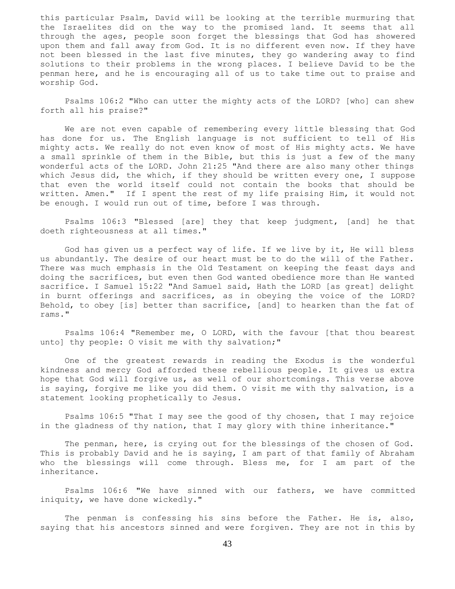this particular Psalm, David will be looking at the terrible murmuring that the Israelites did on the way to the promised land. It seems that all through the ages, people soon forget the blessings that God has showered upon them and fall away from God. It is no different even now. If they have not been blessed in the last five minutes, they go wandering away to find solutions to their problems in the wrong places. I believe David to be the penman here, and he is encouraging all of us to take time out to praise and worship God.

 Psalms 106:2 "Who can utter the mighty acts of the LORD? [who] can shew forth all his praise?"

 We are not even capable of remembering every little blessing that God has done for us. The English language is not sufficient to tell of His mighty acts. We really do not even know of most of His mighty acts. We have a small sprinkle of them in the Bible, but this is just a few of the many wonderful acts of the LORD. John 21:25 "And there are also many other things which Jesus did, the which, if they should be written every one, I suppose that even the world itself could not contain the books that should be written. Amen." If I spent the rest of my life praising Him, it would not be enough. I would run out of time, before I was through.

 Psalms 106:3 "Blessed [are] they that keep judgment, [and] he that doeth righteousness at all times."

 God has given us a perfect way of life. If we live by it, He will bless us abundantly. The desire of our heart must be to do the will of the Father. There was much emphasis in the Old Testament on keeping the feast days and doing the sacrifices, but even then God wanted obedience more than He wanted sacrifice. I Samuel 15:22 "And Samuel said, Hath the LORD [as great] delight in burnt offerings and sacrifices, as in obeying the voice of the LORD? Behold, to obey [is] better than sacrifice, [and] to hearken than the fat of rams."

 Psalms 106:4 "Remember me, O LORD, with the favour [that thou bearest unto] thy people: O visit me with thy salvation;"

 One of the greatest rewards in reading the Exodus is the wonderful kindness and mercy God afforded these rebellious people. It gives us extra hope that God will forgive us, as well of our shortcomings. This verse above is saying, forgive me like you did them. O visit me with thy salvation, is a statement looking prophetically to Jesus.

 Psalms 106:5 "That I may see the good of thy chosen, that I may rejoice in the gladness of thy nation, that I may glory with thine inheritance."

 The penman, here, is crying out for the blessings of the chosen of God. This is probably David and he is saying, I am part of that family of Abraham who the blessings will come through. Bless me, for I am part of the inheritance.

 Psalms 106:6 "We have sinned with our fathers, we have committed iniquity, we have done wickedly."

 The penman is confessing his sins before the Father. He is, also, saying that his ancestors sinned and were forgiven. They are not in this by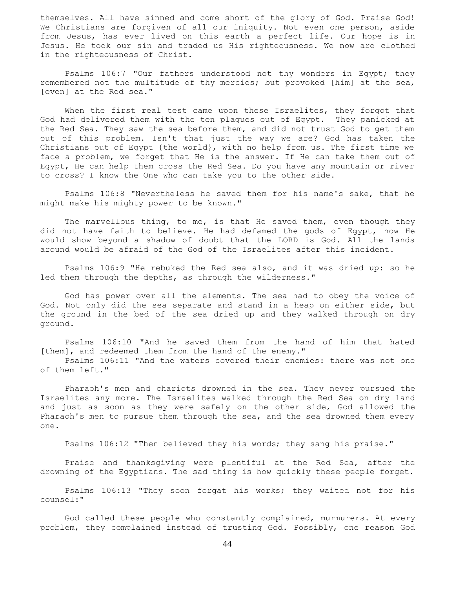themselves. All have sinned and come short of the glory of God. Praise God! We Christians are forgiven of all our iniquity. Not even one person, aside from Jesus, has ever lived on this earth a perfect life. Our hope is in Jesus. He took our sin and traded us His righteousness. We now are clothed in the righteousness of Christ.

Psalms 106:7 "Our fathers understood not thy wonders in Egypt; they remembered not the multitude of thy mercies; but provoked [him] at the sea, [even] at the Red sea."

When the first real test came upon these Israelites, they forgot that God had delivered them with the ten plagues out of Egypt. They panicked at the Red Sea. They saw the sea before them, and did not trust God to get them out of this problem. Isn't that just the way we are? God has taken the Christians out of Egypt {the world}, with no help from us. The first time we face a problem, we forget that He is the answer. If He can take them out of Egypt, He can help them cross the Red Sea. Do you have any mountain or river to cross? I know the One who can take you to the other side.

 Psalms 106:8 "Nevertheless he saved them for his name's sake, that he might make his mighty power to be known."

The marvellous thing, to me, is that He saved them, even though they did not have faith to believe. He had defamed the gods of Egypt, now He would show beyond a shadow of doubt that the LORD is God. All the lands around would be afraid of the God of the Israelites after this incident.

 Psalms 106:9 "He rebuked the Red sea also, and it was dried up: so he led them through the depths, as through the wilderness."

 God has power over all the elements. The sea had to obey the voice of God. Not only did the sea separate and stand in a heap on either side, but the ground in the bed of the sea dried up and they walked through on dry ground.

 Psalms 106:10 "And he saved them from the hand of him that hated [them], and redeemed them from the hand of the enemy."

 Psalms 106:11 "And the waters covered their enemies: there was not one of them left."

 Pharaoh's men and chariots drowned in the sea. They never pursued the Israelites any more. The Israelites walked through the Red Sea on dry land and just as soon as they were safely on the other side, God allowed the Pharaoh's men to pursue them through the sea, and the sea drowned them every one.

Psalms 106:12 "Then believed they his words; they sang his praise."

 Praise and thanksgiving were plentiful at the Red Sea, after the drowning of the Egyptians. The sad thing is how quickly these people forget.

 Psalms 106:13 "They soon forgat his works; they waited not for his counsel:"

 God called these people who constantly complained, murmurers. At every problem, they complained instead of trusting God. Possibly, one reason God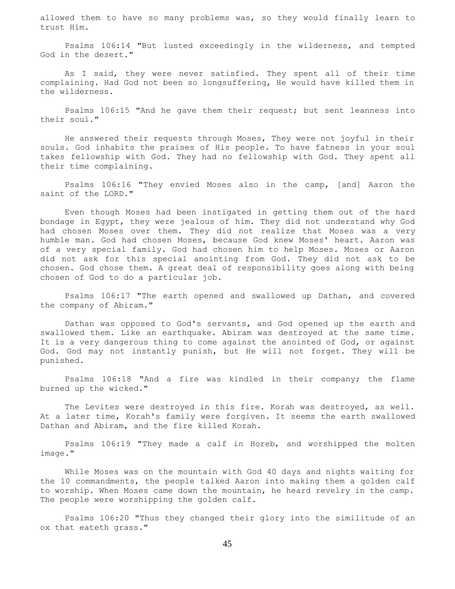allowed them to have so many problems was, so they would finally learn to trust Him.

 Psalms 106:14 "But lusted exceedingly in the wilderness, and tempted God in the desert."

As I said, they were never satisfied. They spent all of their time complaining. Had God not been so longsuffering, He would have killed them in the wilderness.

 Psalms 106:15 "And he gave them their request; but sent leanness into their soul."

 He answered their requests through Moses, They were not joyful in their souls. God inhabits the praises of His people. To have fatness in your soul takes fellowship with God. They had no fellowship with God. They spent all their time complaining.

 Psalms 106:16 "They envied Moses also in the camp, [and] Aaron the saint of the LORD."

 Even though Moses had been instigated in getting them out of the hard bondage in Egypt, they were jealous of him. They did not understand why God had chosen Moses over them. They did not realize that Moses was a very humble man. God had chosen Moses, because God knew Moses' heart. Aaron was of a very special family. God had chosen him to help Moses. Moses or Aaron did not ask for this special anointing from God. They did not ask to be chosen. God chose them. A great deal of responsibility goes along with being chosen of God to do a particular job.

 Psalms 106:17 "The earth opened and swallowed up Dathan, and covered the company of Abiram."

 Dathan was opposed to God's servants, and God opened up the earth and swallowed them. Like an earthquake. Abiram was destroyed at the same time. It is a very dangerous thing to come against the anointed of God, or against God. God may not instantly punish, but He will not forget. They will be punished.

 Psalms 106:18 "And a fire was kindled in their company; the flame burned up the wicked."

 The Levites were destroyed in this fire. Korah was destroyed, as well. At a later time, Korah's family were forgiven. It seems the earth swallowed Dathan and Abiram, and the fire killed Korah.

 Psalms 106:19 "They made a calf in Horeb, and worshipped the molten image."

 While Moses was on the mountain with God 40 days and nights waiting for the 10 commandments, the people talked Aaron into making them a golden calf to worship. When Moses came down the mountain, he heard revelry in the camp. The people were worshipping the golden calf.

 Psalms 106:20 "Thus they changed their glory into the similitude of an ox that eateth grass."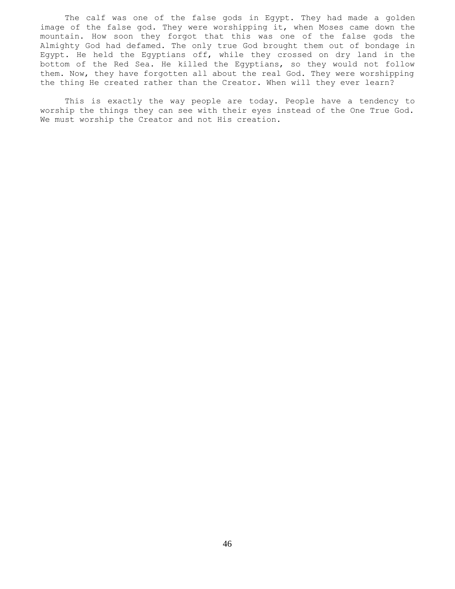The calf was one of the false gods in Egypt. They had made a golden image of the false god. They were worshipping it, when Moses came down the mountain. How soon they forgot that this was one of the false gods the Almighty God had defamed. The only true God brought them out of bondage in Egypt. He held the Egyptians off, while they crossed on dry land in the bottom of the Red Sea. He killed the Egyptians, so they would not follow them. Now, they have forgotten all about the real God. They were worshipping the thing He created rather than the Creator. When will they ever learn?

 This is exactly the way people are today. People have a tendency to worship the things they can see with their eyes instead of the One True God. We must worship the Creator and not His creation.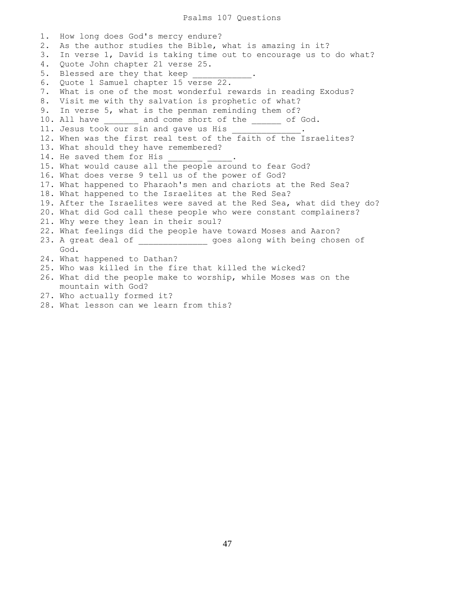Psalms 107 Questions

1. How long does God's mercy endure? 2. As the author studies the Bible, what is amazing in it? 3. In verse 1, David is taking time out to encourage us to do what? 4. Quote John chapter 21 verse 25. 5. Blessed are they that keep 6. Quote 1 Samuel chapter 15 verse 22. 7. What is one of the most wonderful rewards in reading Exodus? 8. Visit me with thy salvation is prophetic of what? 9. In verse 5, what is the penman reminding them of? 10. All have  $\qquad \qquad$  and come short of the  $\qquad \qquad$  of God. 11. Jesus took our sin and gave us His  $\_\_$ 12. When was the first real test of the faith of the Israelites? 13. What should they have remembered? 14. He saved them for His 15. What would cause all the people around to fear God? 16. What does verse 9 tell us of the power of God? 17. What happened to Pharaoh's men and chariots at the Red Sea? 18. What happened to the Israelites at the Red Sea? 19. After the Israelites were saved at the Red Sea, what did they do? 20. What did God call these people who were constant complainers? 21. Why were they lean in their soul? 22. What feelings did the people have toward Moses and Aaron? 23. A great deal of \_\_\_\_\_\_\_\_\_\_\_\_\_\_\_\_\_ goes along with being chosen of God. 24. What happened to Dathan? 25. Who was killed in the fire that killed the wicked? 26. What did the people make to worship, while Moses was on the mountain with God? 27. Who actually formed it?

28. What lesson can we learn from this?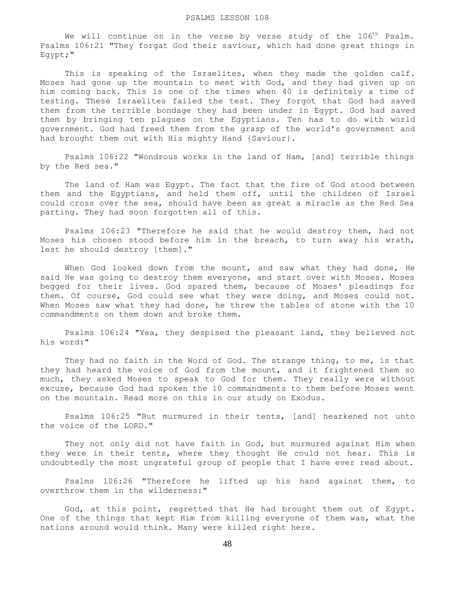#### PSALMS LESSON 108

We will continue on in the verse by verse study of the  $106<sup>th</sup>$  Psalm. Psalms 106:21 "They forgat God their saviour, which had done great things in Egypt;"

This is speaking of the Israelites, when they made the golden calf. Moses had gone up the mountain to meet with God, and they had given up on him coming back. This is one of the times when 40 is definitely a time of testing. These Israelites failed the test. They forgot that God had saved them from the terrible bondage they had been under in Egypt. God had saved them by bringing ten plagues on the Egyptians. Ten has to do with world government. God had freed them from the grasp of the world's government and had brought them out with His mighty Hand {Saviour}.

 Psalms 106:22 "Wondrous works in the land of Ham, [and] terrible things by the Red sea."

 The land of Ham was Egypt. The fact that the fire of God stood between them and the Egyptians, and held them off, until the children of Israel could cross over the sea, should have been as great a miracle as the Red Sea parting. They had soon forgotten all of this.

 Psalms 106:23 "Therefore he said that he would destroy them, had not Moses his chosen stood before him in the breach, to turn away his wrath, lest he should destroy [them]."

 When God looked down from the mount, and saw what they had done, He said He was going to destroy them everyone, and start over with Moses. Moses begged for their lives. God spared them, because of Moses' pleadings for them. Of course, God could see what they were doing, and Moses could not. When Moses saw what they had done, he threw the tables of stone with the 10 commandments on them down and broke them.

 Psalms 106:24 "Yea, they despised the pleasant land, they believed not his word:"

 They had no faith in the Word of God. The strange thing, to me, is that they had heard the voice of God from the mount, and it frightened them so much, they asked Moses to speak to God for them. They really were without excuse, because God had spoken the 10 commandments to them before Moses went on the mountain. Read more on this in our study on Exodus.

 Psalms 106:25 "But murmured in their tents, [and] hearkened not unto the voice of the LORD."

 They not only did not have faith in God, but murmured against Him when they were in their tents, where they thought He could not hear. This is undoubtedly the most ungrateful group of people that I have ever read about.

 Psalms 106:26 "Therefore he lifted up his hand against them, to overthrow them in the wilderness:"

 God, at this point, regretted that He had brought them out of Egypt. One of the things that kept Him from killing everyone of them was, what the nations around would think. Many were killed right here.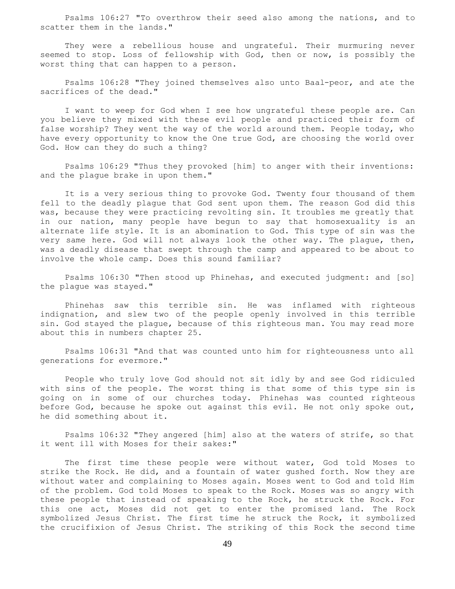Psalms 106:27 "To overthrow their seed also among the nations, and to scatter them in the lands."

 They were a rebellious house and ungrateful. Their murmuring never seemed to stop. Loss of fellowship with God, then or now, is possibly the worst thing that can happen to a person.

 Psalms 106:28 "They joined themselves also unto Baal-peor, and ate the sacrifices of the dead."

 I want to weep for God when I see how ungrateful these people are. Can you believe they mixed with these evil people and practiced their form of false worship? They went the way of the world around them. People today, who have every opportunity to know the One true God, are choosing the world over God. How can they do such a thing?

 Psalms 106:29 "Thus they provoked [him] to anger with their inventions: and the plague brake in upon them."

 It is a very serious thing to provoke God. Twenty four thousand of them fell to the deadly plague that God sent upon them. The reason God did this was, because they were practicing revolting sin. It troubles me greatly that in our nation, many people have begun to say that homosexuality is an alternate life style. It is an abomination to God. This type of sin was the very same here. God will not always look the other way. The plague, then, was a deadly disease that swept through the camp and appeared to be about to involve the whole camp. Does this sound familiar?

 Psalms 106:30 "Then stood up Phinehas, and executed judgment: and [so] the plague was stayed."

 Phinehas saw this terrible sin. He was inflamed with righteous indignation, and slew two of the people openly involved in this terrible sin. God stayed the plague, because of this righteous man. You may read more about this in numbers chapter 25.

 Psalms 106:31 "And that was counted unto him for righteousness unto all generations for evermore."

 People who truly love God should not sit idly by and see God ridiculed with sins of the people. The worst thing is that some of this type sin is going on in some of our churches today. Phinehas was counted righteous before God, because he spoke out against this evil. He not only spoke out, he did something about it.

 Psalms 106:32 "They angered [him] also at the waters of strife, so that it went ill with Moses for their sakes:"

 The first time these people were without water, God told Moses to strike the Rock. He did, and a fountain of water gushed forth. Now they are without water and complaining to Moses again. Moses went to God and told Him of the problem. God told Moses to speak to the Rock. Moses was so angry with these people that instead of speaking to the Rock, he struck the Rock. For this one act, Moses did not get to enter the promised land. The Rock symbolized Jesus Christ. The first time he struck the Rock, it symbolized the crucifixion of Jesus Christ. The striking of this Rock the second time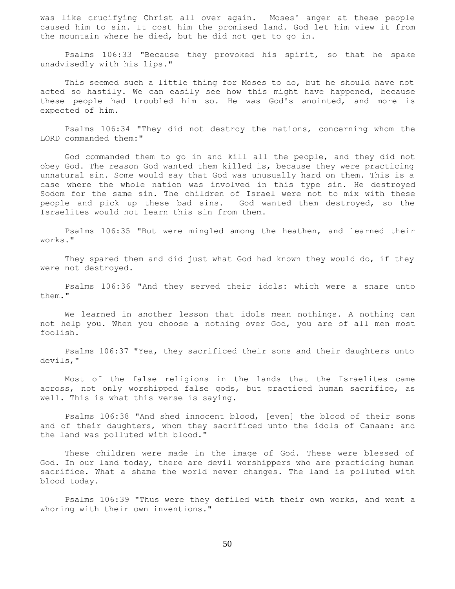was like crucifying Christ all over again. Moses' anger at these people caused him to sin. It cost him the promised land. God let him view it from the mountain where he died, but he did not get to go in.

 Psalms 106:33 "Because they provoked his spirit, so that he spake unadvisedly with his lips."

 This seemed such a little thing for Moses to do, but he should have not acted so hastily. We can easily see how this might have happened, because these people had troubled him so. He was God's anointed, and more is expected of him.

 Psalms 106:34 "They did not destroy the nations, concerning whom the LORD commanded them:"

 God commanded them to go in and kill all the people, and they did not obey God. The reason God wanted them killed is, because they were practicing unnatural sin. Some would say that God was unusually hard on them. This is a case where the whole nation was involved in this type sin. He destroyed Sodom for the same sin. The children of Israel were not to mix with these people and pick up these bad sins. God wanted them destroyed, so the Israelites would not learn this sin from them.

 Psalms 106:35 "But were mingled among the heathen, and learned their works."

 They spared them and did just what God had known they would do, if they were not destroyed.

 Psalms 106:36 "And they served their idols: which were a snare unto them."

 We learned in another lesson that idols mean nothings. A nothing can not help you. When you choose a nothing over God, you are of all men most foolish.

 Psalms 106:37 "Yea, they sacrificed their sons and their daughters unto devils,"

 Most of the false religions in the lands that the Israelites came across, not only worshipped false gods, but practiced human sacrifice, as well. This is what this verse is saying.

 Psalms 106:38 "And shed innocent blood, [even] the blood of their sons and of their daughters, whom they sacrificed unto the idols of Canaan: and the land was polluted with blood."

 These children were made in the image of God. These were blessed of God. In our land today, there are devil worshippers who are practicing human sacrifice. What a shame the world never changes. The land is polluted with blood today.

 Psalms 106:39 "Thus were they defiled with their own works, and went a whoring with their own inventions."

50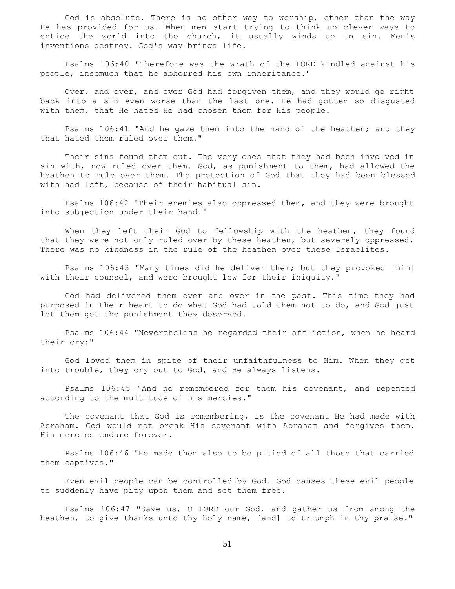God is absolute. There is no other way to worship, other than the way He has provided for us. When men start trying to think up clever ways to entice the world into the church, it usually winds up in sin. Men's inventions destroy. God's way brings life.

 Psalms 106:40 "Therefore was the wrath of the LORD kindled against his people, insomuch that he abhorred his own inheritance."

 Over, and over, and over God had forgiven them, and they would go right back into a sin even worse than the last one. He had gotten so disgusted with them, that He hated He had chosen them for His people.

 Psalms 106:41 "And he gave them into the hand of the heathen; and they that hated them ruled over them."

 Their sins found them out. The very ones that they had been involved in sin with, now ruled over them. God, as punishment to them, had allowed the heathen to rule over them. The protection of God that they had been blessed with had left, because of their habitual sin.

 Psalms 106:42 "Their enemies also oppressed them, and they were brought into subjection under their hand."

 When they left their God to fellowship with the heathen, they found that they were not only ruled over by these heathen, but severely oppressed. There was no kindness in the rule of the heathen over these Israelites.

 Psalms 106:43 "Many times did he deliver them; but they provoked [him] with their counsel, and were brought low for their iniquity."

 God had delivered them over and over in the past. This time they had purposed in their heart to do what God had told them not to do, and God just let them get the punishment they deserved.

 Psalms 106:44 "Nevertheless he regarded their affliction, when he heard their cry:"

 God loved them in spite of their unfaithfulness to Him. When they get into trouble, they cry out to God, and He always listens.

 Psalms 106:45 "And he remembered for them his covenant, and repented according to the multitude of his mercies."

The covenant that God is remembering, is the covenant He had made with Abraham. God would not break His covenant with Abraham and forgives them. His mercies endure forever.

 Psalms 106:46 "He made them also to be pitied of all those that carried them captives."

 Even evil people can be controlled by God. God causes these evil people to suddenly have pity upon them and set them free.

 Psalms 106:47 "Save us, O LORD our God, and gather us from among the heathen, to give thanks unto thy holy name, [and] to triumph in thy praise."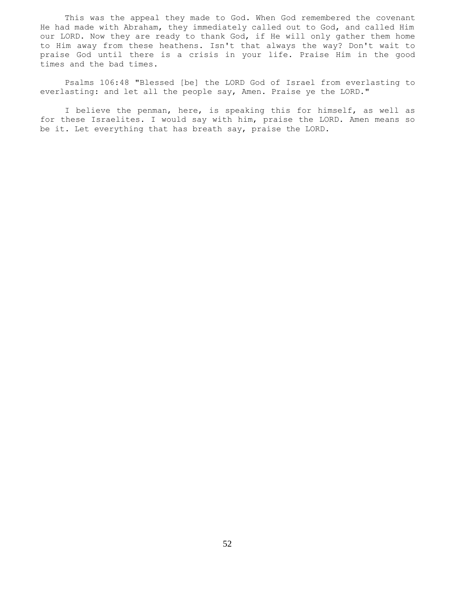This was the appeal they made to God. When God remembered the covenant He had made with Abraham, they immediately called out to God, and called Him our LORD. Now they are ready to thank God, if He will only gather them home to Him away from these heathens. Isn't that always the way? Don't wait to praise God until there is a crisis in your life. Praise Him in the good times and the bad times.

 Psalms 106:48 "Blessed [be] the LORD God of Israel from everlasting to everlasting: and let all the people say, Amen. Praise ye the LORD."

 I believe the penman, here, is speaking this for himself, as well as for these Israelites. I would say with him, praise the LORD. Amen means so be it. Let everything that has breath say, praise the LORD.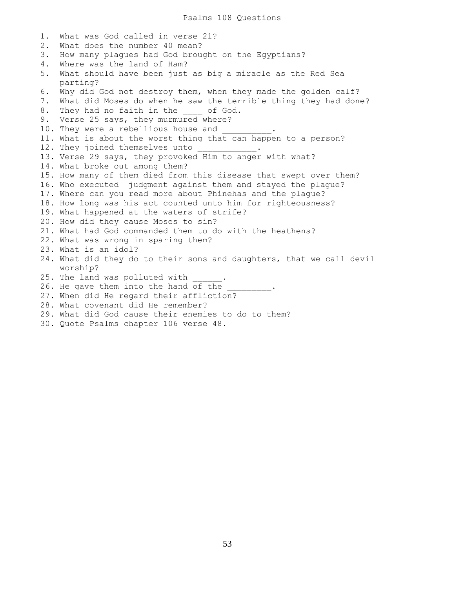Psalms 108 Questions

1. What was God called in verse 21? 2. What does the number 40 mean? 3. How many plagues had God brought on the Egyptians? 4. Where was the land of Ham? 5. What should have been just as big a miracle as the Red Sea parting? 6. Why did God not destroy them, when they made the golden calf? 7. What did Moses do when he saw the terrible thing they had done? 8. They had no faith in the of God. 9. Verse 25 says, they murmured where? 10. They were a rebellious house and 11. What is about the worst thing that can happen to a person? 12. They joined themselves unto 13. Verse 29 says, they provoked Him to anger with what? 14. What broke out among them? 15. How many of them died from this disease that swept over them? 16. Who executed judgment against them and stayed the plague? 17. Where can you read more about Phinehas and the plague? 18. How long was his act counted unto him for righteousness? 19. What happened at the waters of strife? 20. How did they cause Moses to sin? 21. What had God commanded them to do with the heathens? 22. What was wrong in sparing them? 23. What is an idol? 24. What did they do to their sons and daughters, that we call devil worship? 25. The land was polluted with 26. He gave them into the hand of the 27. When did He regard their affliction? 28. What covenant did He remember? 29. What did God cause their enemies to do to them?

30. Quote Psalms chapter 106 verse 48.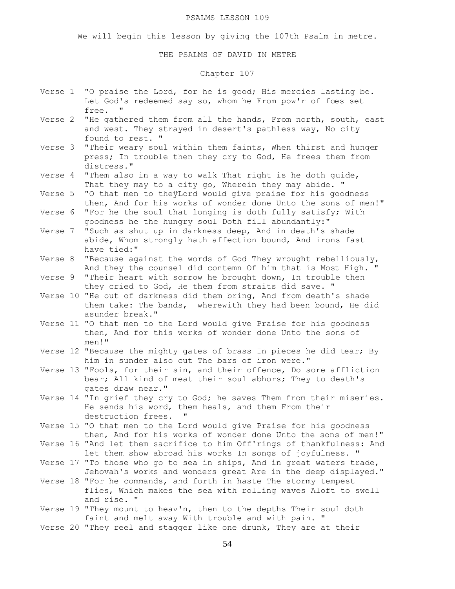#### PSALMS LESSON 109

We will begin this lesson by giving the 107th Psalm in metre.

THE PSALMS OF DAVID IN METRE

## Chapter 107

- Verse 1 "O praise the Lord, for he is good; His mercies lasting be. Let God's redeemed say so, whom he From pow'r of foes set free.
- Verse 2 "He gathered them from all the hands, From north, south, east and west. They strayed in desert's pathless way, No city found to rest. "
- Verse 3 "Their weary soul within them faints, When thirst and hunger press; In trouble then they cry to God, He frees them from distress."
- Verse 4 "Them also in a way to walk That right is he doth guide, That they may to a city go, Wherein they may abide. "
- Verse 5 "O that men to theÿLord would give praise for his goodness then, And for his works of wonder done Unto the sons of men!"
- Verse 6 "For he the soul that longing is doth fully satisfy; With goodness he the hungry soul Doth fill abundantly:"
- Verse 7 "Such as shut up in darkness deep, And in death's shade abide, Whom strongly hath affection bound, And irons fast have tied:"
- Verse 8 "Because against the words of God They wrought rebelliously, And they the counsel did contemn Of him that is Most High. "
- Verse 9 "Their heart with sorrow he brought down, In trouble then they cried to God, He them from straits did save. "
- Verse 10 "He out of darkness did them bring, And from death's shade them take: The bands, wherewith they had been bound, He did asunder break."
- Verse 11 "O that men to the Lord would give Praise for his goodness then, And for this works of wonder done Unto the sons of men!"
- Verse 12 "Because the mighty gates of brass In pieces he did tear; By him in sunder also cut The bars of iron were."
- Verse 13 "Fools, for their sin, and their offence, Do sore affliction bear; All kind of meat their soul abhors; They to death's gates draw near."
- Verse 14 "In grief they cry to God; he saves Them from their miseries. He sends his word, them heals, and them From their destruction frees. "
- Verse 15 "O that men to the Lord would give Praise for his goodness then, And for his works of wonder done Unto the sons of men!"
- Verse 16 "And let them sacrifice to him Off'rings of thankfulness: And let them show abroad his works In songs of joyfulness. "
- Verse 17 "To those who go to sea in ships, And in great waters trade, Jehovah's works and wonders great Are in the deep displayed."
- Verse 18 "For he commands, and forth in haste The stormy tempest flies, Which makes the sea with rolling waves Aloft to swell and rise. "
- Verse 19 "They mount to heav'n, then to the depths Their soul doth faint and melt away With trouble and with pain. "
- Verse 20 "They reel and stagger like one drunk, They are at their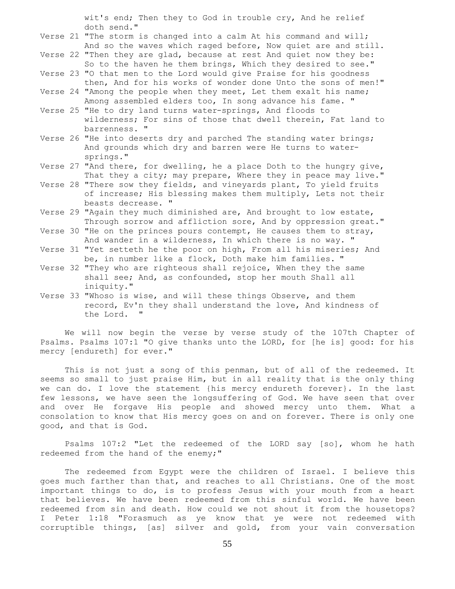wit's end; Then they to God in trouble cry, And he relief doth send."

- Verse 21 "The storm is changed into a calm At his command and will; And so the waves which raged before, Now quiet are and still.
- Verse 22 "Then they are glad, because at rest And quiet now they be: So to the haven he them brings, Which they desired to see."
- Verse 23 "O that men to the Lord would give Praise for his goodness then, And for his works of wonder done Unto the sons of men!"
- Verse 24 "Among the people when they meet, Let them exalt his name; Among assembled elders too, In song advance his fame. "
- Verse 25 "He to dry land turns water-springs, And floods to wilderness; For sins of those that dwell therein, Fat land to barrenness. "
- Verse 26 "He into deserts dry and parched The standing water brings; And grounds which dry and barren were He turns to water springs."
- Verse 27 "And there, for dwelling, he a place Doth to the hungry give, That they a city; may prepare, Where they in peace may live."
- Verse 28 "There sow they fields, and vineyards plant, To yield fruits of increase; His blessing makes them multiply, Lets not their beasts decrease. "
- Verse 29 "Again they much diminished are, And brought to low estate, Through sorrow and affliction sore, And by oppression great."
- Verse 30 "He on the princes pours contempt, He causes them to stray, And wander in a wilderness, In which there is no way. "
- Verse 31 "Yet setteth he the poor on high, From all his miseries; And be, in number like a flock, Doth make him families. "
- Verse 32 "They who are righteous shall rejoice, When they the same shall see; And, as confounded, stop her mouth Shall all iniquity."
- Verse 33 "Whoso is wise, and will these things Observe, and them record, Ev'n they shall understand the love, And kindness of the Lord. "

 We will now begin the verse by verse study of the 107th Chapter of Psalms. Psalms 107:1 "O give thanks unto the LORD, for [he is] good: for his mercy [endureth] for ever."

This is not just a song of this penman, but of all of the redeemed. It seems so small to just praise Him, but in all reality that is the only thing we can do. I love the statement {his mercy endureth forever}. In the last few lessons, we have seen the longsuffering of God. We have seen that over and over He forgave His people and showed mercy unto them. What a consolation to know that His mercy goes on and on forever. There is only one good, and that is God.

 Psalms 107:2 "Let the redeemed of the LORD say [so], whom he hath redeemed from the hand of the enemy;"

 The redeemed from Egypt were the children of Israel. I believe this goes much farther than that, and reaches to all Christians. One of the most important things to do, is to profess Jesus with your mouth from a heart that believes. We have been redeemed from this sinful world. We have been redeemed from sin and death. How could we not shout it from the housetops? I Peter 1:18 "Forasmuch as ye know that ye were not redeemed with corruptible things, [as] silver and gold, from your vain conversation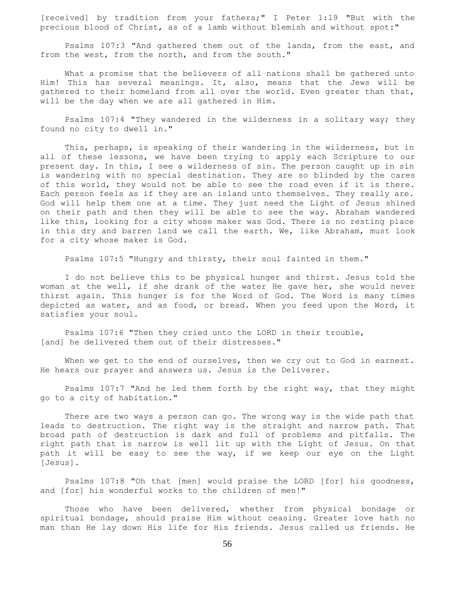[received] by tradition from your fathers;" I Peter 1:19 "But with the precious blood of Christ, as of a lamb without blemish and without spot:"

 Psalms 107:3 "And gathered them out of the lands, from the east, and from the west, from the north, and from the south."

 What a promise that the believers of all nations shall be gathered unto Him! This has several meanings. It, also, means that the Jews will be gathered to their homeland from all over the world. Even greater than that, will be the day when we are all gathered in Him.

 Psalms 107:4 "They wandered in the wilderness in a solitary way; they found no city to dwell in."

 This, perhaps, is speaking of their wandering in the wilderness, but in all of these lessons, we have been trying to apply each Scripture to our present day. In this, I see a wilderness of sin. The person caught up in sin is wandering with no special destination. They are so blinded by the cares of this world, they would not be able to see the road even if it is there. Each person feels as if they are an island unto themselves. They really are. God will help them one at a time. They just need the Light of Jesus shined on their path and then they will be able to see the way. Abraham wandered like this, looking for a city whose maker was God. There is no resting place in this dry and barren land we call the earth. We, like Abraham, must look for a city whose maker is God.

Psalms 107:5 "Hungry and thirsty, their soul fainted in them."

 I do not believe this to be physical hunger and thirst. Jesus told the woman at the well, if she drank of the water He gave her, she would never thirst again. This hunger is for the Word of God. The Word is many times depicted as water, and as food, or bread. When you feed upon the Word, it satisfies your soul.

 Psalms 107:6 "Then they cried unto the LORD in their trouble, [and] he delivered them out of their distresses."

When we get to the end of ourselves, then we cry out to God in earnest. He hears our prayer and answers us. Jesus is the Deliverer.

 Psalms 107:7 "And he led them forth by the right way, that they might go to a city of habitation."

 There are two ways a person can go. The wrong way is the wide path that leads to destruction. The right way is the straight and narrow path. That broad path of destruction is dark and full of problems and pitfalls. The right path that is narrow is well lit up with the Light of Jesus. On that path it will be easy to see the way, if we keep our eye on the Light [Jesus].

 Psalms 107:8 "Oh that [men] would praise the LORD [for] his goodness, and [for] his wonderful works to the children of men!"

 Those who have been delivered, whether from physical bondage or spiritual bondage, should praise Him without ceasing. Greater love hath no man than He lay down His life for His friends. Jesus called us friends. He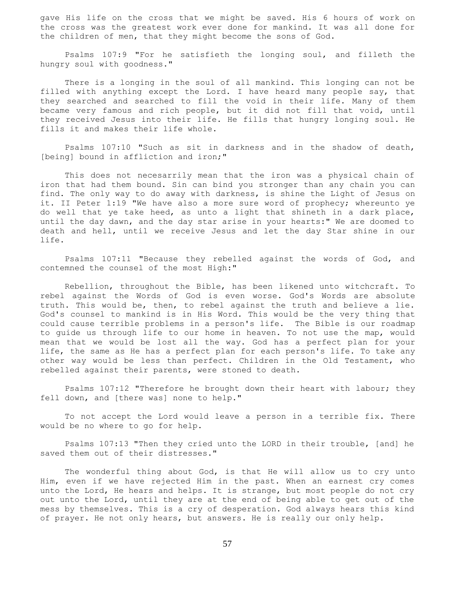gave His life on the cross that we might be saved. His 6 hours of work on the cross was the greatest work ever done for mankind. It was all done for the children of men, that they might become the sons of God.

 Psalms 107:9 "For he satisfieth the longing soul, and filleth the hungry soul with goodness."

 There is a longing in the soul of all mankind. This longing can not be filled with anything except the Lord. I have heard many people say, that they searched and searched to fill the void in their life. Many of them became very famous and rich people, but it did not fill that void, until they received Jesus into their life. He fills that hungry longing soul. He fills it and makes their life whole.

 Psalms 107:10 "Such as sit in darkness and in the shadow of death, [being] bound in affliction and iron;"

 This does not necesarrily mean that the iron was a physical chain of iron that had them bound. Sin can bind you stronger than any chain you can find. The only way to do away with darkness, is shine the Light of Jesus on it. II Peter 1:19 "We have also a more sure word of prophecy; whereunto ye do well that ye take heed, as unto a light that shineth in a dark place, until the day dawn, and the day star arise in your hearts:" We are doomed to death and hell, until we receive Jesus and let the day Star shine in our life.

 Psalms 107:11 "Because they rebelled against the words of God, and contemned the counsel of the most High:"

 Rebellion, throughout the Bible, has been likened unto witchcraft. To rebel against the Words of God is even worse. God's Words are absolute truth. This would be, then, to rebel against the truth and believe a lie. God's counsel to mankind is in His Word. This would be the very thing that could cause terrible problems in a person's life. The Bible is our roadmap to guide us through life to our home in heaven. To not use the map, would mean that we would be lost all the way. God has a perfect plan for your life, the same as He has a perfect plan for each person's life. To take any other way would be less than perfect. Children in the Old Testament, who rebelled against their parents, were stoned to death.

 Psalms 107:12 "Therefore he brought down their heart with labour; they fell down, and [there was] none to help."

 To not accept the Lord would leave a person in a terrible fix. There would be no where to go for help.

 Psalms 107:13 "Then they cried unto the LORD in their trouble, [and] he saved them out of their distresses."

 The wonderful thing about God, is that He will allow us to cry unto Him, even if we have rejected Him in the past. When an earnest cry comes unto the Lord, He hears and helps. It is strange, but most people do not cry out unto the Lord, until they are at the end of being able to get out of the mess by themselves. This is a cry of desperation. God always hears this kind of prayer. He not only hears, but answers. He is really our only help.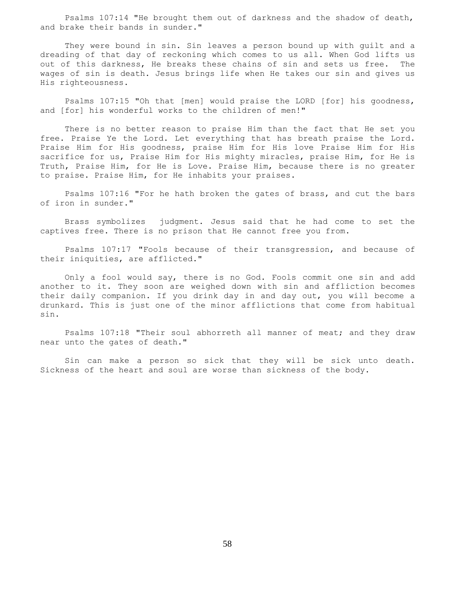Psalms 107:14 "He brought them out of darkness and the shadow of death, and brake their bands in sunder."

 They were bound in sin. Sin leaves a person bound up with guilt and a dreading of that day of reckoning which comes to us all. When God lifts us out of this darkness, He breaks these chains of sin and sets us free. The wages of sin is death. Jesus brings life when He takes our sin and gives us His righteousness.

 Psalms 107:15 "Oh that [men] would praise the LORD [for] his goodness, and [for] his wonderful works to the children of men!"

 There is no better reason to praise Him than the fact that He set you free. Praise Ye the Lord. Let everything that has breath praise the Lord. Praise Him for His goodness, praise Him for His love Praise Him for His sacrifice for us, Praise Him for His mighty miracles, praise Him, for He is Truth, Praise Him, for He is Love. Praise Him, because there is no greater to praise. Praise Him, for He inhabits your praises.

 Psalms 107:16 "For he hath broken the gates of brass, and cut the bars of iron in sunder."

 Brass symbolizes judgment. Jesus said that he had come to set the captives free. There is no prison that He cannot free you from.

 Psalms 107:17 "Fools because of their transgression, and because of their iniquities, are afflicted."

 Only a fool would say, there is no God. Fools commit one sin and add another to it. They soon are weighed down with sin and affliction becomes their daily companion. If you drink day in and day out, you will become a drunkard. This is just one of the minor afflictions that come from habitual sin.

 Psalms 107:18 "Their soul abhorreth all manner of meat; and they draw near unto the gates of death."

 Sin can make a person so sick that they will be sick unto death. Sickness of the heart and soul are worse than sickness of the body.

58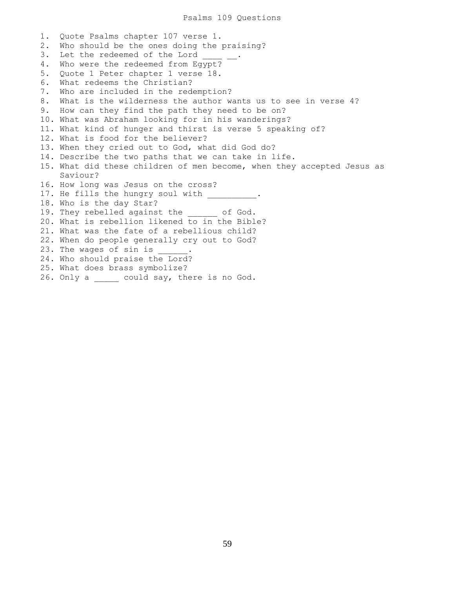1. Quote Psalms chapter 107 verse 1. 2. Who should be the ones doing the praising? 3. Let the redeemed of the Lord 4. Who were the redeemed from Egypt? 5. Quote 1 Peter chapter 1 verse 18. 6. What redeems the Christian? 7. Who are included in the redemption? 8. What is the wilderness the author wants us to see in verse 4? 9. How can they find the path they need to be on? 10. What was Abraham looking for in his wanderings? 11. What kind of hunger and thirst is verse 5 speaking of? 12. What is food for the believer? 13. When they cried out to God, what did God do? 14. Describe the two paths that we can take in life. 15. What did these children of men become, when they accepted Jesus as Saviour? 16. How long was Jesus on the cross? 17. He fills the hungry soul with 18. Who is the day Star? 19. They rebelled against the of God. 20. What is rebellion likened to in the Bible? 21. What was the fate of a rebellious child? 22. When do people generally cry out to God? 23. The wages of sin is  $\qquad \qquad$ 24. Who should praise the Lord? 25. What does brass symbolize? 26. Only a \_\_\_\_\_ could say, there is no God.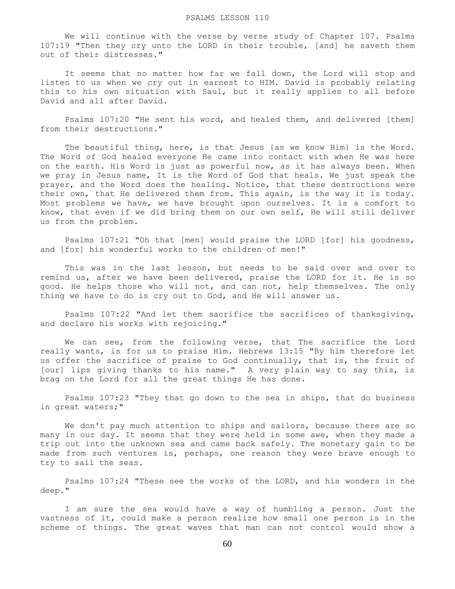We will continue with the verse by verse study of Chapter 107. Psalms 107:19 "Then they cry unto the LORD in their trouble, [and] he saveth them out of their distresses."

It seems that no matter how far we fall down, the Lord will stop and listen to us when we cry out in earnest to HIM. David is probably relating this to his own situation with Saul, but it really applies to all before David and all after David.

 Psalms 107:20 "He sent his word, and healed them, and delivered [them] from their destructions."

 The beautiful thing, here, is that Jesus {as we know Him} is the Word. The Word of God healed everyone He came into contact with when He was here on the earth. His Word is just as powerful now, as it has always been. When we pray in Jesus name, It is the Word of God that heals. We just speak the prayer, and the Word does the healing. Notice, that these destructions were their own, that He delivered them from. This again, is the way it is today. Most problems we have, we have brought upon ourselves. It is a comfort to know, that even if we did bring them on our own self, He will still deliver us from the problem.

 Psalms 107:21 "Oh that [men] would praise the LORD [for] his goodness, and [for] his wonderful works to the children of men!"

 This was in the last lesson, but needs to be said over and over to remind us, after we have been delivered, praise the LORD for it. He is so good. He helps those who will not, and can not, help themselves. The only thing we have to do is cry out to God, and He will answer us.

 Psalms 107:22 "And let them sacrifice the sacrifices of thanksgiving, and declare his works with rejoicing."

 We can see, from the following verse, that The sacrifice the Lord really wants, is for us to praise Him. Hebrews 13:15 "By him therefore let us offer the sacrifice of praise to God continually, that is, the fruit of [our] lips giving thanks to his name." A very plain way to say this, is brag on the Lord for all the great things He has done.

 Psalms 107:23 "They that go down to the sea in ships, that do business in great waters;"

We don't pay much attention to ships and sailors, because there are so many in our day. It seems that they were held in some awe, when they made a trip out into the unknown sea and came back safely. The monetary gain to be made from such ventures is, perhaps, one reason they were brave enough to try to sail the seas.

 Psalms 107:24 "These see the works of the LORD, and his wonders in the deep."

 I am sure the sea would have a way of humbling a person. Just the vastness of it, could make a person realize how small one person is in the scheme of things. The great waves that man can not control would show a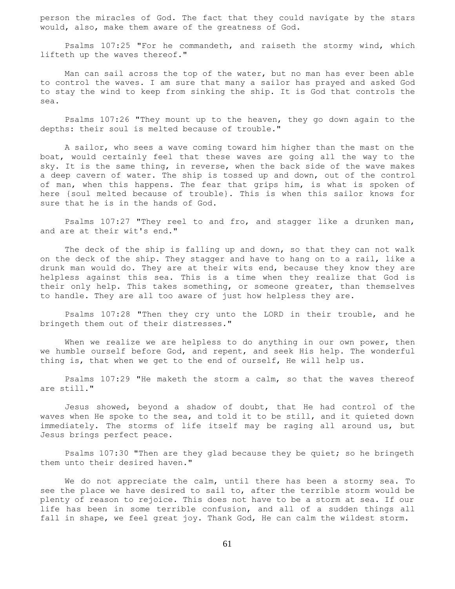person the miracles of God. The fact that they could navigate by the stars would, also, make them aware of the greatness of God.

 Psalms 107:25 "For he commandeth, and raiseth the stormy wind, which lifteth up the waves thereof."

 Man can sail across the top of the water, but no man has ever been able to control the waves. I am sure that many a sailor has prayed and asked God to stay the wind to keep from sinking the ship. It is God that controls the sea.

 Psalms 107:26 "They mount up to the heaven, they go down again to the depths: their soul is melted because of trouble."

 A sailor, who sees a wave coming toward him higher than the mast on the boat, would certainly feel that these waves are going all the way to the sky. It is the same thing, in reverse, when the back side of the wave makes a deep cavern of water. The ship is tossed up and down, out of the control of man, when this happens. The fear that grips him, is what is spoken of here {soul melted because of trouble}. This is when this sailor knows for sure that he is in the hands of God.

 Psalms 107:27 "They reel to and fro, and stagger like a drunken man, and are at their wit's end."

 The deck of the ship is falling up and down, so that they can not walk on the deck of the ship. They stagger and have to hang on to a rail, like a drunk man would do. They are at their wits end, because they know they are helpless against this sea. This is a time when they realize that God is their only help. This takes something, or someone greater, than themselves to handle. They are all too aware of just how helpless they are.

 Psalms 107:28 "Then they cry unto the LORD in their trouble, and he bringeth them out of their distresses."

When we realize we are helpless to do anything in our own power, then we humble ourself before God, and repent, and seek His help. The wonderful thing is, that when we get to the end of ourself, He will help us.

 Psalms 107:29 "He maketh the storm a calm, so that the waves thereof are still."

 Jesus showed, beyond a shadow of doubt, that He had control of the waves when He spoke to the sea, and told it to be still, and it quieted down immediately. The storms of life itself may be raging all around us, but Jesus brings perfect peace.

 Psalms 107:30 "Then are they glad because they be quiet; so he bringeth them unto their desired haven."

 We do not appreciate the calm, until there has been a stormy sea. To see the place we have desired to sail to, after the terrible storm would be plenty of reason to rejoice. This does not have to be a storm at sea. If our life has been in some terrible confusion, and all of a sudden things all fall in shape, we feel great joy. Thank God, He can calm the wildest storm.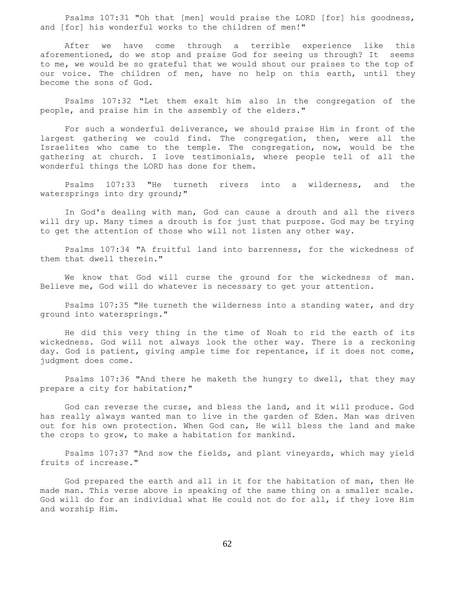Psalms 107:31 "Oh that [men] would praise the LORD [for] his goodness, and [for] his wonderful works to the children of men!"

 After we have come through a terrible experience like this aforementioned, do we stop and praise God for seeing us through? It seems to me, we would be so grateful that we would shout our praises to the top of our voice. The children of men, have no help on this earth, until they become the sons of God.

 Psalms 107:32 "Let them exalt him also in the congregation of the people, and praise him in the assembly of the elders."

 For such a wonderful deliverance, we should praise Him in front of the largest gathering we could find. The congregation, then, were all the Israelites who came to the temple. The congregation, now, would be the gathering at church. I love testimonials, where people tell of all the wonderful things the LORD has done for them.

 Psalms 107:33 "He turneth rivers into a wilderness, and the watersprings into dry ground;"

 In God's dealing with man, God can cause a drouth and all the rivers will dry up. Many times a drouth is for just that purpose. God may be trying to get the attention of those who will not listen any other way.

 Psalms 107:34 "A fruitful land into barrenness, for the wickedness of them that dwell therein."

 We know that God will curse the ground for the wickedness of man. Believe me, God will do whatever is necessary to get your attention.

 Psalms 107:35 "He turneth the wilderness into a standing water, and dry ground into watersprings."

 He did this very thing in the time of Noah to rid the earth of its wickedness. God will not always look the other way. There is a reckoning day. God is patient, giving ample time for repentance, if it does not come, judgment does come.

 Psalms 107:36 "And there he maketh the hungry to dwell, that they may prepare a city for habitation;"

 God can reverse the curse, and bless the land, and it will produce. God has really always wanted man to live in the garden of Eden. Man was driven out for his own protection. When God can, He will bless the land and make the crops to grow, to make a habitation for mankind.

 Psalms 107:37 "And sow the fields, and plant vineyards, which may yield fruits of increase."

 God prepared the earth and all in it for the habitation of man, then He made man. This verse above is speaking of the same thing on a smaller scale. God will do for an individual what He could not do for all, if they love Him and worship Him.

62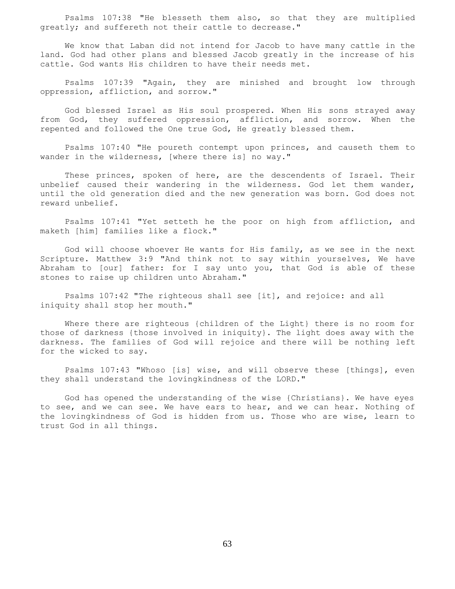Psalms 107:38 "He blesseth them also, so that they are multiplied greatly; and suffereth not their cattle to decrease."

 We know that Laban did not intend for Jacob to have many cattle in the land. God had other plans and blessed Jacob greatly in the increase of his cattle. God wants His children to have their needs met.

 Psalms 107:39 "Again, they are minished and brought low through oppression, affliction, and sorrow."

 God blessed Israel as His soul prospered. When His sons strayed away from God, they suffered oppression, affliction, and sorrow. When the repented and followed the One true God, He greatly blessed them.

 Psalms 107:40 "He poureth contempt upon princes, and causeth them to wander in the wilderness, [where there is] no way."

 These princes, spoken of here, are the descendents of Israel. Their unbelief caused their wandering in the wilderness. God let them wander, until the old generation died and the new generation was born. God does not reward unbelief.

 Psalms 107:41 "Yet setteth he the poor on high from affliction, and maketh [him] families like a flock."

 God will choose whoever He wants for His family, as we see in the next Scripture. Matthew 3:9 "And think not to say within yourselves, We have Abraham to [our] father: for I say unto you, that God is able of these stones to raise up children unto Abraham."

 Psalms 107:42 "The righteous shall see [it], and rejoice: and all iniquity shall stop her mouth."

 Where there are righteous {children of the Light} there is no room for those of darkness {those involved in iniquity}. The light does away with the darkness. The families of God will rejoice and there will be nothing left for the wicked to say.

 Psalms 107:43 "Whoso [is] wise, and will observe these [things], even they shall understand the lovingkindness of the LORD."

 God has opened the understanding of the wise {Christians}. We have eyes to see, and we can see. We have ears to hear, and we can hear. Nothing of the lovingkindness of God is hidden from us. Those who are wise, learn to trust God in all things.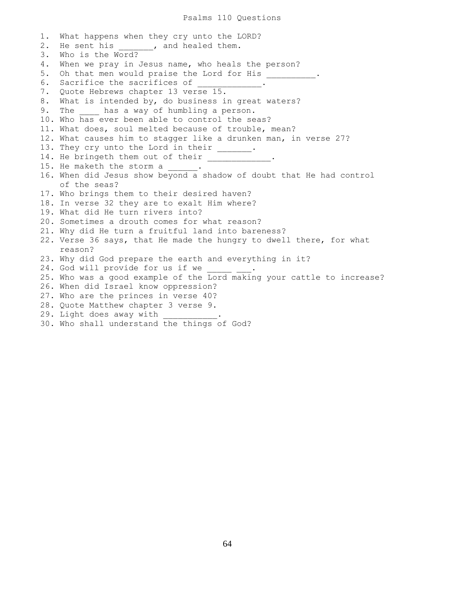1. What happens when they cry unto the LORD? 2. He sent his , and healed them. 3. Who is the Word? 4. When we pray in Jesus name, who heals the person? 5. Oh that men would praise the Lord for His \_\_\_\_\_\_\_\_\_\_. 6. Sacrifice the sacrifices of \_\_\_\_\_\_\_\_\_\_\_\_. 7. Quote Hebrews chapter 13 verse 15. 8. What is intended by, do business in great waters? 9. The has a way of humbling a person. 10. Who has ever been able to control the seas? 11. What does, soul melted because of trouble, mean? 12. What causes him to stagger like a drunken man, in verse 27? 13. They cry unto the Lord in their \_\_\_\_\_\_. 14. He bringeth them out of their . 15. He maketh the storm a 16. When did Jesus show beyond a shadow of doubt that He had control of the seas? 17. Who brings them to their desired haven? 18. In verse 32 they are to exalt Him where? 19. What did He turn rivers into? 20. Sometimes a drouth comes for what reason? 21. Why did He turn a fruitful land into bareness? 22. Verse 36 says, that He made the hungry to dwell there, for what reason? 23. Why did God prepare the earth and everything in it? 24. God will provide for us if we 25. Who was a good example of the Lord making your cattle to increase? 26. When did Israel know oppression? 27. Who are the princes in verse 40? 28. Quote Matthew chapter 3 verse 9. 29. Light does away with 30. Who shall understand the things of God?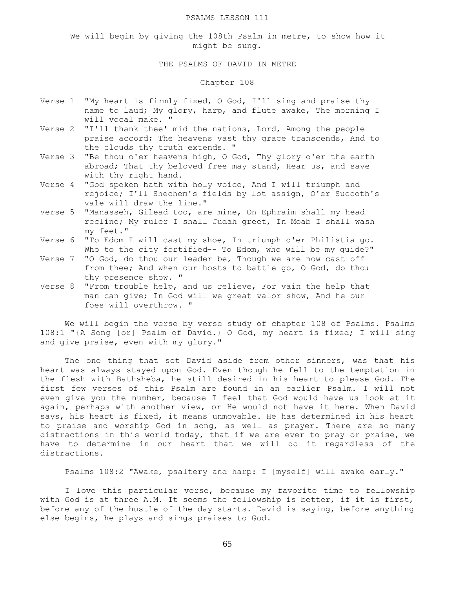#### PSALMS LESSON 111

We will begin by giving the 108th Psalm in metre, to show how it might be sung.

## THE PSALMS OF DAVID IN METRE

## Chapter 108

- Verse 1 "My heart is firmly fixed, O God, I'll sing and praise thy name to laud; My glory, harp, and flute awake, The morning I will vocal make. "
- Verse 2 "I'll thank thee' mid the nations, Lord, Among the people praise accord; The heavens vast thy grace transcends, And to the clouds thy truth extends. "
- Verse 3 "Be thou o'er heavens high, O God, Thy glory o'er the earth abroad; That thy beloved free may stand, Hear us, and save with thy right hand.
- Verse 4 "God spoken hath with holy voice, And I will triumph and rejoice; I'll Shechem's fields by lot assign, O'er Succoth's vale will draw the line."
- Verse 5 "Manasseh, Gilead too, are mine, On Ephraim shall my head recline; My ruler I shall Judah greet, In Moab I shall wash my feet."
- Verse 6 "To Edom I will cast my shoe, In triumph o'er Philistia go. Who to the city fortified-- To Edom, who will be my guide?"
- Verse 7 "O God, do thou our leader be, Though we are now cast off from thee; And when our hosts to battle go, O God, do thou thy presence show. "
- Verse 8 "From trouble help, and us relieve, For vain the help that man can give; In God will we great valor show, And he our foes will overthrow. "

 We will begin the verse by verse study of chapter 108 of Psalms. Psalms 108:1 "{A Song [or] Psalm of David.} O God, my heart is fixed; I will sing and give praise, even with my glory."

 The one thing that set David aside from other sinners, was that his heart was always stayed upon God. Even though he fell to the temptation in the flesh with Bathsheba, he still desired in his heart to please God. The first few verses of this Psalm are found in an earlier Psalm. I will not even give you the number, because I feel that God would have us look at it again, perhaps with another view, or He would not have it here. When David says, his heart is fixed, it means unmovable. He has determined in his heart to praise and worship God in song, as well as prayer. There are so many distractions in this world today, that if we are ever to pray or praise, we have to determine in our heart that we will do it regardless of the distractions.

Psalms 108:2 "Awake, psaltery and harp: I [myself] will awake early."

 I love this particular verse, because my favorite time to fellowship with God is at three A.M. It seems the fellowship is better, if it is first, before any of the hustle of the day starts. David is saying, before anything else begins, he plays and sings praises to God.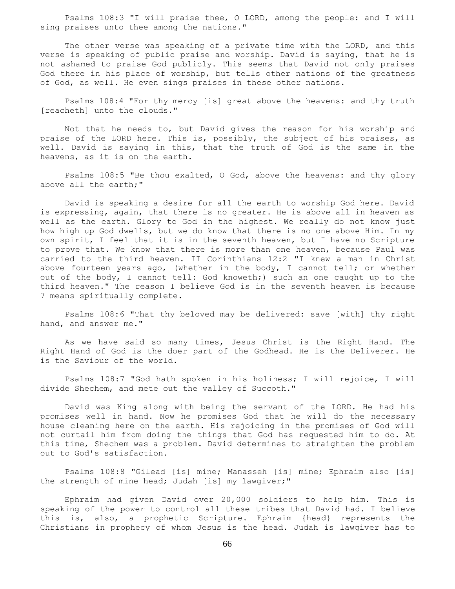Psalms 108:3 "I will praise thee, O LORD, among the people: and I will sing praises unto thee among the nations."

 The other verse was speaking of a private time with the LORD, and this verse is speaking of public praise and worship. David is saying, that he is not ashamed to praise God publicly. This seems that David not only praises God there in his place of worship, but tells other nations of the greatness of God, as well. He even sings praises in these other nations.

 Psalms 108:4 "For thy mercy [is] great above the heavens: and thy truth [reacheth] unto the clouds."

 Not that he needs to, but David gives the reason for his worship and praise of the LORD here. This is, possibly, the subject of his praises, as well. David is saying in this, that the truth of God is the same in the heavens, as it is on the earth.

 Psalms 108:5 "Be thou exalted, O God, above the heavens: and thy glory above all the earth;"

 David is speaking a desire for all the earth to worship God here. David is expressing, again, that there is no greater. He is above all in heaven as well as the earth. Glory to God in the highest. We really do not know just how high up God dwells, but we do know that there is no one above Him. In my own spirit, I feel that it is in the seventh heaven, but I have no Scripture to prove that. We know that there is more than one heaven, because Paul was carried to the third heaven. II Corinthians 12:2 "I knew a man in Christ above fourteen years ago, (whether in the body, I cannot tell; or whether out of the body, I cannot tell: God knoweth;) such an one caught up to the third heaven." The reason I believe God is in the seventh heaven is because 7 means spiritually complete.

 Psalms 108:6 "That thy beloved may be delivered: save [with] thy right hand, and answer me."

 As we have said so many times, Jesus Christ is the Right Hand. The Right Hand of God is the doer part of the Godhead. He is the Deliverer. He is the Saviour of the world.

 Psalms 108:7 "God hath spoken in his holiness; I will rejoice, I will divide Shechem, and mete out the valley of Succoth."

 David was King along with being the servant of the LORD. He had his promises well in hand. Now he promises God that he will do the necessary house cleaning here on the earth. His rejoicing in the promises of God will not curtail him from doing the things that God has requested him to do. At this time, Shechem was a problem. David determines to straighten the problem out to God's satisfaction.

 Psalms 108:8 "Gilead [is] mine; Manasseh [is] mine; Ephraim also [is] the strength of mine head; Judah [is] my lawgiver;"

 Ephraim had given David over 20,000 soldiers to help him. This is speaking of the power to control all these tribes that David had. I believe this is, also, a prophetic Scripture. Ephraim {head} represents the Christians in prophecy of whom Jesus is the head. Judah is lawgiver has to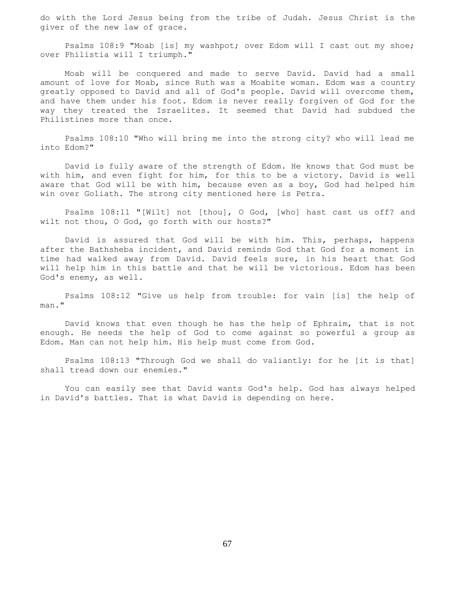do with the Lord Jesus being from the tribe of Judah. Jesus Christ is the giver of the new law of grace.

 Psalms 108:9 "Moab [is] my washpot; over Edom will I cast out my shoe; over Philistia will I triumph."

 Moab will be conquered and made to serve David. David had a small amount of love for Moab, since Ruth was a Moabite woman. Edom was a country greatly opposed to David and all of God's people. David will overcome them, and have them under his foot. Edom is never really forgiven of God for the way they treated the Israelites. It seemed that David had subdued the Philistines more than once.

 Psalms 108:10 "Who will bring me into the strong city? who will lead me into Edom?"

 David is fully aware of the strength of Edom. He knows that God must be with him, and even fight for him, for this to be a victory. David is well aware that God will be with him, because even as a boy, God had helped him win over Goliath. The strong city mentioned here is Petra.

 Psalms 108:11 "[Wilt] not [thou], O God, [who] hast cast us off? and wilt not thou, O God, go forth with our hosts?"

 David is assured that God will be with him. This, perhaps, happens after the Bathsheba incident, and David reminds God that God for a moment in time had walked away from David. David feels sure, in his heart that God will help him in this battle and that he will be victorious. Edom has been God's enemy, as well.

 Psalms 108:12 "Give us help from trouble: for vain [is] the help of man."

 David knows that even though he has the help of Ephraim, that is not enough. He needs the help of God to come against so powerful a group as Edom. Man can not help him. His help must come from God.

 Psalms 108:13 "Through God we shall do valiantly: for he [it is that] shall tread down our enemies."

 You can easily see that David wants God's help. God has always helped in David's battles. That is what David is depending on here.

67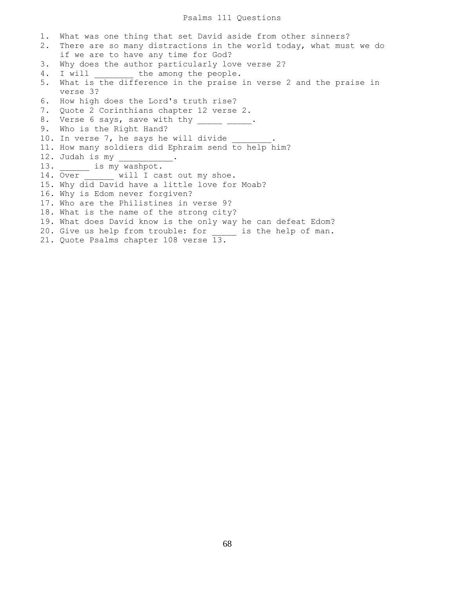## Psalms 111 Questions

1. What was one thing that set David aside from other sinners? 2. There are so many distractions in the world today, what must we do if we are to have any time for God? 3. Why does the author particularly love verse 2? 4. I will the among the people. 5. What is the difference in the praise in verse 2 and the praise in verse 3? 6. How high does the Lord's truth rise? 7. Quote 2 Corinthians chapter 12 verse 2. 8. Verse 6 says, save with thy \_\_\_\_\_ \_\_\_\_\_. 9. Who is the Right Hand? 10. In verse 7, he says he will divide 11. How many soldiers did Ephraim send to help him? 12. Judah is my  $\frac{1}{\sqrt{2}}$ 13. \_\_\_\_\_\_\_ is my washpot. 14. Over will I cast out my shoe. 15. Why did David have a little love for Moab? 16. Why is Edom never forgiven? 17. Who are the Philistines in verse 9? 18. What is the name of the strong city? 19. What does David know is the only way he can defeat Edom? 20. Give us help from trouble: for \_\_\_\_\_ is the help of man. 21. Quote Psalms chapter 108 verse 13.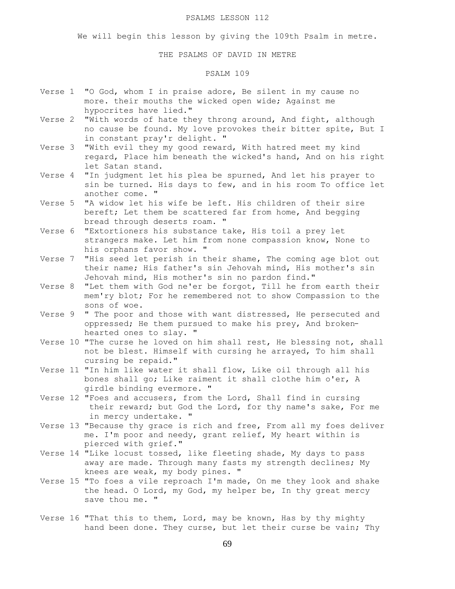#### PSALMS LESSON 112

We will begin this lesson by giving the 109th Psalm in metre.

### THE PSALMS OF DAVID IN METRE

# PSALM 109

- Verse 1 "O God, whom I in praise adore, Be silent in my cause no more. their mouths the wicked open wide; Against me hypocrites have lied."
- Verse 2 "With words of hate they throng around, And fight, although no cause be found. My love provokes their bitter spite, But I in constant pray'r delight. "
- Verse 3 "With evil they my good reward, With hatred meet my kind regard, Place him beneath the wicked's hand, And on his right let Satan stand.
- Verse 4 "In judgment let his plea be spurned, And let his prayer to sin be turned. His days to few, and in his room To office let another come. "
- Verse 5 "A widow let his wife be left. His children of their sire bereft; Let them be scattered far from home, And begging bread through deserts roam. "
- Verse 6 "Extortioners his substance take, His toil a prey let strangers make. Let him from none compassion know, None to his orphans favor show. "
- Verse 7 "His seed let perish in their shame, The coming age blot out their name; His father's sin Jehovah mind, His mother's sin Jehovah mind, His mother's sin no pardon find."
- Verse 8 "Let them with God ne'er be forgot, Till he from earth their mem'ry blot; For he remembered not to show Compassion to the sons of woe.
- Verse 9 " The poor and those with want distressed, He persecuted and oppressed; He them pursued to make his prey, And broken hearted ones to slay. "
- Verse 10 "The curse he loved on him shall rest, He blessing not, shall not be blest. Himself with cursing he arrayed, To him shall cursing be repaid."
- Verse 11 "In him like water it shall flow, Like oil through all his bones shall go; Like raiment it shall clothe him o'er, A girdle binding evermore. "
- Verse 12 "Foes and accusers, from the Lord, Shall find in cursing their reward; but God the Lord, for thy name's sake, For me in mercy undertake. "
- Verse 13 "Because thy grace is rich and free, From all my foes deliver me. I'm poor and needy, grant relief, My heart within is pierced with grief."
- Verse 14 "Like locust tossed, like fleeting shade, My days to pass away are made. Through many fasts my strength declines; My knees are weak, my body pines. "
- Verse 15 "To foes a vile reproach I'm made, On me they look and shake the head. O Lord, my God, my helper be, In thy great mercy save thou me. "
- Verse 16 "That this to them, Lord, may be known, Has by thy mighty hand been done. They curse, but let their curse be vain; Thy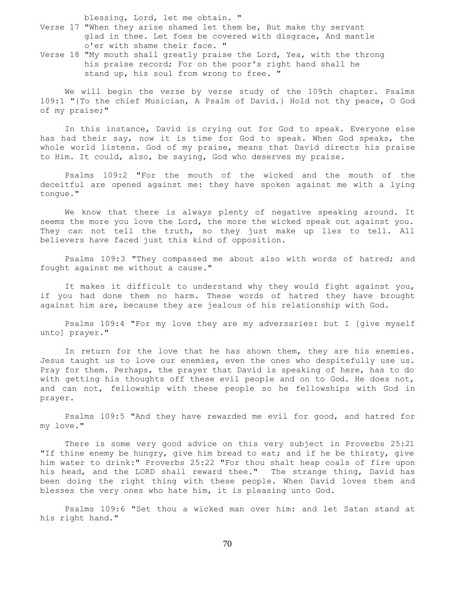blessing, Lord, let me obtain. "

- Verse 17 "When they arise shamed let them be, But make thy servant glad in thee. Let foes be covered with disgrace, And mantle o'er with shame their face. "
- Verse 18 "My mouth shall greatly praise the Lord, Yea, with the throng his praise record; For on the poor's right hand shall he stand up, his soul from wrong to free. "

 We will begin the verse by verse study of the 109th chapter. Psalms 109:1 "{To the chief Musician, A Psalm of David.} Hold not thy peace, O God of my praise;"

 In this instance, David is crying out for God to speak. Everyone else has had their say, now it is time for God to speak. When God speaks, the whole world listens. God of my praise, means that David directs his praise to Him. It could, also, be saying, God who deserves my praise.

 Psalms 109:2 "For the mouth of the wicked and the mouth of the deceitful are opened against me: they have spoken against me with a lying tongue."

 We know that there is always plenty of negative speaking around. It seems the more you love the Lord, the more the wicked speak out against you. They can not tell the truth, so they just make up lies to tell. All believers have faced just this kind of opposition.

 Psalms 109:3 "They compassed me about also with words of hatred; and fought against me without a cause."

 It makes it difficult to understand why they would fight against you, if you had done them no harm. These words of hatred they have brought against him are, because they are jealous of his relationship with God.

 Psalms 109:4 "For my love they are my adversaries: but I [give myself unto] prayer."

In return for the love that he has shown them, they are his enemies. Jesus taught us to love our enemies, even the ones who despitefully use us. Pray for them. Perhaps, the prayer that David is speaking of here, has to do with getting his thoughts off these evil people and on to God. He does not, and can not, fellowship with these people so he fellowships with God in prayer.

 Psalms 109:5 "And they have rewarded me evil for good, and hatred for my love."

 There is some very good advice on this very subject in Proverbs 25:21 "If thine enemy be hungry, give him bread to eat; and if he be thirsty, give him water to drink:" Proverbs 25:22 "For thou shalt heap coals of fire upon his head, and the LORD shall reward thee." The strange thing, David has been doing the right thing with these people. When David loves them and blesses the very ones who hate him, it is pleasing unto God.

 Psalms 109:6 "Set thou a wicked man over him: and let Satan stand at his right hand."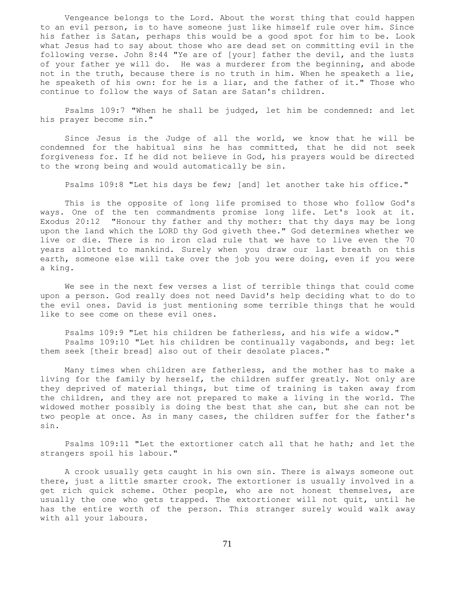Vengeance belongs to the Lord. About the worst thing that could happen to an evil person, is to have someone just like himself rule over him. Since his father is Satan, perhaps this would be a good spot for him to be. Look what Jesus had to say about those who are dead set on committing evil in the following verse. John 8:44 "Ye are of [your] father the devil, and the lusts of your father ye will do. He was a murderer from the beginning, and abode not in the truth, because there is no truth in him. When he speaketh a lie, he speaketh of his own: for he is a liar, and the father of it." Those who continue to follow the ways of Satan are Satan's children.

 Psalms 109:7 "When he shall be judged, let him be condemned: and let his prayer become sin."

 Since Jesus is the Judge of all the world, we know that he will be condemned for the habitual sins he has committed, that he did not seek forgiveness for. If he did not believe in God, his prayers would be directed to the wrong being and would automatically be sin.

Psalms 109:8 "Let his days be few; [and] let another take his office."

 This is the opposite of long life promised to those who follow God's ways. One of the ten commandments promise long life. Let's look at it. Exodus 20:12 "Honour thy father and thy mother: that thy days may be long upon the land which the LORD thy God giveth thee." God determines whether we live or die. There is no iron clad rule that we have to live even the 70 years allotted to mankind. Surely when you draw our last breath on this earth, someone else will take over the job you were doing, even if you were a king.

 We see in the next few verses a list of terrible things that could come upon a person. God really does not need David's help deciding what to do to the evil ones. David is just mentioning some terrible things that he would like to see come on these evil ones.

 Psalms 109:9 "Let his children be fatherless, and his wife a widow." Psalms 109:10 "Let his children be continually vagabonds, and beg: let them seek [their bread] also out of their desolate places."

 Many times when children are fatherless, and the mother has to make a living for the family by herself, the children suffer greatly. Not only are they deprived of material things, but time of training is taken away from the children, and they are not prepared to make a living in the world. The widowed mother possibly is doing the best that she can, but she can not be two people at once. As in many cases, the children suffer for the father's sin.

 Psalms 109:11 "Let the extortioner catch all that he hath; and let the strangers spoil his labour."

 A crook usually gets caught in his own sin. There is always someone out there, just a little smarter crook. The extortioner is usually involved in a get rich quick scheme. Other people, who are not honest themselves, are usually the one who gets trapped. The extortioner will not quit, until he has the entire worth of the person. This stranger surely would walk away with all your labours.

71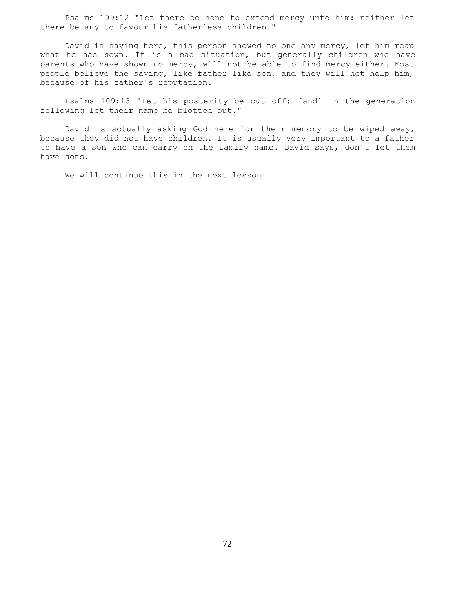Psalms 109:12 "Let there be none to extend mercy unto him: neither let there be any to favour his fatherless children."

 David is saying here, this person showed no one any mercy, let him reap what he has sown. It is a bad situation, but generally children who have parents who have shown no mercy, will not be able to find mercy either. Most people believe the saying, like father like son, and they will not help him, because of his father's reputation.

 Psalms 109:13 "Let his posterity be cut off; [and] in the generation following let their name be blotted out."

 David is actually asking God here for their memory to be wiped away, because they did not have children. It is usually very important to a father to have a son who can carry on the family name. David says, don't let them have sons.

We will continue this in the next lesson.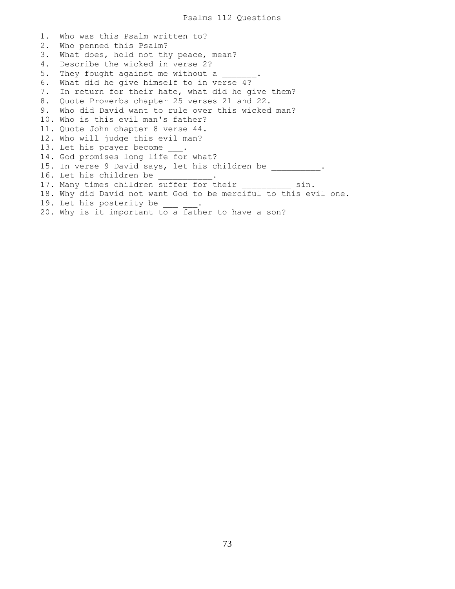1. Who was this Psalm written to? 2. Who penned this Psalm? 3. What does, hold not thy peace, mean? 4. Describe the wicked in verse 2? 5. They fought against me without a 6. What did he give himself to in verse 4? 7. In return for their hate, what did he give them? 8. Quote Proverbs chapter 25 verses 21 and 22. 9. Who did David want to rule over this wicked man? 10. Who is this evil man's father? 11. Quote John chapter 8 verse 44. 12. Who will judge this evil man? 13. Let his prayer become . 14. God promises long life for what? 15. In verse 9 David says, let his children be \_\_\_\_\_\_\_\_\_\_. 16. Let his children be 17. Many times children suffer for their sin. 18. Why did David not want God to be merciful to this evil one. 19. Let his posterity be 20. Why is it important to a father to have a son?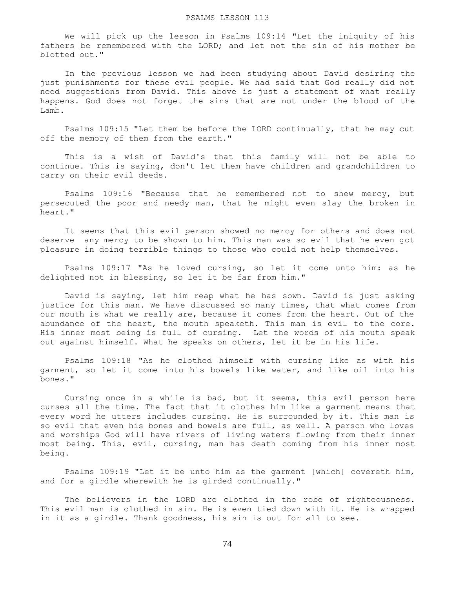We will pick up the lesson in Psalms 109:14 "Let the iniquity of his fathers be remembered with the LORD; and let not the sin of his mother be blotted out."

 In the previous lesson we had been studying about David desiring the just punishments for these evil people. We had said that God really did not need suggestions from David. This above is just a statement of what really happens. God does not forget the sins that are not under the blood of the Lamb.

 Psalms 109:15 "Let them be before the LORD continually, that he may cut off the memory of them from the earth."

 This is a wish of David's that this family will not be able to continue. This is saying, don't let them have children and grandchildren to carry on their evil deeds.

 Psalms 109:16 "Because that he remembered not to shew mercy, but persecuted the poor and needy man, that he might even slay the broken in heart."

 It seems that this evil person showed no mercy for others and does not deserve any mercy to be shown to him. This man was so evil that he even got pleasure in doing terrible things to those who could not help themselves.

 Psalms 109:17 "As he loved cursing, so let it come unto him: as he delighted not in blessing, so let it be far from him."

 David is saying, let him reap what he has sown. David is just asking justice for this man. We have discussed so many times, that what comes from our mouth is what we really are, because it comes from the heart. Out of the abundance of the heart, the mouth speaketh. This man is evil to the core. His inner most being is full of cursing. Let the words of his mouth speak out against himself. What he speaks on others, let it be in his life.

 Psalms 109:18 "As he clothed himself with cursing like as with his garment, so let it come into his bowels like water, and like oil into his bones."

 Cursing once in a while is bad, but it seems, this evil person here curses all the time. The fact that it clothes him like a garment means that every word he utters includes cursing. He is surrounded by it. This man is so evil that even his bones and bowels are full, as well. A person who loves and worships God will have rivers of living waters flowing from their inner most being. This, evil, cursing, man has death coming from his inner most being.

 Psalms 109:19 "Let it be unto him as the garment [which] covereth him, and for a girdle wherewith he is girded continually."

 The believers in the LORD are clothed in the robe of righteousness. This evil man is clothed in sin. He is even tied down with it. He is wrapped in it as a girdle. Thank goodness, his sin is out for all to see.

74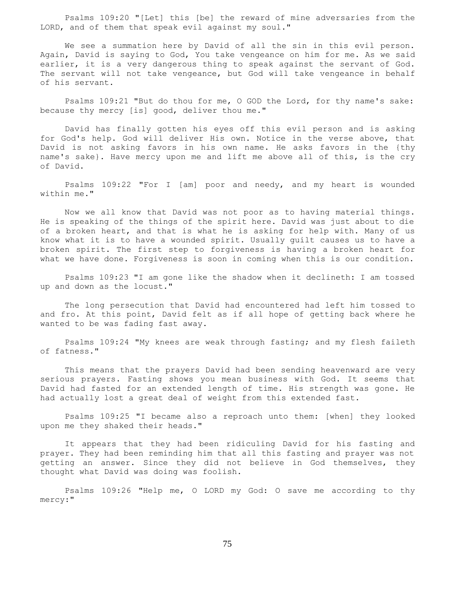Psalms 109:20 "[Let] this [be] the reward of mine adversaries from the LORD, and of them that speak evil against my soul."

 We see a summation here by David of all the sin in this evil person. Again, David is saying to God, You take vengeance on him for me. As we said earlier, it is a very dangerous thing to speak against the servant of God. The servant will not take vengeance, but God will take vengeance in behalf of his servant.

 Psalms 109:21 "But do thou for me, O GOD the Lord, for thy name's sake: because thy mercy [is] good, deliver thou me."

 David has finally gotten his eyes off this evil person and is asking for God's help. God will deliver His own. Notice in the verse above, that David is not asking favors in his own name. He asks favors in the {thy name's sake}. Have mercy upon me and lift me above all of this, is the cry of David.

 Psalms 109:22 "For I [am] poor and needy, and my heart is wounded within me."

 Now we all know that David was not poor as to having material things. He is speaking of the things of the spirit here. David was just about to die of a broken heart, and that is what he is asking for help with. Many of us know what it is to have a wounded spirit. Usually guilt causes us to have a broken spirit. The first step to forgiveness is having a broken heart for what we have done. Forgiveness is soon in coming when this is our condition.

 Psalms 109:23 "I am gone like the shadow when it declineth: I am tossed up and down as the locust."

 The long persecution that David had encountered had left him tossed to and fro. At this point, David felt as if all hope of getting back where he wanted to be was fading fast away.

 Psalms 109:24 "My knees are weak through fasting; and my flesh faileth of fatness."

 This means that the prayers David had been sending heavenward are very serious prayers. Fasting shows you mean business with God. It seems that David had fasted for an extended length of time. His strength was gone. He had actually lost a great deal of weight from this extended fast.

 Psalms 109:25 "I became also a reproach unto them: [when] they looked upon me they shaked their heads."

 It appears that they had been ridiculing David for his fasting and prayer. They had been reminding him that all this fasting and prayer was not getting an answer. Since they did not believe in God themselves, they thought what David was doing was foolish.

 Psalms 109:26 "Help me, O LORD my God: O save me according to thy mercy:"

75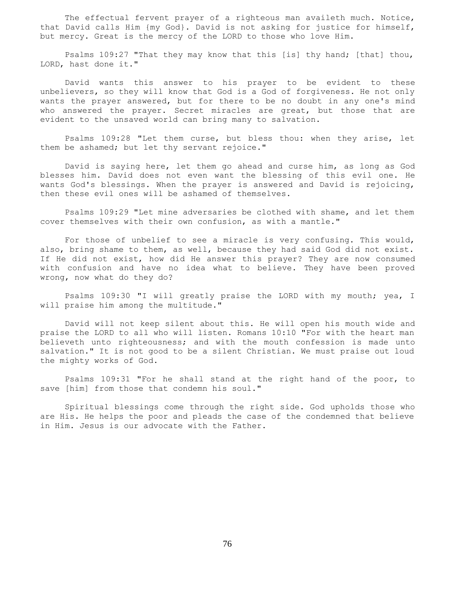The effectual fervent prayer of a righteous man availeth much. Notice, that David calls Him {my God}. David is not asking for justice for himself, but mercy. Great is the mercy of the LORD to those who love Him.

 Psalms 109:27 "That they may know that this [is] thy hand; [that] thou, LORD, hast done it."

 David wants this answer to his prayer to be evident to these unbelievers, so they will know that God is a God of forgiveness. He not only wants the prayer answered, but for there to be no doubt in any one's mind who answered the prayer. Secret miracles are great, but those that are evident to the unsaved world can bring many to salvation.

 Psalms 109:28 "Let them curse, but bless thou: when they arise, let them be ashamed; but let thy servant rejoice."

 David is saying here, let them go ahead and curse him, as long as God blesses him. David does not even want the blessing of this evil one. He wants God's blessings. When the prayer is answered and David is rejoicing, then these evil ones will be ashamed of themselves.

 Psalms 109:29 "Let mine adversaries be clothed with shame, and let them cover themselves with their own confusion, as with a mantle."

 For those of unbelief to see a miracle is very confusing. This would, also, bring shame to them, as well, because they had said God did not exist. If He did not exist, how did He answer this prayer? They are now consumed with confusion and have no idea what to believe. They have been proved wrong, now what do they do?

 Psalms 109:30 "I will greatly praise the LORD with my mouth; yea, I will praise him among the multitude."

 David will not keep silent about this. He will open his mouth wide and praise the LORD to all who will listen. Romans 10:10 "For with the heart man believeth unto righteousness; and with the mouth confession is made unto salvation." It is not good to be a silent Christian. We must praise out loud the mighty works of God.

 Psalms 109:31 "For he shall stand at the right hand of the poor, to save [him] from those that condemn his soul."

 Spiritual blessings come through the right side. God upholds those who are His. He helps the poor and pleads the case of the condemned that believe in Him. Jesus is our advocate with the Father.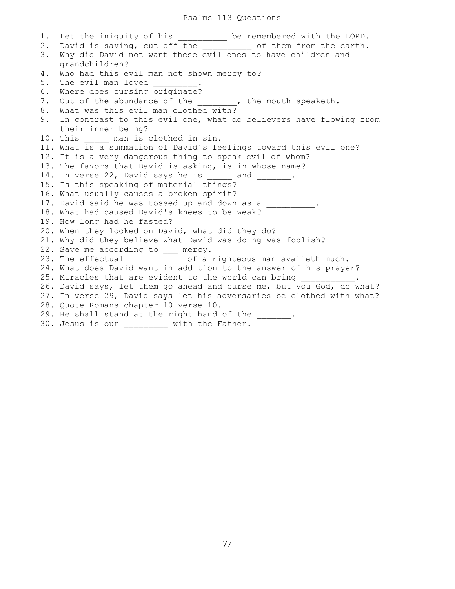1. Let the iniquity of his \_\_\_\_\_\_\_\_\_ be remembered with the LORD. 2. David is saying, cut off the the of them from the earth. 3. Why did David not want these evil ones to have children and grandchildren? 4. Who had this evil man not shown mercy to? 5. The evil man loved 6. Where does cursing originate? 7. Out of the abundance of the \_\_\_\_\_\_\_, the mouth speaketh. 8. What was this evil man clothed with? 9. In contrast to this evil one, what do believers have flowing from their inner being? 10. This \_\_\_\_\_ man is clothed in sin. 11. What is a summation of David's feelings toward this evil one? 12. It is a very dangerous thing to speak evil of whom? 13. The favors that David is asking, is in whose name? 14. In verse 22, David says he is \_\_\_\_\_ and \_\_\_\_\_\_\_. 15. Is this speaking of material things? 16. What usually causes a broken spirit? 17. David said he was tossed up and down as a \_\_\_\_\_\_\_\_\_\_. 18. What had caused David's knees to be weak? 19. How long had he fasted? 20. When they looked on David, what did they do? 21. Why did they believe what David was doing was foolish? 22. Save me according to \_\_\_ mercy. 23. The effectual \_\_\_\_\_ \_\_\_\_ of a righteous man availeth much. 24. What does David want in addition to the answer of his prayer? 25. Miracles that are evident to the world can bring 26. David says, let them go ahead and curse me, but you God, do what? 27. In verse 29, David says let his adversaries be clothed with what? 28. Quote Romans chapter 10 verse 10. 29. He shall stand at the right hand of the \_\_\_\_\_\_\_. 30. Jesus is our \_\_\_\_\_\_\_\_\_ with the Father.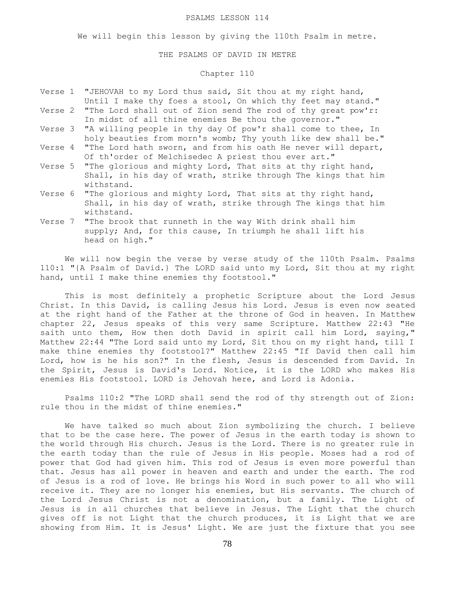#### PSALMS LESSON 114

We will begin this lesson by giving the 110th Psalm in metre.

## THE PSALMS OF DAVID IN METRE

# Chapter 110

- Verse 1 "JEHOVAH to my Lord thus said, Sit thou at my right hand, Until I make thy foes a stool, On which thy feet may stand." Verse 2 "The Lord shall out of Zion send The rod of thy great pow'r:
- In midst of all thine enemies Be thou the governor."
- Verse 3 "A willing people in thy day Of pow'r shall come to thee, In holy beauties from morn's womb; Thy youth like dew shall be."
- Verse 4 "The Lord hath sworn, and from his oath He never will depart, Of th'order of Melchisedec A priest thou ever art."
- Verse 5 "The glorious and mighty Lord, That sits at thy right hand, Shall, in his day of wrath, strike through The kings that him withstand.
- Verse 6 "The glorious and mighty Lord, That sits at thy right hand, Shall, in his day of wrath, strike through The kings that him withstand.
- Verse 7 "The brook that runneth in the way With drink shall him supply; And, for this cause, In triumph he shall lift his head on high."

 We will now begin the verse by verse study of the 110th Psalm. Psalms 110:1 "{A Psalm of David.} The LORD said unto my Lord, Sit thou at my right hand, until I make thine enemies thy footstool."

 This is most definitely a prophetic Scripture about the Lord Jesus Christ. In this David, is calling Jesus his Lord. Jesus is even now seated at the right hand of the Father at the throne of God in heaven. In Matthew chapter 22, Jesus speaks of this very same Scripture. Matthew 22:43 "He saith unto them, How then doth David in spirit call him Lord, saying," Matthew 22:44 "The Lord said unto my Lord, Sit thou on my right hand, till I make thine enemies thy footstool?" Matthew 22:45 "If David then call him Lord, how is he his son?" In the flesh, Jesus is descended from David. In the Spirit, Jesus is David's Lord. Notice, it is the LORD who makes His enemies His footstool. LORD is Jehovah here, and Lord is Adonia.

 Psalms 110:2 "The LORD shall send the rod of thy strength out of Zion: rule thou in the midst of thine enemies."

 We have talked so much about Zion symbolizing the church. I believe that to be the case here. The power of Jesus in the earth today is shown to the world through His church. Jesus is the Lord. There is no greater rule in the earth today than the rule of Jesus in His people. Moses had a rod of power that God had given him. This rod of Jesus is even more powerful than that. Jesus has all power in heaven and earth and under the earth. The rod of Jesus is a rod of love. He brings his Word in such power to all who will receive it. They are no longer his enemies, but His servants. The church of the Lord Jesus Christ is not a denomination, but a family. The Light of Jesus is in all churches that believe in Jesus. The Light that the church gives off is not Light that the church produces, it is Light that we are showing from Him. It is Jesus' Light. We are just the fixture that you see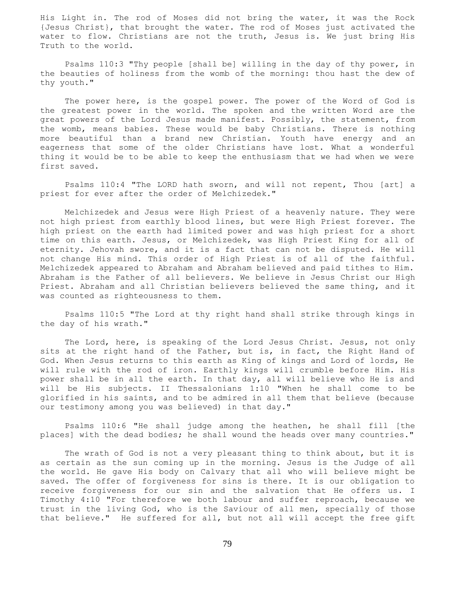His Light in. The rod of Moses did not bring the water, it was the Rock {Jesus Christ}, that brought the water. The rod of Moses just activated the water to flow. Christians are not the truth, Jesus is. We just bring His Truth to the world.

 Psalms 110:3 "Thy people [shall be] willing in the day of thy power, in the beauties of holiness from the womb of the morning: thou hast the dew of thy youth."

 The power here, is the gospel power. The power of the Word of God is the greatest power in the world. The spoken and the written Word are the great powers of the Lord Jesus made manifest. Possibly, the statement, from the womb, means babies. These would be baby Christians. There is nothing more beautiful than a brand new Christian. Youth have energy and an eagerness that some of the older Christians have lost. What a wonderful thing it would be to be able to keep the enthusiasm that we had when we were first saved.

 Psalms 110:4 "The LORD hath sworn, and will not repent, Thou [art] a priest for ever after the order of Melchizedek."

 Melchizedek and Jesus were High Priest of a heavenly nature. They were not high priest from earthly blood lines, but were High Priest forever. The high priest on the earth had limited power and was high priest for a short time on this earth. Jesus, or Melchizedek, was High Priest King for all of eternity. Jehovah swore, and it is a fact that can not be disputed. He will not change His mind. This order of High Priest is of all of the faithful. Melchizedek appeared to Abraham and Abraham believed and paid tithes to Him. Abraham is the Father of all believers. We believe in Jesus Christ our High Priest. Abraham and all Christian believers believed the same thing, and it was counted as righteousness to them.

 Psalms 110:5 "The Lord at thy right hand shall strike through kings in the day of his wrath."

 The Lord, here, is speaking of the Lord Jesus Christ. Jesus, not only sits at the right hand of the Father, but is, in fact, the Right Hand of God. When Jesus returns to this earth as King of kings and Lord of lords, He will rule with the rod of iron. Earthly kings will crumble before Him. His power shall be in all the earth. In that day, all will believe who He is and will be His subjects. II Thessalonians 1:10 "When he shall come to be glorified in his saints, and to be admired in all them that believe (because our testimony among you was believed) in that day."

 Psalms 110:6 "He shall judge among the heathen, he shall fill [the places] with the dead bodies; he shall wound the heads over many countries."

 The wrath of God is not a very pleasant thing to think about, but it is as certain as the sun coming up in the morning. Jesus is the Judge of all the world. He gave His body on Calvary that all who will believe might be saved. The offer of forgiveness for sins is there. It is our obligation to receive forgiveness for our sin and the salvation that He offers us. I Timothy 4:10 "For therefore we both labour and suffer reproach, because we trust in the living God, who is the Saviour of all men, specially of those that believe." He suffered for all, but not all will accept the free gift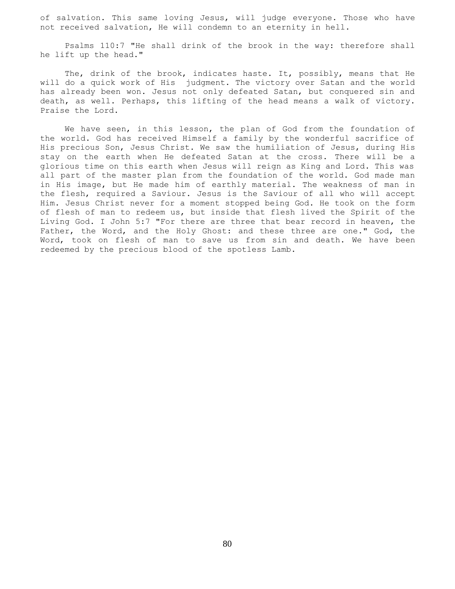of salvation. This same loving Jesus, will judge everyone. Those who have not received salvation, He will condemn to an eternity in hell.

 Psalms 110:7 "He shall drink of the brook in the way: therefore shall he lift up the head."

 The, drink of the brook, indicates haste. It, possibly, means that He will do a quick work of His judgment. The victory over Satan and the world has already been won. Jesus not only defeated Satan, but conquered sin and death, as well. Perhaps, this lifting of the head means a walk of victory. Praise the Lord.

 We have seen, in this lesson, the plan of God from the foundation of the world. God has received Himself a family by the wonderful sacrifice of His precious Son, Jesus Christ. We saw the humiliation of Jesus, during His stay on the earth when He defeated Satan at the cross. There will be a glorious time on this earth when Jesus will reign as King and Lord. This was all part of the master plan from the foundation of the world. God made man in His image, but He made him of earthly material. The weakness of man in the flesh, required a Saviour. Jesus is the Saviour of all who will accept Him. Jesus Christ never for a moment stopped being God. He took on the form of flesh of man to redeem us, but inside that flesh lived the Spirit of the Living God. I John 5:7 "For there are three that bear record in heaven, the Father, the Word, and the Holy Ghost: and these three are one." God, the Word, took on flesh of man to save us from sin and death. We have been redeemed by the precious blood of the spotless Lamb.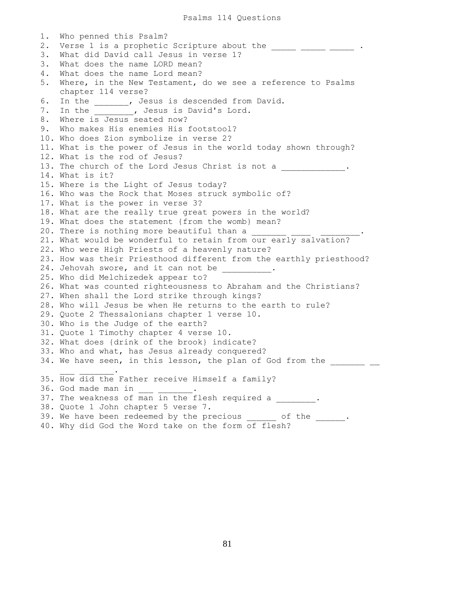1. Who penned this Psalm? 2. Verse 1 is a prophetic Scripture about the \_\_\_\_\_ \_\_\_\_\_ \_\_\_\_\_ . 3. What did David call Jesus in verse 1? 3. What does the name LORD mean? 4. What does the name Lord mean? 5. Where, in the New Testament, do we see a reference to Psalms chapter 114 verse? 6. In the \_\_\_\_\_\_\_, Jesus is descended from David. 7. In the \_\_\_\_\_\_\_, Jesus is David's Lord. 8. Where is Jesus seated now? 9. Who makes His enemies His footstool? 10. Who does Zion symbolize in verse 2? 11. What is the power of Jesus in the world today shown through? 12. What is the rod of Jesus? 13. The church of the Lord Jesus Christ is not a \_\_\_\_\_\_\_\_\_\_\_\_. 14. What is it? 15. Where is the Light of Jesus today? 16. Who was the Rock that Moses struck symbolic of? 17. What is the power in verse 3? 18. What are the really true great powers in the world? 19. What does the statement {from the womb} mean? 20. There is nothing more beautiful than a  $\qquad \qquad$ 21. What would be wonderful to retain from our early salvation? 22. Who were High Priests of a heavenly nature? 23. How was their Priesthood different from the earthly priesthood? 24. Jehovah swore, and it can not be \_\_\_\_\_\_\_\_\_\_. 25. Who did Melchizedek appear to? 26. What was counted righteousness to Abraham and the Christians? 27. When shall the Lord strike through kings? 28. Who will Jesus be when He returns to the earth to rule? 29. Quote 2 Thessalonians chapter 1 verse 10. 30. Who is the Judge of the earth? 31. Quote 1 Timothy chapter 4 verse 10. 32. What does {drink of the brook} indicate? 33. Who and what, has Jesus already conquered? 34. We have seen, in this lesson, the plan of God from the \_\_\_\_\_\_\_\_ \_\_  $\mathcal{L} = \{ \mathcal{L} \mid \mathcal{L} \in \mathcal{L} \}$ 35. How did the Father receive Himself a family? 36. God made man in 37. The weakness of man in the flesh required a  $\blacksquare$ 38. Quote 1 John chapter 5 verse 7. 39. We have been redeemed by the precious \_\_\_\_\_\_ of the \_\_\_\_\_\_. 40. Why did God the Word take on the form of flesh?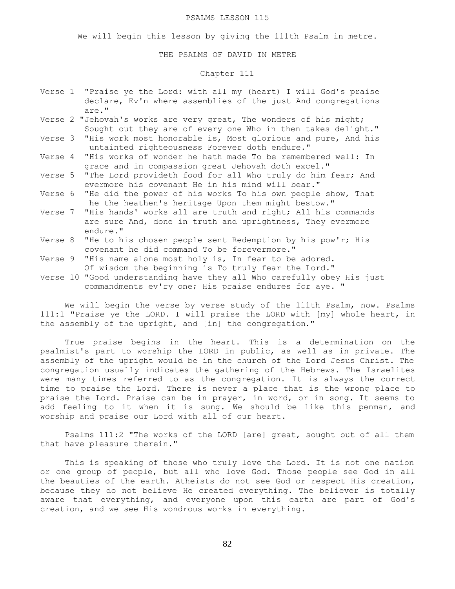#### PSALMS LESSON 115

We will begin this lesson by giving the 111th Psalm in metre.

## THE PSALMS OF DAVID IN METRE

# Chapter 111

- Verse 1 "Praise ye the Lord: with all my (heart) I will God's praise declare, Ev'n where assemblies of the just And congregations are."
- Verse 2 "Jehovah's works are very great, The wonders of his might; Sought out they are of every one Who in then takes delight."
- Verse 3 "His work most honorable is, Most glorious and pure, And his untainted righteousness Forever doth endure."
- Verse 4 "His works of wonder he hath made To be remembered well: In grace and in compassion great Jehovah doth excel."
- Verse 5 "The Lord provideth food for all Who truly do him fear; And evermore his covenant He in his mind will bear."
- Verse 6 "He did the power of his works To his own people show, That he the heathen's heritage Upon them might bestow."
- Verse 7 "His hands' works all are truth and right; All his commands are sure And, done in truth and uprightness, They evermore endure."
- Verse 8 "He to his chosen people sent Redemption by his pow'r; His covenant he did command To be forevermore."
- Verse 9 "His name alone most holy is, In fear to be adored. Of wisdom the beginning is To truly fear the Lord."
- Verse 10 "Good understanding have they all Who carefully obey His just commandments ev'ry one; His praise endures for aye. "

 We will begin the verse by verse study of the 111th Psalm, now. Psalms 111:1 "Praise ye the LORD. I will praise the LORD with [my] whole heart, in the assembly of the upright, and [in] the congregation."

 True praise begins in the heart. This is a determination on the psalmist's part to worship the LORD in public, as well as in private. The assembly of the upright would be in the church of the Lord Jesus Christ. The congregation usually indicates the gathering of the Hebrews. The Israelites were many times referred to as the congregation. It is always the correct time to praise the Lord. There is never a place that is the wrong place to praise the Lord. Praise can be in prayer, in word, or in song. It seems to add feeling to it when it is sung. We should be like this penman, and worship and praise our Lord with all of our heart.

 Psalms 111:2 "The works of the LORD [are] great, sought out of all them that have pleasure therein."

 This is speaking of those who truly love the Lord. It is not one nation or one group of people, but all who love God. Those people see God in all the beauties of the earth. Atheists do not see God or respect His creation, because they do not believe He created everything. The believer is totally aware that everything, and everyone upon this earth are part of God's creation, and we see His wondrous works in everything.

82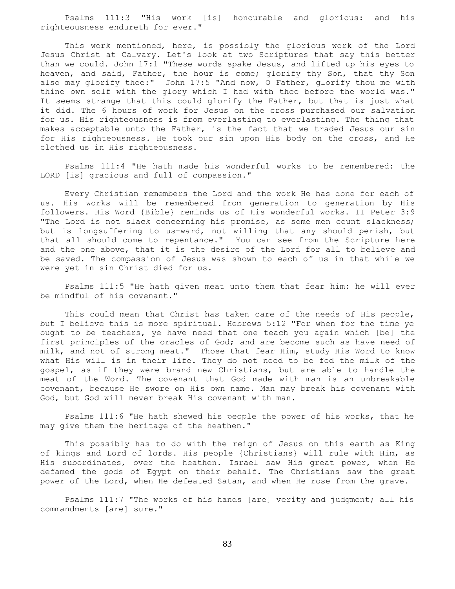Psalms 111:3 "His work [is] honourable and glorious: and his righteousness endureth for ever."

 This work mentioned, here, is possibly the glorious work of the Lord Jesus Christ at Calvary. Let's look at two Scriptures that say this better than we could. John 17:1 "These words spake Jesus, and lifted up his eyes to heaven, and said, Father, the hour is come; glorify thy Son, that thy Son also may glorify thee:" John 17:5 "And now, O Father, glorify thou me with thine own self with the glory which I had with thee before the world was." It seems strange that this could glorify the Father, but that is just what it did. The 6 hours of work for Jesus on the cross purchased our salvation for us. His righteousness is from everlasting to everlasting. The thing that makes acceptable unto the Father, is the fact that we traded Jesus our sin for His righteousness. He took our sin upon His body on the cross, and He clothed us in His righteousness.

 Psalms 111:4 "He hath made his wonderful works to be remembered: the LORD [is] gracious and full of compassion."

 Every Christian remembers the Lord and the work He has done for each of us. His works will be remembered from generation to generation by His followers. His Word {Bible} reminds us of His wonderful works. II Peter 3:9 "The Lord is not slack concerning his promise, as some men count slackness; but is longsuffering to us-ward, not willing that any should perish, but that all should come to repentance." You can see from the Scripture here and the one above, that it is the desire of the Lord for all to believe and be saved. The compassion of Jesus was shown to each of us in that while we were yet in sin Christ died for us.

 Psalms 111:5 "He hath given meat unto them that fear him: he will ever be mindful of his covenant."

 This could mean that Christ has taken care of the needs of His people, but I believe this is more spiritual. Hebrews 5:12 "For when for the time ye ought to be teachers, ye have need that one teach you again which [be] the first principles of the oracles of God; and are become such as have need of milk, and not of strong meat." Those that fear Him, study His Word to know what His will is in their life. They do not need to be fed the milk of the gospel, as if they were brand new Christians, but are able to handle the meat of the Word. The covenant that God made with man is an unbreakable covenant, because He swore on His own name. Man may break his covenant with God, but God will never break His covenant with man.

 Psalms 111:6 "He hath shewed his people the power of his works, that he may give them the heritage of the heathen."

 This possibly has to do with the reign of Jesus on this earth as King of kings and Lord of lords. His people {Christians} will rule with Him, as His subordinates, over the heathen. Israel saw His great power, when He defamed the gods of Egypt on their behalf. The Christians saw the great power of the Lord, when He defeated Satan, and when He rose from the grave.

 Psalms 111:7 "The works of his hands [are] verity and judgment; all his commandments [are] sure."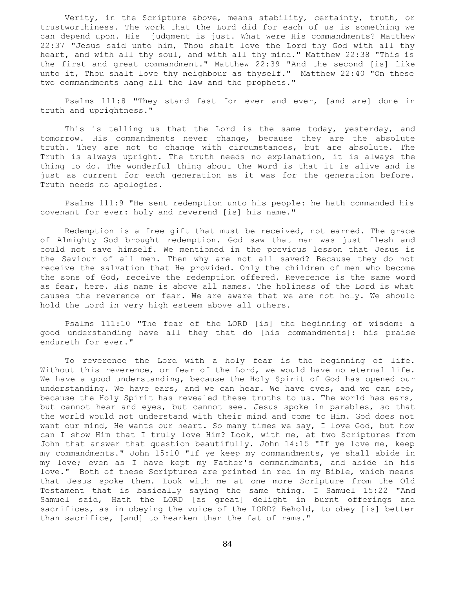Verity, in the Scripture above, means stability, certainty, truth, or trustworthiness. The work that the Lord did for each of us is something we can depend upon. His judgment is just. What were His commandments? Matthew 22:37 "Jesus said unto him, Thou shalt love the Lord thy God with all thy heart, and with all thy soul, and with all thy mind." Matthew 22:38 "This is the first and great commandment." Matthew 22:39 "And the second [is] like unto it, Thou shalt love thy neighbour as thyself." Matthew 22:40 "On these two commandments hang all the law and the prophets."

 Psalms 111:8 "They stand fast for ever and ever, [and are] done in truth and uprightness."

This is telling us that the Lord is the same today, yesterday, and tomorrow. His commandments never change, because they are the absolute truth. They are not to change with circumstances, but are absolute. The Truth is always upright. The truth needs no explanation, it is always the thing to do. The wonderful thing about the Word is that it is alive and is just as current for each generation as it was for the generation before. Truth needs no apologies.

 Psalms 111:9 "He sent redemption unto his people: he hath commanded his covenant for ever: holy and reverend [is] his name."

 Redemption is a free gift that must be received, not earned. The grace of Almighty God brought redemption. God saw that man was just flesh and could not save himself. We mentioned in the previous lesson that Jesus is the Saviour of all men. Then why are not all saved? Because they do not receive the salvation that He provided. Only the children of men who become the sons of God, receive the redemption offered. Reverence is the same word as fear, here. His name is above all names. The holiness of the Lord is what causes the reverence or fear. We are aware that we are not holy. We should hold the Lord in very high esteem above all others.

 Psalms 111:10 "The fear of the LORD [is] the beginning of wisdom: a good understanding have all they that do [his commandments]: his praise endureth for ever."

 To reverence the Lord with a holy fear is the beginning of life. Without this reverence, or fear of the Lord, we would have no eternal life. We have a good understanding, because the Holy Spirit of God has opened our understanding. We have ears, and we can hear. We have eyes, and we can see, because the Holy Spirit has revealed these truths to us. The world has ears, but cannot hear and eyes, but cannot see. Jesus spoke in parables, so that the world would not understand with their mind and come to Him. God does not want our mind, He wants our heart. So many times we say, I love God, but how can I show Him that I truly love Him? Look, with me, at two Scriptures from John that answer that question beautifully. John 14:15 "If ye love me, keep my commandments." John 15:10 "If ye keep my commandments, ye shall abide in my love; even as I have kept my Father's commandments, and abide in his love." Both of these Scriptures are printed in red in my Bible, which means that Jesus spoke them. Look with me at one more Scripture from the Old Testament that is basically saying the same thing. I Samuel 15:22 "And Samuel said, Hath the LORD [as great] delight in burnt offerings and sacrifices, as in obeying the voice of the LORD? Behold, to obey [is] better than sacrifice, [and] to hearken than the fat of rams."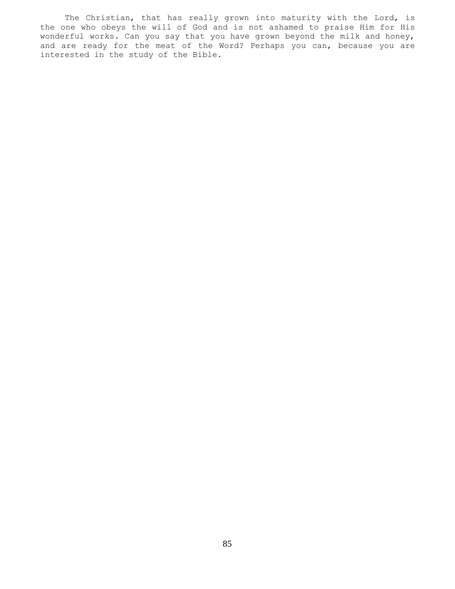The Christian, that has really grown into maturity with the Lord, is the one who obeys the will of God and is not ashamed to praise Him for His wonderful works. Can you say that you have grown beyond the milk and honey, and are ready for the meat of the Word? Perhaps you can, because you are interested in the study of the Bible.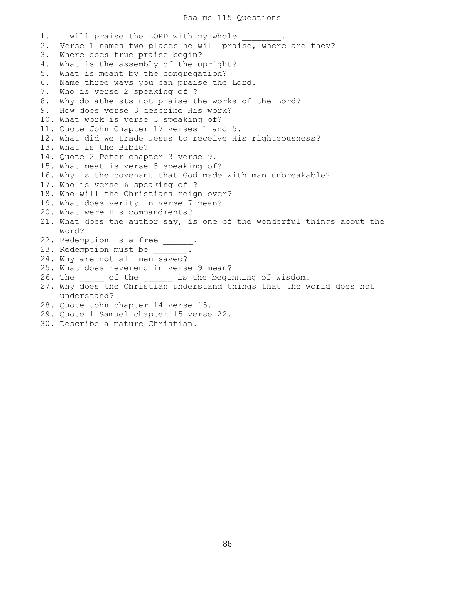1. I will praise the LORD with my whole 2. Verse 1 names two places he will praise, where are they? 3. Where does true praise begin? 4. What is the assembly of the upright? 5. What is meant by the congregation? 6. Name three ways you can praise the Lord. 7. Who is verse 2 speaking of ? 8. Why do atheists not praise the works of the Lord? 9. How does verse 3 describe His work? 10. What work is verse 3 speaking of? 11. Quote John Chapter 17 verses 1 and 5. 12. What did we trade Jesus to receive His righteousness? 13. What is the Bible? 14. Quote 2 Peter chapter 3 verse 9. 15. What meat is verse 5 speaking of? 16. Why is the covenant that God made with man unbreakable? 17. Who is verse 6 speaking of ? 18. Who will the Christians reign over? 19. What does verity in verse 7 mean? 20. What were His commandments? 21. What does the author say, is one of the wonderful things about the Word? 22. Redemption is a free \_\_\_\_\_\_. 23. Redemption must be 24. Why are not all men saved? 25. What does reverend in verse 9 mean? 26. The contribution of the contracts is the beginning of wisdom. 27. Why does the Christian understand things that the world does not understand? 28. Quote John chapter 14 verse 15. 29. Quote 1 Samuel chapter 15 verse 22. 30. Describe a mature Christian.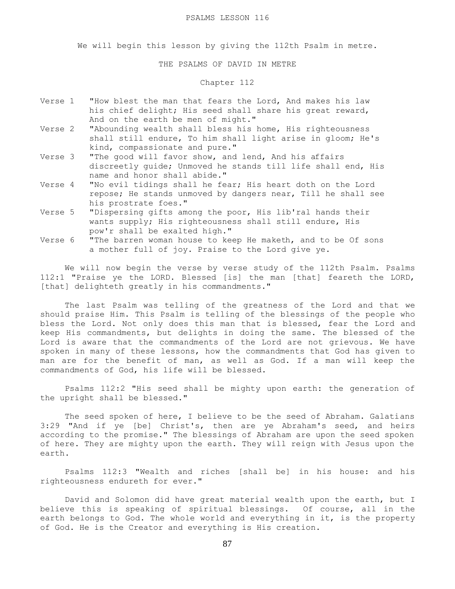We will begin this lesson by giving the 112th Psalm in metre.

THE PSALMS OF DAVID IN METRE

# Chapter 112

- Verse 1 "How blest the man that fears the Lord, And makes his law his chief delight; His seed shall share his great reward, And on the earth be men of might."
- Verse 2 "Abounding wealth shall bless his home, His righteousness shall still endure, To him shall light arise in gloom; He's kind, compassionate and pure."
- Verse 3 "The good will favor show, and lend, And his affairs discreetly guide; Unmoved he stands till life shall end, His name and honor shall abide."
- Verse 4 "No evil tidings shall he fear; His heart doth on the Lord repose; He stands unmoved by dangers near, Till he shall see his prostrate foes."
- Verse 5 "Dispersing gifts among the poor, His lib'ral hands their wants supply; His righteousness shall still endure, His pow'r shall be exalted high."
- Verse 6 "The barren woman house to keep He maketh, and to be Of sons a mother full of joy. Praise to the Lord give ye.

We will now begin the verse by verse study of the 112th Psalm. Psalms 112:1 "Praise ye the LORD. Blessed [is] the man [that] feareth the LORD, [that] delighteth greatly in his commandments."

 The last Psalm was telling of the greatness of the Lord and that we should praise Him. This Psalm is telling of the blessings of the people who bless the Lord. Not only does this man that is blessed, fear the Lord and keep His commandments, but delights in doing the same. The blessed of the Lord is aware that the commandments of the Lord are not grievous. We have spoken in many of these lessons, how the commandments that God has given to man are for the benefit of man, as well as God. If a man will keep the commandments of God, his life will be blessed.

 Psalms 112:2 "His seed shall be mighty upon earth: the generation of the upright shall be blessed."

 The seed spoken of here, I believe to be the seed of Abraham. Galatians 3:29 "And if ye [be] Christ's, then are ye Abraham's seed, and heirs according to the promise." The blessings of Abraham are upon the seed spoken of here. They are mighty upon the earth. They will reign with Jesus upon the earth.

 Psalms 112:3 "Wealth and riches [shall be] in his house: and his righteousness endureth for ever."

 David and Solomon did have great material wealth upon the earth, but I believe this is speaking of spiritual blessings. Of course, all in the earth belongs to God. The whole world and everything in it, is the property of God. He is the Creator and everything is His creation.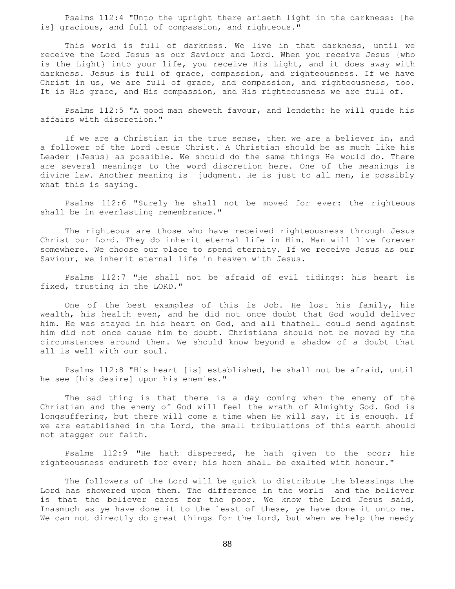Psalms 112:4 "Unto the upright there ariseth light in the darkness: [he is] gracious, and full of compassion, and righteous."

 This world is full of darkness. We live in that darkness, until we receive the Lord Jesus as our Saviour and Lord. When you receive Jesus {who is the Light} into your life, you receive His Light, and it does away with darkness. Jesus is full of grace, compassion, and righteousness. If we have Christ in us, we are full of grace, and compassion, and righteousness, too. It is His grace, and His compassion, and His righteousness we are full of.

 Psalms 112:5 "A good man sheweth favour, and lendeth: he will guide his affairs with discretion."

 If we are a Christian in the true sense, then we are a believer in, and a follower of the Lord Jesus Christ. A Christian should be as much like his Leader {Jesus} as possible. We should do the same things He would do. There are several meanings to the word discretion here. One of the meanings is divine law. Another meaning is judgment. He is just to all men, is possibly what this is saying.

 Psalms 112:6 "Surely he shall not be moved for ever: the righteous shall be in everlasting remembrance."

 The righteous are those who have received righteousness through Jesus Christ our Lord. They do inherit eternal life in Him. Man will live forever somewhere. We choose our place to spend eternity. If we receive Jesus as our Saviour, we inherit eternal life in heaven with Jesus.

 Psalms 112:7 "He shall not be afraid of evil tidings: his heart is fixed, trusting in the LORD."

 One of the best examples of this is Job. He lost his family, his wealth, his health even, and he did not once doubt that God would deliver him. He was stayed in his heart on God, and all thathell could send against him did not once cause him to doubt. Christians should not be moved by the circumstances around them. We should know beyond a shadow of a doubt that all is well with our soul.

 Psalms 112:8 "His heart [is] established, he shall not be afraid, until he see [his desire] upon his enemies."

 The sad thing is that there is a day coming when the enemy of the Christian and the enemy of God will feel the wrath of Almighty God. God is longsuffering, but there will come a time when He will say, it is enough. If we are established in the Lord, the small tribulations of this earth should not stagger our faith.

 Psalms 112:9 "He hath dispersed, he hath given to the poor; his righteousness endureth for ever; his horn shall be exalted with honour."

 The followers of the Lord will be quick to distribute the blessings the Lord has showered upon them. The difference in the world and the believer is that the believer cares for the poor. We know the Lord Jesus said, Inasmuch as ye have done it to the least of these, ye have done it unto me. We can not directly do great things for the Lord, but when we help the needy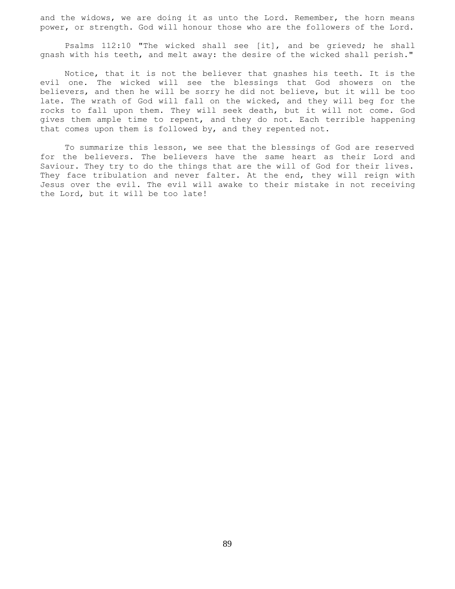and the widows, we are doing it as unto the Lord. Remember, the horn means power, or strength. God will honour those who are the followers of the Lord.

 Psalms 112:10 "The wicked shall see [it], and be grieved; he shall gnash with his teeth, and melt away: the desire of the wicked shall perish."

 Notice, that it is not the believer that gnashes his teeth. It is the evil one. The wicked will see the blessings that God showers on the believers, and then he will be sorry he did not believe, but it will be too late. The wrath of God will fall on the wicked, and they will beg for the rocks to fall upon them. They will seek death, but it will not come. God gives them ample time to repent, and they do not. Each terrible happening that comes upon them is followed by, and they repented not.

 To summarize this lesson, we see that the blessings of God are reserved for the believers. The believers have the same heart as their Lord and Saviour. They try to do the things that are the will of God for their lives. They face tribulation and never falter. At the end, they will reign with Jesus over the evil. The evil will awake to their mistake in not receiving the Lord, but it will be too late!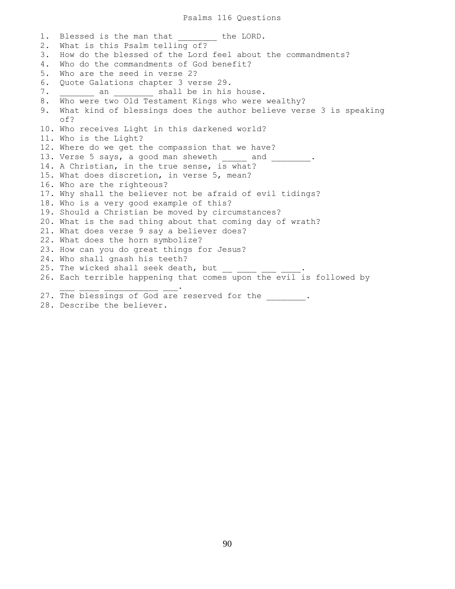1. Blessed is the man that \_\_\_\_\_\_\_ the LORD. 2. What is this Psalm telling of? 3. How do the blessed of the Lord feel about the commandments? 4. Who do the commandments of God benefit? 5. Who are the seed in verse 2? 6. Quote Galations chapter 3 verse 29. 7. \_\_\_\_\_\_\_ an \_\_\_\_\_\_\_\_ shall be in his house. 8. Who were two Old Testament Kings who were wealthy? 9. What kind of blessings does the author believe verse 3 is speaking of? 10. Who receives Light in this darkened world? 11. Who is the Light? 12. Where do we get the compassion that we have? 13. Verse 5 says, a good man sheweth  $\frac{1}{2}$  and  $\frac{1}{2}$ . 14. A Christian, in the true sense, is what? 15. What does discretion, in verse 5, mean? 16. Who are the righteous? 17. Why shall the believer not be afraid of evil tidings? 18. Who is a very good example of this? 19. Should a Christian be moved by circumstances? 20. What is the sad thing about that coming day of wrath? 21. What does verse 9 say a believer does? 22. What does the horn symbolize? 23. How can you do great things for Jesus? 24. Who shall gnash his teeth? 25. The wicked shall seek death, but 26. Each terrible happening that comes upon the evil is followed by  $\mathcal{L} = \mathcal{L} \cup \mathcal{L} = \mathcal{L} \cup \mathcal{L} = \mathcal{L} \cup \mathcal{L} = \mathcal{L} \cup \mathcal{L} = \mathcal{L} \cup \mathcal{L}$ 27. The blessings of God are reserved for the \_\_\_\_\_\_\_\_. 28. Describe the believer.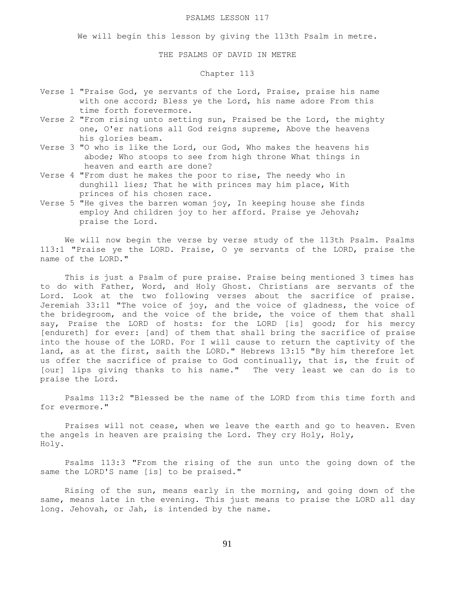#### PSALMS LESSON 117

We will begin this lesson by giving the 113th Psalm in metre.

THE PSALMS OF DAVID IN METRE

## Chapter 113

- Verse 1 "Praise God, ye servants of the Lord, Praise, praise his name with one accord; Bless ye the Lord, his name adore From this time forth forevermore.
- Verse 2 "From rising unto setting sun, Praised be the Lord, the mighty one, O'er nations all God reigns supreme, Above the heavens his glories beam.
- Verse 3 "O who is like the Lord, our God, Who makes the heavens his abode; Who stoops to see from high throne What things in heaven and earth are done?
- Verse 4 "From dust he makes the poor to rise, The needy who in dunghill lies; That he with princes may him place, With princes of his chosen race.
- Verse 5 "He gives the barren woman joy, In keeping house she finds employ And children joy to her afford. Praise ye Jehovah; praise the Lord.

 We will now begin the verse by verse study of the 113th Psalm. Psalms 113:1 "Praise ye the LORD. Praise, O ye servants of the LORD, praise the name of the LORD."

 This is just a Psalm of pure praise. Praise being mentioned 3 times has to do with Father, Word, and Holy Ghost. Christians are servants of the Lord. Look at the two following verses about the sacrifice of praise. Jeremiah 33:11 "The voice of joy, and the voice of gladness, the voice of the bridegroom, and the voice of the bride, the voice of them that shall say, Praise the LORD of hosts: for the LORD [is] good; for his mercy [endureth] for ever: [and] of them that shall bring the sacrifice of praise into the house of the LORD. For I will cause to return the captivity of the land, as at the first, saith the LORD." Hebrews 13:15 "By him therefore let us offer the sacrifice of praise to God continually, that is, the fruit of [our] lips giving thanks to his name." The very least we can do is to praise the Lord.

 Psalms 113:2 "Blessed be the name of the LORD from this time forth and for evermore."

 Praises will not cease, when we leave the earth and go to heaven. Even the angels in heaven are praising the Lord. They cry Holy, Holy, Holy.

 Psalms 113:3 "From the rising of the sun unto the going down of the same the LORD'S name [is] to be praised."

 Rising of the sun, means early in the morning, and going down of the same, means late in the evening. This just means to praise the LORD all day long. Jehovah, or Jah, is intended by the name.

91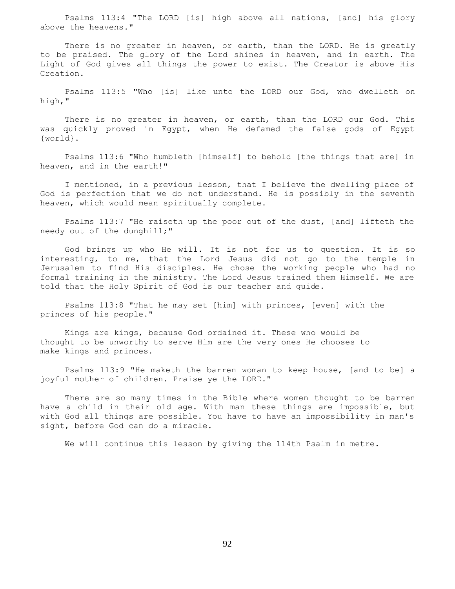Psalms 113:4 "The LORD [is] high above all nations, [and] his glory above the heavens."

There is no greater in heaven, or earth, than the LORD. He is greatly to be praised. The glory of the Lord shines in heaven, and in earth. The Light of God gives all things the power to exist. The Creator is above His Creation.

 Psalms 113:5 "Who [is] like unto the LORD our God, who dwelleth on high,"

 There is no greater in heaven, or earth, than the LORD our God. This was quickly proved in Egypt, when He defamed the false gods of Egypt {world}.

 Psalms 113:6 "Who humbleth [himself] to behold [the things that are] in heaven, and in the earth!"

 I mentioned, in a previous lesson, that I believe the dwelling place of God is perfection that we do not understand. He is possibly in the seventh heaven, which would mean spiritually complete.

 Psalms 113:7 "He raiseth up the poor out of the dust, [and] lifteth the needy out of the dunghill;"

 God brings up who He will. It is not for us to question. It is so interesting, to me, that the Lord Jesus did not go to the temple in Jerusalem to find His disciples. He chose the working people who had no formal training in the ministry. The Lord Jesus trained them Himself. We are told that the Holy Spirit of God is our teacher and guide.

 Psalms 113:8 "That he may set [him] with princes, [even] with the princes of his people."

 Kings are kings, because God ordained it. These who would be thought to be unworthy to serve Him are the very ones He chooses to make kings and princes.

 Psalms 113:9 "He maketh the barren woman to keep house, [and to be] a joyful mother of children. Praise ye the LORD."

 There are so many times in the Bible where women thought to be barren have a child in their old age. With man these things are impossible, but with God all things are possible. You have to have an impossibility in man's sight, before God can do a miracle.

We will continue this lesson by giving the 114th Psalm in metre.

92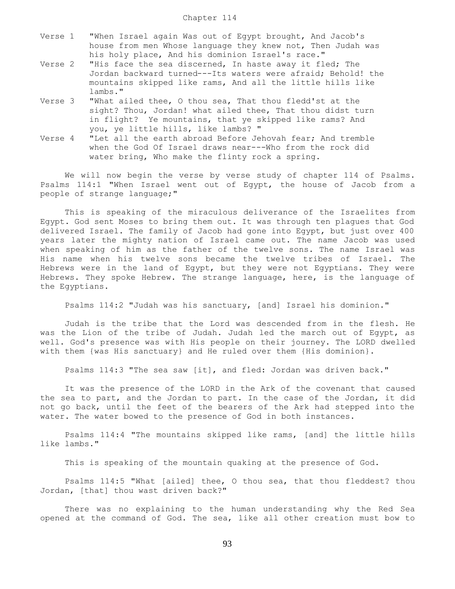| Verse 1 | "When Israel again Was out of Egypt brought, And Jacob's    |  |  |  |  |  |  |
|---------|-------------------------------------------------------------|--|--|--|--|--|--|
|         | house from men Whose language they knew not, Then Judah was |  |  |  |  |  |  |
|         | his holy place, And his dominion Israel's race."            |  |  |  |  |  |  |

- Verse 2 "His face the sea discerned, In haste away it fled; The Jordan backward turned---Its waters were afraid; Behold! the mountains skipped like rams, And all the little hills like lambs."
- Verse 3 "What ailed thee, O thou sea, That thou fledd'st at the sight? Thou, Jordan! what ailed thee, That thou didst turn in flight? Ye mountains, that ye skipped like rams? And you, ye little hills, like lambs? "
- Verse 4 "Let all the earth abroad Before Jehovah fear; And tremble when the God Of Israel draws near---Who from the rock did water bring, Who make the flinty rock a spring.

 We will now begin the verse by verse study of chapter 114 of Psalms. Psalms 114:1 "When Israel went out of Egypt, the house of Jacob from a people of strange language;"

 This is speaking of the miraculous deliverance of the Israelites from Egypt. God sent Moses to bring them out. It was through ten plagues that God delivered Israel. The family of Jacob had gone into Egypt, but just over 400 years later the mighty nation of Israel came out. The name Jacob was used when speaking of him as the father of the twelve sons. The name Israel was His name when his twelve sons became the twelve tribes of Israel. The Hebrews were in the land of Egypt, but they were not Egyptians. They were Hebrews. They spoke Hebrew. The strange language, here, is the language of the Egyptians.

Psalms 114:2 "Judah was his sanctuary, [and] Israel his dominion."

 Judah is the tribe that the Lord was descended from in the flesh. He was the Lion of the tribe of Judah. Judah led the march out of Egypt, as well. God's presence was with His people on their journey. The LORD dwelled with them {was His sanctuary} and He ruled over them {His dominion}.

Psalms 114:3 "The sea saw [it], and fled: Jordan was driven back."

 It was the presence of the LORD in the Ark of the covenant that caused the sea to part, and the Jordan to part. In the case of the Jordan, it did not go back, until the feet of the bearers of the Ark had stepped into the water. The water bowed to the presence of God in both instances.

 Psalms 114:4 "The mountains skipped like rams, [and] the little hills like lambs."

This is speaking of the mountain quaking at the presence of God.

 Psalms 114:5 "What [ailed] thee, O thou sea, that thou fleddest? thou Jordan, [that] thou wast driven back?"

 There was no explaining to the human understanding why the Red Sea opened at the command of God. The sea, like all other creation must bow to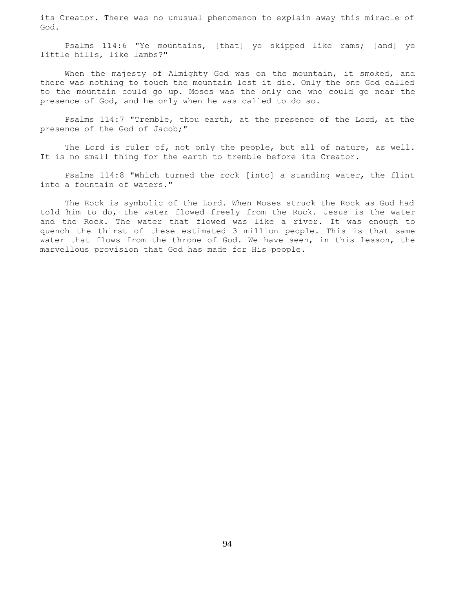its Creator. There was no unusual phenomenon to explain away this miracle of God.

 Psalms 114:6 "Ye mountains, [that] ye skipped like rams; [and] ye little hills, like lambs?"

When the majesty of Almighty God was on the mountain, it smoked, and there was nothing to touch the mountain lest it die. Only the one God called to the mountain could go up. Moses was the only one who could go near the presence of God, and he only when he was called to do so.

 Psalms 114:7 "Tremble, thou earth, at the presence of the Lord, at the presence of the God of Jacob;"

The Lord is ruler of, not only the people, but all of nature, as well. It is no small thing for the earth to tremble before its Creator.

 Psalms 114:8 "Which turned the rock [into] a standing water, the flint into a fountain of waters."

 The Rock is symbolic of the Lord. When Moses struck the Rock as God had told him to do, the water flowed freely from the Rock. Jesus is the water and the Rock. The water that flowed was like a river. It was enough to quench the thirst of these estimated 3 million people. This is that same water that flows from the throne of God. We have seen, in this lesson, the marvellous provision that God has made for His people.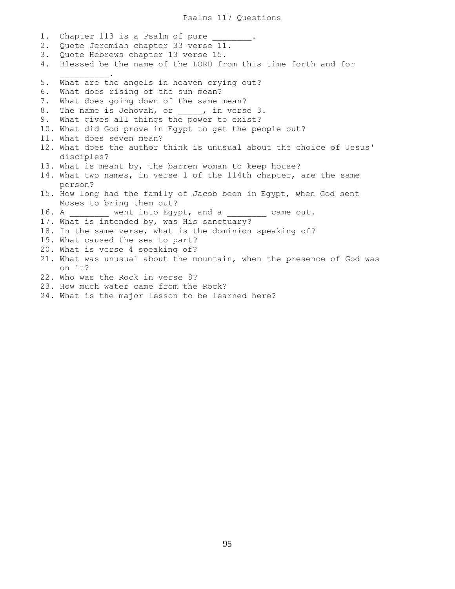1. Chapter 113 is a Psalm of pure 2. Quote Jeremiah chapter 33 verse 11. 3. Quote Hebrews chapter 13 verse 15. 4. Blessed be the name of the LORD from this time forth and for  $\mathcal{L}=\mathcal{L}=\mathcal{L}=\mathcal{L}=\mathcal{L}=\mathcal{L}$ 5. What are the angels in heaven crying out? 6. What does rising of the sun mean? 7. What does going down of the same mean? 8. The name is Jehovah, or , in verse 3. 9. What gives all things the power to exist? 10. What did God prove in Egypt to get the people out? 11. What does seven mean? 12. What does the author think is unusual about the choice of Jesus' disciples? 13. What is meant by, the barren woman to keep house? 14. What two names, in verse 1 of the 114th chapter, are the same person? 15. How long had the family of Jacob been in Egypt, when God sent Moses to bring them out? 16. A went into Egypt, and a came out. 17. What is intended by, was His sanctuary? 18. In the same verse, what is the dominion speaking of? 19. What caused the sea to part? 20. What is verse 4 speaking of? 21. What was unusual about the mountain, when the presence of God was on it? 22. Who was the Rock in verse 8? 23. How much water came from the Rock?

24. What is the major lesson to be learned here?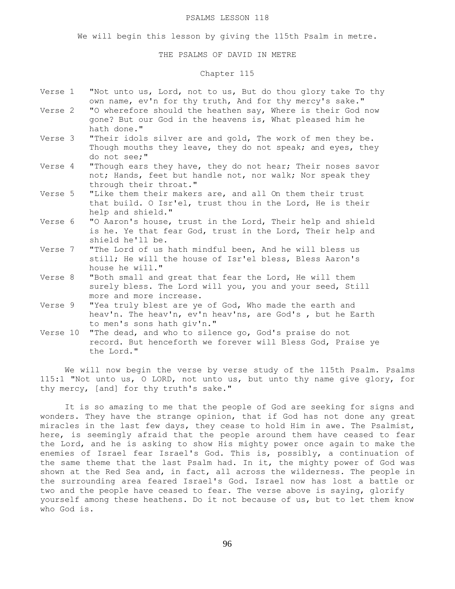#### PSALMS LESSON 118

We will begin this lesson by giving the 115th Psalm in metre.

## THE PSALMS OF DAVID IN METRE

# Chapter 115

- Verse 1 "Not unto us, Lord, not to us, But do thou glory take To thy own name, ev'n for thy truth, And for thy mercy's sake."
- Verse 2 "O wherefore should the heathen say, Where is their God now gone? But our God in the heavens is, What pleased him he hath done."
- Verse 3 "Their idols silver are and gold, The work of men they be. Though mouths they leave, they do not speak; and eyes, they do not see;"
- Verse 4 "Though ears they have, they do not hear; Their noses savor not; Hands, feet but handle not, nor walk; Nor speak they through their throat."
- Verse 5 "Like them their makers are, and all On them their trust that build. O Isr'el, trust thou in the Lord, He is their help and shield."
- Verse 6 "O Aaron's house, trust in the Lord, Their help and shield is he. Ye that fear God, trust in the Lord, Their help and shield he'll be.
- Verse 7 "The Lord of us hath mindful been, And he will bless us still; He will the house of Isr'el bless, Bless Aaron's house he will."
- Verse 8 "Both small and great that fear the Lord, He will them surely bless. The Lord will you, you and your seed, Still more and more increase.
- Verse 9 "Yea truly blest are ye of God, Who made the earth and heav'n. The heav'n, ev'n heav'ns, are God's , but he Earth to men's sons hath giv'n."
- Verse 10 "The dead, and who to silence go, God's praise do not record. But henceforth we forever will Bless God, Praise ye the Lord."

 We will now begin the verse by verse study of the 115th Psalm. Psalms 115:1 "Not unto us, O LORD, not unto us, but unto thy name give glory, for thy mercy, [and] for thy truth's sake."

 It is so amazing to me that the people of God are seeking for signs and wonders. They have the strange opinion, that if God has not done any great miracles in the last few days, they cease to hold Him in awe. The Psalmist, here, is seemingly afraid that the people around them have ceased to fear the Lord, and he is asking to show His mighty power once again to make the enemies of Israel fear Israel's God. This is, possibly, a continuation of the same theme that the last Psalm had. In it, the mighty power of God was shown at the Red Sea and, in fact, all across the wilderness. The people in the surrounding area feared Israel's God. Israel now has lost a battle or two and the people have ceased to fear. The verse above is saying, glorify yourself among these heathens. Do it not because of us, but to let them know who God is.

96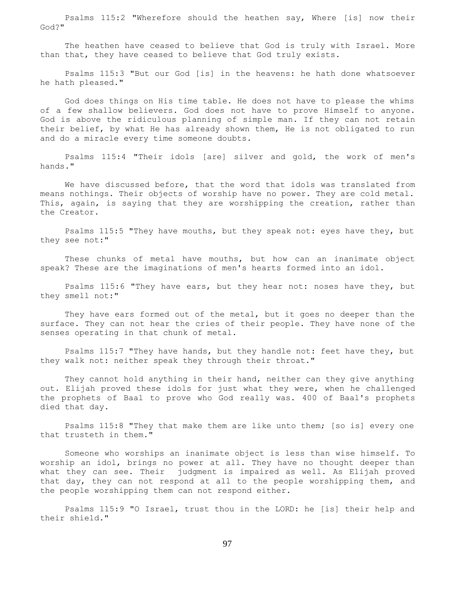Psalms 115:2 "Wherefore should the heathen say, Where [is] now their God?"

 The heathen have ceased to believe that God is truly with Israel. More than that, they have ceased to believe that God truly exists.

 Psalms 115:3 "But our God [is] in the heavens: he hath done whatsoever he hath pleased."

 God does things on His time table. He does not have to please the whims of a few shallow believers. God does not have to prove Himself to anyone. God is above the ridiculous planning of simple man. If they can not retain their belief, by what He has already shown them, He is not obligated to run and do a miracle every time someone doubts.

 Psalms 115:4 "Their idols [are] silver and gold, the work of men's hands."

We have discussed before, that the word that idols was translated from means nothings. Their objects of worship have no power. They are cold metal. This, again, is saying that they are worshipping the creation, rather than the Creator.

 Psalms 115:5 "They have mouths, but they speak not: eyes have they, but they see not:"

 These chunks of metal have mouths, but how can an inanimate object speak? These are the imaginations of men's hearts formed into an idol.

 Psalms 115:6 "They have ears, but they hear not: noses have they, but they smell not:"

They have ears formed out of the metal, but it goes no deeper than the surface. They can not hear the cries of their people. They have none of the senses operating in that chunk of metal.

 Psalms 115:7 "They have hands, but they handle not: feet have they, but they walk not: neither speak they through their throat."

 They cannot hold anything in their hand, neither can they give anything out. Elijah proved these idols for just what they were, when he challenged the prophets of Baal to prove who God really was. 400 of Baal's prophets died that day.

 Psalms 115:8 "They that make them are like unto them; [so is] every one that trusteth in them."

 Someone who worships an inanimate object is less than wise himself. To worship an idol, brings no power at all. They have no thought deeper than what they can see. Their judgment is impaired as well. As Elijah proved that day, they can not respond at all to the people worshipping them, and the people worshipping them can not respond either.

 Psalms 115:9 "O Israel, trust thou in the LORD: he [is] their help and their shield."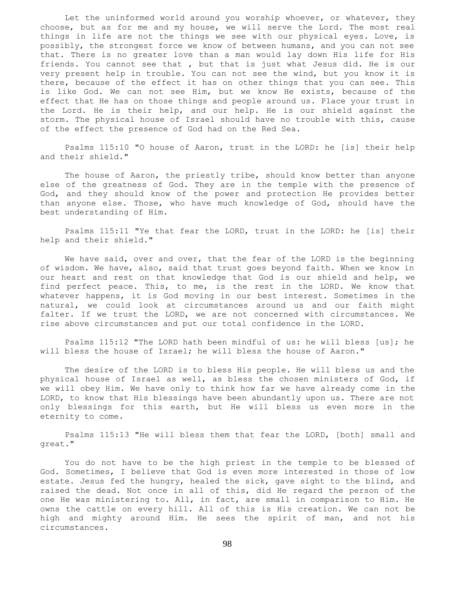Let the uninformed world around you worship whoever, or whatever, they choose, but as for me and my house, we will serve the Lord. The most real things in life are not the things we see with our physical eyes. Love, is possibly, the strongest force we know of between humans, and you can not see that. There is no greater love than a man would lay down His life for His friends. You cannot see that , but that is just what Jesus did. He is our very present help in trouble. You can not see the wind, but you know it is there, because of the effect it has on other things that you can see. This is like God. We can not see Him, but we know He exists, because of the effect that He has on those things and people around us. Place your trust in the Lord. He is their help, and our help. He is our shield against the storm. The physical house of Israel should have no trouble with this, cause of the effect the presence of God had on the Red Sea.

 Psalms 115:10 "O house of Aaron, trust in the LORD: he [is] their help and their shield."

The house of Aaron, the priestly tribe, should know better than anyone else of the greatness of God. They are in the temple with the presence of God, and they should know of the power and protection He provides better than anyone else. Those, who have much knowledge of God, should have the best understanding of Him.

 Psalms 115:11 "Ye that fear the LORD, trust in the LORD: he [is] their help and their shield."

 We have said, over and over, that the fear of the LORD is the beginning of wisdom. We have, also, said that trust goes beyond faith. When we know in our heart and rest on that knowledge that God is our shield and help, we find perfect peace. This, to me, is the rest in the LORD. We know that whatever happens, it is God moving in our best interest. Sometimes in the natural, we could look at circumstances around us and our faith might falter. If we trust the LORD, we are not concerned with circumstances. We rise above circumstances and put our total confidence in the LORD.

 Psalms 115:12 "The LORD hath been mindful of us: he will bless [us]; he will bless the house of Israel; he will bless the house of Aaron."

 The desire of the LORD is to bless His people. He will bless us and the physical house of Israel as well, as bless the chosen ministers of God, if we will obey Him. We have only to think how far we have already come in the LORD, to know that His blessings have been abundantly upon us. There are not only blessings for this earth, but He will bless us even more in the eternity to come.

 Psalms 115:13 "He will bless them that fear the LORD, [both] small and great."

 You do not have to be the high priest in the temple to be blessed of God. Sometimes, I believe that God is even more interested in those of low estate. Jesus fed the hungry, healed the sick, gave sight to the blind, and raised the dead. Not once in all of this, did He regard the person of the one He was ministering to. All, in fact, are small in comparison to Him. He owns the cattle on every hill. All of this is His creation. We can not be high and mighty around Him. He sees the spirit of man, and not his circumstances.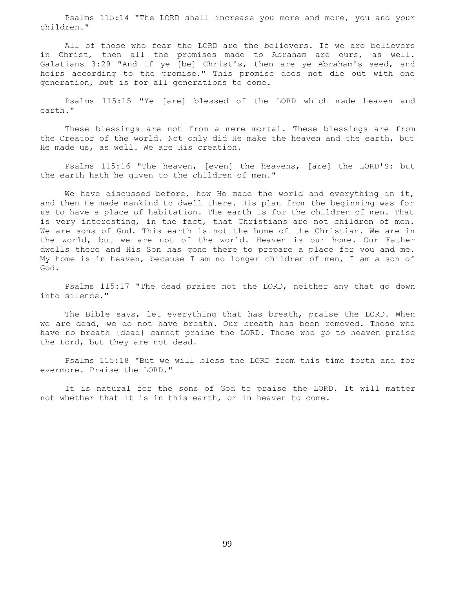Psalms 115:14 "The LORD shall increase you more and more, you and your children."

 All of those who fear the LORD are the believers. If we are believers in Christ, then all the promises made to Abraham are ours, as well. Galatians 3:29 "And if ye [be] Christ's, then are ye Abraham's seed, and heirs according to the promise." This promise does not die out with one generation, but is for all generations to come.

 Psalms 115:15 "Ye [are] blessed of the LORD which made heaven and earth."

 These blessings are not from a mere mortal. These blessings are from the Creator of the world. Not only did He make the heaven and the earth, but He made us, as well. We are His creation.

 Psalms 115:16 "The heaven, [even] the heavens, [are] the LORD'S: but the earth hath he given to the children of men."

We have discussed before, how He made the world and everything in it, and then He made mankind to dwell there. His plan from the beginning was for us to have a place of habitation. The earth is for the children of men. That is very interesting, in the fact, that Christians are not children of men. We are sons of God. This earth is not the home of the Christian. We are in the world, but we are not of the world. Heaven is our home. Our Father dwells there and His Son has gone there to prepare a place for you and me. My home is in heaven, because I am no longer children of men, I am a son of God.

 Psalms 115:17 "The dead praise not the LORD, neither any that go down into silence."

The Bible says, let everything that has breath, praise the LORD. When we are dead, we do not have breath. Our breath has been removed. Those who have no breath {dead} cannot praise the LORD. Those who go to heaven praise the Lord, but they are not dead.

 Psalms 115:18 "But we will bless the LORD from this time forth and for evermore. Praise the LORD."

 It is natural for the sons of God to praise the LORD. It will matter not whether that it is in this earth, or in heaven to come.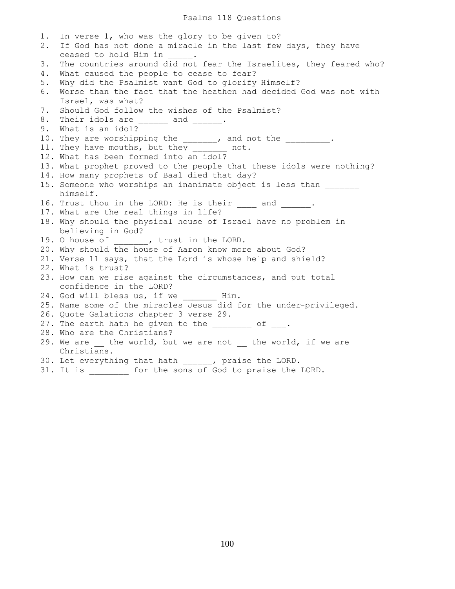1. In verse 1, who was the glory to be given to? 2. If God has not done a miracle in the last few days, they have ceased to hold Him in 3. The countries around did not fear the Israelites, they feared who? 4. What caused the people to cease to fear? 5. Why did the Psalmist want God to glorify Himself? 6. Worse than the fact that the heathen had decided God was not with Israel, was what? 7. Should God follow the wishes of the Psalmist? 8. Their idols are \_\_\_\_\_\_ and \_\_\_\_\_\_. 9. What is an idol? 10. They are worshipping the \_\_\_\_\_\_, and not the \_\_\_\_\_\_\_\_\_. 11. They have mouths, but they \_\_\_\_\_\_\_ not. 12. What has been formed into an idol? 13. What prophet proved to the people that these idols were nothing? 14. How many prophets of Baal died that day? 15. Someone who worships an inanimate object is less than himself. 16. Trust thou in the LORD: He is their and . 17. What are the real things in life? 18. Why should the physical house of Israel have no problem in believing in God? 19. O house of  $\qquad \qquad$ , trust in the LORD. 20. Why should the house of Aaron know more about God? 21. Verse 11 says, that the Lord is whose help and shield? 22. What is trust? 23. How can we rise against the circumstances, and put total confidence in the LORD? 24. God will bless us, if we \_\_\_\_\_\_\_ Him. 25. Name some of the miracles Jesus did for the under-privileged. 26. Quote Galations chapter 3 verse 29. 27. The earth hath he given to the  $\frac{1}{2}$  of  $\frac{1}{2}$ . 28. Who are the Christians? 29. We are \_\_ the world, but we are not \_\_ the world, if we are Christians. 30. Let everything that hath \_\_\_\_\_\_, praise the LORD. 31. It is \_\_\_\_\_\_\_\_ for the sons of God to praise the LORD.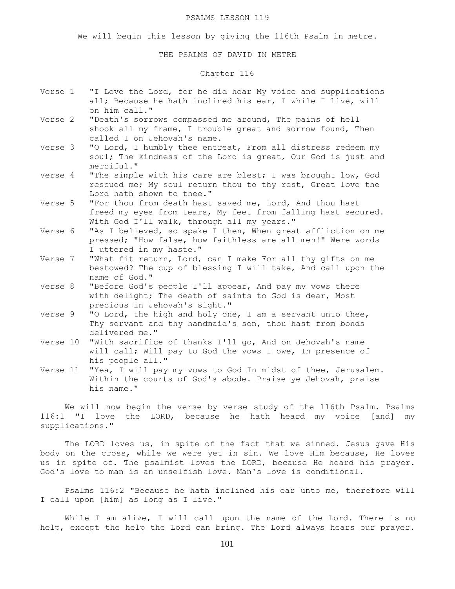#### PSALMS LESSON 119

We will begin this lesson by giving the 116th Psalm in metre.

## THE PSALMS OF DAVID IN METRE

# Chapter 116

- Verse 1 "I Love the Lord, for he did hear My voice and supplications all; Because he hath inclined his ear, I while I live, will on him call."
- Verse 2 "Death's sorrows compassed me around, The pains of hell shook all my frame, I trouble great and sorrow found, Then called I on Jehovah's name.
- Verse 3 "O Lord, I humbly thee entreat, From all distress redeem my soul; The kindness of the Lord is great, Our God is just and merciful."
- Verse 4 "The simple with his care are blest; I was brought low, God rescued me; My soul return thou to thy rest, Great love the Lord hath shown to thee."
- Verse 5 "For thou from death hast saved me, Lord, And thou hast freed my eyes from tears, My feet from falling hast secured. With God I'll walk, through all my years."
- Verse 6 "As I believed, so spake I then, When great affliction on me pressed; "How false, how faithless are all men!" Were words I uttered in my haste."
- Verse 7 "What fit return, Lord, can I make For all thy gifts on me bestowed? The cup of blessing I will take, And call upon the name of God."
- Verse 8 "Before God's people I'll appear, And pay my vows there with delight; The death of saints to God is dear, Most precious in Jehovah's sight."
- Verse 9 "O Lord, the high and holy one, I am a servant unto thee, Thy servant and thy handmaid's son, thou hast from bonds delivered me."
- Verse 10 "With sacrifice of thanks I'll go, And on Jehovah's name will call; Will pay to God the vows I owe, In presence of his people all."
- Verse 11 "Yea, I will pay my vows to God In midst of thee, Jerusalem. Within the courts of God's abode. Praise ye Jehovah, praise his name."

We will now begin the verse by verse study of the 116th Psalm. Psalms 116:1 "I love the LORD, because he hath heard my voice [and] my supplications."

 The LORD loves us, in spite of the fact that we sinned. Jesus gave His body on the cross, while we were yet in sin. We love Him because, He loves us in spite of. The psalmist loves the LORD, because He heard his prayer. God's love to man is an unselfish love. Man's love is conditional.

 Psalms 116:2 "Because he hath inclined his ear unto me, therefore will I call upon [him] as long as I live."

While I am alive, I will call upon the name of the Lord. There is no help, except the help the Lord can bring. The Lord always hears our prayer.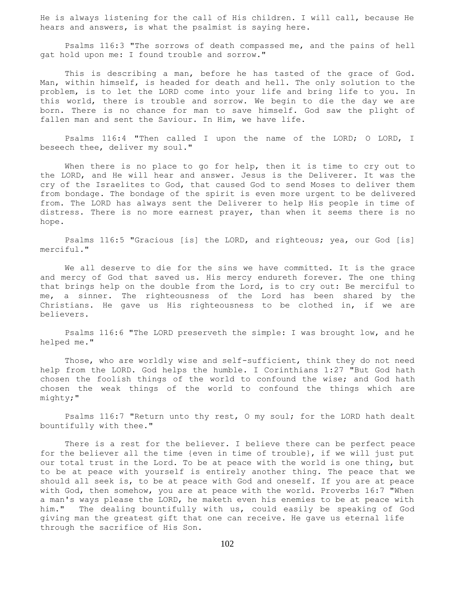He is always listening for the call of His children. I will call, because He hears and answers, is what the psalmist is saying here.

 Psalms 116:3 "The sorrows of death compassed me, and the pains of hell gat hold upon me: I found trouble and sorrow."

This is describing a man, before he has tasted of the grace of God. Man, within himself, is headed for death and hell. The only solution to the problem, is to let the LORD come into your life and bring life to you. In this world, there is trouble and sorrow. We begin to die the day we are born. There is no chance for man to save himself. God saw the plight of fallen man and sent the Saviour. In Him, we have life.

 Psalms 116:4 "Then called I upon the name of the LORD; O LORD, I beseech thee, deliver my soul."

When there is no place to go for help, then it is time to cry out to the LORD, and He will hear and answer. Jesus is the Deliverer. It was the cry of the Israelites to God, that caused God to send Moses to deliver them from bondage. The bondage of the spirit is even more urgent to be delivered from. The LORD has always sent the Deliverer to help His people in time of distress. There is no more earnest prayer, than when it seems there is no hope.

 Psalms 116:5 "Gracious [is] the LORD, and righteous; yea, our God [is] merciful."

 We all deserve to die for the sins we have committed. It is the grace and mercy of God that saved us. His mercy endureth forever. The one thing that brings help on the double from the Lord, is to cry out: Be merciful to me, a sinner. The righteousness of the Lord has been shared by the Christians. He gave us His righteousness to be clothed in, if we are believers.

 Psalms 116:6 "The LORD preserveth the simple: I was brought low, and he helped me."

 Those, who are worldly wise and self-sufficient, think they do not need help from the LORD. God helps the humble. I Corinthians 1:27 "But God hath chosen the foolish things of the world to confound the wise; and God hath chosen the weak things of the world to confound the things which are mighty;"

 Psalms 116:7 "Return unto thy rest, O my soul; for the LORD hath dealt bountifully with thee."

 There is a rest for the believer. I believe there can be perfect peace for the believer all the time {even in time of trouble}, if we will just put our total trust in the Lord. To be at peace with the world is one thing, but to be at peace with yourself is entirely another thing. The peace that we should all seek is, to be at peace with God and oneself. If you are at peace with God, then somehow, you are at peace with the world. Proverbs 16:7 "When a man's ways please the LORD, he maketh even his enemies to be at peace with him." The dealing bountifully with us, could easily be speaking of God giving man the greatest gift that one can receive. He gave us eternal life through the sacrifice of His Son.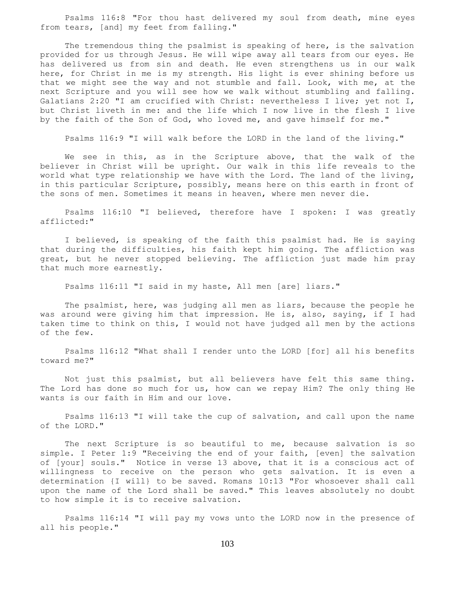Psalms 116:8 "For thou hast delivered my soul from death, mine eyes from tears, [and] my feet from falling."

 The tremendous thing the psalmist is speaking of here, is the salvation provided for us through Jesus. He will wipe away all tears from our eyes. He has delivered us from sin and death. He even strengthens us in our walk here, for Christ in me is my strength. His light is ever shining before us that we might see the way and not stumble and fall. Look, with me, at the next Scripture and you will see how we walk without stumbling and falling. Galatians 2:20 "I am crucified with Christ: nevertheless I live; yet not I, but Christ liveth in me: and the life which I now live in the flesh I live by the faith of the Son of God, who loved me, and gave himself for me."

Psalms 116:9 "I will walk before the LORD in the land of the living."

We see in this, as in the Scripture above, that the walk of the believer in Christ will be upright. Our walk in this life reveals to the world what type relationship we have with the Lord. The land of the living, in this particular Scripture, possibly, means here on this earth in front of the sons of men. Sometimes it means in heaven, where men never die.

 Psalms 116:10 "I believed, therefore have I spoken: I was greatly afflicted:"

 I believed, is speaking of the faith this psalmist had. He is saying that during the difficulties, his faith kept him going. The affliction was great, but he never stopped believing. The affliction just made him pray that much more earnestly.

Psalms 116:11 "I said in my haste, All men [are] liars."

 The psalmist, here, was judging all men as liars, because the people he was around were giving him that impression. He is, also, saying, if I had taken time to think on this, I would not have judged all men by the actions of the few.

 Psalms 116:12 "What shall I render unto the LORD [for] all his benefits toward me?"

 Not just this psalmist, but all believers have felt this same thing. The Lord has done so much for us, how can we repay Him? The only thing He wants is our faith in Him and our love.

 Psalms 116:13 "I will take the cup of salvation, and call upon the name of the LORD."

 The next Scripture is so beautiful to me, because salvation is so simple. I Peter 1:9 "Receiving the end of your faith, [even] the salvation of [your] souls." Notice in verse 13 above, that it is a conscious act of willingness to receive on the person who gets salvation. It is even a determination {I will} to be saved. Romans 10:13 "For whosoever shall call upon the name of the Lord shall be saved." This leaves absolutely no doubt to how simple it is to receive salvation.

 Psalms 116:14 "I will pay my vows unto the LORD now in the presence of all his people."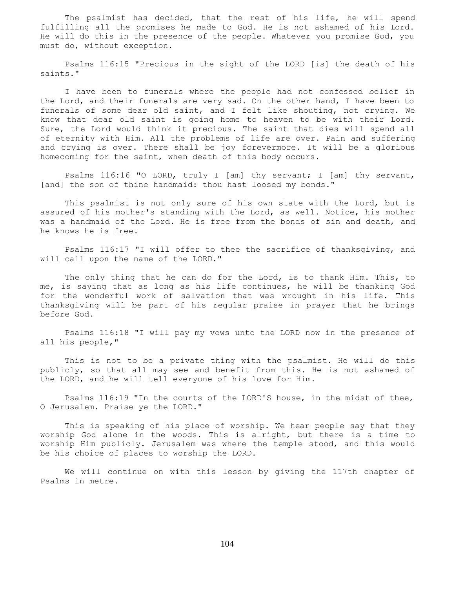The psalmist has decided, that the rest of his life, he will spend fulfilling all the promises he made to God. He is not ashamed of his Lord. He will do this in the presence of the people. Whatever you promise God, you must do, without exception.

 Psalms 116:15 "Precious in the sight of the LORD [is] the death of his saints."

 I have been to funerals where the people had not confessed belief in the Lord, and their funerals are very sad. On the other hand, I have been to funerals of some dear old saint, and I felt like shouting, not crying. We know that dear old saint is going home to heaven to be with their Lord. Sure, the Lord would think it precious. The saint that dies will spend all of eternity with Him. All the problems of life are over. Pain and suffering and crying is over. There shall be joy forevermore. It will be a glorious homecoming for the saint, when death of this body occurs.

 Psalms 116:16 "O LORD, truly I [am] thy servant; I [am] thy servant, [and] the son of thine handmaid: thou hast loosed my bonds."

 This psalmist is not only sure of his own state with the Lord, but is assured of his mother's standing with the Lord, as well. Notice, his mother was a handmaid of the Lord. He is free from the bonds of sin and death, and he knows he is free.

 Psalms 116:17 "I will offer to thee the sacrifice of thanksgiving, and will call upon the name of the LORD."

 The only thing that he can do for the Lord, is to thank Him. This, to me, is saying that as long as his life continues, he will be thanking God for the wonderful work of salvation that was wrought in his life. This thanksgiving will be part of his regular praise in prayer that he brings before God.

 Psalms 116:18 "I will pay my vows unto the LORD now in the presence of all his people,"

 This is not to be a private thing with the psalmist. He will do this publicly, so that all may see and benefit from this. He is not ashamed of the LORD, and he will tell everyone of his love for Him.

 Psalms 116:19 "In the courts of the LORD'S house, in the midst of thee, O Jerusalem. Praise ye the LORD."

 This is speaking of his place of worship. We hear people say that they worship God alone in the woods. This is alright, but there is a time to worship Him publicly. Jerusalem was where the temple stood, and this would be his choice of places to worship the LORD.

 We will continue on with this lesson by giving the 117th chapter of Psalms in metre.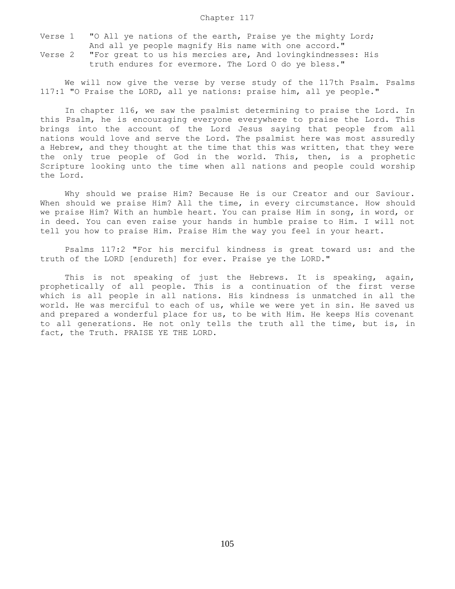- Verse 1 "O All ye nations of the earth, Praise ye the mighty Lord; And all ye people magnify His name with one accord."
- Verse 2 "For great to us his mercies are, And lovingkindnesses: His truth endures for evermore. The Lord O do ye bless."

We will now give the verse by verse study of the 117th Psalm. Psalms 117:1 "O Praise the LORD, all ye nations: praise him, all ye people."

 In chapter 116, we saw the psalmist determining to praise the Lord. In this Psalm, he is encouraging everyone everywhere to praise the Lord. This brings into the account of the Lord Jesus saying that people from all nations would love and serve the Lord. The psalmist here was most assuredly a Hebrew, and they thought at the time that this was written, that they were the only true people of God in the world. This, then, is a prophetic Scripture looking unto the time when all nations and people could worship the Lord.

 Why should we praise Him? Because He is our Creator and our Saviour. When should we praise Him? All the time, in every circumstance. How should we praise Him? With an humble heart. You can praise Him in song, in word, or in deed. You can even raise your hands in humble praise to Him. I will not tell you how to praise Him. Praise Him the way you feel in your heart.

 Psalms 117:2 "For his merciful kindness is great toward us: and the truth of the LORD [endureth] for ever. Praise ye the LORD."

 This is not speaking of just the Hebrews. It is speaking, again, prophetically of all people. This is a continuation of the first verse which is all people in all nations. His kindness is unmatched in all the world. He was merciful to each of us, while we were yet in sin. He saved us and prepared a wonderful place for us, to be with Him. He keeps His covenant to all generations. He not only tells the truth all the time, but is, in fact, the Truth. PRAISE YE THE LORD.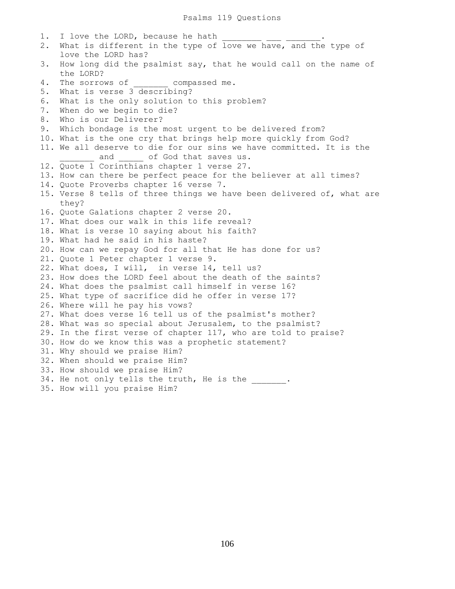1. I love the LORD, because he hath 2. What is different in the type of love we have, and the type of love the LORD has? 3. How long did the psalmist say, that he would call on the name of the LORD? 4. The sorrows of compassed me. 5. What is verse 3 describing? 6. What is the only solution to this problem? 7. When do we begin to die? 8. Who is our Deliverer? 9. Which bondage is the most urgent to be delivered from? 10. What is the one cry that brings help more quickly from God? 11. We all deserve to die for our sins we have committed. It is the and of God that saves us. 12. Quote 1 Corinthians chapter 1 verse 27. 13. How can there be perfect peace for the believer at all times? 14. Quote Proverbs chapter 16 verse 7. 15. Verse 8 tells of three things we have been delivered of, what are they? 16. Quote Galations chapter 2 verse 20. 17. What does our walk in this life reveal? 18. What is verse 10 saying about his faith? 19. What had he said in his haste? 20. How can we repay God for all that He has done for us? 21. Quote 1 Peter chapter 1 verse 9. 22. What does, I will, in verse 14, tell us? 23. How does the LORD feel about the death of the saints? 24. What does the psalmist call himself in verse 16? 25. What type of sacrifice did he offer in verse 17? 26. Where will he pay his vows? 27. What does verse 16 tell us of the psalmist's mother? 28. What was so special about Jerusalem, to the psalmist? 29. In the first verse of chapter 117, who are told to praise? 30. How do we know this was a prophetic statement? 31. Why should we praise Him? 32. When should we praise Him? 33. How should we praise Him? 34. He not only tells the truth, He is the \_\_\_\_\_\_\_. 35. How will you praise Him?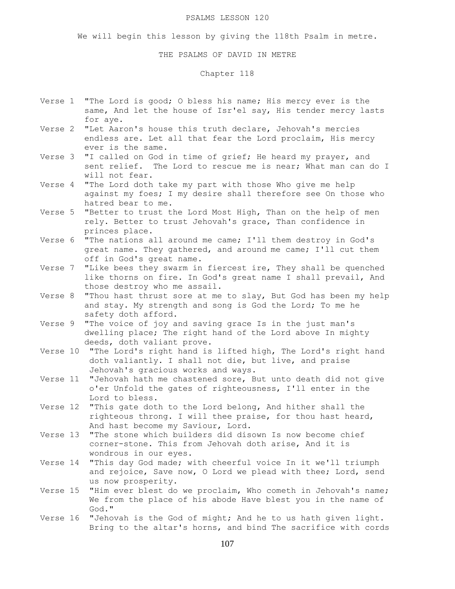#### PSALMS LESSON 120

We will begin this lesson by giving the 118th Psalm in metre.

## THE PSALMS OF DAVID IN METRE

Chapter 118

- Verse 1 "The Lord is good; O bless his name; His mercy ever is the same, And let the house of Isr'el say, His tender mercy lasts for aye.
- Verse 2 "Let Aaron's house this truth declare, Jehovah's mercies endless are. Let all that fear the Lord proclaim, His mercy ever is the same.
- Verse 3 "I called on God in time of grief; He heard my prayer, and sent relief. The Lord to rescue me is near; What man can do I will not fear.
- Verse 4 "The Lord doth take my part with those Who give me help against my foes; I my desire shall therefore see On those who hatred bear to me.
- Verse 5 "Better to trust the Lord Most High, Than on the help of men rely. Better to trust Jehovah's grace, Than confidence in princes place.
- Verse 6 "The nations all around me came; I'll them destroy in God's great name. They gathered, and around me came; I'll cut them off in God's great name.
- Verse 7 "Like bees they swarm in fiercest ire, They shall be quenched like thorns on fire. In God's great name I shall prevail, And those destroy who me assail.
- Verse 8 "Thou hast thrust sore at me to slay, But God has been my help and stay. My strength and song is God the Lord; To me he safety doth afford.
- Verse 9 "The voice of joy and saving grace Is in the just man's dwelling place; The right hand of the Lord above In mighty deeds, doth valiant prove.
- Verse 10 "The Lord's right hand is lifted high, The Lord's right hand doth valiantly. I shall not die, but live, and praise Jehovah's gracious works and ways.
- Verse 11 "Jehovah hath me chastened sore, But unto death did not give o'er Unfold the gates of righteousness, I'll enter in the Lord to bless.
- Verse 12 "This gate doth to the Lord belong, And hither shall the righteous throng. I will thee praise, for thou hast heard, And hast become my Saviour, Lord.
- Verse 13 "The stone which builders did disown Is now become chief corner-stone. This from Jehovah doth arise, And it is wondrous in our eyes.
- Verse 14 "This day God made; with cheerful voice In it we'll triumph and rejoice, Save now, O Lord we plead with thee; Lord, send us now prosperity.
- Verse 15 "Him ever blest do we proclaim, Who cometh in Jehovah's name; We from the place of his abode Have blest you in the name of God."
- Verse 16 "Jehovah is the God of might; And he to us hath given light. Bring to the altar's horns, and bind The sacrifice with cords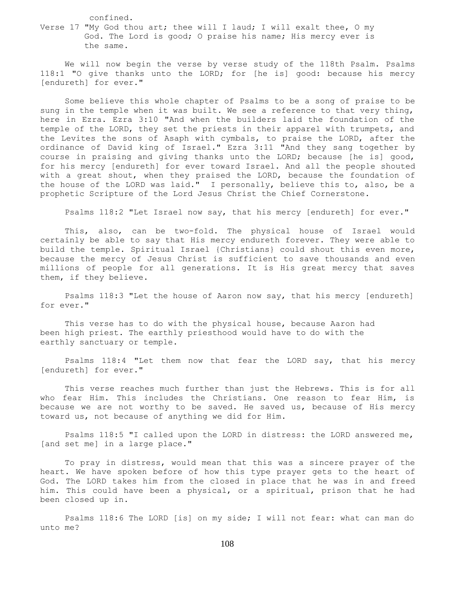confined.

Verse 17 "My God thou art; thee will I laud; I will exalt thee, O my God. The Lord is good; O praise his name; His mercy ever is the same.

 We will now begin the verse by verse study of the 118th Psalm. Psalms 118:1 "O give thanks unto the LORD; for [he is] good: because his mercy [endureth] for ever."

 Some believe this whole chapter of Psalms to be a song of praise to be sung in the temple when it was built. We see a reference to that very thing, here in Ezra. Ezra 3:10 "And when the builders laid the foundation of the temple of the LORD, they set the priests in their apparel with trumpets, and the Levites the sons of Asaph with cymbals, to praise the LORD, after the ordinance of David king of Israel." Ezra 3:11 "And they sang together by course in praising and giving thanks unto the LORD; because [he is] good, for his mercy [endureth] for ever toward Israel. And all the people shouted with a great shout, when they praised the LORD, because the foundation of the house of the LORD was laid." I personally, believe this to, also, be a prophetic Scripture of the Lord Jesus Christ the Chief Cornerstone.

Psalms 118:2 "Let Israel now say, that his mercy [endureth] for ever."

 This, also, can be two-fold. The physical house of Israel would certainly be able to say that His mercy endureth forever. They were able to build the temple. Spiritual Israel {Christians} could shout this even more, because the mercy of Jesus Christ is sufficient to save thousands and even millions of people for all generations. It is His great mercy that saves them, if they believe.

 Psalms 118:3 "Let the house of Aaron now say, that his mercy [endureth] for ever."

 This verse has to do with the physical house, because Aaron had been high priest. The earthly priesthood would have to do with the earthly sanctuary or temple.

 Psalms 118:4 "Let them now that fear the LORD say, that his mercy [endureth] for ever."

 This verse reaches much further than just the Hebrews. This is for all who fear Him. This includes the Christians. One reason to fear Him, is because we are not worthy to be saved. He saved us, because of His mercy toward us, not because of anything we did for Him.

 Psalms 118:5 "I called upon the LORD in distress: the LORD answered me, [and set me] in a large place."

 To pray in distress, would mean that this was a sincere prayer of the heart. We have spoken before of how this type prayer gets to the heart of God. The LORD takes him from the closed in place that he was in and freed him. This could have been a physical, or a spiritual, prison that he had been closed up in.

 Psalms 118:6 The LORD [is] on my side; I will not fear: what can man do unto me?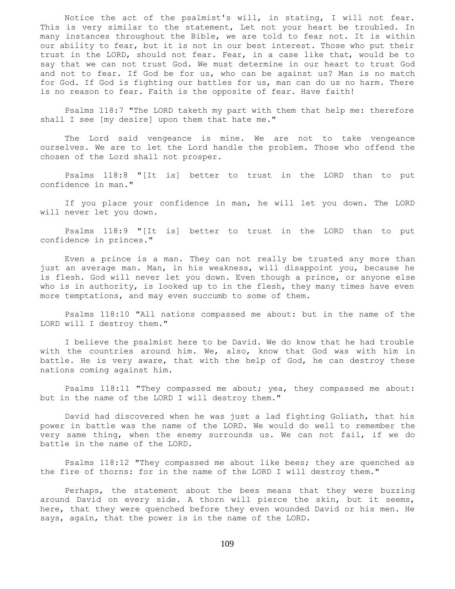Notice the act of the psalmist's will, in stating, I will not fear. This is very similar to the statement, Let not your heart be troubled. In many instances throughout the Bible, we are told to fear not. It is within our ability to fear, but it is not in our best interest. Those who put their trust in the LORD, should not fear. Fear, in a case like that, would be to say that we can not trust God. We must determine in our heart to trust God and not to fear. If God be for us, who can be against us? Man is no match for God. If God is fighting our battles for us, man can do us no harm. There is no reason to fear. Faith is the opposite of fear. Have faith!

 Psalms 118:7 "The LORD taketh my part with them that help me: therefore shall I see [my desire] upon them that hate me."

 The Lord said vengeance is mine. We are not to take vengeance ourselves. We are to let the Lord handle the problem. Those who offend the chosen of the Lord shall not prosper.

 Psalms 118:8 "[It is] better to trust in the LORD than to put confidence in man."

 If you place your confidence in man, he will let you down. The LORD will never let you down.

 Psalms 118:9 "[It is] better to trust in the LORD than to put confidence in princes."

 Even a prince is a man. They can not really be trusted any more than just an average man. Man, in his weakness, will disappoint you, because he is flesh. God will never let you down. Even though a prince, or anyone else who is in authority, is looked up to in the flesh, they many times have even more temptations, and may even succumb to some of them.

 Psalms 118:10 "All nations compassed me about: but in the name of the LORD will I destroy them."

 I believe the psalmist here to be David. We do know that he had trouble with the countries around him. We, also, know that God was with him in battle. He is very aware, that with the help of God, he can destroy these nations coming against him.

 Psalms 118:11 "They compassed me about; yea, they compassed me about: but in the name of the LORD I will destroy them."

 David had discovered when he was just a lad fighting Goliath, that his power in battle was the name of the LORD. We would do well to remember the very same thing, when the enemy surrounds us. We can not fail, if we do battle in the name of the LORD.

 Psalms 118:12 "They compassed me about like bees; they are quenched as the fire of thorns: for in the name of the LORD I will destroy them."

 Perhaps, the statement about the bees means that they were buzzing around David on every side. A thorn will pierce the skin, but it seems, here, that they were quenched before they even wounded David or his men. He says, again, that the power is in the name of the LORD.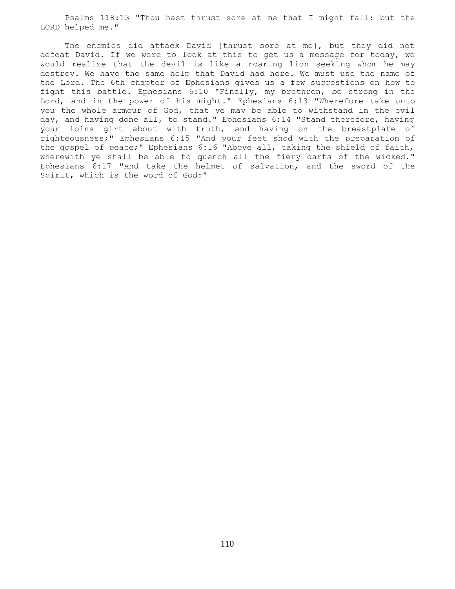Psalms 118:13 "Thou hast thrust sore at me that I might fall: but the LORD helped me."

 The enemies did attack David {thrust sore at me}, but they did not defeat David. If we were to look at this to get us a message for today, we would realize that the devil is like a roaring lion seeking whom he may destroy. We have the same help that David had here. We must use the name of the Lord. The 6th chapter of Ephesians gives us a few suggestions on how to fight this battle. Ephesians 6:10 "Finally, my brethren, be strong in the Lord, and in the power of his might." Ephesians 6:13 "Wherefore take unto you the whole armour of God, that ye may be able to withstand in the evil day, and having done all, to stand." Ephesians 6:14 "Stand therefore, having your loins girt about with truth, and having on the breastplate of righteousness;" Ephesians 6:15 "And your feet shod with the preparation of the gospel of peace;" Ephesians 6:16 "Above all, taking the shield of faith, wherewith ye shall be able to quench all the fiery darts of the wicked." Ephesians 6:17 "And take the helmet of salvation, and the sword of the Spirit, which is the word of God:"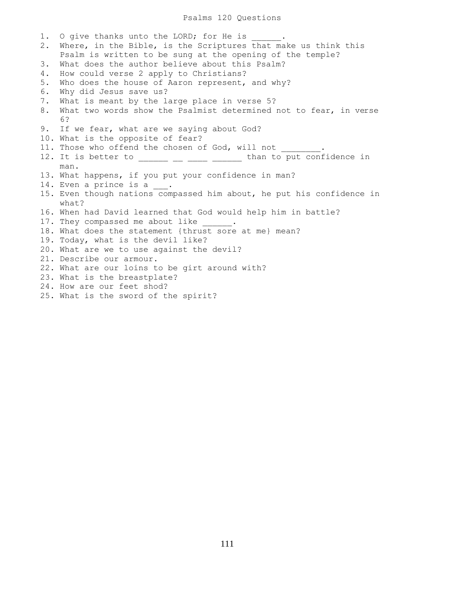Psalms 120 Questions

1. O give thanks unto the LORD; for He is 2. Where, in the Bible, is the Scriptures that make us think this Psalm is written to be sung at the opening of the temple? 3. What does the author believe about this Psalm? 4. How could verse 2 apply to Christians? 5. Who does the house of Aaron represent, and why? 6. Why did Jesus save us? 7. What is meant by the large place in verse 5? 8. What two words show the Psalmist determined not to fear, in verse 6? 9. If we fear, what are we saying about God? 10. What is the opposite of fear? 11. Those who offend the chosen of God, will not 12. It is better to \_\_\_\_\_\_\_\_\_\_\_\_\_\_\_\_\_\_\_ than to put confidence in man. 13. What happens, if you put your confidence in man? 14. Even a prince is a  $\_\_$ . 15. Even though nations compassed him about, he put his confidence in what? 16. When had David learned that God would help him in battle? 17. They compassed me about like  $\qquad \qquad$ 18. What does the statement {thrust sore at me} mean? 19. Today, what is the devil like? 20. What are we to use against the devil? 21. Describe our armour. 22. What are our loins to be girt around with? 23. What is the breastplate? 24. How are our feet shod?

25. What is the sword of the spirit?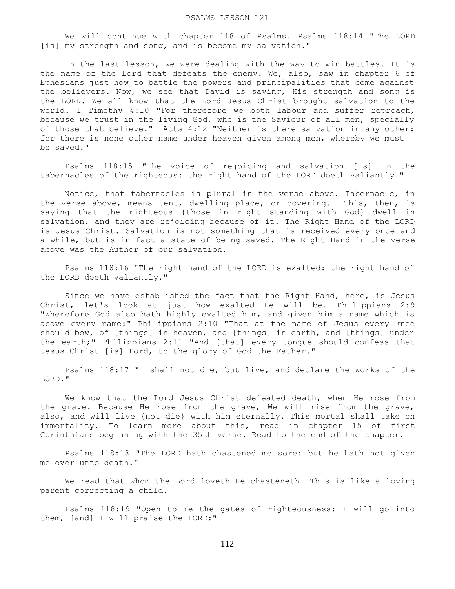### PSALMS LESSON 121

 We will continue with chapter 118 of Psalms. Psalms 118:14 "The LORD [is] my strength and song, and is become my salvation."

 In the last lesson, we were dealing with the way to win battles. It is the name of the Lord that defeats the enemy. We, also, saw in chapter 6 of Ephesians just how to battle the powers and principalities that come against the believers. Now, we see that David is saying, His strength and song is the LORD. We all know that the Lord Jesus Christ brought salvation to the world. I Timothy 4:10 "For therefore we both labour and suffer reproach, because we trust in the living God, who is the Saviour of all men, specially of those that believe." Acts 4:12 "Neither is there salvation in any other: for there is none other name under heaven given among men, whereby we must be saved."

 Psalms 118:15 "The voice of rejoicing and salvation [is] in the tabernacles of the righteous: the right hand of the LORD doeth valiantly."

 Notice, that tabernacles is plural in the verse above. Tabernacle, in the verse above, means tent, dwelling place, or covering. This, then, is saying that the righteous {those in right standing with God} dwell in salvation, and they are rejoicing because of it. The Right Hand of the LORD is Jesus Christ. Salvation is not something that is received every once and a while, but is in fact a state of being saved. The Right Hand in the verse above was the Author of our salvation.

 Psalms 118:16 "The right hand of the LORD is exalted: the right hand of the LORD doeth valiantly."

 Since we have established the fact that the Right Hand, here, is Jesus Christ, let's look at just how exalted He will be. Philippians 2:9 "Wherefore God also hath highly exalted him, and given him a name which is above every name:" Philippians 2:10 "That at the name of Jesus every knee should bow, of [things] in heaven, and [things] in earth, and [things] under the earth;" Philippians 2:11 "And [that] every tongue should confess that Jesus Christ [is] Lord, to the glory of God the Father."

 Psalms 118:17 "I shall not die, but live, and declare the works of the LORD."

 We know that the Lord Jesus Christ defeated death, when He rose from the grave. Because He rose from the grave, We will rise from the grave, also, and will live {not die} with him eternally. This mortal shall take on immortality. To learn more about this, read in chapter 15 of first Corinthians beginning with the 35th verse. Read to the end of the chapter.

 Psalms 118:18 "The LORD hath chastened me sore: but he hath not given me over unto death."

 We read that whom the Lord loveth He chasteneth. This is like a loving parent correcting a child.

 Psalms 118:19 "Open to me the gates of righteousness: I will go into them, [and] I will praise the LORD:"

112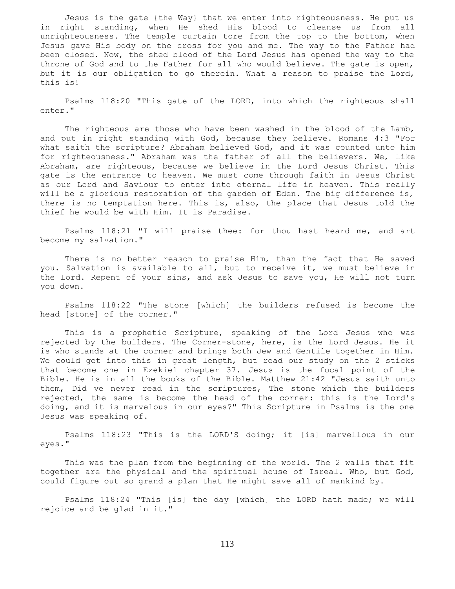Jesus is the gate {the Way} that we enter into righteousness. He put us in right standing, when He shed His blood to cleanse us from all unrighteousness. The temple curtain tore from the top to the bottom, when Jesus gave His body on the cross for you and me. The way to the Father had been closed. Now, the shed blood of the Lord Jesus has opened the way to the throne of God and to the Father for all who would believe. The gate is open, but it is our obligation to go therein. What a reason to praise the Lord, this is!

 Psalms 118:20 "This gate of the LORD, into which the righteous shall enter."

 The righteous are those who have been washed in the blood of the Lamb, and put in right standing with God, because they believe. Romans 4:3 "For what saith the scripture? Abraham believed God, and it was counted unto him for righteousness." Abraham was the father of all the believers. We, like Abraham, are righteous, because we believe in the Lord Jesus Christ. This gate is the entrance to heaven. We must come through faith in Jesus Christ as our Lord and Saviour to enter into eternal life in heaven. This really will be a glorious restoration of the garden of Eden. The big difference is, there is no temptation here. This is, also, the place that Jesus told the thief he would be with Him. It is Paradise.

 Psalms 118:21 "I will praise thee: for thou hast heard me, and art become my salvation."

 There is no better reason to praise Him, than the fact that He saved you. Salvation is available to all, but to receive it, we must believe in the Lord. Repent of your sins, and ask Jesus to save you, He will not turn you down.

 Psalms 118:22 "The stone [which] the builders refused is become the head [stone] of the corner."

 This is a prophetic Scripture, speaking of the Lord Jesus who was rejected by the builders. The Corner-stone, here, is the Lord Jesus. He it is who stands at the corner and brings both Jew and Gentile together in Him. We could get into this in great length, but read our study on the 2 sticks that become one in Ezekiel chapter 37. Jesus is the focal point of the Bible. He is in all the books of the Bible. Matthew 21:42 "Jesus saith unto them, Did ye never read in the scriptures, The stone which the builders rejected, the same is become the head of the corner: this is the Lord's doing, and it is marvelous in our eyes?" This Scripture in Psalms is the one Jesus was speaking of.

 Psalms 118:23 "This is the LORD'S doing; it [is] marvellous in our eyes."

 This was the plan from the beginning of the world. The 2 walls that fit together are the physical and the spiritual house of Isreal. Who, but God, could figure out so grand a plan that He might save all of mankind by.

 Psalms 118:24 "This [is] the day [which] the LORD hath made; we will rejoice and be glad in it."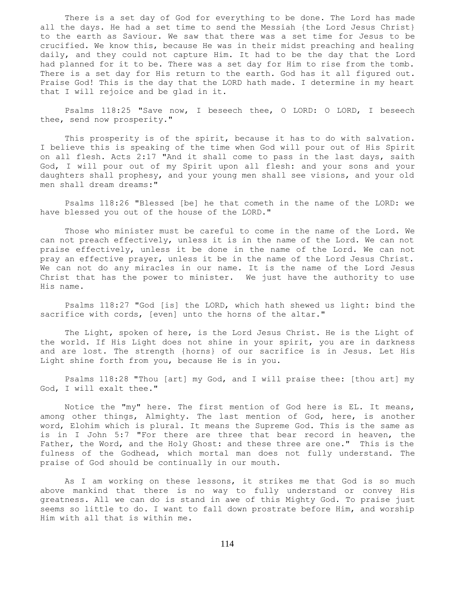There is a set day of God for everything to be done. The Lord has made all the days. He had a set time to send the Messiah {the Lord Jesus Christ} to the earth as Saviour. We saw that there was a set time for Jesus to be crucified. We know this, because He was in their midst preaching and healing daily, and they could not capture Him. It had to be the day that the Lord had planned for it to be. There was a set day for Him to rise from the tomb. There is a set day for His return to the earth. God has it all figured out. Praise God! This is the day that the LORD hath made. I determine in my heart that I will rejoice and be glad in it.

 Psalms 118:25 "Save now, I beseech thee, O LORD: O LORD, I beseech thee, send now prosperity."

 This prosperity is of the spirit, because it has to do with salvation. I believe this is speaking of the time when God will pour out of His Spirit on all flesh. Acts 2:17 "And it shall come to pass in the last days, saith God, I will pour out of my Spirit upon all flesh: and your sons and your daughters shall prophesy, and your young men shall see visions, and your old men shall dream dreams:"

 Psalms 118:26 "Blessed [be] he that cometh in the name of the LORD: we have blessed you out of the house of the LORD."

 Those who minister must be careful to come in the name of the Lord. We can not preach effectively, unless it is in the name of the Lord. We can not praise effectively, unless it be done in the name of the Lord. We can not pray an effective prayer, unless it be in the name of the Lord Jesus Christ. We can not do any miracles in our name. It is the name of the Lord Jesus Christ that has the power to minister. We just have the authority to use His name.

 Psalms 118:27 "God [is] the LORD, which hath shewed us light: bind the sacrifice with cords, [even] unto the horns of the altar."

 The Light, spoken of here, is the Lord Jesus Christ. He is the Light of the world. If His Light does not shine in your spirit, you are in darkness and are lost. The strength {horns} of our sacrifice is in Jesus. Let His Light shine forth from you, because He is in you.

 Psalms 118:28 "Thou [art] my God, and I will praise thee: [thou art] my God, I will exalt thee."

 Notice the "my" here. The first mention of God here is EL. It means, among other things, Almighty. The last mention of God, here, is another word, Elohim which is plural. It means the Supreme God. This is the same as is in I John 5:7 "For there are three that bear record in heaven, the Father, the Word, and the Holy Ghost: and these three are one." This is the fulness of the Godhead, which mortal man does not fully understand. The praise of God should be continually in our mouth.

 As I am working on these lessons, it strikes me that God is so much above mankind that there is no way to fully understand or convey His greatness. All we can do is stand in awe of this Mighty God. To praise just seems so little to do. I want to fall down prostrate before Him, and worship Him with all that is within me.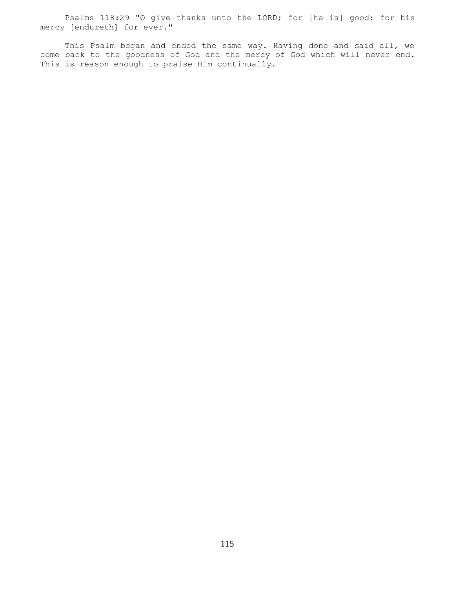Psalms 118:29 "O give thanks unto the LORD; for [he is] good: for his mercy [endureth] for ever."

This Psalm began and ended the same way. Having done and said all, we come back to the goodness of God and the mercy of God which will never end. This is reason enough to praise Him continually.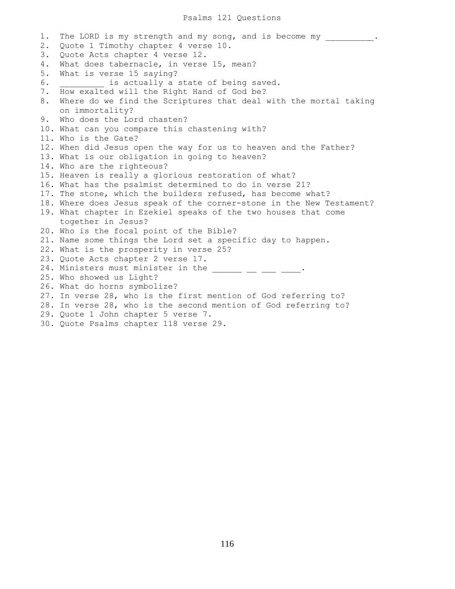1. The LORD is my strength and my song, and is become my \_\_\_\_\_\_\_\_. 2. Quote 1 Timothy chapter 4 verse 10. 3. Quote Acts chapter 4 verse 12. 4. What does tabernacle, in verse 15, mean? 5. What is verse 15 saying? 6. \_\_\_\_\_\_\_\_\_ is actually a state of being saved. 7. How exalted will the Right Hand of God be? 8. Where do we find the Scriptures that deal with the mortal taking on immortality? 9. Who does the Lord chasten? 10. What can you compare this chastening with? 11. Who is the Gate? 12. When did Jesus open the way for us to heaven and the Father? 13. What is our obligation in going to heaven? 14. Who are the righteous? 15. Heaven is really a glorious restoration of what? 16. What has the psalmist determined to do in verse 21? 17. The stone, which the builders refused, has become what? 18. Where does Jesus speak of the corner-stone in the New Testament? 19. What chapter in Ezekiel speaks of the two houses that come together in Jesus? 20. Who is the focal point of the Bible? 21. Name some things the Lord set a specific day to happen. 22. What is the prosperity in verse 25? 23. Quote Acts chapter 2 verse 17. 24. Ministers must minister in the  $\_\_$   $\_\_$   $\_\_$ 25. Who showed us Light? 26. What do horns symbolize? 27. In verse 28, who is the first mention of God referring to? 28. In verse 28, who is the second mention of God referring to? 29. Quote 1 John chapter 5 verse 7. 30. Quote Psalms chapter 118 verse 29.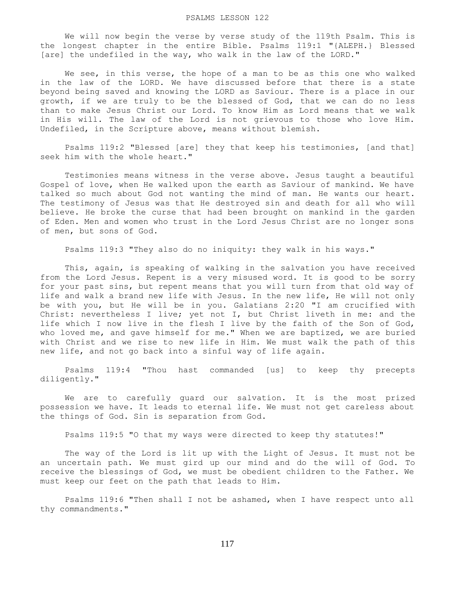We will now begin the verse by verse study of the 119th Psalm. This is the longest chapter in the entire Bible. Psalms 119:1 "{ALEPH.} Blessed [are] the undefiled in the way, who walk in the law of the LORD."

 We see, in this verse, the hope of a man to be as this one who walked in the law of the LORD. We have discussed before that there is a state beyond being saved and knowing the LORD as Saviour. There is a place in our growth, if we are truly to be the blessed of God, that we can do no less than to make Jesus Christ our Lord. To know Him as Lord means that we walk in His will. The law of the Lord is not grievous to those who love Him. Undefiled, in the Scripture above, means without blemish.

 Psalms 119:2 "Blessed [are] they that keep his testimonies, [and that] seek him with the whole heart."

 Testimonies means witness in the verse above. Jesus taught a beautiful Gospel of love, when He walked upon the earth as Saviour of mankind. We have talked so much about God not wanting the mind of man. He wants our heart. The testimony of Jesus was that He destroyed sin and death for all who will believe. He broke the curse that had been brought on mankind in the garden of Eden. Men and women who trust in the Lord Jesus Christ are no longer sons of men, but sons of God.

Psalms 119:3 "They also do no iniquity: they walk in his ways."

 This, again, is speaking of walking in the salvation you have received from the Lord Jesus. Repent is a very misused word. It is good to be sorry for your past sins, but repent means that you will turn from that old way of life and walk a brand new life with Jesus. In the new life, He will not only be with you, but He will be in you. Galatians 2:20 "I am crucified with Christ: nevertheless I live; yet not I, but Christ liveth in me: and the life which I now live in the flesh I live by the faith of the Son of God, who loved me, and gave himself for me." When we are baptized, we are buried with Christ and we rise to new life in Him. We must walk the path of this new life, and not go back into a sinful way of life again.

 Psalms 119:4 "Thou hast commanded [us] to keep thy precepts diligently."

 We are to carefully guard our salvation. It is the most prized possession we have. It leads to eternal life. We must not get careless about the things of God. Sin is separation from God.

Psalms 119:5 "O that my ways were directed to keep thy statutes!"

 The way of the Lord is lit up with the Light of Jesus. It must not be an uncertain path. We must gird up our mind and do the will of God. To receive the blessings of God, we must be obedient children to the Father. We must keep our feet on the path that leads to Him.

 Psalms 119:6 "Then shall I not be ashamed, when I have respect unto all thy commandments."

117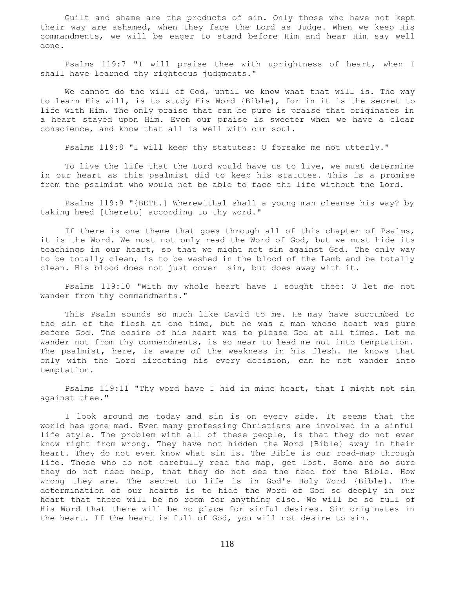Guilt and shame are the products of sin. Only those who have not kept their way are ashamed, when they face the Lord as Judge. When we keep His commandments, we will be eager to stand before Him and hear Him say well done.

 Psalms 119:7 "I will praise thee with uprightness of heart, when I shall have learned thy righteous judgments."

 We cannot do the will of God, until we know what that will is. The way to learn His will, is to study His Word {Bible}, for in it is the secret to life with Him. The only praise that can be pure is praise that originates in a heart stayed upon Him. Even our praise is sweeter when we have a clear conscience, and know that all is well with our soul.

Psalms 119:8 "I will keep thy statutes: O forsake me not utterly."

 To live the life that the Lord would have us to live, we must determine in our heart as this psalmist did to keep his statutes. This is a promise from the psalmist who would not be able to face the life without the Lord.

 Psalms 119:9 "{BETH.} Wherewithal shall a young man cleanse his way? by taking heed [thereto] according to thy word."

If there is one theme that goes through all of this chapter of Psalms, it is the Word. We must not only read the Word of God, but we must hide its teachings in our heart, so that we might not sin against God. The only way to be totally clean, is to be washed in the blood of the Lamb and be totally clean. His blood does not just cover sin, but does away with it.

 Psalms 119:10 "With my whole heart have I sought thee: O let me not wander from thy commandments."

 This Psalm sounds so much like David to me. He may have succumbed to the sin of the flesh at one time, but he was a man whose heart was pure before God. The desire of his heart was to please God at all times. Let me wander not from thy commandments, is so near to lead me not into temptation. The psalmist, here, is aware of the weakness in his flesh. He knows that only with the Lord directing his every decision, can he not wander into temptation.

 Psalms 119:11 "Thy word have I hid in mine heart, that I might not sin against thee."

 I look around me today and sin is on every side. It seems that the world has gone mad. Even many professing Christians are involved in a sinful life style. The problem with all of these people, is that they do not even know right from wrong. They have not hidden the Word {Bible} away in their heart. They do not even know what sin is. The Bible is our road-map through life. Those who do not carefully read the map, get lost. Some are so sure they do not need help, that they do not see the need for the Bible. How wrong they are. The secret to life is in God's Holy Word {Bible}. The determination of our hearts is to hide the Word of God so deeply in our heart that there will be no room for anything else. We will be so full of His Word that there will be no place for sinful desires. Sin originates in the heart. If the heart is full of God, you will not desire to sin.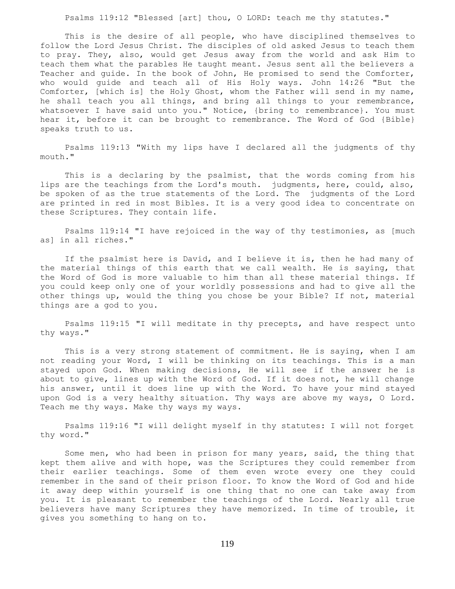Psalms 119:12 "Blessed [art] thou, O LORD: teach me thy statutes."

 This is the desire of all people, who have disciplined themselves to follow the Lord Jesus Christ. The disciples of old asked Jesus to teach them to pray. They, also, would get Jesus away from the world and ask Him to teach them what the parables He taught meant. Jesus sent all the believers a Teacher and guide. In the book of John, He promised to send the Comforter, who would guide and teach all of His Holy ways. John 14:26 "But the Comforter, [which is] the Holy Ghost, whom the Father will send in my name, he shall teach you all things, and bring all things to your remembrance, whatsoever I have said unto you." Notice, {bring to remembrance}. You must hear it, before it can be brought to remembrance. The Word of God {Bible} speaks truth to us.

 Psalms 119:13 "With my lips have I declared all the judgments of thy mouth."

This is a declaring by the psalmist, that the words coming from his lips are the teachings from the Lord's mouth. judgments, here, could, also, be spoken of as the true statements of the Lord. The judgments of the Lord are printed in red in most Bibles. It is a very good idea to concentrate on these Scriptures. They contain life.

 Psalms 119:14 "I have rejoiced in the way of thy testimonies, as [much as] in all riches."

 If the psalmist here is David, and I believe it is, then he had many of the material things of this earth that we call wealth. He is saying, that the Word of God is more valuable to him than all these material things. If you could keep only one of your worldly possessions and had to give all the other things up, would the thing you chose be your Bible? If not, material things are a god to you.

 Psalms 119:15 "I will meditate in thy precepts, and have respect unto thy ways."

 This is a very strong statement of commitment. He is saying, when I am not reading your Word, I will be thinking on its teachings. This is a man stayed upon God. When making decisions, He will see if the answer he is about to give, lines up with the Word of God. If it does not, he will change his answer, until it does line up with the Word. To have your mind stayed upon God is a very healthy situation. Thy ways are above my ways, O Lord. Teach me thy ways. Make thy ways my ways.

 Psalms 119:16 "I will delight myself in thy statutes: I will not forget thy word."

 Some men, who had been in prison for many years, said, the thing that kept them alive and with hope, was the Scriptures they could remember from their earlier teachings. Some of them even wrote every one they could remember in the sand of their prison floor. To know the Word of God and hide it away deep within yourself is one thing that no one can take away from you. It is pleasant to remember the teachings of the Lord. Nearly all true believers have many Scriptures they have memorized. In time of trouble, it gives you something to hang on to.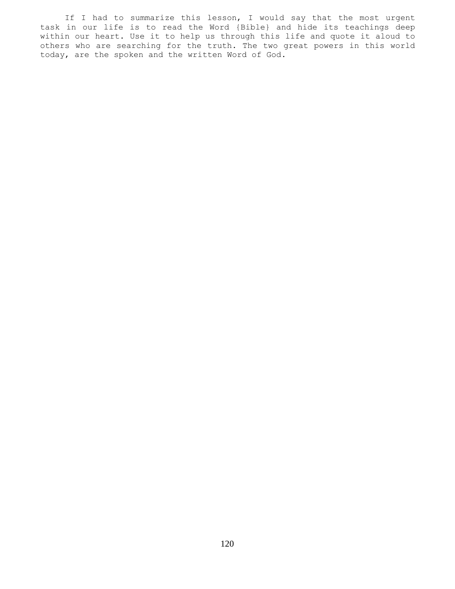If I had to summarize this lesson, I would say that the most urgent task in our life is to read the Word {Bible} and hide its teachings deep within our heart. Use it to help us through this life and quote it aloud to others who are searching for the truth. The two great powers in this world today, are the spoken and the written Word of God.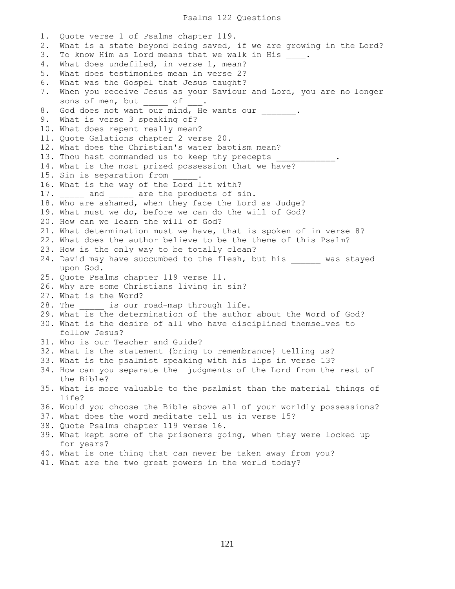1. Quote verse 1 of Psalms chapter 119. 2. What is a state beyond being saved, if we are growing in the Lord? 3. To know Him as Lord means that we walk in His \_\_\_\_. 4. What does undefiled, in verse 1, mean? 5. What does testimonies mean in verse 2? 6. What was the Gospel that Jesus taught? 7. When you receive Jesus as your Saviour and Lord, you are no longer sons of men, but of 8. God does not want our mind, He wants our . 9. What is verse 3 speaking of? 10. What does repent really mean? 11. Quote Galations chapter 2 verse 20. 12. What does the Christian's water baptism mean? 13. Thou hast commanded us to keep thy precepts 14. What is the most prized possession that we have? 15. Sin is separation from 16. What is the way of the Lord lit with? 17. and are the products of sin. 18. Who are ashamed, when they face the Lord as Judge? 19. What must we do, before we can do the will of God? 20. How can we learn the will of God? 21. What determination must we have, that is spoken of in verse 8? 22. What does the author believe to be the theme of this Psalm? 23. How is the only way to be totally clean? 24. David may have succumbed to the flesh, but his was stayed upon God. 25. Quote Psalms chapter 119 verse 11. 26. Why are some Christians living in sin? 27. What is the Word? 28. The \_\_\_\_\_\_\_\_\_ is our road-map through life. 29. What is the determination of the author about the Word of God? 30. What is the desire of all who have disciplined themselves to follow Jesus? 31. Who is our Teacher and Guide? 32. What is the statement {bring to remembrance} telling us? 33. What is the psalmist speaking with his lips in verse 13? 34. How can you separate the judgments of the Lord from the rest of the Bible? 35. What is more valuable to the psalmist than the material things of life? 36. Would you choose the Bible above all of your worldly possessions? 37. What does the word meditate tell us in verse 15? 38. Quote Psalms chapter 119 verse 16. 39. What kept some of the prisoners going, when they were locked up for years? 40. What is one thing that can never be taken away from you? 41. What are the two great powers in the world today?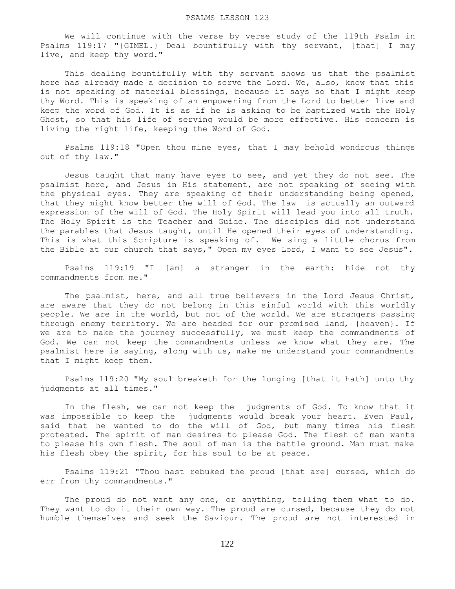We will continue with the verse by verse study of the 119th Psalm in Psalms 119:17 "{GIMEL.} Deal bountifully with thy servant, [that] I may live, and keep thy word."

 This dealing bountifully with thy servant shows us that the psalmist here has already made a decision to serve the Lord. We, also, know that this is not speaking of material blessings, because it says so that I might keep thy Word. This is speaking of an empowering from the Lord to better live and keep the word of God. It is as if he is asking to be baptized with the Holy Ghost, so that his life of serving would be more effective. His concern is living the right life, keeping the Word of God.

 Psalms 119:18 "Open thou mine eyes, that I may behold wondrous things out of thy law."

 Jesus taught that many have eyes to see, and yet they do not see. The psalmist here, and Jesus in His statement, are not speaking of seeing with the physical eyes. They are speaking of their understanding being opened, that they might know better the will of God. The law is actually an outward expression of the will of God. The Holy Spirit will lead you into all truth. The Holy Spirit is the Teacher and Guide. The disciples did not understand the parables that Jesus taught, until He opened their eyes of understanding. This is what this Scripture is speaking of. We sing a little chorus from the Bible at our church that says," Open my eyes Lord, I want to see Jesus".

 Psalms 119:19 "I [am] a stranger in the earth: hide not thy commandments from me."

 The psalmist, here, and all true believers in the Lord Jesus Christ, are aware that they do not belong in this sinful world with this worldly people. We are in the world, but not of the world. We are strangers passing through enemy territory. We are headed for our promised land, {heaven}. If we are to make the journey successfully, we must keep the commandments of God. We can not keep the commandments unless we know what they are. The psalmist here is saying, along with us, make me understand your commandments that I might keep them.

 Psalms 119:20 "My soul breaketh for the longing [that it hath] unto thy judgments at all times."

 In the flesh, we can not keep the judgments of God. To know that it was impossible to keep the judgments would break your heart. Even Paul, said that he wanted to do the will of God, but many times his flesh protested. The spirit of man desires to please God. The flesh of man wants to please his own flesh. The soul of man is the battle ground. Man must make his flesh obey the spirit, for his soul to be at peace.

 Psalms 119:21 "Thou hast rebuked the proud [that are] cursed, which do err from thy commandments."

 The proud do not want any one, or anything, telling them what to do. They want to do it their own way. The proud are cursed, because they do not humble themselves and seek the Saviour. The proud are not interested in

122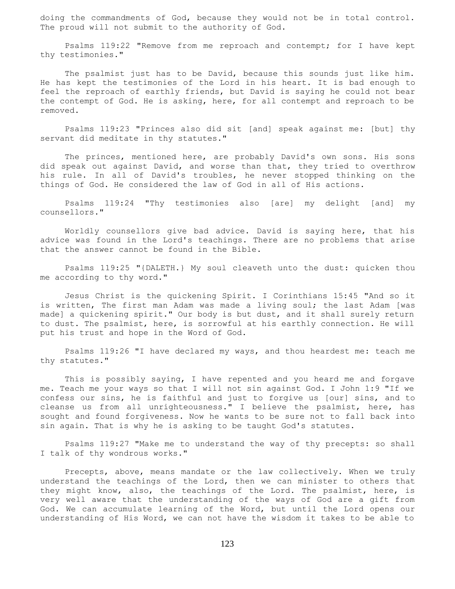doing the commandments of God, because they would not be in total control. The proud will not submit to the authority of God.

 Psalms 119:22 "Remove from me reproach and contempt; for I have kept thy testimonies."

The psalmist just has to be David, because this sounds just like him. He has kept the testimonies of the Lord in his heart. It is bad enough to feel the reproach of earthly friends, but David is saying he could not bear the contempt of God. He is asking, here, for all contempt and reproach to be removed.

 Psalms 119:23 "Princes also did sit [and] speak against me: [but] thy servant did meditate in thy statutes."

 The princes, mentioned here, are probably David's own sons. His sons did speak out against David, and worse than that, they tried to overthrow his rule. In all of David's troubles, he never stopped thinking on the things of God. He considered the law of God in all of His actions.

 Psalms 119:24 "Thy testimonies also [are] my delight [and] my counsellors."

 Worldly counsellors give bad advice. David is saying here, that his advice was found in the Lord's teachings. There are no problems that arise that the answer cannot be found in the Bible.

 Psalms 119:25 "{DALETH.} My soul cleaveth unto the dust: quicken thou me according to thy word."

 Jesus Christ is the quickening Spirit. I Corinthians 15:45 "And so it is written, The first man Adam was made a living soul; the last Adam [was made] a quickening spirit." Our body is but dust, and it shall surely return to dust. The psalmist, here, is sorrowful at his earthly connection. He will put his trust and hope in the Word of God.

 Psalms 119:26 "I have declared my ways, and thou heardest me: teach me thy statutes."

 This is possibly saying, I have repented and you heard me and forgave me. Teach me your ways so that I will not sin against God. I John 1:9 "If we confess our sins, he is faithful and just to forgive us [our] sins, and to cleanse us from all unrighteousness." I believe the psalmist, here, has sought and found forgiveness. Now he wants to be sure not to fall back into sin again. That is why he is asking to be taught God's statutes.

 Psalms 119:27 "Make me to understand the way of thy precepts: so shall I talk of thy wondrous works."

 Precepts, above, means mandate or the law collectively. When we truly understand the teachings of the Lord, then we can minister to others that they might know, also, the teachings of the Lord. The psalmist, here, is very well aware that the understanding of the ways of God are a gift from God. We can accumulate learning of the Word, but until the Lord opens our understanding of His Word, we can not have the wisdom it takes to be able to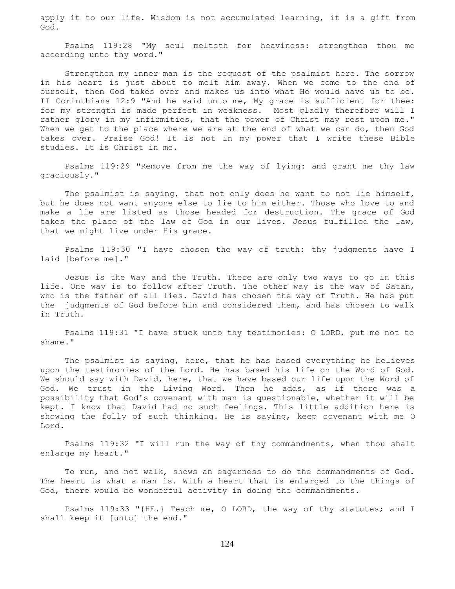apply it to our life. Wisdom is not accumulated learning, it is a gift from God.

 Psalms 119:28 "My soul melteth for heaviness: strengthen thou me according unto thy word."

 Strengthen my inner man is the request of the psalmist here. The sorrow in his heart is just about to melt him away. When we come to the end of ourself, then God takes over and makes us into what He would have us to be. II Corinthians 12:9 "And he said unto me, My grace is sufficient for thee: for my strength is made perfect in weakness. Most gladly therefore will I rather glory in my infirmities, that the power of Christ may rest upon me." When we get to the place where we are at the end of what we can do, then God takes over. Praise God! It is not in my power that I write these Bible studies. It is Christ in me.

 Psalms 119:29 "Remove from me the way of lying: and grant me thy law graciously."

 The psalmist is saying, that not only does he want to not lie himself, but he does not want anyone else to lie to him either. Those who love to and make a lie are listed as those headed for destruction. The grace of God takes the place of the law of God in our lives. Jesus fulfilled the law, that we might live under His grace.

 Psalms 119:30 "I have chosen the way of truth: thy judgments have I laid [before me]."

 Jesus is the Way and the Truth. There are only two ways to go in this life. One way is to follow after Truth. The other way is the way of Satan, who is the father of all lies. David has chosen the way of Truth. He has put the judgments of God before him and considered them, and has chosen to walk in Truth.

 Psalms 119:31 "I have stuck unto thy testimonies: O LORD, put me not to shame."

The psalmist is saying, here, that he has based everything he believes upon the testimonies of the Lord. He has based his life on the Word of God. We should say with David, here, that we have based our life upon the Word of God. We trust in the Living Word. Then he adds, as if there was a possibility that God's covenant with man is questionable, whether it will be kept. I know that David had no such feelings. This little addition here is showing the folly of such thinking. He is saying, keep covenant with me O Lord.

 Psalms 119:32 "I will run the way of thy commandments, when thou shalt enlarge my heart."

 To run, and not walk, shows an eagerness to do the commandments of God. The heart is what a man is. With a heart that is enlarged to the things of God, there would be wonderful activity in doing the commandments.

 Psalms 119:33 "{HE.} Teach me, O LORD, the way of thy statutes; and I shall keep it [unto] the end."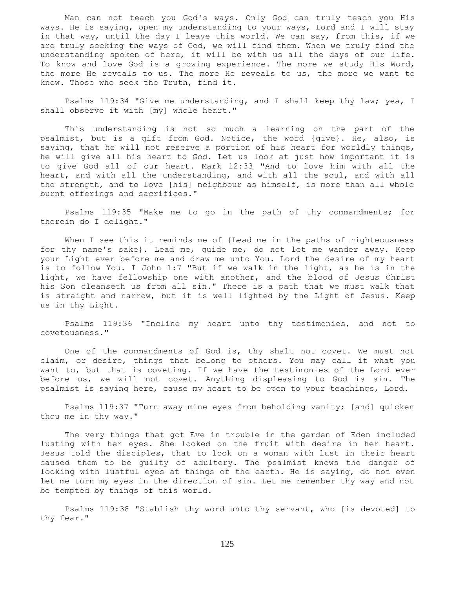Man can not teach you God's ways. Only God can truly teach you His ways. He is saying, open my understanding to your ways, Lord and I will stay in that way, until the day I leave this world. We can say, from this, if we are truly seeking the ways of God, we will find them. When we truly find the understanding spoken of here, it will be with us all the days of our life. To know and love God is a growing experience. The more we study His Word, the more He reveals to us. The more He reveals to us, the more we want to know. Those who seek the Truth, find it.

Psalms 119:34 "Give me understanding, and I shall keep thy law; yea, I shall observe it with [my] whole heart."

 This understanding is not so much a learning on the part of the psalmist, but is a gift from God. Notice, the word {give}. He, also, is saying, that he will not reserve a portion of his heart for worldly things, he will give all his heart to God. Let us look at just how important it is to give God all of our heart. Mark 12:33 "And to love him with all the heart, and with all the understanding, and with all the soul, and with all the strength, and to love [his] neighbour as himself, is more than all whole burnt offerings and sacrifices."

 Psalms 119:35 "Make me to go in the path of thy commandments; for therein do I delight."

 When I see this it reminds me of {Lead me in the paths of righteousness for thy name's sake}. Lead me, guide me, do not let me wander away. Keep your Light ever before me and draw me unto You. Lord the desire of my heart is to follow You. I John 1:7 "But if we walk in the light, as he is in the light, we have fellowship one with another, and the blood of Jesus Christ his Son cleanseth us from all sin." There is a path that we must walk that is straight and narrow, but it is well lighted by the Light of Jesus. Keep us in thy Light.

 Psalms 119:36 "Incline my heart unto thy testimonies, and not to covetousness."

 One of the commandments of God is, thy shalt not covet. We must not claim, or desire, things that belong to others. You may call it what you want to, but that is coveting. If we have the testimonies of the Lord ever before us, we will not covet. Anything displeasing to God is sin. The psalmist is saying here, cause my heart to be open to your teachings, Lord.

 Psalms 119:37 "Turn away mine eyes from beholding vanity; [and] quicken thou me in thy way."

 The very things that got Eve in trouble in the garden of Eden included lusting with her eyes. She looked on the fruit with desire in her heart. Jesus told the disciples, that to look on a woman with lust in their heart caused them to be guilty of adultery. The psalmist knows the danger of looking with lustful eyes at things of the earth. He is saying, do not even let me turn my eyes in the direction of sin. Let me remember thy way and not be tempted by things of this world.

 Psalms 119:38 "Stablish thy word unto thy servant, who [is devoted] to thy fear."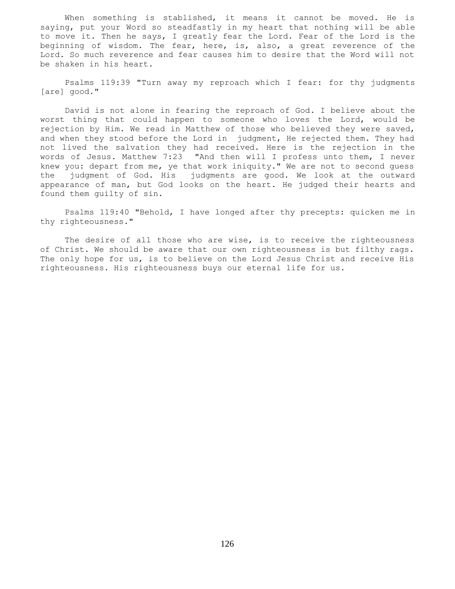When something is stablished, it means it cannot be moved. He is saying, put your Word so steadfastly in my heart that nothing will be able to move it. Then he says, I greatly fear the Lord. Fear of the Lord is the beginning of wisdom. The fear, here, is, also, a great reverence of the Lord. So much reverence and fear causes him to desire that the Word will not be shaken in his heart.

 Psalms 119:39 "Turn away my reproach which I fear: for thy judgments [are] good."

 David is not alone in fearing the reproach of God. I believe about the worst thing that could happen to someone who loves the Lord, would be rejection by Him. We read in Matthew of those who believed they were saved, and when they stood before the Lord in judgment, He rejected them. They had not lived the salvation they had received. Here is the rejection in the words of Jesus. Matthew 7:23 "And then will I profess unto them, I never knew you: depart from me, ye that work iniquity." We are not to second guess the judgment of God. His judgments are good. We look at the outward appearance of man, but God looks on the heart. He judged their hearts and found them guilty of sin.

 Psalms 119:40 "Behold, I have longed after thy precepts: quicken me in thy righteousness."

 The desire of all those who are wise, is to receive the righteousness of Christ. We should be aware that our own righteousness is but filthy rags. The only hope for us, is to believe on the Lord Jesus Christ and receive His righteousness. His righteousness buys our eternal life for us.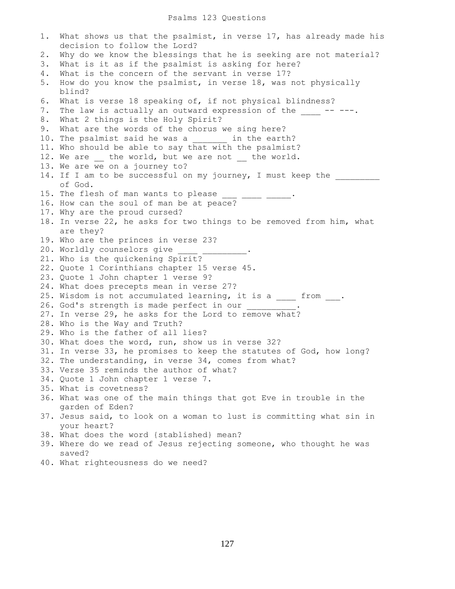### Psalms 123 Questions

1. What shows us that the psalmist, in verse 17, has already made his decision to follow the Lord? 2. Why do we know the blessings that he is seeking are not material? 3. What is it as if the psalmist is asking for here? 4. What is the concern of the servant in verse 17? 5. How do you know the psalmist, in verse 18, was not physically blind? 6. What is verse 18 speaking of, if not physical blindness? 7. The law is actually an outward expression of the  $---$ . 8. What 2 things is the Holy Spirit? 9. What are the words of the chorus we sing here? 10. The psalmist said he was a \_\_\_\_\_\_\_\_ in the earth? 11. Who should be able to say that with the psalmist? 12. We are \_\_ the world, but we are not \_\_ the world. 13. We are we on a journey to? 14. If I am to be successful on my journey, I must keep the of God. 15. The flesh of man wants to please  $\frac{1}{2}$   $\frac{1}{2}$   $\frac{1}{2}$   $\frac{1}{2}$   $\frac{1}{2}$ . 16. How can the soul of man be at peace? 17. Why are the proud cursed? 18. In verse 22, he asks for two things to be removed from him, what are they? 19. Who are the princes in verse 23? 20. Worldly counselors give 21. Who is the quickening Spirit? 22. Quote 1 Corinthians chapter 15 verse 45. 23. Quote 1 John chapter 1 verse 9? 24. What does precepts mean in verse 27? 25. Wisdom is not accumulated learning, it is a \_\_\_\_\_ from \_\_\_. 26. God's strength is made perfect in our 27. In verse 29, he asks for the Lord to remove what? 28. Who is the Way and Truth? 29. Who is the father of all lies? 30. What does the word, run, show us in verse 32? 31. In verse 33, he promises to keep the statutes of God, how long? 32. The understanding, in verse 34, comes from what? 33. Verse 35 reminds the author of what? 34. Quote 1 John chapter 1 verse 7. 35. What is covetness? 36. What was one of the main things that got Eve in trouble in the garden of Eden? 37. Jesus said, to look on a woman to lust is committing what sin in your heart? 38. What does the word {stablished} mean? 39. Where do we read of Jesus rejecting someone, who thought he was saved? 40. What righteousness do we need?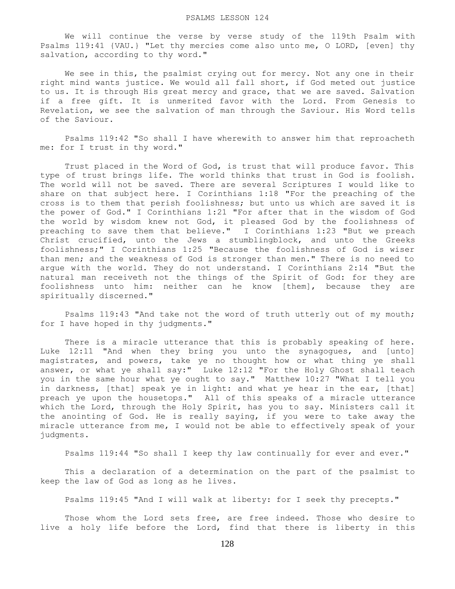We will continue the verse by verse study of the 119th Psalm with Psalms 119:41 {VAU.} "Let thy mercies come also unto me, O LORD, [even] thy salvation, according to thy word."

 We see in this, the psalmist crying out for mercy. Not any one in their right mind wants justice. We would all fall short, if God meted out justice to us. It is through His great mercy and grace, that we are saved. Salvation if a free gift. It is unmerited favor with the Lord. From Genesis to Revelation, we see the salvation of man through the Saviour. His Word tells of the Saviour.

 Psalms 119:42 "So shall I have wherewith to answer him that reproacheth me: for I trust in thy word."

 Trust placed in the Word of God, is trust that will produce favor. This type of trust brings life. The world thinks that trust in God is foolish. The world will not be saved. There are several Scriptures I would like to share on that subject here. I Corinthians 1:18 "For the preaching of the cross is to them that perish foolishness; but unto us which are saved it is the power of God." I Corinthians 1:21 "For after that in the wisdom of God the world by wisdom knew not God, it pleased God by the foolishness of preaching to save them that believe." I Corinthians 1:23 "But we preach Christ crucified, unto the Jews a stumblingblock, and unto the Greeks foolishness;" I Corinthians 1:25 "Because the foolishness of God is wiser than men; and the weakness of God is stronger than men." There is no need to argue with the world. They do not understand. I Corinthians 2:14 "But the natural man receiveth not the things of the Spirit of God: for they are foolishness unto him: neither can he know [them], because they are spiritually discerned."

 Psalms 119:43 "And take not the word of truth utterly out of my mouth; for I have hoped in thy judgments."

There is a miracle utterance that this is probably speaking of here. Luke 12:11 "And when they bring you unto the synagogues, and [unto] magistrates, and powers, take ye no thought how or what thing ye shall answer, or what ye shall say:" Luke 12:12 "For the Holy Ghost shall teach you in the same hour what ye ought to say." Matthew 10:27 "What I tell you in darkness, [that] speak ye in light: and what ye hear in the ear, [that] preach ye upon the housetops." All of this speaks of a miracle utterance which the Lord, through the Holy Spirit, has you to say. Ministers call it the anointing of God. He is really saying, if you were to take away the miracle utterance from me, I would not be able to effectively speak of your judgments.

Psalms 119:44 "So shall I keep thy law continually for ever and ever."

 This a declaration of a determination on the part of the psalmist to keep the law of God as long as he lives.

Psalms 119:45 "And I will walk at liberty: for I seek thy precepts."

Those whom the Lord sets free, are free indeed. Those who desire to live a holy life before the Lord, find that there is liberty in this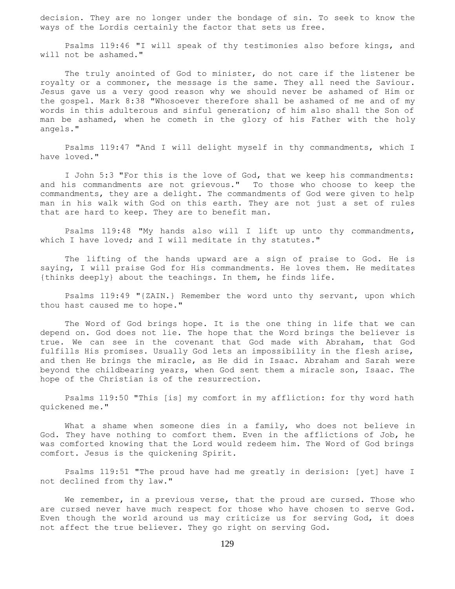decision. They are no longer under the bondage of sin. To seek to know the ways of the Lordis certainly the factor that sets us free.

 Psalms 119:46 "I will speak of thy testimonies also before kings, and will not be ashamed."

The truly anointed of God to minister, do not care if the listener be royalty or a commoner, the message is the same. They all need the Saviour. Jesus gave us a very good reason why we should never be ashamed of Him or the gospel. Mark 8:38 "Whosoever therefore shall be ashamed of me and of my words in this adulterous and sinful generation; of him also shall the Son of man be ashamed, when he cometh in the glory of his Father with the holy angels."

 Psalms 119:47 "And I will delight myself in thy commandments, which I have loved."

 I John 5:3 "For this is the love of God, that we keep his commandments: and his commandments are not grievous." To those who choose to keep the commandments, they are a delight. The commandments of God were given to help man in his walk with God on this earth. They are not just a set of rules that are hard to keep. They are to benefit man.

 Psalms 119:48 "My hands also will I lift up unto thy commandments, which I have loved; and I will meditate in thy statutes."

 The lifting of the hands upward are a sign of praise to God. He is saying, I will praise God for His commandments. He loves them. He meditates {thinks deeply} about the teachings. In them, he finds life.

 Psalms 119:49 "{ZAIN.} Remember the word unto thy servant, upon which thou hast caused me to hope."

 The Word of God brings hope. It is the one thing in life that we can depend on. God does not lie. The hope that the Word brings the believer is true. We can see in the covenant that God made with Abraham, that God fulfills His promises. Usually God lets an impossibility in the flesh arise, and then He brings the miracle, as He did in Isaac. Abraham and Sarah were beyond the childbearing years, when God sent them a miracle son, Isaac. The hope of the Christian is of the resurrection.

 Psalms 119:50 "This [is] my comfort in my affliction: for thy word hath quickened me."

What a shame when someone dies in a family, who does not believe in God. They have nothing to comfort them. Even in the afflictions of Job, he was comforted knowing that the Lord would redeem him. The Word of God brings comfort. Jesus is the quickening Spirit.

 Psalms 119:51 "The proud have had me greatly in derision: [yet] have I not declined from thy law."

We remember, in a previous verse, that the proud are cursed. Those who are cursed never have much respect for those who have chosen to serve God. Even though the world around us may criticize us for serving God, it does not affect the true believer. They go right on serving God.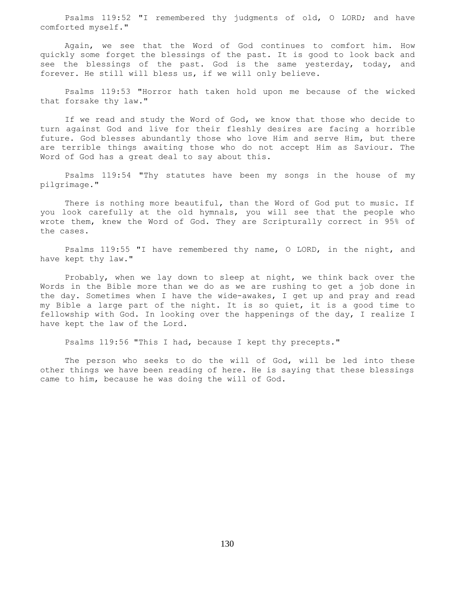Psalms 119:52 "I remembered thy judgments of old, O LORD; and have comforted myself."

 Again, we see that the Word of God continues to comfort him. How quickly some forget the blessings of the past. It is good to look back and see the blessings of the past. God is the same yesterday, today, and forever. He still will bless us, if we will only believe.

 Psalms 119:53 "Horror hath taken hold upon me because of the wicked that forsake thy law."

 If we read and study the Word of God, we know that those who decide to turn against God and live for their fleshly desires are facing a horrible future. God blesses abundantly those who love Him and serve Him, but there are terrible things awaiting those who do not accept Him as Saviour. The Word of God has a great deal to say about this.

 Psalms 119:54 "Thy statutes have been my songs in the house of my pilgrimage."

 There is nothing more beautiful, than the Word of God put to music. If you look carefully at the old hymnals, you will see that the people who wrote them, knew the Word of God. They are Scripturally correct in 95% of the cases.

 Psalms 119:55 "I have remembered thy name, O LORD, in the night, and have kept thy law."

 Probably, when we lay down to sleep at night, we think back over the Words in the Bible more than we do as we are rushing to get a job done in the day. Sometimes when I have the wide-awakes, I get up and pray and read my Bible a large part of the night. It is so quiet, it is a good time to fellowship with God. In looking over the happenings of the day, I realize I have kept the law of the Lord.

Psalms 119:56 "This I had, because I kept thy precepts."

 The person who seeks to do the will of God, will be led into these other things we have been reading of here. He is saying that these blessings came to him, because he was doing the will of God.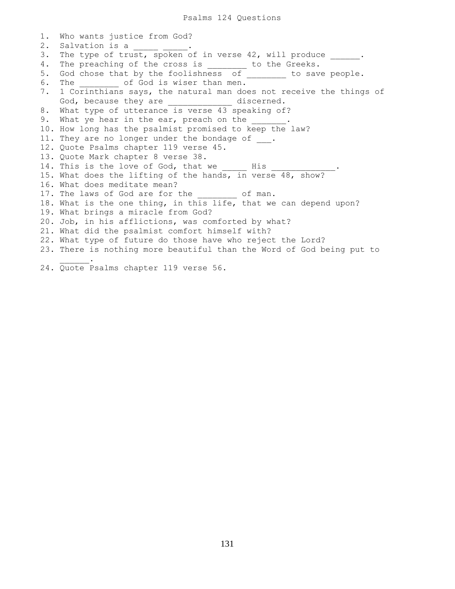```
1. Who wants justice from God?
2. Salvation is a ______ ___
3. The type of trust, spoken of in verse 42, will produce _____.
4. The preaching of the cross is _______ to the Greeks.
5. God chose that by the foolishness of _______ to save people.
6. The \qquad of God is wiser than men.
7. 1 Corinthians says, the natural man does not receive the things of
    God, because they are _____________ discerned.
8. What type of utterance is verse 43 speaking of?
9. What ye hear in the ear, preach on the
10. How long has the psalmist promised to keep the law?
11. They are no longer under the bondage of ___.
12. Quote Psalms chapter 119 verse 45.
13. Quote Mark chapter 8 verse 38.
14. This is the love of God, that we _____ His _____________.
15. What does the lifting of the hands, in verse 48, show?
16. What does meditate mean?
17. The laws of God are for the _______ of man.
18. What is the one thing, in this life, that we can depend upon?
19. What brings a miracle from God?
20. Job, in his afflictions, was comforted by what?
21. What did the psalmist comfort himself with?
22. What type of future do those have who reject the Lord?
23. There is nothing more beautiful than the Word of God being put to
\frac{1}{2} and \frac{1}{2} and \frac{1}{2} .
24. Quote Psalms chapter 119 verse 56.
```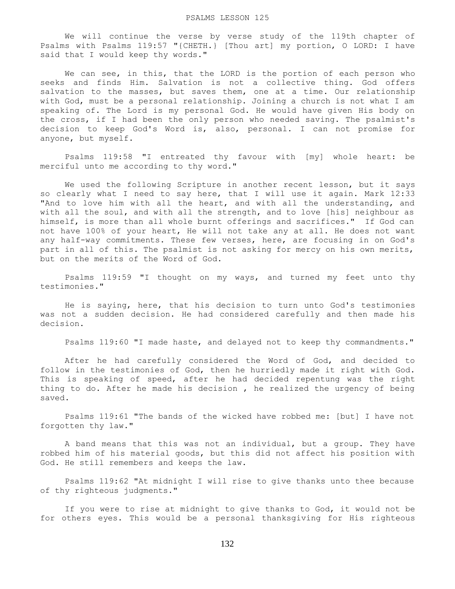We will continue the verse by verse study of the 119th chapter of Psalms with Psalms 119:57 "{CHETH.} [Thou art] my portion, O LORD: I have said that I would keep thy words."

We can see, in this, that the LORD is the portion of each person who seeks and finds Him. Salvation is not a collective thing. God offers salvation to the masses, but saves them, one at a time. Our relationship with God, must be a personal relationship. Joining a church is not what I am speaking of. The Lord is my personal God. He would have given His body on the cross, if I had been the only person who needed saving. The psalmist's decision to keep God's Word is, also, personal. I can not promise for anyone, but myself.

 Psalms 119:58 "I entreated thy favour with [my] whole heart: be merciful unto me according to thy word."

 We used the following Scripture in another recent lesson, but it says so clearly what I need to say here, that I will use it again. Mark 12:33 "And to love him with all the heart, and with all the understanding, and with all the soul, and with all the strength, and to love [his] neighbour as himself, is more than all whole burnt offerings and sacrifices." If God can not have 100% of your heart, He will not take any at all. He does not want any half-way commitments. These few verses, here, are focusing in on God's part in all of this. The psalmist is not asking for mercy on his own merits, but on the merits of the Word of God.

 Psalms 119:59 "I thought on my ways, and turned my feet unto thy testimonies."

 He is saying, here, that his decision to turn unto God's testimonies was not a sudden decision. He had considered carefully and then made his decision.

Psalms 119:60 "I made haste, and delayed not to keep thy commandments."

 After he had carefully considered the Word of God, and decided to follow in the testimonies of God, then he hurriedly made it right with God. This is speaking of speed, after he had decided repentung was the right thing to do. After he made his decision , he realized the urgency of being saved.

 Psalms 119:61 "The bands of the wicked have robbed me: [but] I have not forgotten thy law."

 A band means that this was not an individual, but a group. They have robbed him of his material goods, but this did not affect his position with God. He still remembers and keeps the law.

 Psalms 119:62 "At midnight I will rise to give thanks unto thee because of thy righteous judgments."

 If you were to rise at midnight to give thanks to God, it would not be for others eyes. This would be a personal thanksgiving for His righteous

132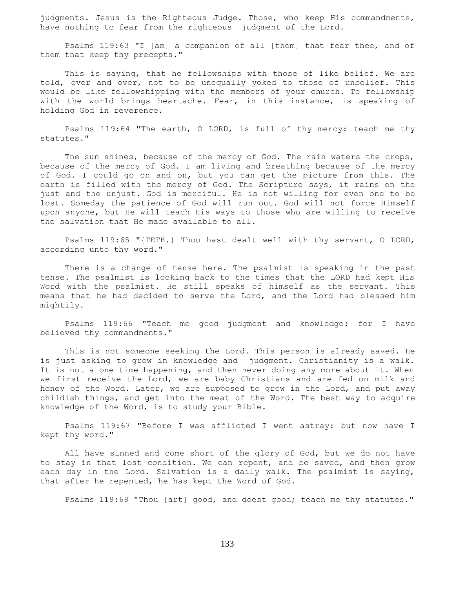judgments. Jesus is the Righteous Judge. Those, who keep His commandments, have nothing to fear from the righteous judgment of the Lord.

 Psalms 119:63 "I [am] a companion of all [them] that fear thee, and of them that keep thy precepts."

 This is saying, that he fellowships with those of like belief. We are told, over and over, not to be unequally yoked to those of unbelief. This would be like fellowshipping with the members of your church. To fellowship with the world brings heartache. Fear, in this instance, is speaking of holding God in reverence.

 Psalms 119:64 "The earth, O LORD, is full of thy mercy: teach me thy statutes."

 The sun shines, because of the mercy of God. The rain waters the crops, because of the mercy of God. I am living and breathing because of the mercy of God. I could go on and on, but you can get the picture from this. The earth is filled with the mercy of God. The Scripture says, it rains on the just and the unjust. God is merciful. He is not willing for even one to be lost. Someday the patience of God will run out. God will not force Himself upon anyone, but He will teach His ways to those who are willing to receive the salvation that He made available to all.

 Psalms 119:65 "{TETH.} Thou hast dealt well with thy servant, O LORD, according unto thy word."

 There is a change of tense here. The psalmist is speaking in the past tense. The psalmist is looking back to the times that the LORD had kept His Word with the psalmist. He still speaks of himself as the servant. This means that he had decided to serve the Lord, and the Lord had blessed him mightily.

 Psalms 119:66 "Teach me good judgment and knowledge: for I have believed thy commandments."

 This is not someone seeking the Lord. This person is already saved. He is just asking to grow in knowledge and judgment. Christianity is a walk. It is not a one time happening, and then never doing any more about it. When we first receive the Lord, we are baby Christians and are fed on milk and honey of the Word. Later, we are supposed to grow in the Lord, and put away childish things, and get into the meat of the Word. The best way to acquire knowledge of the Word, is to study your Bible.

 Psalms 119:67 "Before I was afflicted I went astray: but now have I kept thy word."

 All have sinned and come short of the glory of God, but we do not have to stay in that lost condition. We can repent, and be saved, and then grow each day in the Lord. Salvation is a daily walk. The psalmist is saying, that after he repented, he has kept the Word of God.

Psalms 119:68 "Thou [art] good, and doest good; teach me thy statutes."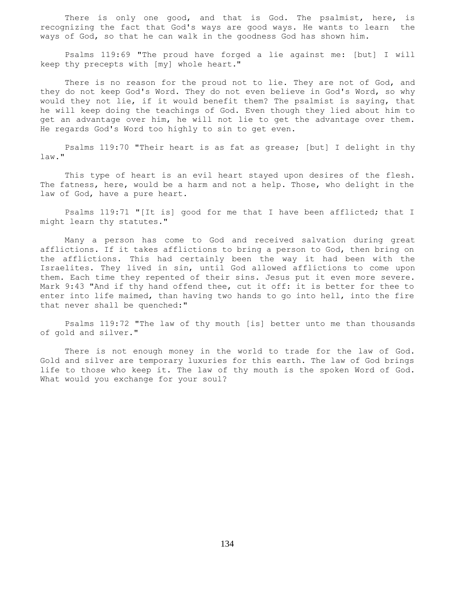There is only one good, and that is God. The psalmist, here, is recognizing the fact that God's ways are good ways. He wants to learn the ways of God, so that he can walk in the goodness God has shown him.

 Psalms 119:69 "The proud have forged a lie against me: [but] I will keep thy precepts with [my] whole heart."

There is no reason for the proud not to lie. They are not of God, and they do not keep God's Word. They do not even believe in God's Word, so why would they not lie, if it would benefit them? The psalmist is saying, that he will keep doing the teachings of God. Even though they lied about him to get an advantage over him, he will not lie to get the advantage over them. He regards God's Word too highly to sin to get even.

 Psalms 119:70 "Their heart is as fat as grease; [but] I delight in thy law."

 This type of heart is an evil heart stayed upon desires of the flesh. The fatness, here, would be a harm and not a help. Those, who delight in the law of God, have a pure heart.

 Psalms 119:71 "[It is] good for me that I have been afflicted; that I might learn thy statutes."

 Many a person has come to God and received salvation during great afflictions. If it takes afflictions to bring a person to God, then bring on the afflictions. This had certainly been the way it had been with the Israelites. They lived in sin, until God allowed afflictions to come upon them. Each time they repented of their sins. Jesus put it even more severe. Mark 9:43 "And if thy hand offend thee, cut it off: it is better for thee to enter into life maimed, than having two hands to go into hell, into the fire that never shall be quenched:"

 Psalms 119:72 "The law of thy mouth [is] better unto me than thousands of gold and silver."

 There is not enough money in the world to trade for the law of God. Gold and silver are temporary luxuries for this earth. The law of God brings life to those who keep it. The law of thy mouth is the spoken Word of God. What would you exchange for your soul?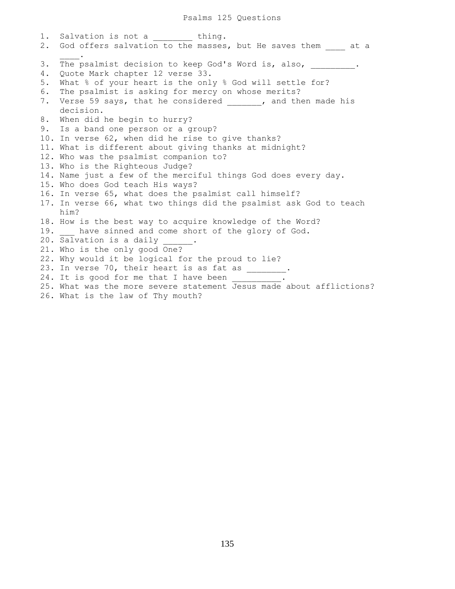1. Salvation is not a thing. 2. God offers salvation to the masses, but He saves them at a  $\frac{1}{2}$ 3. The psalmist decision to keep God's Word is, also, 4. Quote Mark chapter 12 verse 33. 5. What % of your heart is the only % God will settle for? 6. The psalmist is asking for mercy on whose merits? 7. Verse 59 says, that he considered 1. The made his decision. 8. When did he begin to hurry? 9. Is a band one person or a group? 10. In verse 62, when did he rise to give thanks? 11. What is different about giving thanks at midnight? 12. Who was the psalmist companion to? 13. Who is the Righteous Judge? 14. Name just a few of the merciful things God does every day. 15. Who does God teach His ways? 16. In verse 65, what does the psalmist call himself? 17. In verse 66, what two things did the psalmist ask God to teach him? 18. How is the best way to acquire knowledge of the Word? 19. have sinned and come short of the glory of God. 20. Salvation is a daily 21. Who is the only good One? 22. Why would it be logical for the proud to lie? 23. In verse 70, their heart is as fat as  $\frac{1}{2}$ . 24. It is good for me that I have been 25. What was the more severe statement Jesus made about afflictions? 26. What is the law of Thy mouth?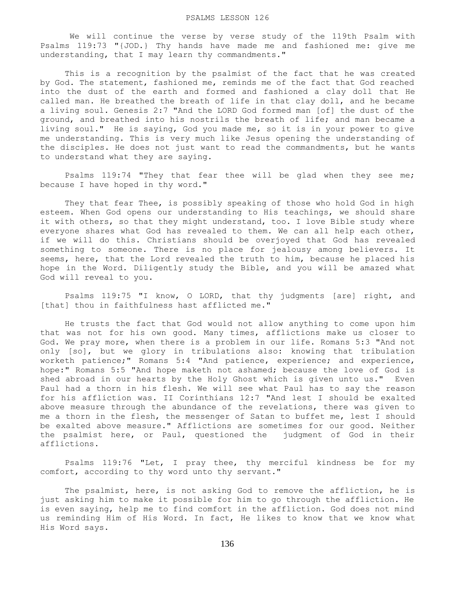We will continue the verse by verse study of the 119th Psalm with Psalms 119:73 "{JOD.} Thy hands have made me and fashioned me: give me understanding, that I may learn thy commandments."

 This is a recognition by the psalmist of the fact that he was created by God. The statement, fashioned me, reminds me of the fact that God reached into the dust of the earth and formed and fashioned a clay doll that He called man. He breathed the breath of life in that clay doll, and he became a living soul. Genesis 2:7 "And the LORD God formed man [of] the dust of the ground, and breathed into his nostrils the breath of life; and man became a living soul." He is saying, God you made me, so it is in your power to give me understanding. This is very much like Jesus opening the understanding of the disciples. He does not just want to read the commandments, but he wants to understand what they are saying.

 Psalms 119:74 "They that fear thee will be glad when they see me; because I have hoped in thy word."

 They that fear Thee, is possibly speaking of those who hold God in high esteem. When God opens our understanding to His teachings, we should share it with others, so that they might understand, too. I love Bible study where everyone shares what God has revealed to them. We can all help each other, if we will do this. Christians should be overjoyed that God has revealed something to someone. There is no place for jealousy among believers. It seems, here, that the Lord revealed the truth to him, because he placed his hope in the Word. Diligently study the Bible, and you will be amazed what God will reveal to you.

 Psalms 119:75 "I know, O LORD, that thy judgments [are] right, and [that] thou in faithfulness hast afflicted me."

 He trusts the fact that God would not allow anything to come upon him that was not for his own good. Many times, afflictions make us closer to God. We pray more, when there is a problem in our life. Romans 5:3 "And not only [so], but we glory in tribulations also: knowing that tribulation worketh patience;" Romans 5:4 "And patience, experience; and experience, hope:" Romans 5:5 "And hope maketh not ashamed; because the love of God is shed abroad in our hearts by the Holy Ghost which is given unto us." Even Paul had a thorn in his flesh. We will see what Paul has to say the reason for his affliction was. II Corinthians 12:7 "And lest I should be exalted above measure through the abundance of the revelations, there was given to me a thorn in the flesh, the messenger of Satan to buffet me, lest I should be exalted above measure." Afflictions are sometimes for our good. Neither the psalmist here, or Paul, questioned the judgment of God in their afflictions.

 Psalms 119:76 "Let, I pray thee, thy merciful kindness be for my comfort, according to thy word unto thy servant."

 The psalmist, here, is not asking God to remove the affliction, he is just asking him to make it possible for him to go through the affliction. He is even saying, help me to find comfort in the affliction. God does not mind us reminding Him of His Word. In fact, He likes to know that we know what His Word says.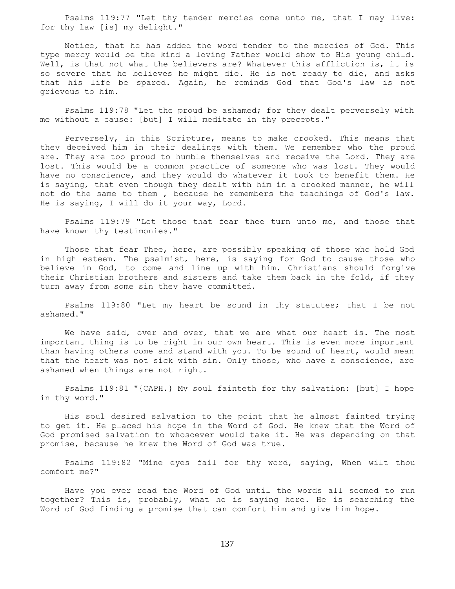Psalms 119:77 "Let thy tender mercies come unto me, that I may live: for thy law [is] my delight."

 Notice, that he has added the word tender to the mercies of God. This type mercy would be the kind a loving Father would show to His young child. Well, is that not what the believers are? Whatever this affliction is, it is so severe that he believes he might die. He is not ready to die, and asks that his life be spared. Again, he reminds God that God's law is not grievous to him.

 Psalms 119:78 "Let the proud be ashamed; for they dealt perversely with me without a cause: [but] I will meditate in thy precepts."

 Perversely, in this Scripture, means to make crooked. This means that they deceived him in their dealings with them. We remember who the proud are. They are too proud to humble themselves and receive the Lord. They are lost. This would be a common practice of someone who was lost. They would have no conscience, and they would do whatever it took to benefit them. He is saying, that even though they dealt with him in a crooked manner, he will not do the same to them , because he remembers the teachings of God's law. He is saying, I will do it your way, Lord.

 Psalms 119:79 "Let those that fear thee turn unto me, and those that have known thy testimonies."

 Those that fear Thee, here, are possibly speaking of those who hold God in high esteem. The psalmist, here, is saying for God to cause those who believe in God, to come and line up with him. Christians should forgive their Christian brothers and sisters and take them back in the fold, if they turn away from some sin they have committed.

 Psalms 119:80 "Let my heart be sound in thy statutes; that I be not ashamed."

We have said, over and over, that we are what our heart is. The most important thing is to be right in our own heart. This is even more important than having others come and stand with you. To be sound of heart, would mean that the heart was not sick with sin. Only those, who have a conscience, are ashamed when things are not right.

 Psalms 119:81 "{CAPH.} My soul fainteth for thy salvation: [but] I hope in thy word."

 His soul desired salvation to the point that he almost fainted trying to get it. He placed his hope in the Word of God. He knew that the Word of God promised salvation to whosoever would take it. He was depending on that promise, because he knew the Word of God was true.

 Psalms 119:82 "Mine eyes fail for thy word, saying, When wilt thou comfort me?"

 Have you ever read the Word of God until the words all seemed to run together? This is, probably, what he is saying here. He is searching the Word of God finding a promise that can comfort him and give him hope.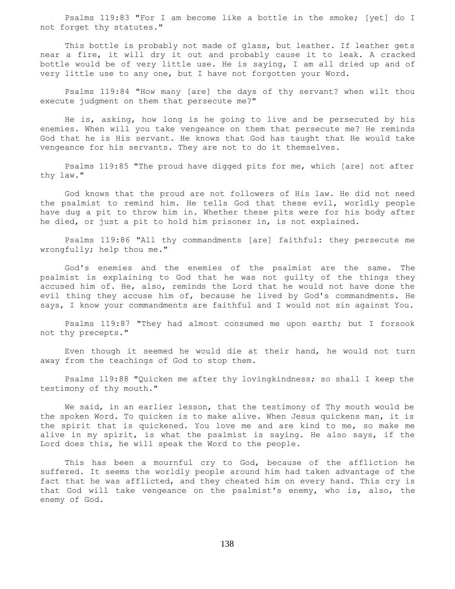Psalms 119:83 "For I am become like a bottle in the smoke; [yet] do I not forget thy statutes."

 This bottle is probably not made of glass, but leather. If leather gets near a fire, it will dry it out and probably cause it to leak. A cracked bottle would be of very little use. He is saying, I am all dried up and of very little use to any one, but I have not forgotten your Word.

 Psalms 119:84 "How many [are] the days of thy servant? when wilt thou execute judgment on them that persecute me?"

 He is, asking, how long is he going to live and be persecuted by his enemies. When will you take vengeance on them that persecute me? He reminds God that he is His servant. He knows that God has taught that He would take vengeance for his servants. They are not to do it themselves.

 Psalms 119:85 "The proud have digged pits for me, which [are] not after thy law."

 God knows that the proud are not followers of His law. He did not need the psalmist to remind him. He tells God that these evil, worldly people have dug a pit to throw him in. Whether these pits were for his body after he died, or just a pit to hold him prisoner in, is not explained.

 Psalms 119:86 "All thy commandments [are] faithful: they persecute me wrongfully; help thou me."

 God's enemies and the enemies of the psalmist are the same. The psalmist is explaining to God that he was not guilty of the things they accused him of. He, also, reminds the Lord that he would not have done the evil thing they accuse him of, because he lived by God's commandments. He says, I know your commandments are faithful and I would not sin against You.

 Psalms 119:87 "They had almost consumed me upon earth; but I forsook not thy precepts."

 Even though it seemed he would die at their hand, he would not turn away from the teachings of God to stop them.

 Psalms 119:88 "Quicken me after thy lovingkindness; so shall I keep the testimony of thy mouth."

 We said, in an earlier lesson, that the testimony of Thy mouth would be the spoken Word. To quicken is to make alive. When Jesus quickens man, it is the spirit that is quickened. You love me and are kind to me, so make me alive in my spirit, is what the psalmist is saying. He also says, if the Lord does this, he will speak the Word to the people.

 This has been a mournful cry to God, because of the affliction he suffered. It seems the worldly people around him had taken advantage of the fact that he was afflicted, and they cheated him on every hand. This cry is that God will take vengeance on the psalmist's enemy, who is, also, the enemy of God.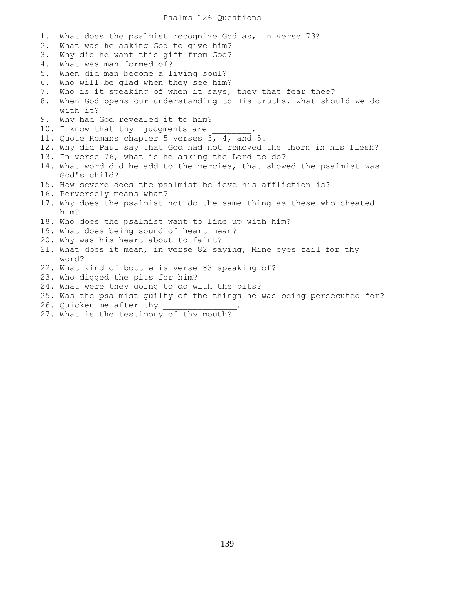# Psalms 126 Questions

1. What does the psalmist recognize God as, in verse 73? 2. What was he asking God to give him? 3. Why did he want this gift from God? 4. What was man formed of? 5. When did man become a living soul? 6. Who will be glad when they see him? 7. Who is it speaking of when it says, they that fear thee? 8. When God opens our understanding to His truths, what should we do with it? 9. Why had God revealed it to him? 10. I know that thy judgments are 11. Quote Romans chapter 5 verses 3, 4, and 5. 12. Why did Paul say that God had not removed the thorn in his flesh? 13. In verse 76, what is he asking the Lord to do? 14. What word did he add to the mercies, that showed the psalmist was God's child? 15. How severe does the psalmist believe his affliction is? 16. Perversely means what? 17. Why does the psalmist not do the same thing as these who cheated him? 18. Who does the psalmist want to line up with him? 19. What does being sound of heart mean? 20. Why was his heart about to faint? 21. What does it mean, in verse 82 saying, Mine eyes fail for thy word? 22. What kind of bottle is verse 83 speaking of? 23. Who digged the pits for him? 24. What were they going to do with the pits? 25. Was the psalmist guilty of the things he was being persecuted for? 26. Quicken me after thy

27. What is the testimony of thy mouth?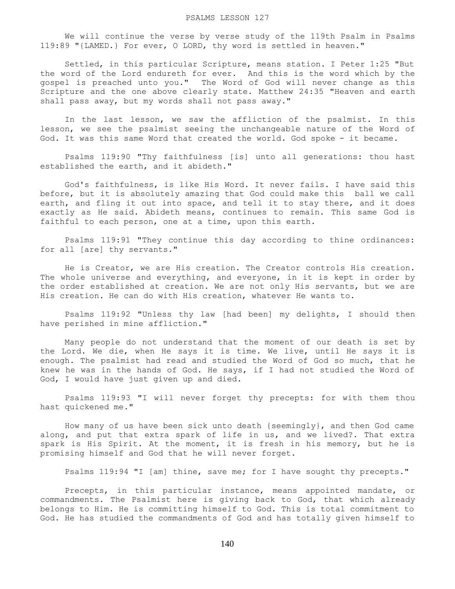### PSALMS LESSON 127

 We will continue the verse by verse study of the 119th Psalm in Psalms 119:89 "{LAMED.} For ever, O LORD, thy word is settled in heaven."

 Settled, in this particular Scripture, means station. I Peter 1:25 "But the word of the Lord endureth for ever. And this is the word which by the gospel is preached unto you." The Word of God will never change as this Scripture and the one above clearly state. Matthew 24:35 "Heaven and earth shall pass away, but my words shall not pass away."

 In the last lesson, we saw the affliction of the psalmist. In this lesson, we see the psalmist seeing the unchangeable nature of the Word of God. It was this same Word that created the world. God spoke - it became.

 Psalms 119:90 "Thy faithfulness [is] unto all generations: thou hast established the earth, and it abideth."

 God's faithfulness, is like His Word. It never fails. I have said this before, but it is absolutely amazing that God could make this ball we call earth, and fling it out into space, and tell it to stay there, and it does exactly as He said. Abideth means, continues to remain. This same God is faithful to each person, one at a time, upon this earth.

 Psalms 119:91 "They continue this day according to thine ordinances: for all [are] thy servants."

 He is Creator, we are His creation. The Creator controls His creation. The whole universe and everything, and everyone, in it is kept in order by the order established at creation. We are not only His servants, but we are His creation. He can do with His creation, whatever He wants to.

 Psalms 119:92 "Unless thy law [had been] my delights, I should then have perished in mine affliction."

 Many people do not understand that the moment of our death is set by the Lord. We die, when He says it is time. We live, until He says it is enough. The psalmist had read and studied the Word of God so much, that he knew he was in the hands of God. He says, if I had not studied the Word of God, I would have just given up and died.

 Psalms 119:93 "I will never forget thy precepts: for with them thou hast quickened me."

 How many of us have been sick unto death {seemingly}, and then God came along, and put that extra spark of life in us, and we lived?. That extra spark is His Spirit. At the moment, it is fresh in his memory, but he is promising himself and God that he will never forget.

Psalms 119:94 "I [am] thine, save me; for I have sought thy precepts."

 Precepts, in this particular instance, means appointed mandate, or commandments. The Psalmist here is giving back to God, that which already belongs to Him. He is committing himself to God. This is total commitment to God. He has studied the commandments of God and has totally given himself to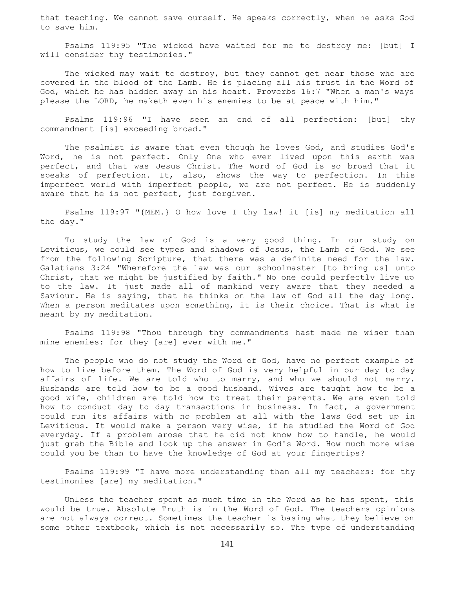that teaching. We cannot save ourself. He speaks correctly, when he asks God to save him.

 Psalms 119:95 "The wicked have waited for me to destroy me: [but] I will consider thy testimonies."

The wicked may wait to destroy, but they cannot get near those who are covered in the blood of the Lamb. He is placing all his trust in the Word of God, which he has hidden away in his heart. Proverbs 16:7 "When a man's ways please the LORD, he maketh even his enemies to be at peace with him."

 Psalms 119:96 "I have seen an end of all perfection: [but] thy commandment [is] exceeding broad."

 The psalmist is aware that even though he loves God, and studies God's Word, he is not perfect. Only One who ever lived upon this earth was perfect, and that was Jesus Christ. The Word of God is so broad that it speaks of perfection. It, also, shows the way to perfection. In this imperfect world with imperfect people, we are not perfect. He is suddenly aware that he is not perfect, just forgiven.

 Psalms 119:97 "{MEM.} O how love I thy law! it [is] my meditation all the day."

 To study the law of God is a very good thing. In our study on Leviticus, we could see types and shadows of Jesus, the Lamb of God. We see from the following Scripture, that there was a definite need for the law. Galatians 3:24 "Wherefore the law was our schoolmaster [to bring us] unto Christ, that we might be justified by faith." No one could perfectly live up to the law. It just made all of mankind very aware that they needed a Saviour. He is saying, that he thinks on the law of God all the day long. When a person meditates upon something, it is their choice. That is what is meant by my meditation.

 Psalms 119:98 "Thou through thy commandments hast made me wiser than mine enemies: for they [are] ever with me."

 The people who do not study the Word of God, have no perfect example of how to live before them. The Word of God is very helpful in our day to day affairs of life. We are told who to marry, and who we should not marry. Husbands are told how to be a good husband. Wives are taught how to be a good wife, children are told how to treat their parents. We are even told how to conduct day to day transactions in business. In fact, a government could run its affairs with no problem at all with the laws God set up in Leviticus. It would make a person very wise, if he studied the Word of God everyday. If a problem arose that he did not know how to handle, he would just grab the Bible and look up the answer in God's Word. How much more wise could you be than to have the knowledge of God at your fingertips?

 Psalms 119:99 "I have more understanding than all my teachers: for thy testimonies [are] my meditation."

 Unless the teacher spent as much time in the Word as he has spent, this would be true. Absolute Truth is in the Word of God. The teachers opinions are not always correct. Sometimes the teacher is basing what they believe on some other textbook, which is not necessarily so. The type of understanding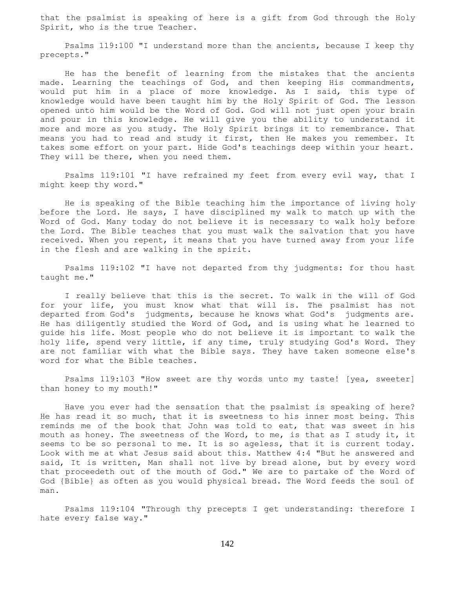that the psalmist is speaking of here is a gift from God through the Holy Spirit, who is the true Teacher.

 Psalms 119:100 "I understand more than the ancients, because I keep thy precepts."

 He has the benefit of learning from the mistakes that the ancients made. Learning the teachings of God, and then keeping His commandments, would put him in a place of more knowledge. As I said, this type of knowledge would have been taught him by the Holy Spirit of God. The lesson opened unto him would be the Word of God. God will not just open your brain and pour in this knowledge. He will give you the ability to understand it more and more as you study. The Holy Spirit brings it to remembrance. That means you had to read and study it first, then He makes you remember. It takes some effort on your part. Hide God's teachings deep within your heart. They will be there, when you need them.

 Psalms 119:101 "I have refrained my feet from every evil way, that I might keep thy word."

 He is speaking of the Bible teaching him the importance of living holy before the Lord. He says, I have disciplined my walk to match up with the Word of God. Many today do not believe it is necessary to walk holy before the Lord. The Bible teaches that you must walk the salvation that you have received. When you repent, it means that you have turned away from your life in the flesh and are walking in the spirit.

 Psalms 119:102 "I have not departed from thy judgments: for thou hast taught me."

 I really believe that this is the secret. To walk in the will of God for your life, you must know what that will is. The psalmist has not departed from God's judgments, because he knows what God's judgments are. He has diligently studied the Word of God, and is using what he learned to guide his life. Most people who do not believe it is important to walk the holy life, spend very little, if any time, truly studying God's Word. They are not familiar with what the Bible says. They have taken someone else's word for what the Bible teaches.

 Psalms 119:103 "How sweet are thy words unto my taste! [yea, sweeter] than honey to my mouth!"

 Have you ever had the sensation that the psalmist is speaking of here? He has read it so much, that it is sweetness to his inner most being. This reminds me of the book that John was told to eat, that was sweet in his mouth as honey. The sweetness of the Word, to me, is that as I study it, it seems to be so personal to me. It is so ageless, that it is current today. Look with me at what Jesus said about this. Matthew 4:4 "But he answered and said, It is written, Man shall not live by bread alone, but by every word that proceedeth out of the mouth of God." We are to partake of the Word of God {Bible} as often as you would physical bread. The Word feeds the soul of man.

 Psalms 119:104 "Through thy precepts I get understanding: therefore I hate every false way."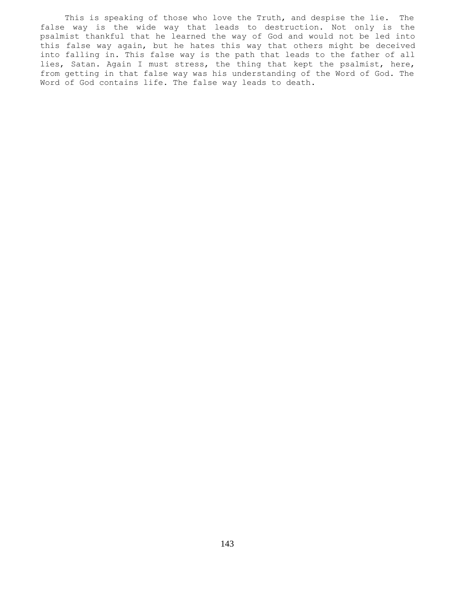This is speaking of those who love the Truth, and despise the lie. The false way is the wide way that leads to destruction. Not only is the psalmist thankful that he learned the way of God and would not be led into this false way again, but he hates this way that others might be deceived into falling in. This false way is the path that leads to the father of all lies, Satan. Again I must stress, the thing that kept the psalmist, here, from getting in that false way was his understanding of the Word of God. The Word of God contains life. The false way leads to death.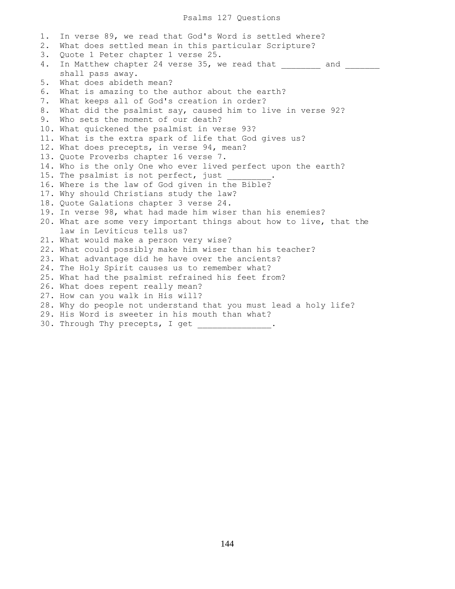# Psalms 127 Questions

1. In verse 89, we read that God's Word is settled where? 2. What does settled mean in this particular Scripture? 3. Quote 1 Peter chapter 1 verse 25. 4. In Matthew chapter 24 verse 35, we read that \_\_\_\_\_\_\_\_ and \_\_\_\_\_\_\_ shall pass away. 5. What does abideth mean? 6. What is amazing to the author about the earth? 7. What keeps all of God's creation in order? 8. What did the psalmist say, caused him to live in verse 92? 9. Who sets the moment of our death? 10. What quickened the psalmist in verse 93? 11. What is the extra spark of life that God gives us? 12. What does precepts, in verse 94, mean? 13. Quote Proverbs chapter 16 verse 7. 14. Who is the only One who ever lived perfect upon the earth? 15. The psalmist is not perfect, just 16. Where is the law of God given in the Bible? 17. Why should Christians study the law? 18. Quote Galations chapter 3 verse 24. 19. In verse 98, what had made him wiser than his enemies? 20. What are some very important things about how to live, that the law in Leviticus tells us? 21. What would make a person very wise? 22. What could possibly make him wiser than his teacher? 23. What advantage did he have over the ancients? 24. The Holy Spirit causes us to remember what? 25. What had the psalmist refrained his feet from? 26. What does repent really mean? 27. How can you walk in His will? 28. Why do people not understand that you must lead a holy life? 29. His Word is sweeter in his mouth than what? 30. Through Thy precepts, I get  $\qquad \qquad$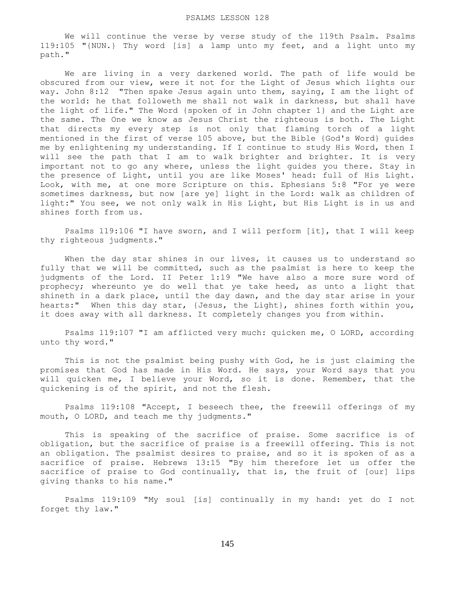#### PSALMS LESSON 128

 We will continue the verse by verse study of the 119th Psalm. Psalms 119:105 "{NUN.} Thy word [is] a lamp unto my feet, and a light unto my path."

 We are living in a very darkened world. The path of life would be obscured from our view, were it not for the Light of Jesus which lights our way. John 8:12 "Then spake Jesus again unto them, saying, I am the light of the world: he that followeth me shall not walk in darkness, but shall have the light of life." The Word {spoken of in John chapter 1} and the Light are the same. The One we know as Jesus Christ the righteous is both. The Light that directs my every step is not only that flaming torch of a light mentioned in the first of verse 105 above, but the Bible {God's Word} guides me by enlightening my understanding. If I continue to study His Word, then I will see the path that I am to walk brighter and brighter. It is very important not to go any where, unless the light guides you there. Stay in the presence of Light, until you are like Moses' head: full of His Light. Look, with me, at one more Scripture on this. Ephesians 5:8 "For ye were sometimes darkness, but now [are ye] light in the Lord: walk as children of light:" You see, we not only walk in His Light, but His Light is in us and shines forth from us.

 Psalms 119:106 "I have sworn, and I will perform [it], that I will keep thy righteous judgments."

When the day star shines in our lives, it causes us to understand so fully that we will be committed, such as the psalmist is here to keep the judgments of the Lord. II Peter 1:19 "We have also a more sure word of prophecy; whereunto ye do well that ye take heed, as unto a light that shineth in a dark place, until the day dawn, and the day star arise in your hearts:" When this day star, {Jesus, the Light}, shines forth within you, it does away with all darkness. It completely changes you from within.

 Psalms 119:107 "I am afflicted very much: quicken me, O LORD, according unto thy word."

 This is not the psalmist being pushy with God, he is just claiming the promises that God has made in His Word. He says, your Word says that you will quicken me, I believe your Word, so it is done. Remember, that the quickening is of the spirit, and not the flesh.

 Psalms 119:108 "Accept, I beseech thee, the freewill offerings of my mouth, O LORD, and teach me thy judgments."

 This is speaking of the sacrifice of praise. Some sacrifice is of obligation, but the sacrifice of praise is a freewill offering. This is not an obligation. The psalmist desires to praise, and so it is spoken of as a sacrifice of praise. Hebrews 13:15 "By him therefore let us offer the sacrifice of praise to God continually, that is, the fruit of [our] lips giving thanks to his name."

 Psalms 119:109 "My soul [is] continually in my hand: yet do I not forget thy law."

145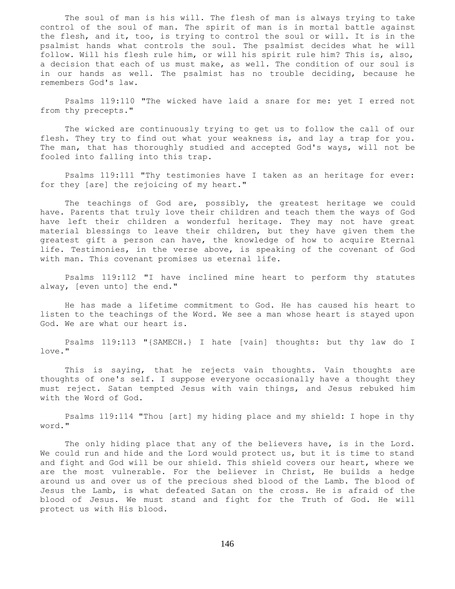The soul of man is his will. The flesh of man is always trying to take control of the soul of man. The spirit of man is in mortal battle against the flesh, and it, too, is trying to control the soul or will. It is in the psalmist hands what controls the soul. The psalmist decides what he will follow. Will his flesh rule him, or will his spirit rule him? This is, also, a decision that each of us must make, as well. The condition of our soul is in our hands as well. The psalmist has no trouble deciding, because he remembers God's law.

 Psalms 119:110 "The wicked have laid a snare for me: yet I erred not from thy precepts."

 The wicked are continuously trying to get us to follow the call of our flesh. They try to find out what your weakness is, and lay a trap for you. The man, that has thoroughly studied and accepted God's ways, will not be fooled into falling into this trap.

 Psalms 119:111 "Thy testimonies have I taken as an heritage for ever: for they [are] the rejoicing of my heart."

 The teachings of God are, possibly, the greatest heritage we could have. Parents that truly love their children and teach them the ways of God have left their children a wonderful heritage. They may not have great material blessings to leave their children, but they have given them the greatest gift a person can have, the knowledge of how to acquire Eternal life. Testimonies, in the verse above, is speaking of the covenant of God with man. This covenant promises us eternal life.

 Psalms 119:112 "I have inclined mine heart to perform thy statutes alway, [even unto] the end."

 He has made a lifetime commitment to God. He has caused his heart to listen to the teachings of the Word. We see a man whose heart is stayed upon God. We are what our heart is.

 Psalms 119:113 "{SAMECH.} I hate [vain] thoughts: but thy law do I love."

 This is saying, that he rejects vain thoughts. Vain thoughts are thoughts of one's self. I suppose everyone occasionally have a thought they must reject. Satan tempted Jesus with vain things, and Jesus rebuked him with the Word of God.

 Psalms 119:114 "Thou [art] my hiding place and my shield: I hope in thy word."

The only hiding place that any of the believers have, is in the Lord. We could run and hide and the Lord would protect us, but it is time to stand and fight and God will be our shield. This shield covers our heart, where we are the most vulnerable. For the believer in Christ, He builds a hedge around us and over us of the precious shed blood of the Lamb. The blood of Jesus the Lamb, is what defeated Satan on the cross. He is afraid of the blood of Jesus. We must stand and fight for the Truth of God. He will protect us with His blood.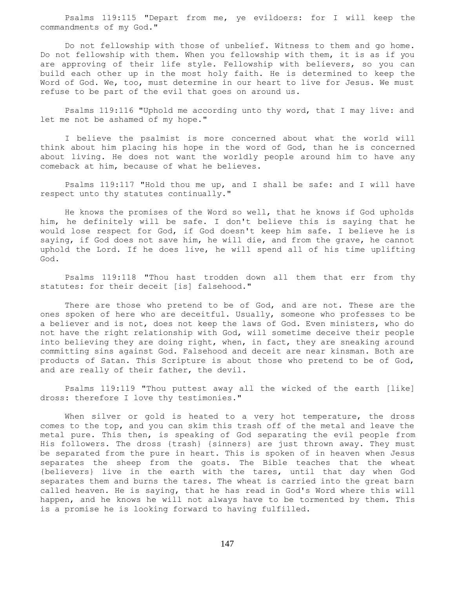Psalms 119:115 "Depart from me, ye evildoers: for I will keep the commandments of my God."

 Do not fellowship with those of unbelief. Witness to them and go home. Do not fellowship with them. When you fellowship with them, it is as if you are approving of their life style. Fellowship with believers, so you can build each other up in the most holy faith. He is determined to keep the Word of God. We, too, must determine in our heart to live for Jesus. We must refuse to be part of the evil that goes on around us.

 Psalms 119:116 "Uphold me according unto thy word, that I may live: and let me not be ashamed of my hope."

 I believe the psalmist is more concerned about what the world will think about him placing his hope in the word of God, than he is concerned about living. He does not want the worldly people around him to have any comeback at him, because of what he believes.

 Psalms 119:117 "Hold thou me up, and I shall be safe: and I will have respect unto thy statutes continually."

 He knows the promises of the Word so well, that he knows if God upholds him, he definitely will be safe. I don't believe this is saying that he would lose respect for God, if God doesn't keep him safe. I believe he is saying, if God does not save him, he will die, and from the grave, he cannot uphold the Lord. If he does live, he will spend all of his time uplifting God.

 Psalms 119:118 "Thou hast trodden down all them that err from thy statutes: for their deceit [is] falsehood."

 There are those who pretend to be of God, and are not. These are the ones spoken of here who are deceitful. Usually, someone who professes to be a believer and is not, does not keep the laws of God. Even ministers, who do not have the right relationship with God, will sometime deceive their people into believing they are doing right, when, in fact, they are sneaking around committing sins against God. Falsehood and deceit are near kinsman. Both are products of Satan. This Scripture is about those who pretend to be of God, and are really of their father, the devil.

 Psalms 119:119 "Thou puttest away all the wicked of the earth [like] dross: therefore I love thy testimonies."

When silver or gold is heated to a very hot temperature, the dross comes to the top, and you can skim this trash off of the metal and leave the metal pure. This then, is speaking of God separating the evil people from His followers. The dross {trash} {sinners} are just thrown away. They must be separated from the pure in heart. This is spoken of in heaven when Jesus separates the sheep from the goats. The Bible teaches that the wheat {believers} live in the earth with the tares, until that day when God separates them and burns the tares. The wheat is carried into the great barn called heaven. He is saying, that he has read in God's Word where this will happen, and he knows he will not always have to be tormented by them. This is a promise he is looking forward to having fulfilled.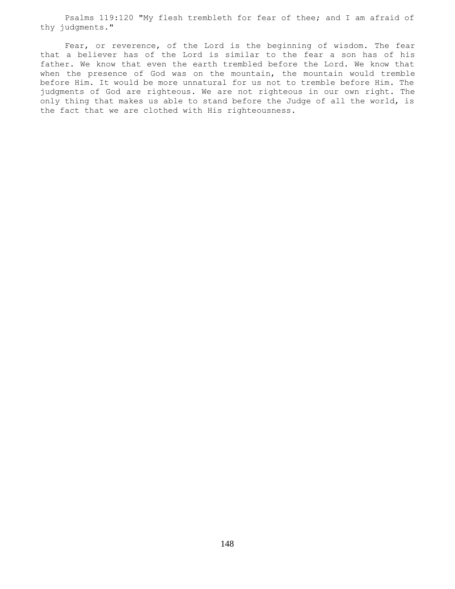Psalms 119:120 "My flesh trembleth for fear of thee; and I am afraid of thy judgments."

 Fear, or reverence, of the Lord is the beginning of wisdom. The fear that a believer has of the Lord is similar to the fear a son has of his father. We know that even the earth trembled before the Lord. We know that when the presence of God was on the mountain, the mountain would tremble before Him. It would be more unnatural for us not to tremble before Him. The judgments of God are righteous. We are not righteous in our own right. The only thing that makes us able to stand before the Judge of all the world, is the fact that we are clothed with His righteousness.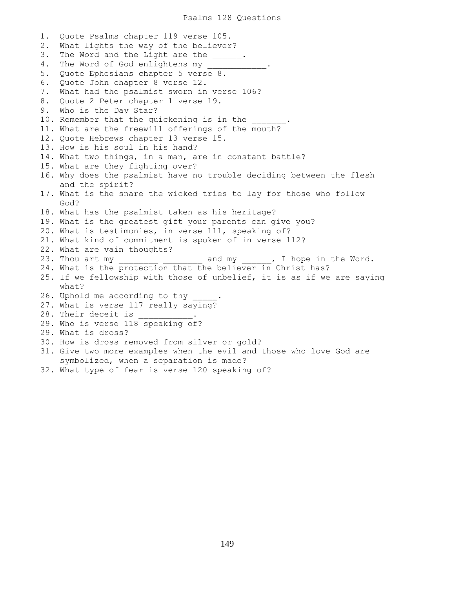1. Quote Psalms chapter 119 verse 105. 2. What lights the way of the believer? 3. The Word and the Light are the \_\_\_\_\_\_. 4. The Word of God enlightens my 5. Quote Ephesians chapter 5 verse 8. 6. Quote John chapter 8 verse 12. 7. What had the psalmist sworn in verse 106? 8. Quote 2 Peter chapter 1 verse 19. 9. Who is the Day Star? 10. Remember that the quickening is in the 11. What are the freewill offerings of the mouth? 12. Quote Hebrews chapter 13 verse 15. 13. How is his soul in his hand? 14. What two things, in a man, are in constant battle? 15. What are they fighting over? 16. Why does the psalmist have no trouble deciding between the flesh and the spirit? 17. What is the snare the wicked tries to lay for those who follow God? 18. What has the psalmist taken as his heritage? 19. What is the greatest gift your parents can give you? 20. What is testimonies, in verse 111, speaking of? 21. What kind of commitment is spoken of in verse 112? 22. What are vain thoughts? 23. Thou art my \_\_\_\_\_\_\_\_\_ \_\_\_\_\_\_\_\_\_ and my \_\_\_\_\_, I hope in the Word. 24. What is the protection that the believer in Christ has? 25. If we fellowship with those of unbelief, it is as if we are saying what? 26. Uphold me according to thy 27. What is verse 117 really saying? 28. Their deceit is 29. Who is verse 118 speaking of? 29. What is dross? 30. How is dross removed from silver or gold? 31. Give two more examples when the evil and those who love God are symbolized, when a separation is made?

32. What type of fear is verse 120 speaking of?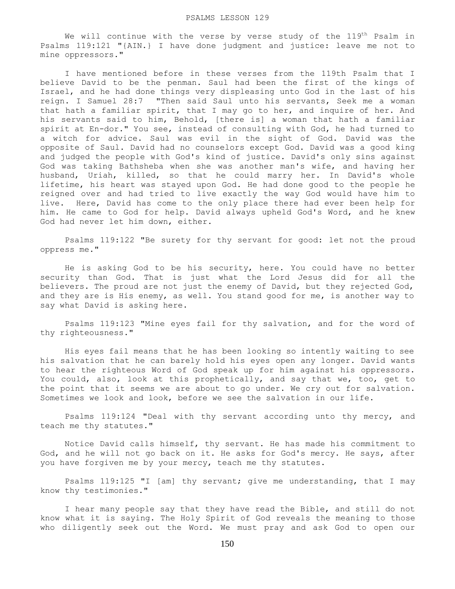We will continue with the verse by verse study of the 119<sup>th</sup> Psalm in Psalms 119:121 "{AIN.} I have done judgment and justice: leave me not to mine oppressors."

 I have mentioned before in these verses from the 119th Psalm that I believe David to be the penman. Saul had been the first of the kings of Israel, and he had done things very displeasing unto God in the last of his reign. I Samuel 28:7 "Then said Saul unto his servants, Seek me a woman that hath a familiar spirit, that I may go to her, and inquire of her. And his servants said to him, Behold, [there is] a woman that hath a familiar spirit at En-dor." You see, instead of consulting with God, he had turned to a witch for advice. Saul was evil in the sight of God. David was the opposite of Saul. David had no counselors except God. David was a good king and judged the people with God's kind of justice. David's only sins against God was taking Bathsheba when she was another man's wife, and having her husband, Uriah, killed, so that he could marry her. In David's whole lifetime, his heart was stayed upon God. He had done good to the people he reigned over and had tried to live exactly the way God would have him to live. Here, David has come to the only place there had ever been help for him. He came to God for help. David always upheld God's Word, and he knew God had never let him down, either.

 Psalms 119:122 "Be surety for thy servant for good: let not the proud oppress me."

 He is asking God to be his security, here. You could have no better security than God. That is just what the Lord Jesus did for all the believers. The proud are not just the enemy of David, but they rejected God, and they are is His enemy, as well. You stand good for me, is another way to say what David is asking here.

 Psalms 119:123 "Mine eyes fail for thy salvation, and for the word of thy righteousness."

 His eyes fail means that he has been looking so intently waiting to see his salvation that he can barely hold his eyes open any longer. David wants to hear the righteous Word of God speak up for him against his oppressors. You could, also, look at this prophetically, and say that we, too, get to the point that it seems we are about to go under. We cry out for salvation. Sometimes we look and look, before we see the salvation in our life.

 Psalms 119:124 "Deal with thy servant according unto thy mercy, and teach me thy statutes."

 Notice David calls himself, thy servant. He has made his commitment to God, and he will not go back on it. He asks for God's mercy. He says, after you have forgiven me by your mercy, teach me thy statutes.

 Psalms 119:125 "I [am] thy servant; give me understanding, that I may know thy testimonies."

 I hear many people say that they have read the Bible, and still do not know what it is saying. The Holy Spirit of God reveals the meaning to those who diligently seek out the Word. We must pray and ask God to open our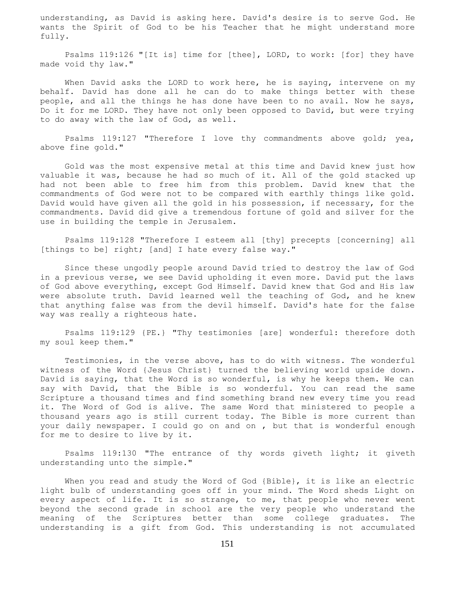understanding, as David is asking here. David's desire is to serve God. He wants the Spirit of God to be his Teacher that he might understand more fully.

 Psalms 119:126 "[It is] time for [thee], LORD, to work: [for] they have made void thy law."

When David asks the LORD to work here, he is saying, intervene on my behalf. David has done all he can do to make things better with these people, and all the things he has done have been to no avail. Now he says, Do it for me LORD. They have not only been opposed to David, but were trying to do away with the law of God, as well.

 Psalms 119:127 "Therefore I love thy commandments above gold; yea, above fine gold."

 Gold was the most expensive metal at this time and David knew just how valuable it was, because he had so much of it. All of the gold stacked up had not been able to free him from this problem. David knew that the commandments of God were not to be compared with earthly things like gold. David would have given all the gold in his possession, if necessary, for the commandments. David did give a tremendous fortune of gold and silver for the use in building the temple in Jerusalem.

 Psalms 119:128 "Therefore I esteem all [thy] precepts [concerning] all [things to be] right; [and] I hate every false way."

 Since these ungodly people around David tried to destroy the law of God in a previous verse, we see David upholding it even more. David put the laws of God above everything, except God Himself. David knew that God and His law were absolute truth. David learned well the teaching of God, and he knew that anything false was from the devil himself. David's hate for the false way was really a righteous hate.

 Psalms 119:129 {PE.} "Thy testimonies [are] wonderful: therefore doth my soul keep them."

 Testimonies, in the verse above, has to do with witness. The wonderful witness of the Word {Jesus Christ} turned the believing world upside down. David is saying, that the Word is so wonderful, is why he keeps them. We can say with David, that the Bible is so wonderful. You can read the same Scripture a thousand times and find something brand new every time you read it. The Word of God is alive. The same Word that ministered to people a thousand years ago is still current today. The Bible is more current than your daily newspaper. I could go on and on , but that is wonderful enough for me to desire to live by it.

 Psalms 119:130 "The entrance of thy words giveth light; it giveth understanding unto the simple."

 When you read and study the Word of God {Bible}, it is like an electric light bulb of understanding goes off in your mind. The Word sheds Light on every aspect of life. It is so strange, to me, that people who never went beyond the second grade in school are the very people who understand the meaning of the Scriptures better than some college graduates. The understanding is a gift from God. This understanding is not accumulated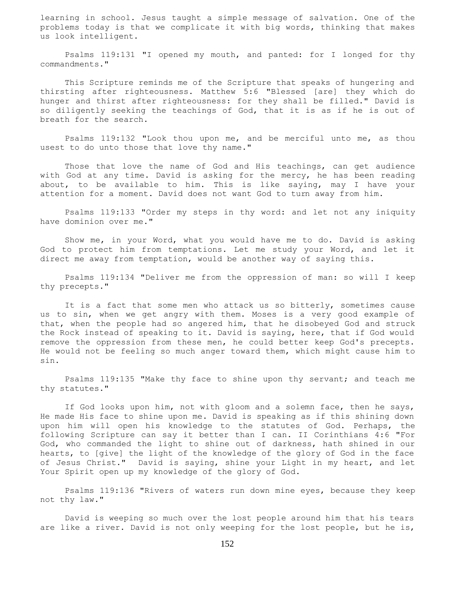learning in school. Jesus taught a simple message of salvation. One of the problems today is that we complicate it with big words, thinking that makes us look intelligent.

 Psalms 119:131 "I opened my mouth, and panted: for I longed for thy commandments."

 This Scripture reminds me of the Scripture that speaks of hungering and thirsting after righteousness. Matthew 5:6 "Blessed [are] they which do hunger and thirst after righteousness: for they shall be filled." David is so diligently seeking the teachings of God, that it is as if he is out of breath for the search.

 Psalms 119:132 "Look thou upon me, and be merciful unto me, as thou usest to do unto those that love thy name."

 Those that love the name of God and His teachings, can get audience with God at any time. David is asking for the mercy, he has been reading about, to be available to him. This is like saying, may I have your attention for a moment. David does not want God to turn away from him.

 Psalms 119:133 "Order my steps in thy word: and let not any iniquity have dominion over me."

 Show me, in your Word, what you would have me to do. David is asking God to protect him from temptations. Let me study your Word, and let it direct me away from temptation, would be another way of saying this.

 Psalms 119:134 "Deliver me from the oppression of man: so will I keep thy precepts."

 It is a fact that some men who attack us so bitterly, sometimes cause us to sin, when we get angry with them. Moses is a very good example of that, when the people had so angered him, that he disobeyed God and struck the Rock instead of speaking to it. David is saying, here, that if God would remove the oppression from these men, he could better keep God's precepts. He would not be feeling so much anger toward them, which might cause him to sin.

 Psalms 119:135 "Make thy face to shine upon thy servant; and teach me thy statutes."

 If God looks upon him, not with gloom and a solemn face, then he says, He made His face to shine upon me. David is speaking as if this shining down upon him will open his knowledge to the statutes of God. Perhaps, the following Scripture can say it better than I can. II Corinthians 4:6 "For God, who commanded the light to shine out of darkness, hath shined in our hearts, to [give] the light of the knowledge of the glory of God in the face of Jesus Christ." David is saying, shine your Light in my heart, and let Your Spirit open up my knowledge of the glory of God.

 Psalms 119:136 "Rivers of waters run down mine eyes, because they keep not thy law."

 David is weeping so much over the lost people around him that his tears are like a river. David is not only weeping for the lost people, but he is,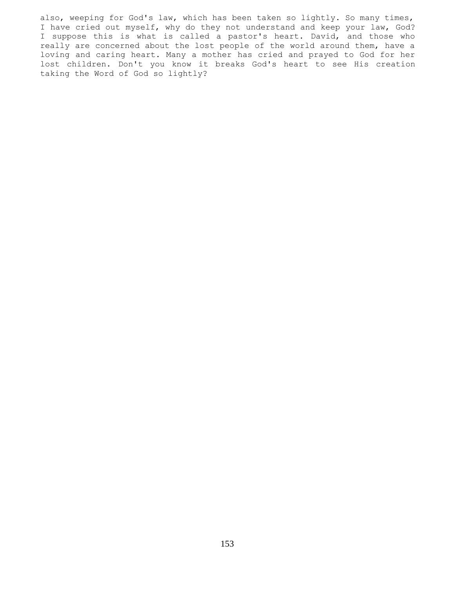also, weeping for God's law, which has been taken so lightly. So many times, I have cried out myself, why do they not understand and keep your law, God? I suppose this is what is called a pastor's heart. David, and those who really are concerned about the lost people of the world around them, have a loving and caring heart. Many a mother has cried and prayed to God for her lost children. Don't you know it breaks God's heart to see His creation taking the Word of God so lightly?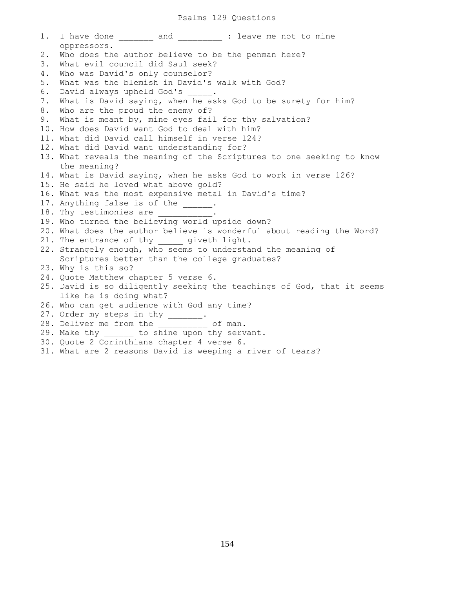1. I have done and : leave me not to mine oppressors. 2. Who does the author believe to be the penman here? 3. What evil council did Saul seek? 4. Who was David's only counselor? 5. What was the blemish in David's walk with God? 6. David always upheld God's . 7. What is David saying, when he asks God to be surety for him? 8. Who are the proud the enemy of? 9. What is meant by, mine eyes fail for thy salvation? 10. How does David want God to deal with him? 11. What did David call himself in verse 124? 12. What did David want understanding for? 13. What reveals the meaning of the Scriptures to one seeking to know the meaning? 14. What is David saying, when he asks God to work in verse 126? 15. He said he loved what above gold? 16. What was the most expensive metal in David's time? 17. Anything false is of the  $\qquad \qquad$ . 18. Thy testimonies are 19. Who turned the believing world upside down? 20. What does the author believe is wonderful about reading the Word? 21. The entrance of thy yiveth light. 22. Strangely enough, who seems to understand the meaning of Scriptures better than the college graduates? 23. Why is this so? 24. Quote Matthew chapter 5 verse 6. 25. David is so diligently seeking the teachings of God, that it seems like he is doing what? 26. Who can get audience with God any time? 27. Order my steps in thy \_\_\_\_\_\_ 28. Deliver me from the  $\qquad \qquad$  of man. 29. Make thy \_\_\_\_\_\_ to shine upon thy servant. 30. Quote 2 Corinthians chapter 4 verse 6.

31. What are 2 reasons David is weeping a river of tears?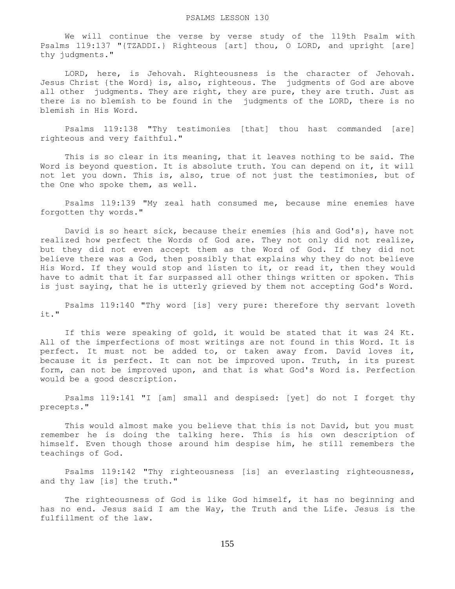We will continue the verse by verse study of the 119th Psalm with Psalms 119:137 "{TZADDI.} Righteous [art] thou, O LORD, and upright [are] thy judgments."

 LORD, here, is Jehovah. Righteousness is the character of Jehovah. Jesus Christ {the Word} is, also, righteous. The judgments of God are above all other judgments. They are right, they are pure, they are truth. Just as there is no blemish to be found in the judgments of the LORD, there is no blemish in His Word.

 Psalms 119:138 "Thy testimonies [that] thou hast commanded [are] righteous and very faithful."

 This is so clear in its meaning, that it leaves nothing to be said. The Word is beyond question. It is absolute truth. You can depend on it, it will not let you down. This is, also, true of not just the testimonies, but of the One who spoke them, as well.

 Psalms 119:139 "My zeal hath consumed me, because mine enemies have forgotten thy words."

 David is so heart sick, because their enemies {his and God's}, have not realized how perfect the Words of God are. They not only did not realize, but they did not even accept them as the Word of God. If they did not believe there was a God, then possibly that explains why they do not believe His Word. If they would stop and listen to it, or read it, then they would have to admit that it far surpassed all other things written or spoken. This is just saying, that he is utterly grieved by them not accepting God's Word.

 Psalms 119:140 "Thy word [is] very pure: therefore thy servant loveth it."

 If this were speaking of gold, it would be stated that it was 24 Kt. All of the imperfections of most writings are not found in this Word. It is perfect. It must not be added to, or taken away from. David loves it, because it is perfect. It can not be improved upon. Truth, in its purest form, can not be improved upon, and that is what God's Word is. Perfection would be a good description.

 Psalms 119:141 "I [am] small and despised: [yet] do not I forget thy precepts."

 This would almost make you believe that this is not David, but you must remember he is doing the talking here. This is his own description of himself. Even though those around him despise him, he still remembers the teachings of God.

 Psalms 119:142 "Thy righteousness [is] an everlasting righteousness, and thy law [is] the truth."

 The righteousness of God is like God himself, it has no beginning and has no end. Jesus said I am the Way, the Truth and the Life. Jesus is the fulfillment of the law.

155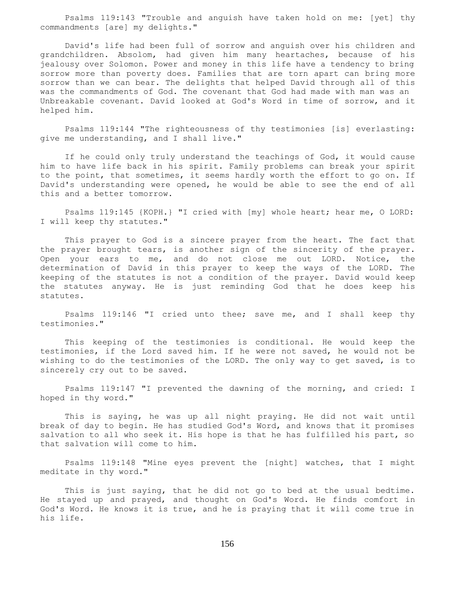Psalms 119:143 "Trouble and anguish have taken hold on me: [yet] thy commandments [are] my delights."

 David's life had been full of sorrow and anguish over his children and grandchildren. Absolom, had given him many heartaches, because of his jealousy over Solomon. Power and money in this life have a tendency to bring sorrow more than poverty does. Families that are torn apart can bring more sorrow than we can bear. The delights that helped David through all of this was the commandments of God. The covenant that God had made with man was an Unbreakable covenant. David looked at God's Word in time of sorrow, and it helped him.

 Psalms 119:144 "The righteousness of thy testimonies [is] everlasting: give me understanding, and I shall live."

 If he could only truly understand the teachings of God, it would cause him to have life back in his spirit. Family problems can break your spirit to the point, that sometimes, it seems hardly worth the effort to go on. If David's understanding were opened, he would be able to see the end of all this and a better tomorrow.

 Psalms 119:145 {KOPH.} "I cried with [my] whole heart; hear me, O LORD: I will keep thy statutes."

 This prayer to God is a sincere prayer from the heart. The fact that the prayer brought tears, is another sign of the sincerity of the prayer. Open your ears to me, and do not close me out LORD. Notice, the determination of David in this prayer to keep the ways of the LORD. The keeping of the statutes is not a condition of the prayer. David would keep the statutes anyway. He is just reminding God that he does keep his statutes.

 Psalms 119:146 "I cried unto thee; save me, and I shall keep thy testimonies."

 This keeping of the testimonies is conditional. He would keep the testimonies, if the Lord saved him. If he were not saved, he would not be wishing to do the testimonies of the LORD. The only way to get saved, is to sincerely cry out to be saved.

 Psalms 119:147 "I prevented the dawning of the morning, and cried: I hoped in thy word."

 This is saying, he was up all night praying. He did not wait until break of day to begin. He has studied God's Word, and knows that it promises salvation to all who seek it. His hope is that he has fulfilled his part, so that salvation will come to him.

 Psalms 119:148 "Mine eyes prevent the [night] watches, that I might meditate in thy word."

 This is just saying, that he did not go to bed at the usual bedtime. He stayed up and prayed, and thought on God's Word. He finds comfort in God's Word. He knows it is true, and he is praying that it will come true in his life.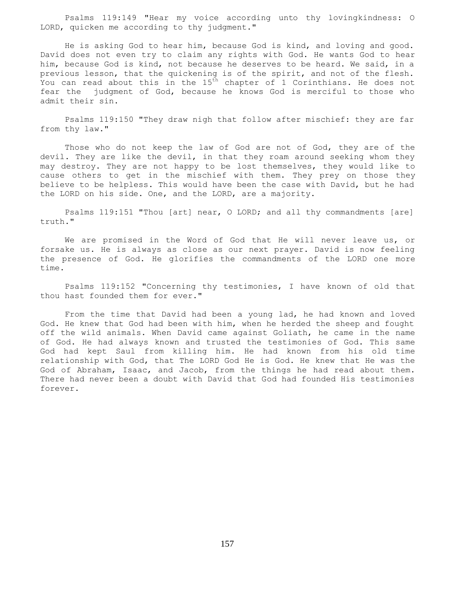Psalms 119:149 "Hear my voice according unto thy lovingkindness: O LORD, quicken me according to thy judgment."

 He is asking God to hear him, because God is kind, and loving and good. David does not even try to claim any rights with God. He wants God to hear him, because God is kind, not because he deserves to be heard. We said, in a previous lesson, that the quickening is of the spirit, and not of the flesh. You can read about this in the 15<sup>th</sup> chapter of 1 Corinthians. He does not fear the judgment of God, because he knows God is merciful to those who admit their sin.

 Psalms 119:150 "They draw nigh that follow after mischief: they are far from thy law."

 Those who do not keep the law of God are not of God, they are of the devil. They are like the devil, in that they roam around seeking whom they may destroy. They are not happy to be lost themselves, they would like to cause others to get in the mischief with them. They prey on those they believe to be helpless. This would have been the case with David, but he had the LORD on his side. One, and the LORD, are a majority.

 Psalms 119:151 "Thou [art] near, O LORD; and all thy commandments [are] truth."

 We are promised in the Word of God that He will never leave us, or forsake us. He is always as close as our next prayer. David is now feeling the presence of God. He glorifies the commandments of the LORD one more time.

 Psalms 119:152 "Concerning thy testimonies, I have known of old that thou hast founded them for ever."

 From the time that David had been a young lad, he had known and loved God. He knew that God had been with him, when he herded the sheep and fought off the wild animals. When David came against Goliath, he came in the name of God. He had always known and trusted the testimonies of God. This same God had kept Saul from killing him. He had known from his old time relationship with God, that The LORD God He is God. He knew that He was the God of Abraham, Isaac, and Jacob, from the things he had read about them. There had never been a doubt with David that God had founded His testimonies forever.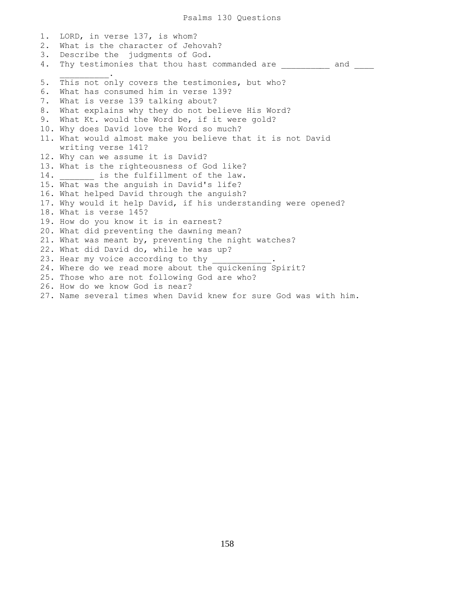1. LORD, in verse 137, is whom? 2. What is the character of Jehovah? 3. Describe the judgments of God. 4. Thy testimonies that thou hast commanded are **All and the manual commanded** are  $\mathcal{L}=\mathcal{L}=\mathcal{L}=\mathcal{L}=\mathcal{L}=\mathcal{L}$ 5. This not only covers the testimonies, but who? 6. What has consumed him in verse 139? 7. What is verse 139 talking about? 8. What explains why they do not believe His Word? 9. What Kt. would the Word be, if it were gold? 10. Why does David love the Word so much? 11. What would almost make you believe that it is not David writing verse 141? 12. Why can we assume it is David? 13. What is the righteousness of God like? 14. **is the fulfillment of the law.** 15. What was the anguish in David's life? 16. What helped David through the anguish? 17. Why would it help David, if his understanding were opened? 18. What is verse 145? 19. How do you know it is in earnest? 20. What did preventing the dawning mean? 21. What was meant by, preventing the night watches? 22. What did David do, while he was up? 23. Hear my voice according to thy 24. Where do we read more about the quickening Spirit? 25. Those who are not following God are who? 26. How do we know God is near? 27. Name several times when David knew for sure God was with him.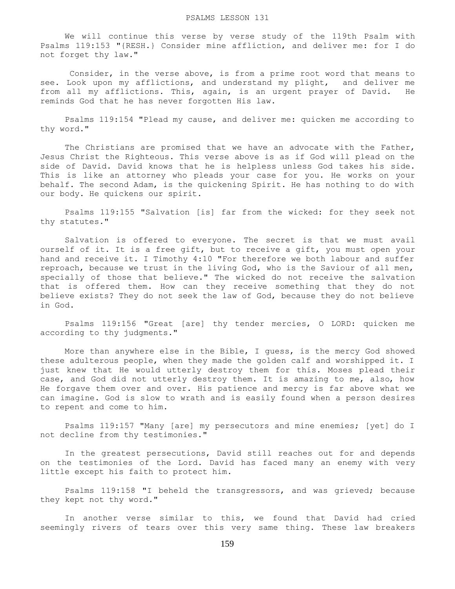We will continue this verse by verse study of the 119th Psalm with Psalms 119:153 "{RESH.} Consider mine affliction, and deliver me: for I do not forget thy law."

 Consider, in the verse above, is from a prime root word that means to see. Look upon my afflictions, and understand my plight, and deliver me from all my afflictions. This, again, is an urgent prayer of David. He reminds God that he has never forgotten His law.

 Psalms 119:154 "Plead my cause, and deliver me: quicken me according to thy word."

The Christians are promised that we have an advocate with the Father, Jesus Christ the Righteous. This verse above is as if God will plead on the side of David. David knows that he is helpless unless God takes his side. This is like an attorney who pleads your case for you. He works on your behalf. The second Adam, is the quickening Spirit. He has nothing to do with our body. He quickens our spirit.

 Psalms 119:155 "Salvation [is] far from the wicked: for they seek not thy statutes."

 Salvation is offered to everyone. The secret is that we must avail ourself of it. It is a free gift, but to receive a gift, you must open your hand and receive it. I Timothy 4:10 "For therefore we both labour and suffer reproach, because we trust in the living God, who is the Saviour of all men, specially of those that believe." The wicked do not receive the salvation that is offered them. How can they receive something that they do not believe exists? They do not seek the law of God, because they do not believe in God.

 Psalms 119:156 "Great [are] thy tender mercies, O LORD: quicken me according to thy judgments."

 More than anywhere else in the Bible, I guess, is the mercy God showed these adulterous people, when they made the golden calf and worshipped it. I just knew that He would utterly destroy them for this. Moses plead their case, and God did not utterly destroy them. It is amazing to me, also, how He forgave them over and over. His patience and mercy is far above what we can imagine. God is slow to wrath and is easily found when a person desires to repent and come to him.

 Psalms 119:157 "Many [are] my persecutors and mine enemies; [yet] do I not decline from thy testimonies."

 In the greatest persecutions, David still reaches out for and depends on the testimonies of the Lord. David has faced many an enemy with very little except his faith to protect him.

 Psalms 119:158 "I beheld the transgressors, and was grieved; because they kept not thy word."

 In another verse similar to this, we found that David had cried seemingly rivers of tears over this very same thing. These law breakers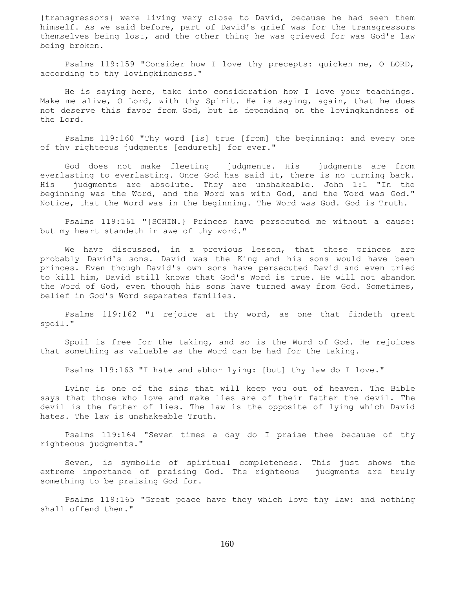{transgressors} were living very close to David, because he had seen them himself. As we said before, part of David's grief was for the transgressors themselves being lost, and the other thing he was grieved for was God's law being broken.

 Psalms 119:159 "Consider how I love thy precepts: quicken me, O LORD, according to thy lovingkindness."

 He is saying here, take into consideration how I love your teachings. Make me alive, O Lord, with thy Spirit. He is saying, again, that he does not deserve this favor from God, but is depending on the lovingkindness of the Lord.

 Psalms 119:160 "Thy word [is] true [from] the beginning: and every one of thy righteous judgments [endureth] for ever."

 God does not make fleeting judgments. His judgments are from everlasting to everlasting. Once God has said it, there is no turning back. His judgments are absolute. They are unshakeable. John 1:1 "In the beginning was the Word, and the Word was with God, and the Word was God." Notice, that the Word was in the beginning. The Word was God. God is Truth.

 Psalms 119:161 "{SCHIN.} Princes have persecuted me without a cause: but my heart standeth in awe of thy word."

We have discussed, in a previous lesson, that these princes are probably David's sons. David was the King and his sons would have been princes. Even though David's own sons have persecuted David and even tried to kill him, David still knows that God's Word is true. He will not abandon the Word of God, even though his sons have turned away from God. Sometimes, belief in God's Word separates families.

 Psalms 119:162 "I rejoice at thy word, as one that findeth great spoil."

 Spoil is free for the taking, and so is the Word of God. He rejoices that something as valuable as the Word can be had for the taking.

Psalms 119:163 "I hate and abhor lying: [but] thy law do I love."

 Lying is one of the sins that will keep you out of heaven. The Bible says that those who love and make lies are of their father the devil. The devil is the father of lies. The law is the opposite of lying which David hates. The law is unshakeable Truth.

 Psalms 119:164 "Seven times a day do I praise thee because of thy righteous judgments."

 Seven, is symbolic of spiritual completeness. This just shows the extreme importance of praising God. The righteous judgments are truly something to be praising God for.

 Psalms 119:165 "Great peace have they which love thy law: and nothing shall offend them."

160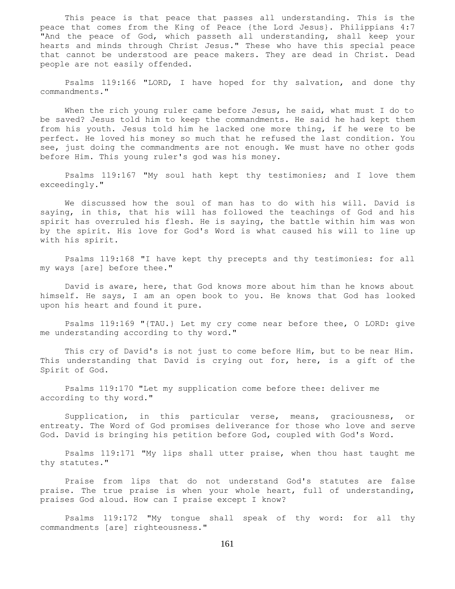This peace is that peace that passes all understanding. This is the peace that comes from the King of Peace {the Lord Jesus}. Philippians 4:7 "And the peace of God, which passeth all understanding, shall keep your hearts and minds through Christ Jesus." These who have this special peace that cannot be understood are peace makers. They are dead in Christ. Dead people are not easily offended.

 Psalms 119:166 "LORD, I have hoped for thy salvation, and done thy commandments."

When the rich young ruler came before Jesus, he said, what must I do to be saved? Jesus told him to keep the commandments. He said he had kept them from his youth. Jesus told him he lacked one more thing, if he were to be perfect. He loved his money so much that he refused the last condition. You see, just doing the commandments are not enough. We must have no other gods before Him. This young ruler's god was his money.

 Psalms 119:167 "My soul hath kept thy testimonies; and I love them exceedingly."

 We discussed how the soul of man has to do with his will. David is saying, in this, that his will has followed the teachings of God and his spirit has overruled his flesh. He is saying, the battle within him was won by the spirit. His love for God's Word is what caused his will to line up with his spirit.

 Psalms 119:168 "I have kept thy precepts and thy testimonies: for all my ways [are] before thee."

 David is aware, here, that God knows more about him than he knows about himself. He says, I am an open book to you. He knows that God has looked upon his heart and found it pure.

 Psalms 119:169 "{TAU.} Let my cry come near before thee, O LORD: give me understanding according to thy word."

 This cry of David's is not just to come before Him, but to be near Him. This understanding that David is crying out for, here, is a gift of the Spirit of God.

 Psalms 119:170 "Let my supplication come before thee: deliver me according to thy word."

 Supplication, in this particular verse, means, graciousness, or entreaty. The Word of God promises deliverance for those who love and serve God. David is bringing his petition before God, coupled with God's Word.

 Psalms 119:171 "My lips shall utter praise, when thou hast taught me thy statutes."

 Praise from lips that do not understand God's statutes are false praise. The true praise is when your whole heart, full of understanding, praises God aloud. How can I praise except I know?

 Psalms 119:172 "My tongue shall speak of thy word: for all thy commandments [are] righteousness."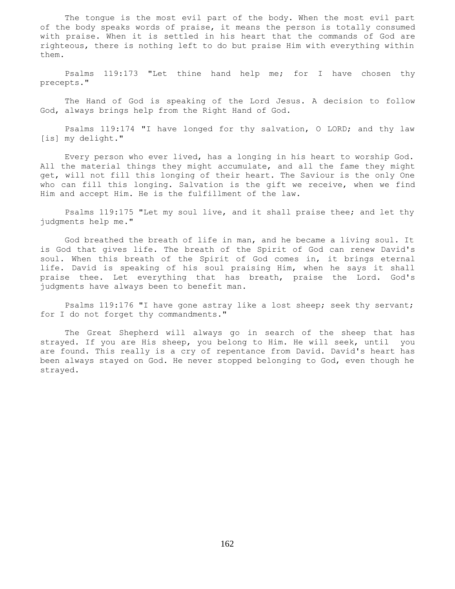The tongue is the most evil part of the body. When the most evil part of the body speaks words of praise, it means the person is totally consumed with praise. When it is settled in his heart that the commands of God are righteous, there is nothing left to do but praise Him with everything within them.

 Psalms 119:173 "Let thine hand help me; for I have chosen thy precepts."

 The Hand of God is speaking of the Lord Jesus. A decision to follow God, always brings help from the Right Hand of God.

 Psalms 119:174 "I have longed for thy salvation, O LORD; and thy law [is] my delight."

 Every person who ever lived, has a longing in his heart to worship God. All the material things they might accumulate, and all the fame they might get, will not fill this longing of their heart. The Saviour is the only One who can fill this longing. Salvation is the gift we receive, when we find Him and accept Him. He is the fulfillment of the law.

 Psalms 119:175 "Let my soul live, and it shall praise thee; and let thy judgments help me."

 God breathed the breath of life in man, and he became a living soul. It is God that gives life. The breath of the Spirit of God can renew David's soul. When this breath of the Spirit of God comes in, it brings eternal life. David is speaking of his soul praising Him, when he says it shall praise thee. Let everything that has breath, praise the Lord. God's judgments have always been to benefit man.

 Psalms 119:176 "I have gone astray like a lost sheep; seek thy servant; for I do not forget thy commandments."

 The Great Shepherd will always go in search of the sheep that has strayed. If you are His sheep, you belong to Him. He will seek, until you are found. This really is a cry of repentance from David. David's heart has been always stayed on God. He never stopped belonging to God, even though he strayed.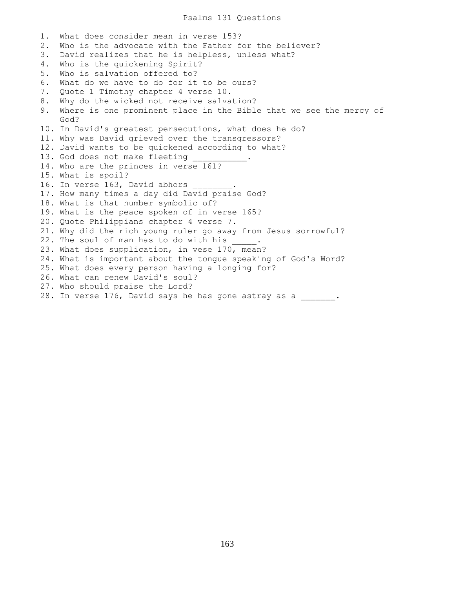1. What does consider mean in verse 153? 2. Who is the advocate with the Father for the believer? 3. David realizes that he is helpless, unless what? 4. Who is the quickening Spirit? 5. Who is salvation offered to? 6. What do we have to do for it to be ours? 7. Quote 1 Timothy chapter 4 verse 10. 8. Why do the wicked not receive salvation? 9. Where is one prominent place in the Bible that we see the mercy of God? 10. In David's greatest persecutions, what does he do? 11. Why was David grieved over the transgressors? 12. David wants to be quickened according to what? 13. God does not make fleeting 14. Who are the princes in verse 161? 15. What is spoil? 16. In verse 163, David abhors 17. How many times a day did David praise God? 18. What is that number symbolic of? 19. What is the peace spoken of in verse 165? 20. Quote Philippians chapter 4 verse 7. 21. Why did the rich young ruler go away from Jesus sorrowful? 22. The soul of man has to do with his . 23. What does supplication, in vese 170, mean? 24. What is important about the tongue speaking of God's Word? 25. What does every person having a longing for? 26. What can renew David's soul? 27. Who should praise the Lord? 28. In verse 176, David says he has gone astray as a \_\_\_\_\_\_.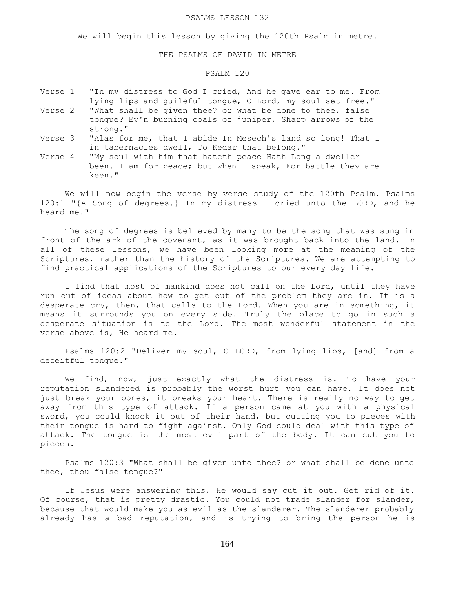#### PSALMS LESSON 132

We will begin this lesson by giving the 120th Psalm in metre.

### THE PSALMS OF DAVID IN METRE

# PSALM 120

- Verse 1 "In my distress to God I cried, And he gave ear to me. From lying lips and guileful tongue, O Lord, my soul set free." Verse 2 "What shall be given thee? or what be done to thee, false tongue? Ev'n burning coals of juniper, Sharp arrows of the
- strong." Verse 3 "Alas for me, that I abide In Mesech's land so long! That I in tabernacles dwell, To Kedar that belong."
- Verse 4 "My soul with him that hateth peace Hath Long a dweller been. I am for peace; but when I speak, For battle they are keen."

 We will now begin the verse by verse study of the 120th Psalm. Psalms 120:1 "{A Song of degrees.} In my distress I cried unto the LORD, and he heard me."

 The song of degrees is believed by many to be the song that was sung in front of the ark of the covenant, as it was brought back into the land. In all of these lessons, we have been looking more at the meaning of the Scriptures, rather than the history of the Scriptures. We are attempting to find practical applications of the Scriptures to our every day life.

I find that most of mankind does not call on the Lord, until they have run out of ideas about how to get out of the problem they are in. It is a desperate cry, then, that calls to the Lord. When you are in something, it means it surrounds you on every side. Truly the place to go in such a desperate situation is to the Lord. The most wonderful statement in the verse above is, He heard me.

 Psalms 120:2 "Deliver my soul, O LORD, from lying lips, [and] from a deceitful tongue."

 We find, now, just exactly what the distress is. To have your reputation slandered is probably the worst hurt you can have. It does not just break your bones, it breaks your heart. There is really no way to get away from this type of attack. If a person came at you with a physical sword, you could knock it out of their hand, but cutting you to pieces with their tongue is hard to fight against. Only God could deal with this type of attack. The tongue is the most evil part of the body. It can cut you to pieces.

 Psalms 120:3 "What shall be given unto thee? or what shall be done unto thee, thou false tongue?"

 If Jesus were answering this, He would say cut it out. Get rid of it. Of course, that is pretty drastic. You could not trade slander for slander, because that would make you as evil as the slanderer. The slanderer probably already has a bad reputation, and is trying to bring the person he is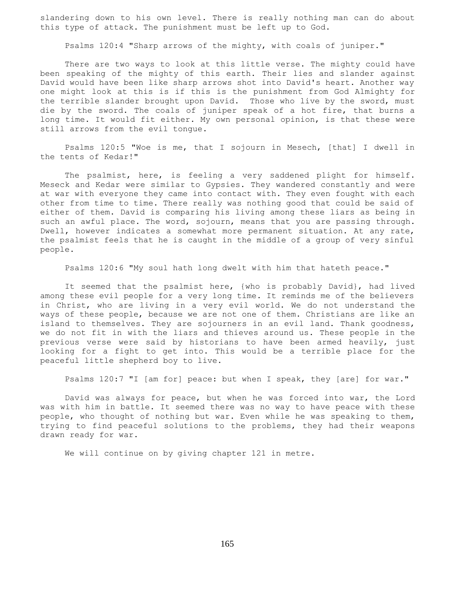slandering down to his own level. There is really nothing man can do about this type of attack. The punishment must be left up to God.

Psalms 120:4 "Sharp arrows of the mighty, with coals of juniper."

 There are two ways to look at this little verse. The mighty could have been speaking of the mighty of this earth. Their lies and slander against David would have been like sharp arrows shot into David's heart. Another way one might look at this is if this is the punishment from God Almighty for the terrible slander brought upon David. Those who live by the sword, must die by the sword. The coals of juniper speak of a hot fire, that burns a long time. It would fit either. My own personal opinion, is that these were still arrows from the evil tongue.

 Psalms 120:5 "Woe is me, that I sojourn in Mesech, [that] I dwell in the tents of Kedar!"

 The psalmist, here, is feeling a very saddened plight for himself. Meseck and Kedar were similar to Gypsies. They wandered constantly and were at war with everyone they came into contact with. They even fought with each other from time to time. There really was nothing good that could be said of either of them. David is comparing his living among these liars as being in such an awful place. The word, sojourn, means that you are passing through. Dwell, however indicates a somewhat more permanent situation. At any rate, the psalmist feels that he is caught in the middle of a group of very sinful people.

Psalms 120:6 "My soul hath long dwelt with him that hateth peace."

 It seemed that the psalmist here, {who is probably David}, had lived among these evil people for a very long time. It reminds me of the believers in Christ, who are living in a very evil world. We do not understand the ways of these people, because we are not one of them. Christians are like an island to themselves. They are sojourners in an evil land. Thank goodness, we do not fit in with the liars and thieves around us. These people in the previous verse were said by historians to have been armed heavily, just looking for a fight to get into. This would be a terrible place for the peaceful little shepherd boy to live.

Psalms 120:7 "I [am for] peace: but when I speak, they [are] for war."

 David was always for peace, but when he was forced into war, the Lord was with him in battle. It seemed there was no way to have peace with these people, who thought of nothing but war. Even while he was speaking to them, trying to find peaceful solutions to the problems, they had their weapons drawn ready for war.

We will continue on by giving chapter 121 in metre.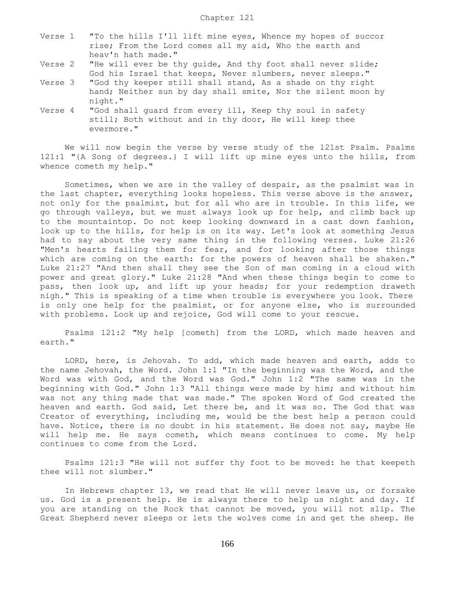- Verse 1 "To the hills I'll lift mine eyes, Whence my hopes of succor rise; From the Lord comes all my aid, Who the earth and heav'n hath made."
- Verse 2 "He will ever be thy guide, And thy foot shall never slide; God his Israel that keeps, Never slumbers, never sleeps."
- Verse 3 "God thy keeper still shall stand, As a shade on thy right hand; Neither sun by day shall smite, Nor the silent moon by night."
- Verse 4 "God shall guard from every ill, Keep thy soul in safety still; Both without and in thy door, He will keep thee evermore."

 We will now begin the verse by verse study of the 121st Psalm. Psalms 121:1 "{A Song of degrees.} I will lift up mine eyes unto the hills, from whence cometh my help."

 Sometimes, when we are in the valley of despair, as the psalmist was in the last chapter, everything looks hopeless. This verse above is the answer, not only for the psalmist, but for all who are in trouble. In this life, we go through valleys, but we must always look up for help, and climb back up to the mountaintop. Do not keep looking downward in a cast down fashion, look up to the hills, for help is on its way. Let's look at something Jesus had to say about the very same thing in the following verses. Luke 21:26 "Men's hearts failing them for fear, and for looking after those things which are coming on the earth: for the powers of heaven shall be shaken." Luke 21:27 "And then shall they see the Son of man coming in a cloud with power and great glory." Luke 21:28 "And when these things begin to come to pass, then look up, and lift up your heads; for your redemption draweth nigh." This is speaking of a time when trouble is everywhere you look. There is only one help for the psalmist, or for anyone else, who is surrounded with problems. Look up and rejoice, God will come to your rescue.

 Psalms 121:2 "My help [cometh] from the LORD, which made heaven and earth."

 LORD, here, is Jehovah. To add, which made heaven and earth, adds to the name Jehovah, the Word. John 1:1 "In the beginning was the Word, and the Word was with God, and the Word was God." John 1:2 "The same was in the beginning with God." John 1:3 "All things were made by him; and without him was not any thing made that was made." The spoken Word of God created the heaven and earth. God said, Let there be, and it was so. The God that was Creator of everything, including me, would be the best help a person could have. Notice, there is no doubt in his statement. He does not say, maybe He will help me. He says cometh, which means continues to come. My help continues to come from the Lord.

 Psalms 121:3 "He will not suffer thy foot to be moved: he that keepeth thee will not slumber."

 In Hebrews chapter 13, we read that He will never leave us, or forsake us. God is a present help. He is always there to help us night and day. If you are standing on the Rock that cannot be moved, you will not slip. The Great Shepherd never sleeps or lets the wolves come in and get the sheep. He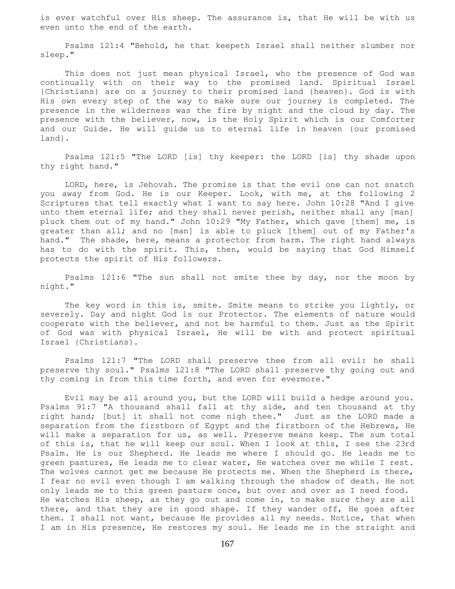is ever watchful over His sheep. The assurance is, that He will be with us even unto the end of the earth.

 Psalms 121:4 "Behold, he that keepeth Israel shall neither slumber nor sleep."

 This does not just mean physical Israel, who the presence of God was continually with on their way to the promised land. Spiritual Israel {Christians} are on a journey to their promised land {heaven}. God is with His own every step of the way to make sure our journey is completed. The presence in the wilderness was the fire by night and the cloud by day. The presence with the believer, now, is the Holy Spirit which is our Comforter and our Guide. He will guide us to eternal life in heaven {our promised land}.

 Psalms 121:5 "The LORD [is] thy keeper: the LORD [is] thy shade upon thy right hand."

 LORD, here, is Jehovah. The promise is that the evil one can not snatch you away from God. He is our Keeper. Look, with me, at the following 2 Scriptures that tell exactly what I want to say here. John 10:28 "And I give unto them eternal life; and they shall never perish, neither shall any [man] pluck them out of my hand." John 10:29 "My Father, which gave [them] me, is greater than all; and no [man] is able to pluck [them] out of my Father's hand." The shade, here, means a protector from harm. The right hand always has to do with the spirit. This, then, would be saying that God Himself protects the spirit of His followers.

 Psalms 121:6 "The sun shall not smite thee by day, nor the moon by night."

 The key word in this is, smite. Smite means to strike you lightly, or severely. Day and night God is our Protector. The elements of nature would cooperate with the believer, and not be harmful to them. Just as the Spirit of God was with physical Israel, He will be with and protect spiritual Israel {Christians}.

 Psalms 121:7 "The LORD shall preserve thee from all evil: he shall preserve thy soul." Psalms 121:8 "The LORD shall preserve thy going out and thy coming in from this time forth, and even for evermore."

 Evil may be all around you, but the LORD will build a hedge around you. Psalms 91:7 "A thousand shall fall at thy side, and ten thousand at thy right hand; [but] it shall not come nigh thee." Just as the LORD made a separation from the firstborn of Egypt and the firstborn of the Hebrews, He will make a separation for us, as well. Preserve means keep. The sum total of this is, that he will keep our soul. When I look at this, I see the 23rd Psalm. He is our Shepherd. He leads me where I should go. He leads me to green pastures, He leads me to clear water, He watches over me while I rest. The wolves cannot get me because He protects me. When the Shepherd is there, I fear no evil even though I am walking through the shadow of death. He not only leads me to this green pasture once, but over and over as I need food. He watches His sheep, as they go out and come in, to make sure they are all there, and that they are in good shape. If they wander off, He goes after them. I shall not want, because He provides all my needs. Notice, that when I am in His presence, He restores my soul. He leads me in the straight and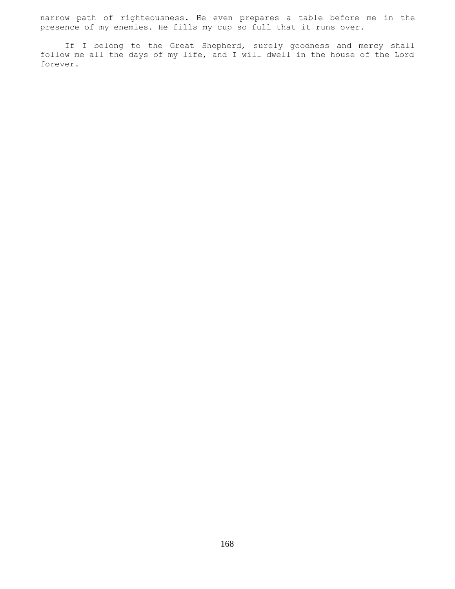narrow path of righteousness. He even prepares a table before me in the presence of my enemies. He fills my cup so full that it runs over.

 If I belong to the Great Shepherd, surely goodness and mercy shall follow me all the days of my life, and I will dwell in the house of the Lord forever.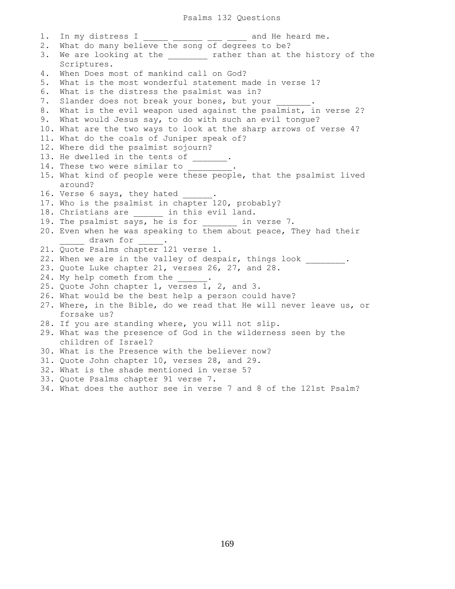1. In my distress  $I =$  \_\_\_\_\_\_\_\_ \_\_\_\_ and He heard me. 2. What do many believe the song of degrees to be? 3. We are looking at the \_\_\_\_\_\_\_ rather than at the history of the Scriptures. 4. When Does most of mankind call on God? 5. What is the most wonderful statement made in verse 1? 6. What is the distress the psalmist was in? 7. Slander does not break your bones, but your 8. What is the evil weapon used against the psalmist, in verse 2? 9. What would Jesus say, to do with such an evil tongue? 10. What are the two ways to look at the sharp arrows of verse 4? 11. What do the coals of Juniper speak of? 12. Where did the psalmist sojourn? 13. He dwelled in the tents of \_\_\_\_\_\_\_. 14. These two were similar to \_\_\_\_\_\_\_\_. 15. What kind of people were these people, that the psalmist lived around? 16. Verse 6 says, they hated 17. Who is the psalmist in chapter 120, probably? 18. Christians are \_\_\_\_\_\_\_ in this evil land. 19. The psalmist says, he is for \_\_\_\_\_\_\_ in verse 7. 20. Even when he was speaking to them about peace, They had their drawn for . 21. Quote Psalms chapter 121 verse 1. 22. When we are in the valley of despair, things look . 23. Quote Luke chapter 21, verses 26, 27, and 28. 24. My help cometh from the 25. Quote John chapter 1, verses 1, 2, and 3. 26. What would be the best help a person could have? 27. Where, in the Bible, do we read that He will never leave us, or forsake us? 28. If you are standing where, you will not slip. 29. What was the presence of God in the wilderness seen by the children of Israel? 30. What is the Presence with the believer now? 31. Quote John chapter 10, verses 28, and 29. 32. What is the shade mentioned in verse 5? 33. Quote Psalms chapter 91 verse 7. 34. What does the author see in verse 7 and 8 of the 121st Psalm?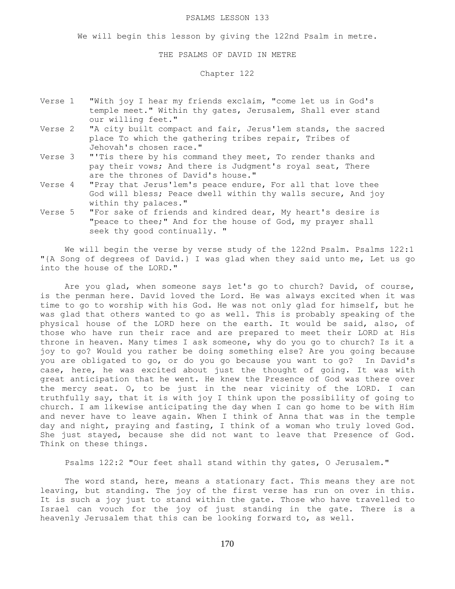#### PSALMS LESSON 133

We will begin this lesson by giving the 122nd Psalm in metre.

#### THE PSALMS OF DAVID IN METRE

# Chapter 122

- Verse 1 "With joy I hear my friends exclaim, "come let us in God's temple meet." Within thy gates, Jerusalem, Shall ever stand our willing feet."
- Verse 2 "A city built compact and fair, Jerus'lem stands, the sacred place To which the gathering tribes repair, Tribes of Jehovah's chosen race."
- Verse 3 "'Tis there by his command they meet, To render thanks and pay their vows; And there is Judgment's royal seat, There are the thrones of David's house."
- Verse 4 "Pray that Jerus'lem's peace endure, For all that love thee God will bless; Peace dwell within thy walls secure, And joy within thy palaces."
- Verse 5 "For sake of friends and kindred dear, My heart's desire is "peace to thee;" And for the house of God, my prayer shall seek thy good continually. "

We will begin the verse by verse study of the 122nd Psalm. Psalms 122:1 "{A Song of degrees of David.} I was glad when they said unto me, Let us go into the house of the LORD."

Are you glad, when someone says let's go to church? David, of course, is the penman here. David loved the Lord. He was always excited when it was time to go to worship with his God. He was not only glad for himself, but he was glad that others wanted to go as well. This is probably speaking of the physical house of the LORD here on the earth. It would be said, also, of those who have run their race and are prepared to meet their LORD at His throne in heaven. Many times I ask someone, why do you go to church? Is it a joy to go? Would you rather be doing something else? Are you going because you are obligated to go, or do you go because you want to go? In David's case, here, he was excited about just the thought of going. It was with great anticipation that he went. He knew the Presence of God was there over the mercy seat. O, to be just in the near vicinity of the LORD. I can truthfully say, that it is with joy I think upon the possibility of going to church. I am likewise anticipating the day when I can go home to be with Him and never have to leave again. When I think of Anna that was in the temple day and night, praying and fasting, I think of a woman who truly loved God. She just stayed, because she did not want to leave that Presence of God. Think on these things.

Psalms 122:2 "Our feet shall stand within thy gates, O Jerusalem."

 The word stand, here, means a stationary fact. This means they are not leaving, but standing. The joy of the first verse has run on over in this. It is such a joy just to stand within the gate. Those who have travelled to Israel can vouch for the joy of just standing in the gate. There is a heavenly Jerusalem that this can be looking forward to, as well.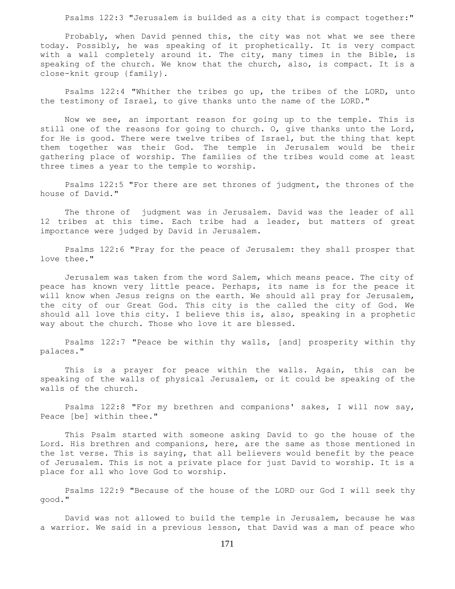Psalms 122:3 "Jerusalem is builded as a city that is compact together:"

 Probably, when David penned this, the city was not what we see there today. Possibly, he was speaking of it prophetically. It is very compact with a wall completely around it. The city, many times in the Bible, is speaking of the church. We know that the church, also, is compact. It is a close-knit group {family}.

 Psalms 122:4 "Whither the tribes go up, the tribes of the LORD, unto the testimony of Israel, to give thanks unto the name of the LORD."

 Now we see, an important reason for going up to the temple. This is still one of the reasons for going to church. O, give thanks unto the Lord, for He is good. There were twelve tribes of Israel, but the thing that kept them together was their God. The temple in Jerusalem would be their gathering place of worship. The families of the tribes would come at least three times a year to the temple to worship.

 Psalms 122:5 "For there are set thrones of judgment, the thrones of the house of David."

 The throne of judgment was in Jerusalem. David was the leader of all 12 tribes at this time. Each tribe had a leader, but matters of great importance were judged by David in Jerusalem.

 Psalms 122:6 "Pray for the peace of Jerusalem: they shall prosper that love thee."

 Jerusalem was taken from the word Salem, which means peace. The city of peace has known very little peace. Perhaps, its name is for the peace it will know when Jesus reigns on the earth. We should all pray for Jerusalem, the city of our Great God. This city is the called the city of God. We should all love this city. I believe this is, also, speaking in a prophetic way about the church. Those who love it are blessed.

 Psalms 122:7 "Peace be within thy walls, [and] prosperity within thy palaces."

 This is a prayer for peace within the walls. Again, this can be speaking of the walls of physical Jerusalem, or it could be speaking of the walls of the church.

 Psalms 122:8 "For my brethren and companions' sakes, I will now say, Peace [be] within thee."

 This Psalm started with someone asking David to go the house of the Lord. His brethren and companions, here, are the same as those mentioned in the 1st verse. This is saying, that all believers would benefit by the peace of Jerusalem. This is not a private place for just David to worship. It is a place for all who love God to worship.

 Psalms 122:9 "Because of the house of the LORD our God I will seek thy good."

 David was not allowed to build the temple in Jerusalem, because he was a warrior. We said in a previous lesson, that David was a man of peace who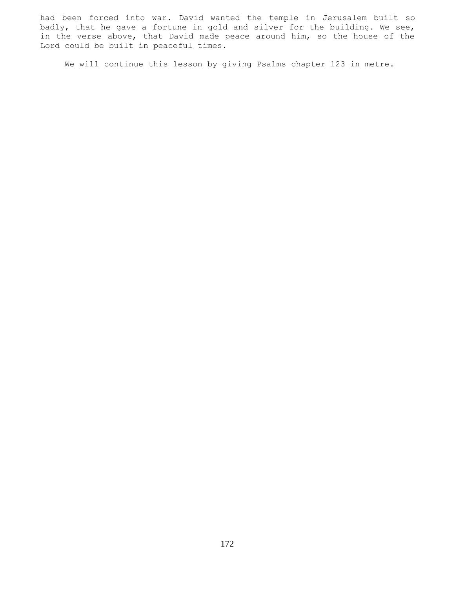had been forced into war. David wanted the temple in Jerusalem built so badly, that he gave a fortune in gold and silver for the building. We see, in the verse above, that David made peace around him, so the house of the Lord could be built in peaceful times.

We will continue this lesson by giving Psalms chapter 123 in metre.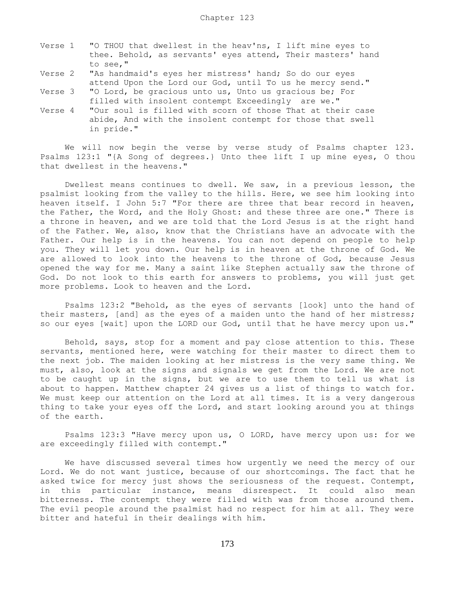- Verse 1 "O THOU that dwellest in the heav'ns, I lift mine eyes to thee. Behold, as servants' eyes attend, Their masters' hand to see,"
- Verse 2 "As handmaid's eyes her mistress' hand; So do our eyes attend Upon the Lord our God, until To us he mercy send."
- Verse 3 "O Lord, be gracious unto us, Unto us gracious be; For filled with insolent contempt Exceedingly are we."
- Verse 4 "Our soul is filled with scorn of those That at their case abide, And with the insolent contempt for those that swell in pride."

 We will now begin the verse by verse study of Psalms chapter 123. Psalms 123:1 "{A Song of degrees.} Unto thee lift I up mine eyes, O thou that dwellest in the heavens."

 Dwellest means continues to dwell. We saw, in a previous lesson, the psalmist looking from the valley to the hills. Here, we see him looking into heaven itself. I John 5:7 "For there are three that bear record in heaven, the Father, the Word, and the Holy Ghost: and these three are one." There is a throne in heaven, and we are told that the Lord Jesus is at the right hand of the Father. We, also, know that the Christians have an advocate with the Father. Our help is in the heavens. You can not depend on people to help you. They will let you down. Our help is in heaven at the throne of God. We are allowed to look into the heavens to the throne of God, because Jesus opened the way for me. Many a saint like Stephen actually saw the throne of God. Do not look to this earth for answers to problems, you will just get more problems. Look to heaven and the Lord.

 Psalms 123:2 "Behold, as the eyes of servants [look] unto the hand of their masters, [and] as the eyes of a maiden unto the hand of her mistress; so our eyes [wait] upon the LORD our God, until that he have mercy upon us."

 Behold, says, stop for a moment and pay close attention to this. These servants, mentioned here, were watching for their master to direct them to the next job. The maiden looking at her mistress is the very same thing. We must, also, look at the signs and signals we get from the Lord. We are not to be caught up in the signs, but we are to use them to tell us what is about to happen. Matthew chapter 24 gives us a list of things to watch for. We must keep our attention on the Lord at all times. It is a very dangerous thing to take your eyes off the Lord, and start looking around you at things of the earth.

 Psalms 123:3 "Have mercy upon us, O LORD, have mercy upon us: for we are exceedingly filled with contempt."

 We have discussed several times how urgently we need the mercy of our Lord. We do not want justice, because of our shortcomings. The fact that he asked twice for mercy just shows the seriousness of the request. Contempt, in this particular instance, means disrespect. It could also mean bitterness. The contempt they were filled with was from those around them. The evil people around the psalmist had no respect for him at all. They were bitter and hateful in their dealings with him.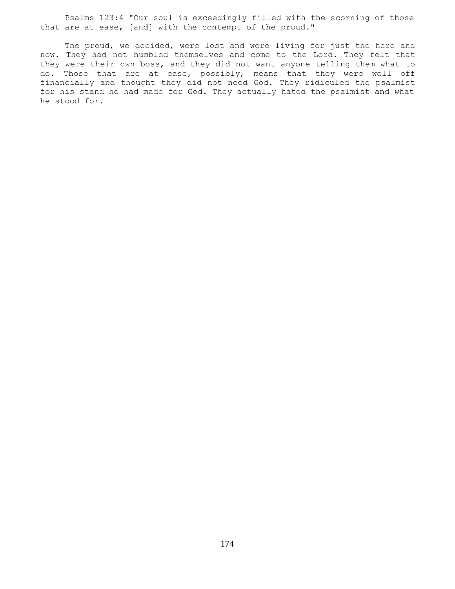Psalms 123:4 "Our soul is exceedingly filled with the scorning of those that are at ease, [and] with the contempt of the proud."

 The proud, we decided, were lost and were living for just the here and now. They had not humbled themselves and come to the Lord. They felt that they were their own boss, and they did not want anyone telling them what to do. Those that are at ease, possibly, means that they were well off financially and thought they did not need God. They ridiculed the psalmist for his stand he had made for God. They actually hated the psalmist and what he stood for.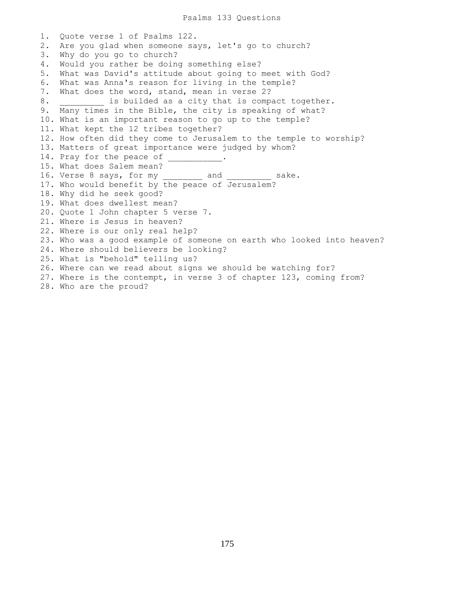1. Quote verse 1 of Psalms 122. 2. Are you glad when someone says, let's go to church? 3. Why do you go to church? 4. Would you rather be doing something else? 5. What was David's attitude about going to meet with God? 6. What was Anna's reason for living in the temple? 7. What does the word, stand, mean in verse 2? 8. **Example 1** is builded as a city that is compact together. 9. Many times in the Bible, the city is speaking of what? 10. What is an important reason to go up to the temple? 11. What kept the 12 tribes together? 12. How often did they come to Jerusalem to the temple to worship? 13. Matters of great importance were judged by whom? 14. Pray for the peace of 15. What does Salem mean? 16. Verse 8 says, for my \_\_\_\_\_\_\_\_ and \_\_\_\_\_\_\_\_\_ sake. 17. Who would benefit by the peace of Jerusalem? 18. Why did he seek good? 19. What does dwellest mean? 20. Quote 1 John chapter 5 verse 7. 21. Where is Jesus in heaven? 22. Where is our only real help? 23. Who was a good example of someone on earth who looked into heaven? 24. Where should believers be looking? 25. What is "behold" telling us? 26. Where can we read about signs we should be watching for? 27. Where is the contempt, in verse 3 of chapter 123, coming from? 28. Who are the proud?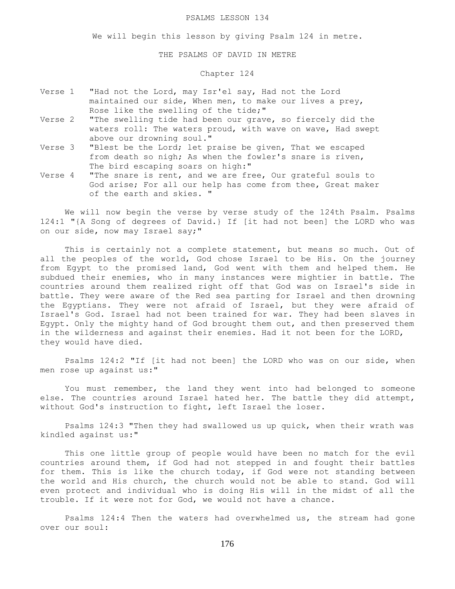#### PSALMS LESSON 134

We will begin this lesson by giving Psalm 124 in metre.

THE PSALMS OF DAVID IN METRE

### Chapter 124

- Verse 1 "Had not the Lord, may Isr'el say, Had not the Lord maintained our side, When men, to make our lives a prey, Rose like the swelling of the tide;"
- Verse 2 "The swelling tide had been our grave, so fiercely did the waters roll: The waters proud, with wave on wave, Had swept above our drowning soul."
- Verse 3 "Blest be the Lord; let praise be given, That we escaped from death so nigh; As when the fowler's snare is riven, The bird escaping soars on high:"
- Verse 4 "The snare is rent, and we are free, Our grateful souls to God arise; For all our help has come from thee, Great maker of the earth and skies. "

 We will now begin the verse by verse study of the 124th Psalm. Psalms 124:1 "{A Song of degrees of David.} If [it had not been] the LORD who was on our side, now may Israel say;"

 This is certainly not a complete statement, but means so much. Out of all the peoples of the world, God chose Israel to be His. On the journey from Egypt to the promised land, God went with them and helped them. He subdued their enemies, who in many instances were mightier in battle. The countries around them realized right off that God was on Israel's side in battle. They were aware of the Red sea parting for Israel and then drowning the Egyptians. They were not afraid of Israel, but they were afraid of Israel's God. Israel had not been trained for war. They had been slaves in Egypt. Only the mighty hand of God brought them out, and then preserved them in the wilderness and against their enemies. Had it not been for the LORD, they would have died.

 Psalms 124:2 "If [it had not been] the LORD who was on our side, when men rose up against us:"

 You must remember, the land they went into had belonged to someone else. The countries around Israel hated her. The battle they did attempt, without God's instruction to fight, left Israel the loser.

 Psalms 124:3 "Then they had swallowed us up quick, when their wrath was kindled against us:"

 This one little group of people would have been no match for the evil countries around them, if God had not stepped in and fought their battles for them. This is like the church today, if God were not standing between the world and His church, the church would not be able to stand. God will even protect and individual who is doing His will in the midst of all the trouble. If it were not for God, we would not have a chance.

 Psalms 124:4 Then the waters had overwhelmed us, the stream had gone over our soul: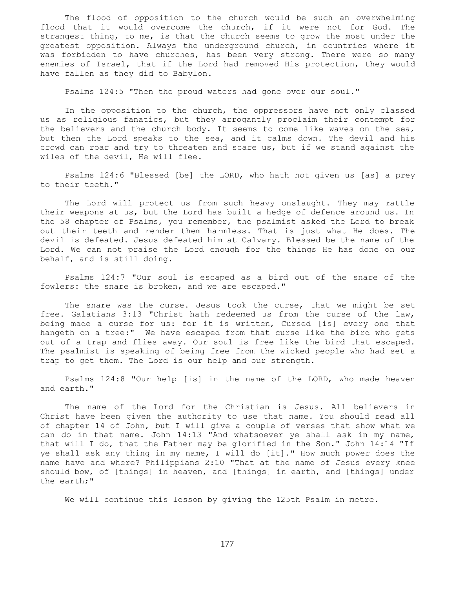The flood of opposition to the church would be such an overwhelming flood that it would overcome the church, if it were not for God. The strangest thing, to me, is that the church seems to grow the most under the greatest opposition. Always the underground church, in countries where it was forbidden to have churches, has been very strong. There were so many enemies of Israel, that if the Lord had removed His protection, they would have fallen as they did to Babylon.

Psalms 124:5 "Then the proud waters had gone over our soul."

 In the opposition to the church, the oppressors have not only classed us as religious fanatics, but they arrogantly proclaim their contempt for the believers and the church body. It seems to come like waves on the sea, but then the Lord speaks to the sea, and it calms down. The devil and his crowd can roar and try to threaten and scare us, but if we stand against the wiles of the devil, He will flee.

 Psalms 124:6 "Blessed [be] the LORD, who hath not given us [as] a prey to their teeth."

 The Lord will protect us from such heavy onslaught. They may rattle their weapons at us, but the Lord has built a hedge of defence around us. In the 58 chapter of Psalms, you remember, the psalmist asked the Lord to break out their teeth and render them harmless. That is just what He does. The devil is defeated. Jesus defeated him at Calvary. Blessed be the name of the Lord. We can not praise the Lord enough for the things He has done on our behalf, and is still doing.

 Psalms 124:7 "Our soul is escaped as a bird out of the snare of the fowlers: the snare is broken, and we are escaped."

 The snare was the curse. Jesus took the curse, that we might be set free. Galatians 3:13 "Christ hath redeemed us from the curse of the law, being made a curse for us: for it is written, Cursed [is] every one that hangeth on a tree:" We have escaped from that curse like the bird who gets out of a trap and flies away. Our soul is free like the bird that escaped. The psalmist is speaking of being free from the wicked people who had set a trap to get them. The Lord is our help and our strength.

 Psalms 124:8 "Our help [is] in the name of the LORD, who made heaven and earth."

 The name of the Lord for the Christian is Jesus. All believers in Christ have been given the authority to use that name. You should read all of chapter 14 of John, but I will give a couple of verses that show what we can do in that name. John 14:13 "And whatsoever ye shall ask in my name, that will I do, that the Father may be glorified in the Son." John 14:14 "If ye shall ask any thing in my name, I will do [it]." How much power does the name have and where? Philippians 2:10 "That at the name of Jesus every knee should bow, of [things] in heaven, and [things] in earth, and [things] under the earth;"

We will continue this lesson by giving the 125th Psalm in metre.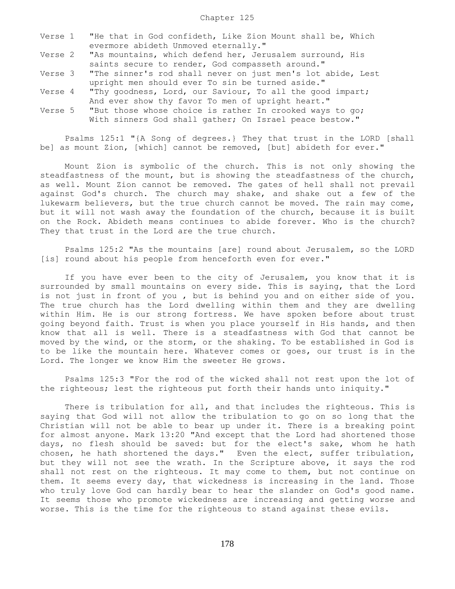|  | Verse 1 "He that in God confideth, Like Zion Mount shall be, Which  |
|--|---------------------------------------------------------------------|
|  | evermore abideth Unmoved eternally."                                |
|  | Verse 2 "As mountains, which defend her, Jerusalem surround, His    |
|  | saints secure to render, God compasseth around."                    |
|  | Verse 3 "The sinner's rod shall never on just men's lot abide, Lest |
|  | upright men should ever To sin be turned aside."                    |
|  | Verse 4 "Thy goodness, Lord, our Saviour, To all the good impart;   |
|  | And ever show thy favor To men of upright heart."                   |
|  | Verse 5 "But those whose choice is rather In crooked ways to go;    |
|  | With sinners God shall gather; On Israel peace bestow."             |

 Psalms 125:1 "{A Song of degrees.} They that trust in the LORD [shall be] as mount Zion, [which] cannot be removed, [but] abideth for ever."

 Mount Zion is symbolic of the church. This is not only showing the steadfastness of the mount, but is showing the steadfastness of the church, as well. Mount Zion cannot be removed. The gates of hell shall not prevail against God's church. The church may shake, and shake out a few of the lukewarm believers, but the true church cannot be moved. The rain may come, but it will not wash away the foundation of the church, because it is built on the Rock. Abideth means continues to abide forever. Who is the church? They that trust in the Lord are the true church.

 Psalms 125:2 "As the mountains [are] round about Jerusalem, so the LORD [is] round about his people from henceforth even for ever."

 If you have ever been to the city of Jerusalem, you know that it is surrounded by small mountains on every side. This is saying, that the Lord is not just in front of you , but is behind you and on either side of you. The true church has the Lord dwelling within them and they are dwelling within Him. He is our strong fortress. We have spoken before about trust going beyond faith. Trust is when you place yourself in His hands, and then know that all is well. There is a steadfastness with God that cannot be moved by the wind, or the storm, or the shaking. To be established in God is to be like the mountain here. Whatever comes or goes, our trust is in the Lord. The longer we know Him the sweeter He grows.

 Psalms 125:3 "For the rod of the wicked shall not rest upon the lot of the righteous; lest the righteous put forth their hands unto iniquity."

 There is tribulation for all, and that includes the righteous. This is saying that God will not allow the tribulation to go on so long that the Christian will not be able to bear up under it. There is a breaking point for almost anyone. Mark 13:20 "And except that the Lord had shortened those days, no flesh should be saved: but for the elect's sake, whom he hath chosen, he hath shortened the days." Even the elect, suffer tribulation, but they will not see the wrath. In the Scripture above, it says the rod shall not rest on the righteous. It may come to them, but not continue on them. It seems every day, that wickedness is increasing in the land. Those who truly love God can hardly bear to hear the slander on God's good name. It seems those who promote wickedness are increasing and getting worse and worse. This is the time for the righteous to stand against these evils.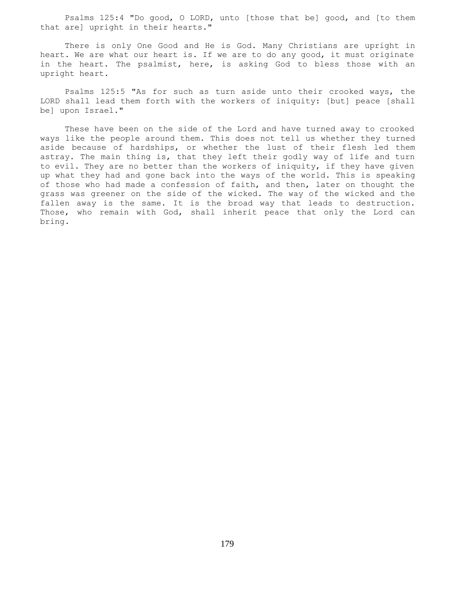Psalms 125:4 "Do good, O LORD, unto [those that be] good, and [to them that are] upright in their hearts."

 There is only One Good and He is God. Many Christians are upright in heart. We are what our heart is. If we are to do any good, it must originate in the heart. The psalmist, here, is asking God to bless those with an upright heart.

 Psalms 125:5 "As for such as turn aside unto their crooked ways, the LORD shall lead them forth with the workers of iniquity: [but] peace [shall be] upon Israel."

 These have been on the side of the Lord and have turned away to crooked ways like the people around them. This does not tell us whether they turned aside because of hardships, or whether the lust of their flesh led them astray. The main thing is, that they left their godly way of life and turn to evil. They are no better than the workers of iniquity, if they have given up what they had and gone back into the ways of the world. This is speaking of those who had made a confession of faith, and then, later on thought the grass was greener on the side of the wicked. The way of the wicked and the fallen away is the same. It is the broad way that leads to destruction. Those, who remain with God, shall inherit peace that only the Lord can bring.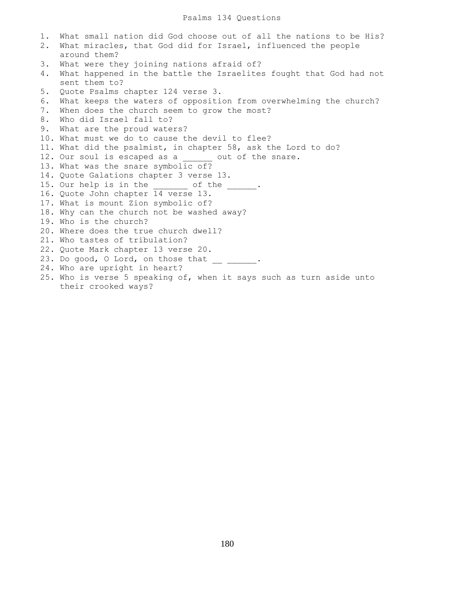1. What small nation did God choose out of all the nations to be His? 2. What miracles, that God did for Israel, influenced the people around them? 3. What were they joining nations afraid of? 4. What happened in the battle the Israelites fought that God had not sent them to? 5. Quote Psalms chapter 124 verse 3. 6. What keeps the waters of opposition from overwhelming the church? 7. When does the church seem to grow the most? 8. Who did Israel fall to? 9. What are the proud waters? 10. What must we do to cause the devil to flee? 11. What did the psalmist, in chapter 58, ask the Lord to do? 12. Our soul is escaped as a zout of the snare. 13. What was the snare symbolic of? 14. Quote Galations chapter 3 verse 13. 15. Our help is in the of the . 16. Quote John chapter 14 verse 13. 17. What is mount Zion symbolic of? 18. Why can the church not be washed away? 19. Who is the church? 20. Where does the true church dwell? 21. Who tastes of tribulation? 22. Quote Mark chapter 13 verse 20. 23. Do good, O Lord, on those that  $\frac{1}{2}$   $\frac{1}{2}$ . 24. Who are upright in heart? 25. Who is verse 5 speaking of, when it says such as turn aside unto their crooked ways?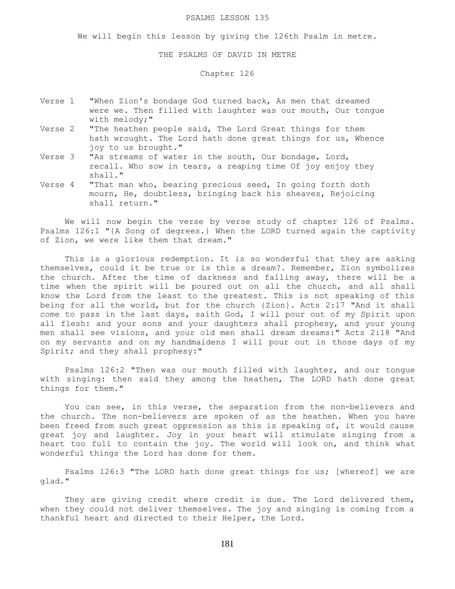### PSALMS LESSON 135

We will begin this lesson by giving the 126th Psalm in metre.

### THE PSALMS OF DAVID IN METRE

## Chapter 126

- Verse 1 "When Zion's bondage God turned back, As men that dreamed were we. Then filled with laughter was our mouth, Our tongue with melody;"
- Verse 2 "The heathen people said, The Lord Great things for them hath wrought. The Lord hath done great things for us, Whence joy to us brought."
- Verse 3 "As streams of water in the south, Our bondage, Lord, recall. Who sow in tears, a reaping time Of joy enjoy they shall."
- Verse 4 "That man who, bearing precious seed, In going forth doth mourn, He, doubtless, bringing back his sheaves, Rejoicing shall return."

 We will now begin the verse by verse study of chapter 126 of Psalms. Psalms 126:1 "{A Song of degrees.} When the LORD turned again the captivity of Zion, we were like them that dream."

 This is a glorious redemption. It is so wonderful that they are asking themselves, could it be true or is this a dream?. Remember, Zion symbolizes the church. After the time of darkness and falling away, there will be a time when the spirit will be poured out on all the church, and all shall know the Lord from the least to the greatest. This is not speaking of this being for all the world, but for the church {Zion}. Acts 2:17 "And it shall come to pass in the last days, saith God, I will pour out of my Spirit upon all flesh: and your sons and your daughters shall prophesy, and your young men shall see visions, and your old men shall dream dreams:" Acts 2:18 "And on my servants and on my handmaidens I will pour out in those days of my Spirit; and they shall prophesy:"

 Psalms 126:2 "Then was our mouth filled with laughter, and our tongue with singing: then said they among the heathen, The LORD hath done great things for them."

 You can see, in this verse, the separation from the non-believers and the church. The non-believers are spoken of as the heathen. When you have been freed from such great oppression as this is speaking of, it would cause great joy and laughter. Joy in your heart will stimulate singing from a heart too full to contain the joy. The world will look on, and think what wonderful things the Lord has done for them.

 Psalms 126:3 "The LORD hath done great things for us; [whereof] we are glad."

They are giving credit where credit is due. The Lord delivered them, when they could not deliver themselves. The joy and singing is coming from a thankful heart and directed to their Helper, the Lord.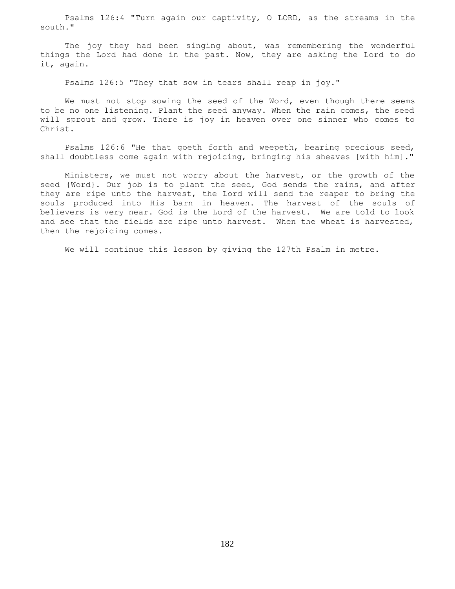Psalms 126:4 "Turn again our captivity, O LORD, as the streams in the south."

The joy they had been singing about, was remembering the wonderful things the Lord had done in the past. Now, they are asking the Lord to do it, again.

Psalms 126:5 "They that sow in tears shall reap in joy."

We must not stop sowing the seed of the Word, even though there seems to be no one listening. Plant the seed anyway. When the rain comes, the seed will sprout and grow. There is joy in heaven over one sinner who comes to Christ.

 Psalms 126:6 "He that goeth forth and weepeth, bearing precious seed, shall doubtless come again with rejoicing, bringing his sheaves [with him]."

 Ministers, we must not worry about the harvest, or the growth of the seed {Word}. Our job is to plant the seed, God sends the rains, and after they are ripe unto the harvest, the Lord will send the reaper to bring the souls produced into His barn in heaven. The harvest of the souls of believers is very near. God is the Lord of the harvest. We are told to look and see that the fields are ripe unto harvest. When the wheat is harvested, then the rejoicing comes.

We will continue this lesson by giving the 127th Psalm in metre.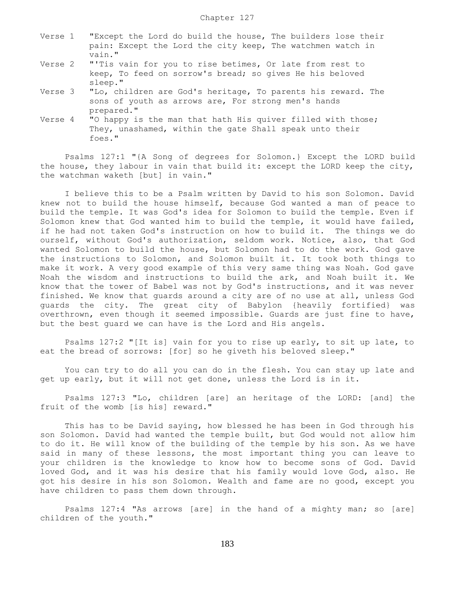| Verse 1 |        |  |  |  |  |  |  |  | "Except the Lord do build the house, The builders lose their |  |  |  |
|---------|--------|--|--|--|--|--|--|--|--------------------------------------------------------------|--|--|--|
|         |        |  |  |  |  |  |  |  | pain: Except the Lord the city keep, The watchmen watch in   |  |  |  |
|         | vain." |  |  |  |  |  |  |  |                                                              |  |  |  |

- Verse 2 "'Tis vain for you to rise betimes, Or late from rest to keep, To feed on sorrow's bread; so gives He his beloved sleep."
- Verse 3 "Lo, children are God's heritage, To parents his reward. The sons of youth as arrows are, For strong men's hands prepared."
- Verse 4 "O happy is the man that hath His quiver filled with those; They, unashamed, within the gate Shall speak unto their foes."

 Psalms 127:1 "{A Song of degrees for Solomon.} Except the LORD build the house, they labour in vain that build it: except the LORD keep the city, the watchman waketh [but] in vain."

 I believe this to be a Psalm written by David to his son Solomon. David knew not to build the house himself, because God wanted a man of peace to build the temple. It was God's idea for Solomon to build the temple. Even if Solomon knew that God wanted him to build the temple, it would have failed, if he had not taken God's instruction on how to build it. The things we do ourself, without God's authorization, seldom work. Notice, also, that God wanted Solomon to build the house, but Solomon had to do the work. God gave the instructions to Solomon, and Solomon built it. It took both things to make it work. A very good example of this very same thing was Noah. God gave Noah the wisdom and instructions to build the ark, and Noah built it. We know that the tower of Babel was not by God's instructions, and it was never finished. We know that guards around a city are of no use at all, unless God guards the city. The great city of Babylon {heavily fortified} was overthrown, even though it seemed impossible. Guards are just fine to have, but the best guard we can have is the Lord and His angels.

 Psalms 127:2 "[It is] vain for you to rise up early, to sit up late, to eat the bread of sorrows: [for] so he giveth his beloved sleep."

 You can try to do all you can do in the flesh. You can stay up late and get up early, but it will not get done, unless the Lord is in it.

 Psalms 127:3 "Lo, children [are] an heritage of the LORD: [and] the fruit of the womb [is his] reward."

 This has to be David saying, how blessed he has been in God through his son Solomon. David had wanted the temple built, but God would not allow him to do it. He will know of the building of the temple by his son. As we have said in many of these lessons, the most important thing you can leave to your children is the knowledge to know how to become sons of God. David loved God, and it was his desire that his family would love God, also. He got his desire in his son Solomon. Wealth and fame are no good, except you have children to pass them down through.

 Psalms 127:4 "As arrows [are] in the hand of a mighty man; so [are] children of the youth."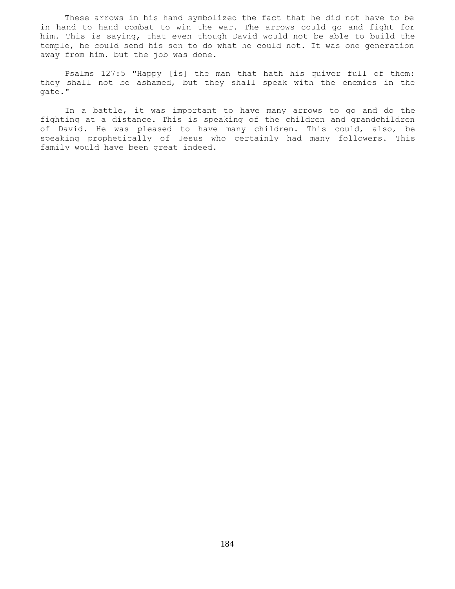These arrows in his hand symbolized the fact that he did not have to be in hand to hand combat to win the war. The arrows could go and fight for him. This is saying, that even though David would not be able to build the temple, he could send his son to do what he could not. It was one generation away from him. but the job was done.

 Psalms 127:5 "Happy [is] the man that hath his quiver full of them: they shall not be ashamed, but they shall speak with the enemies in the gate."

 In a battle, it was important to have many arrows to go and do the fighting at a distance. This is speaking of the children and grandchildren of David. He was pleased to have many children. This could, also, be speaking prophetically of Jesus who certainly had many followers. This family would have been great indeed.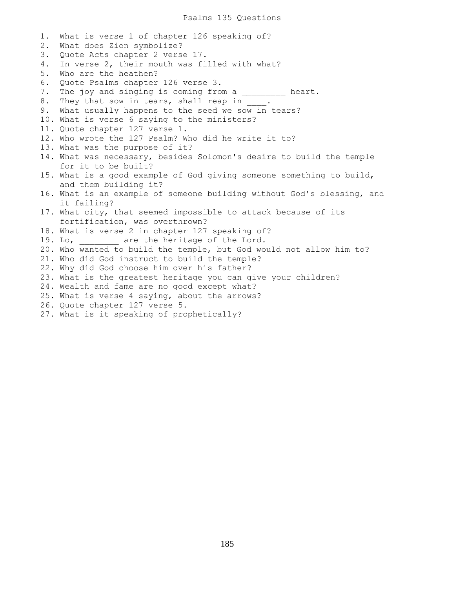1. What is verse 1 of chapter 126 speaking of? 2. What does Zion symbolize? 3. Quote Acts chapter 2 verse 17. 4. In verse 2, their mouth was filled with what? 5. Who are the heathen? 6. Quote Psalms chapter 126 verse 3. 7. The joy and singing is coming from a \_\_\_\_\_\_\_\_\_ heart. 8. They that sow in tears, shall reap in \_ 9. What usually happens to the seed we sow in tears? 10. What is verse 6 saying to the ministers? 11. Quote chapter 127 verse 1. 12. Who wrote the 127 Psalm? Who did he write it to? 13. What was the purpose of it? 14. What was necessary, besides Solomon's desire to build the temple for it to be built? 15. What is a good example of God giving someone something to build, and them building it? 16. What is an example of someone building without God's blessing, and it failing? 17. What city, that seemed impossible to attack because of its fortification, was overthrown? 18. What is verse 2 in chapter 127 speaking of? 19. Lo, are the heritage of the Lord. 20. Who wanted to build the temple, but God would not allow him to? 21. Who did God instruct to build the temple? 22. Why did God choose him over his father? 23. What is the greatest heritage you can give your children? 24. Wealth and fame are no good except what? 25. What is verse 4 saying, about the arrows? 26. Quote chapter 127 verse 5. 27. What is it speaking of prophetically?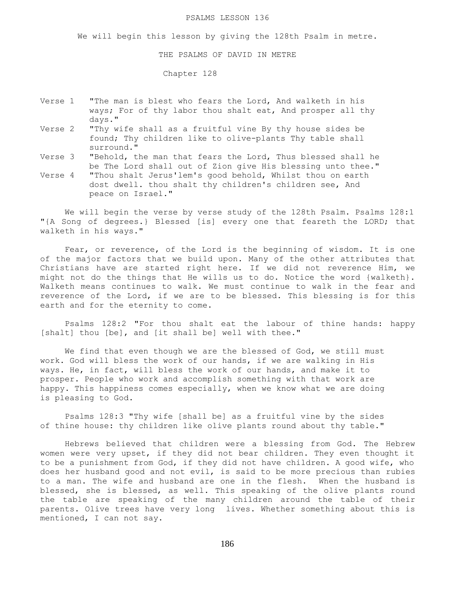### PSALMS LESSON 136

We will begin this lesson by giving the 128th Psalm in metre.

THE PSALMS OF DAVID IN METRE

Chapter 128

- Verse 1 "The man is blest who fears the Lord, And walketh in his ways; For of thy labor thou shalt eat, And prosper all thy days."
- Verse 2 "Thy wife shall as a fruitful vine By thy house sides be found; Thy children like to olive-plants Thy table shall surround."
- Verse 3 "Behold, the man that fears the Lord, Thus blessed shall he be The Lord shall out of Zion give His blessing unto thee."
- Verse 4 "Thou shalt Jerus'lem's good behold, Whilst thou on earth dost dwell. thou shalt thy children's children see, And peace on Israel."

We will begin the verse by verse study of the 128th Psalm. Psalms 128:1 "{A Song of degrees.} Blessed [is] every one that feareth the LORD; that walketh in his ways."

 Fear, or reverence, of the Lord is the beginning of wisdom. It is one of the major factors that we build upon. Many of the other attributes that Christians have are started right here. If we did not reverence Him, we might not do the things that He wills us to do. Notice the word {walketh}. Walketh means continues to walk. We must continue to walk in the fear and reverence of the Lord, if we are to be blessed. This blessing is for this earth and for the eternity to come.

 Psalms 128:2 "For thou shalt eat the labour of thine hands: happy [shalt] thou [be], and [it shall be] well with thee."

 We find that even though we are the blessed of God, we still must work. God will bless the work of our hands, if we are walking in His ways. He, in fact, will bless the work of our hands, and make it to prosper. People who work and accomplish something with that work are happy. This happiness comes especially, when we know what we are doing is pleasing to God.

 Psalms 128:3 "Thy wife [shall be] as a fruitful vine by the sides of thine house: thy children like olive plants round about thy table."

 Hebrews believed that children were a blessing from God. The Hebrew women were very upset, if they did not bear children. They even thought it to be a punishment from God, if they did not have children. A good wife, who does her husband good and not evil, is said to be more precious than rubies to a man. The wife and husband are one in the flesh. When the husband is blessed, she is blessed, as well. This speaking of the olive plants round the table are speaking of the many children around the table of their parents. Olive trees have very long lives. Whether something about this is mentioned, I can not say.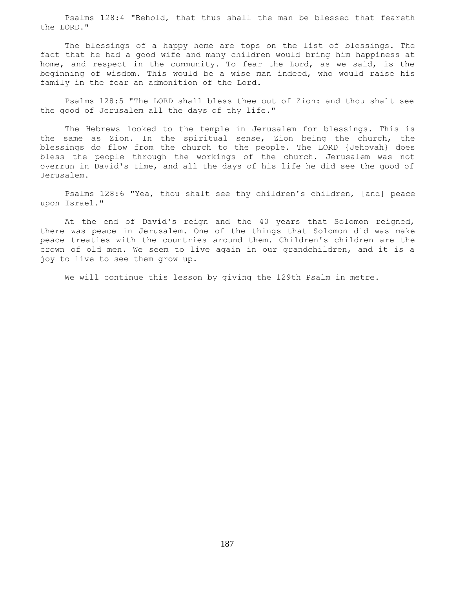Psalms 128:4 "Behold, that thus shall the man be blessed that feareth the LORD."

 The blessings of a happy home are tops on the list of blessings. The fact that he had a good wife and many children would bring him happiness at home, and respect in the community. To fear the Lord, as we said, is the beginning of wisdom. This would be a wise man indeed, who would raise his family in the fear an admonition of the Lord.

 Psalms 128:5 "The LORD shall bless thee out of Zion: and thou shalt see the good of Jerusalem all the days of thy life."

 The Hebrews looked to the temple in Jerusalem for blessings. This is the same as Zion. In the spiritual sense, Zion being the church, the blessings do flow from the church to the people. The LORD {Jehovah} does bless the people through the workings of the church. Jerusalem was not overrun in David's time, and all the days of his life he did see the good of Jerusalem.

 Psalms 128:6 "Yea, thou shalt see thy children's children, [and] peace upon Israel."

 At the end of David's reign and the 40 years that Solomon reigned, there was peace in Jerusalem. One of the things that Solomon did was make peace treaties with the countries around them. Children's children are the crown of old men. We seem to live again in our grandchildren, and it is a joy to live to see them grow up.

We will continue this lesson by giving the 129th Psalm in metre.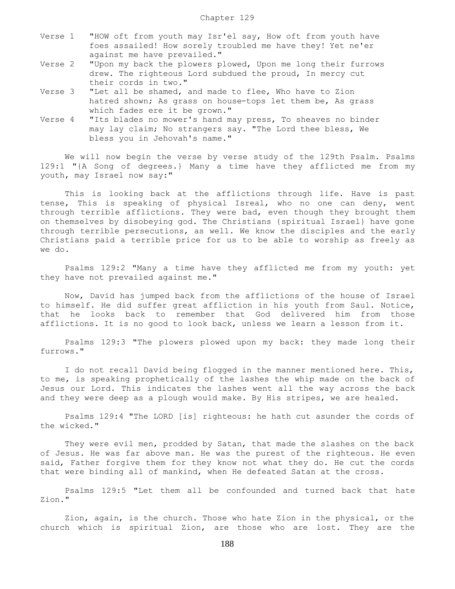- Verse 1 "HOW oft from youth may Isr'el say, How oft from youth have foes assailed! How sorely troubled me have they! Yet ne'er against me have prevailed."
- Verse 2 "Upon my back the plowers plowed, Upon me long their furrows drew. The righteous Lord subdued the proud, In mercy cut their cords in two."
- Verse 3 "Let all be shamed, and made to flee, Who have to Zion hatred shown; As grass on house-tops let them be, As grass which fades ere it be grown."
- Verse 4 "Its blades no mower's hand may press, To sheaves no binder may lay claim; No strangers say. "The Lord thee bless, We bless you in Jehovah's name."

We will now begin the verse by verse study of the 129th Psalm. Psalms 129:1 "{A Song of degrees.} Many a time have they afflicted me from my youth, may Israel now say:"

 This is looking back at the afflictions through life. Have is past tense, This is speaking of physical Isreal, who no one can deny, went through terrible afflictions. They were bad, even though they brought them on themselves by disobeying god. The Christians {spiritual Israel} have gone through terrible persecutions, as well. We know the disciples and the early Christians paid a terrible price for us to be able to worship as freely as we do.

 Psalms 129:2 "Many a time have they afflicted me from my youth: yet they have not prevailed against me."

 Now, David has jumped back from the afflictions of the house of Israel to himself. He did suffer great affliction in his youth from Saul. Notice, that he looks back to remember that God delivered him from those afflictions. It is no good to look back, unless we learn a lesson from it.

 Psalms 129:3 "The plowers plowed upon my back: they made long their furrows."

 I do not recall David being flogged in the manner mentioned here. This, to me, is speaking prophetically of the lashes the whip made on the back of Jesus our Lord. This indicates the lashes went all the way across the back and they were deep as a plough would make. By His stripes, we are healed.

 Psalms 129:4 "The LORD [is] righteous: he hath cut asunder the cords of the wicked."

They were evil men, prodded by Satan, that made the slashes on the back of Jesus. He was far above man. He was the purest of the righteous. He even said, Father forgive them for they know not what they do. He cut the cords that were binding all of mankind, when He defeated Satan at the cross.

 Psalms 129:5 "Let them all be confounded and turned back that hate Zion."

 Zion, again, is the church. Those who hate Zion in the physical, or the church which is spiritual Zion, are those who are lost. They are the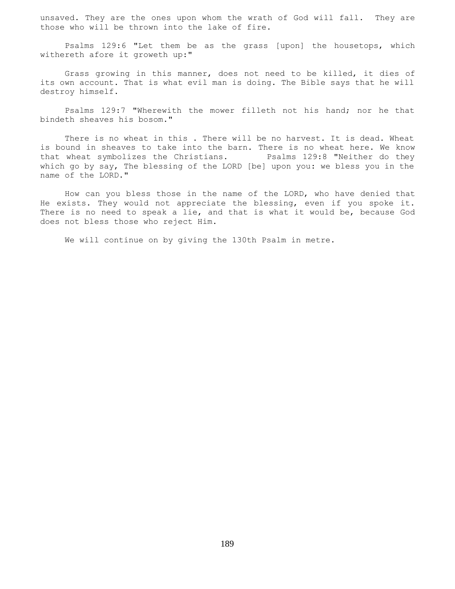unsaved. They are the ones upon whom the wrath of God will fall. They are those who will be thrown into the lake of fire.

 Psalms 129:6 "Let them be as the grass [upon] the housetops, which withereth afore it groweth up:"

 Grass growing in this manner, does not need to be killed, it dies of its own account. That is what evil man is doing. The Bible says that he will destroy himself.

 Psalms 129:7 "Wherewith the mower filleth not his hand; nor he that bindeth sheaves his bosom."

 There is no wheat in this . There will be no harvest. It is dead. Wheat is bound in sheaves to take into the barn. There is no wheat here. We know that wheat symbolizes the Christians. Psalms 129:8 "Neither do they which go by say, The blessing of the LORD [be] upon you: we bless you in the name of the LORD."

 How can you bless those in the name of the LORD, who have denied that He exists. They would not appreciate the blessing, even if you spoke it. There is no need to speak a lie, and that is what it would be, because God does not bless those who reject Him.

We will continue on by giving the 130th Psalm in metre.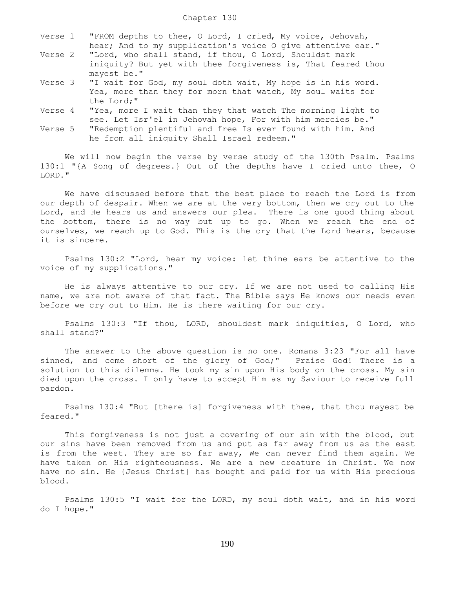- Verse 1 "FROM depths to thee, O Lord, I cried, My voice, Jehovah, hear; And to my supplication's voice O give attentive ear."
- Verse 2 "Lord, who shall stand, if thou, O Lord, Shouldst mark iniquity? But yet with thee forgiveness is, That feared thou mayest be."<br>Verse 3 "I wait for
- "I wait for God, my soul doth wait, My hope is in his word. Yea, more than they for morn that watch, My soul waits for the Lord;"
- Verse 4 "Yea, more I wait than they that watch The morning light to see. Let Isr'el in Jehovah hope, For with him mercies be."
- Verse 5 "Redemption plentiful and free Is ever found with him. And he from all iniquity Shall Israel redeem."

We will now begin the verse by verse study of the 130th Psalm. Psalms 130:1 "{A Song of degrees.} Out of the depths have I cried unto thee, O LORD."

 We have discussed before that the best place to reach the Lord is from our depth of despair. When we are at the very bottom, then we cry out to the Lord, and He hears us and answers our plea. There is one good thing about the bottom, there is no way but up to go. When we reach the end of ourselves, we reach up to God. This is the cry that the Lord hears, because it is sincere.

 Psalms 130:2 "Lord, hear my voice: let thine ears be attentive to the voice of my supplications."

 He is always attentive to our cry. If we are not used to calling His name, we are not aware of that fact. The Bible says He knows our needs even before we cry out to Him. He is there waiting for our cry.

 Psalms 130:3 "If thou, LORD, shouldest mark iniquities, O Lord, who shall stand?"

 The answer to the above question is no one. Romans 3:23 "For all have sinned, and come short of the glory of God;" Praise God! There is a solution to this dilemma. He took my sin upon His body on the cross. My sin died upon the cross. I only have to accept Him as my Saviour to receive full pardon.

 Psalms 130:4 "But [there is] forgiveness with thee, that thou mayest be feared."

 This forgiveness is not just a covering of our sin with the blood, but our sins have been removed from us and put as far away from us as the east is from the west. They are so far away, We can never find them again. We have taken on His righteousness. We are a new creature in Christ. We now have no sin. He {Jesus Christ} has bought and paid for us with His precious blood.

 Psalms 130:5 "I wait for the LORD, my soul doth wait, and in his word do I hope."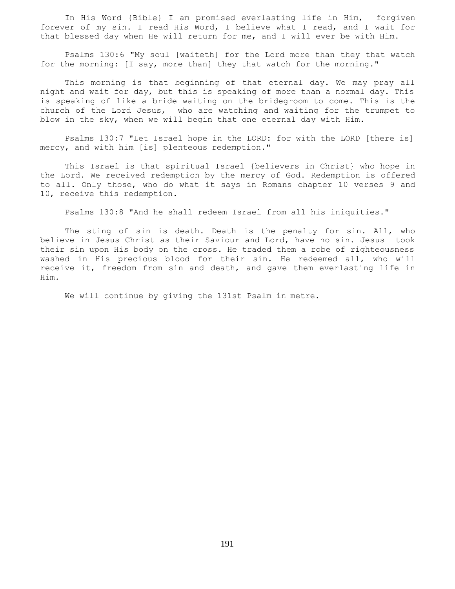In His Word {Bible} I am promised everlasting life in Him, forgiven forever of my sin. I read His Word, I believe what I read, and I wait for that blessed day when He will return for me, and I will ever be with Him.

 Psalms 130:6 "My soul [waiteth] for the Lord more than they that watch for the morning: [I say, more than] they that watch for the morning."

 This morning is that beginning of that eternal day. We may pray all night and wait for day, but this is speaking of more than a normal day. This is speaking of like a bride waiting on the bridegroom to come. This is the church of the Lord Jesus, who are watching and waiting for the trumpet to blow in the sky, when we will begin that one eternal day with Him.

 Psalms 130:7 "Let Israel hope in the LORD: for with the LORD [there is] mercy, and with him [is] plenteous redemption."

 This Israel is that spiritual Israel {believers in Christ} who hope in the Lord. We received redemption by the mercy of God. Redemption is offered to all. Only those, who do what it says in Romans chapter 10 verses 9 and 10, receive this redemption.

Psalms 130:8 "And he shall redeem Israel from all his iniquities."

 The sting of sin is death. Death is the penalty for sin. All, who believe in Jesus Christ as their Saviour and Lord, have no sin. Jesus took their sin upon His body on the cross. He traded them a robe of righteousness washed in His precious blood for their sin. He redeemed all, who will receive it, freedom from sin and death, and gave them everlasting life in Him.

We will continue by giving the 131st Psalm in metre.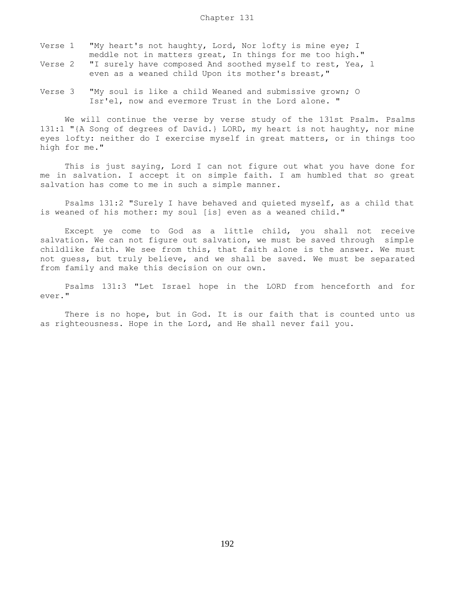- Verse 1 "My heart's not haughty, Lord, Nor lofty is mine eye; I meddle not in matters great, In things for me too high."
- Verse 2 "I surely have composed And soothed myself to rest, Yea, l even as a weaned child Upon its mother's breast,"
- Verse 3 "My soul is like a child Weaned and submissive grown; O Isr'el, now and evermore Trust in the Lord alone. "

 We will continue the verse by verse study of the 131st Psalm. Psalms 131:1 "{A Song of degrees of David.} LORD, my heart is not haughty, nor mine eyes lofty: neither do I exercise myself in great matters, or in things too high for me."

 This is just saying, Lord I can not figure out what you have done for me in salvation. I accept it on simple faith. I am humbled that so great salvation has come to me in such a simple manner.

 Psalms 131:2 "Surely I have behaved and quieted myself, as a child that is weaned of his mother: my soul [is] even as a weaned child."

 Except ye come to God as a little child, you shall not receive salvation. We can not figure out salvation, we must be saved through simple childlike faith. We see from this, that faith alone is the answer. We must not guess, but truly believe, and we shall be saved. We must be separated from family and make this decision on our own.

 Psalms 131:3 "Let Israel hope in the LORD from henceforth and for ever."

 There is no hope, but in God. It is our faith that is counted unto us as righteousness. Hope in the Lord, and He shall never fail you.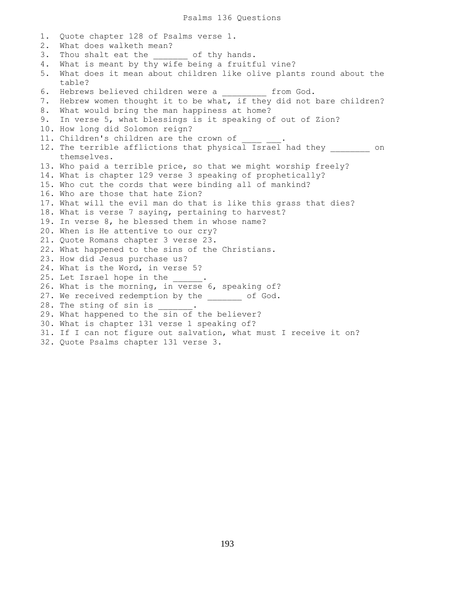Psalms 136 Questions

1. Quote chapter 128 of Psalms verse 1. 2. What does walketh mean? 3. Thou shalt eat the of thy hands. 4. What is meant by thy wife being a fruitful vine? 5. What does it mean about children like olive plants round about the table? 6. Hebrews believed children were a \_\_\_\_\_\_\_\_\_ from God. 7. Hebrew women thought it to be what, if they did not bare children? 8. What would bring the man happiness at home? 9. In verse 5, what blessings is it speaking of out of Zion? 10. How long did Solomon reign? 11. Children's children are the crown of 12. The terrible afflictions that physical Israel had they on themselves. 13. Who paid a terrible price, so that we might worship freely? 14. What is chapter 129 verse 3 speaking of prophetically? 15. Who cut the cords that were binding all of mankind? 16. Who are those that hate Zion? 17. What will the evil man do that is like this grass that dies? 18. What is verse 7 saying, pertaining to harvest? 19. In verse 8, he blessed them in whose name? 20. When is He attentive to our cry? 21. Quote Romans chapter 3 verse 23. 22. What happened to the sins of the Christians. 23. How did Jesus purchase us? 24. What is the Word, in verse 5? 25. Let Israel hope in the \_\_\_\_\_\_. 26. What is the morning, in verse 6, speaking of? 27. We received redemption by the \_\_\_\_\_\_\_ of God. 28. The sting of sin is 29. What happened to the sin of the believer? 30. What is chapter 131 verse 1 speaking of? 31. If I can not figure out salvation, what must I receive it on? 32. Quote Psalms chapter 131 verse 3.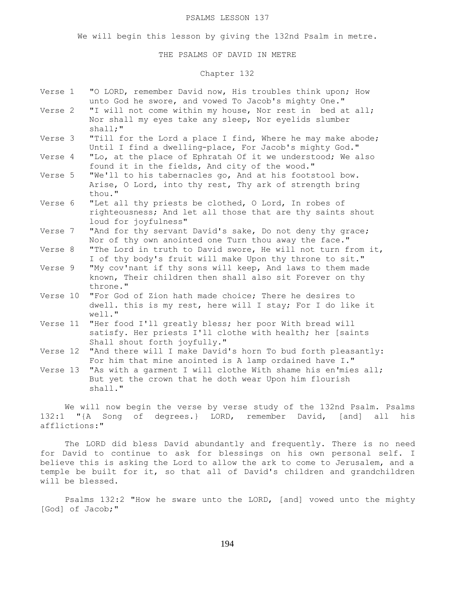### PSALMS LESSON 137

We will begin this lesson by giving the 132nd Psalm in metre.

### THE PSALMS OF DAVID IN METRE

# Chapter 132

| Verse 1  | "O LORD, remember David now, His troubles think upon; How<br>unto God he swore, and vowed To Jacob's mighty One."                                   |
|----------|-----------------------------------------------------------------------------------------------------------------------------------------------------|
| Verse 2  | "I will not come within my house, Nor rest in bed at all;<br>Nor shall my eyes take any sleep, Nor eyelids slumber<br>shall;"                       |
| Verse 3  | "Till for the Lord a place I find, Where he may make abode;<br>Until I find a dwelling-place, For Jacob's mighty God."                              |
| Verse 4  | "Lo, at the place of Ephratah Of it we understood; We also<br>found it in the fields, And city of the wood."                                        |
| Verse 5  | "We'll to his tabernacles go, And at his footstool bow.<br>Arise, O Lord, into thy rest, Thy ark of strength bring<br>thou."                        |
| Verse 6  | "Let all thy priests be clothed, O Lord, In robes of<br>righteousness; And let all those that are thy saints shout<br>loud for joyfulness"          |
| Verse 7  | "And for thy servant David's sake, Do not deny thy grace;<br>Nor of thy own anointed one Turn thou away the face."                                  |
| Verse 8  | "The Lord in truth to David swore, He will not turn from it,<br>I of thy body's fruit will make Upon thy throne to sit."                            |
| Verse 9  | "My cov'nant if thy sons will keep, And laws to them made<br>known, Their children then shall also sit Forever on thy<br>throne."                   |
| Verse 10 | "For God of Zion hath made choice; There he desires to<br>dwell. this is my rest, here will I stay; For I do like it<br>well."                      |
| Verse 11 | "Her food I'll greatly bless; her poor With bread will<br>satisfy. Her priests I'll clothe with health; her [saints<br>Shall shout forth joyfully." |
| Verse 12 | "And there will I make David's horn To bud forth pleasantly:<br>For him that mine anointed is A lamp ordained have I."                              |
| Verse 13 | "As with a garment I will clothe With shame his en'mies all;<br>But yet the crown that he doth wear Upon him flourish<br>shall."                    |

We will now begin the verse by verse study of the 132nd Psalm. Psalms 132:1 "{A Song of degrees.} LORD, remember David, [and] all his afflictions:"

 The LORD did bless David abundantly and frequently. There is no need for David to continue to ask for blessings on his own personal self. I believe this is asking the Lord to allow the ark to come to Jerusalem, and a temple be built for it, so that all of David's children and grandchildren will be blessed.

 Psalms 132:2 "How he sware unto the LORD, [and] vowed unto the mighty [God] of Jacob;"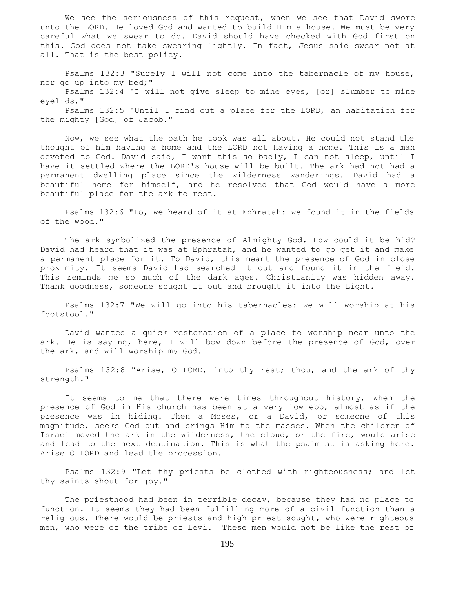We see the seriousness of this request, when we see that David swore unto the LORD. He loved God and wanted to build Him a house. We must be very careful what we swear to do. David should have checked with God first on this. God does not take swearing lightly. In fact, Jesus said swear not at all. That is the best policy.

 Psalms 132:3 "Surely I will not come into the tabernacle of my house, nor go up into my bed;" Psalms 132:4 "I will not give sleep to mine eyes, [or] slumber to mine eyelids,"

 Psalms 132:5 "Until I find out a place for the LORD, an habitation for the mighty [God] of Jacob."

 Now, we see what the oath he took was all about. He could not stand the thought of him having a home and the LORD not having a home. This is a man devoted to God. David said, I want this so badly, I can not sleep, until I have it settled where the LORD's house will be built. The ark had not had a permanent dwelling place since the wilderness wanderings. David had a beautiful home for himself, and he resolved that God would have a more beautiful place for the ark to rest.

 Psalms 132:6 "Lo, we heard of it at Ephratah: we found it in the fields of the wood."

 The ark symbolized the presence of Almighty God. How could it be hid? David had heard that it was at Ephratah, and he wanted to go get it and make a permanent place for it. To David, this meant the presence of God in close proximity. It seems David had searched it out and found it in the field. This reminds me so much of the dark ages. Christianity was hidden away. Thank goodness, someone sought it out and brought it into the Light.

 Psalms 132:7 "We will go into his tabernacles: we will worship at his footstool."

 David wanted a quick restoration of a place to worship near unto the ark. He is saying, here, I will bow down before the presence of God, over the ark, and will worship my God.

 Psalms 132:8 "Arise, O LORD, into thy rest; thou, and the ark of thy strength."

 It seems to me that there were times throughout history, when the presence of God in His church has been at a very low ebb, almost as if the presence was in hiding. Then a Moses, or a David, or someone of this magnitude, seeks God out and brings Him to the masses. When the children of Israel moved the ark in the wilderness, the cloud, or the fire, would arise and lead to the next destination. This is what the psalmist is asking here. Arise O LORD and lead the procession.

 Psalms 132:9 "Let thy priests be clothed with righteousness; and let thy saints shout for joy."

 The priesthood had been in terrible decay, because they had no place to function. It seems they had been fulfilling more of a civil function than a religious. There would be priests and high priest sought, who were righteous men, who were of the tribe of Levi. These men would not be like the rest of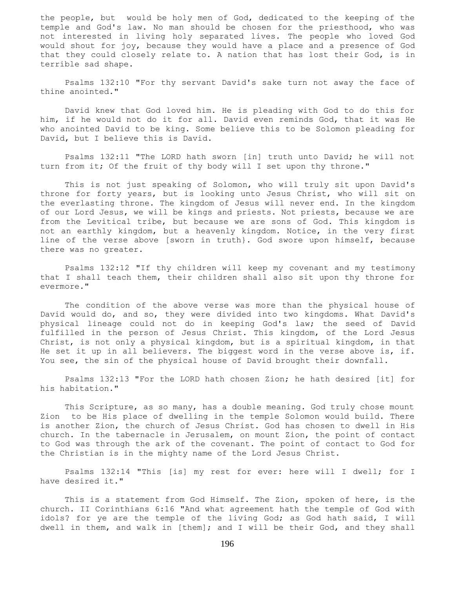the people, but would be holy men of God, dedicated to the keeping of the temple and God's law. No man should be chosen for the priesthood, who was not interested in living holy separated lives. The people who loved God would shout for joy, because they would have a place and a presence of God that they could closely relate to. A nation that has lost their God, is in terrible sad shape.

 Psalms 132:10 "For thy servant David's sake turn not away the face of thine anointed."

 David knew that God loved him. He is pleading with God to do this for him, if he would not do it for all. David even reminds God, that it was He who anointed David to be king. Some believe this to be Solomon pleading for David, but I believe this is David.

 Psalms 132:11 "The LORD hath sworn [in] truth unto David; he will not turn from it; Of the fruit of thy body will I set upon thy throne."

 This is not just speaking of Solomon, who will truly sit upon David's throne for forty years, but is looking unto Jesus Christ, who will sit on the everlasting throne. The kingdom of Jesus will never end. In the kingdom of our Lord Jesus, we will be kings and priests. Not priests, because we are from the Levitical tribe, but because we are sons of God. This kingdom is not an earthly kingdom, but a heavenly kingdom. Notice, in the very first line of the verse above [sworn in truth}. God swore upon himself, because there was no greater.

 Psalms 132:12 "If thy children will keep my covenant and my testimony that I shall teach them, their children shall also sit upon thy throne for evermore."

 The condition of the above verse was more than the physical house of David would do, and so, they were divided into two kingdoms. What David's physical lineage could not do in keeping God's law; the seed of David fulfilled in the person of Jesus Christ. This kingdom, of the Lord Jesus Christ, is not only a physical kingdom, but is a spiritual kingdom, in that He set it up in all believers. The biggest word in the verse above is, if. You see, the sin of the physical house of David brought their downfall.

 Psalms 132:13 "For the LORD hath chosen Zion; he hath desired [it] for his habitation."

 This Scripture, as so many, has a double meaning. God truly chose mount Zion to be His place of dwelling in the temple Solomon would build. There is another Zion, the church of Jesus Christ. God has chosen to dwell in His church. In the tabernacle in Jerusalem, on mount Zion, the point of contact to God was through the ark of the covenant. The point of contact to God for the Christian is in the mighty name of the Lord Jesus Christ.

 Psalms 132:14 "This [is] my rest for ever: here will I dwell; for I have desired it."

 This is a statement from God Himself. The Zion, spoken of here, is the church. II Corinthians 6:16 "And what agreement hath the temple of God with idols? for ye are the temple of the living God; as God hath said, I will dwell in them, and walk in [them]; and I will be their God, and they shall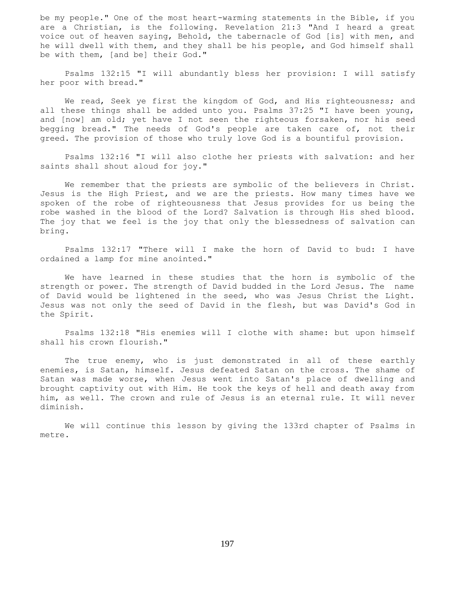be my people." One of the most heart-warming statements in the Bible, if you are a Christian, is the following. Revelation 21:3 "And I heard a great voice out of heaven saying, Behold, the tabernacle of God [is] with men, and he will dwell with them, and they shall be his people, and God himself shall be with them, [and be] their God."

 Psalms 132:15 "I will abundantly bless her provision: I will satisfy her poor with bread."

We read, Seek ye first the kingdom of God, and His righteousness; and all these things shall be added unto you. Psalms 37:25 "I have been young, and [now] am old; yet have I not seen the righteous forsaken, nor his seed begging bread." The needs of God's people are taken care of, not their greed. The provision of those who truly love God is a bountiful provision.

 Psalms 132:16 "I will also clothe her priests with salvation: and her saints shall shout aloud for joy."

 We remember that the priests are symbolic of the believers in Christ. Jesus is the High Priest, and we are the priests. How many times have we spoken of the robe of righteousness that Jesus provides for us being the robe washed in the blood of the Lord? Salvation is through His shed blood. The joy that we feel is the joy that only the blessedness of salvation can bring.

 Psalms 132:17 "There will I make the horn of David to bud: I have ordained a lamp for mine anointed."

 We have learned in these studies that the horn is symbolic of the strength or power. The strength of David budded in the Lord Jesus. The name of David would be lightened in the seed, who was Jesus Christ the Light. Jesus was not only the seed of David in the flesh, but was David's God in the Spirit.

 Psalms 132:18 "His enemies will I clothe with shame: but upon himself shall his crown flourish."

 The true enemy, who is just demonstrated in all of these earthly enemies, is Satan, himself. Jesus defeated Satan on the cross. The shame of Satan was made worse, when Jesus went into Satan's place of dwelling and brought captivity out with Him. He took the keys of hell and death away from him, as well. The crown and rule of Jesus is an eternal rule. It will never diminish.

 We will continue this lesson by giving the 133rd chapter of Psalms in metre.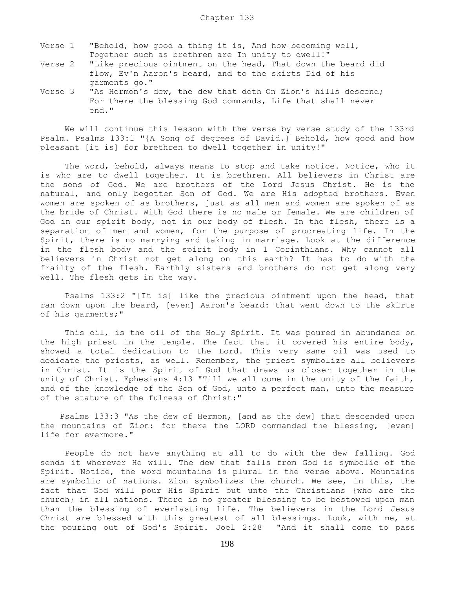- Verse 1 "Behold, how good a thing it is, And how becoming well, Together such as brethren are In unity to dwell!"
- Verse 2 "Like precious ointment on the head, That down the beard did flow, Ev'n Aaron's beard, and to the skirts Did of his garments go."
- Verse 3 "As Hermon's dew, the dew that doth On Zion's hills descend; For there the blessing God commands, Life that shall never end."

 We will continue this lesson with the verse by verse study of the 133rd Psalm. Psalms 133:1 "{A Song of degrees of David.} Behold, how good and how pleasant [it is] for brethren to dwell together in unity!"

 The word, behold, always means to stop and take notice. Notice, who it is who are to dwell together. It is brethren. All believers in Christ are the sons of God. We are brothers of the Lord Jesus Christ. He is the natural, and only begotten Son of God. We are His adopted brothers. Even women are spoken of as brothers, just as all men and women are spoken of as the bride of Christ. With God there is no male or female. We are children of God in our spirit body, not in our body of flesh. In the flesh, there is a separation of men and women, for the purpose of procreating life. In the Spirit, there is no marrying and taking in marriage. Look at the difference in the flesh body and the spirit body in 1 Corinthians. Why cannot all believers in Christ not get along on this earth? It has to do with the frailty of the flesh. Earthly sisters and brothers do not get along very well. The flesh gets in the way.

 Psalms 133:2 "[It is] like the precious ointment upon the head, that ran down upon the beard, [even] Aaron's beard: that went down to the skirts of his garments;"

 This oil, is the oil of the Holy Spirit. It was poured in abundance on the high priest in the temple. The fact that it covered his entire body, showed a total dedication to the Lord. This very same oil was used to dedicate the priests, as well. Remember, the priest symbolize all believers in Christ. It is the Spirit of God that draws us closer together in the unity of Christ. Ephesians 4:13 "Till we all come in the unity of the faith, and of the knowledge of the Son of God, unto a perfect man, unto the measure of the stature of the fulness of Christ:"

 Psalms 133:3 "As the dew of Hermon, [and as the dew] that descended upon the mountains of Zion: for there the LORD commanded the blessing, [even] life for evermore."

 People do not have anything at all to do with the dew falling. God sends it wherever He will. The dew that falls from God is symbolic of the Spirit. Notice, the word mountains is plural in the verse above. Mountains are symbolic of nations. Zion symbolizes the church. We see, in this, the fact that God will pour His Spirit out unto the Christians {who are the church} in all nations. There is no greater blessing to be bestowed upon man than the blessing of everlasting life. The believers in the Lord Jesus Christ are blessed with this greatest of all blessings. Look, with me, at the pouring out of God's Spirit. Joel 2:28 "And it shall come to pass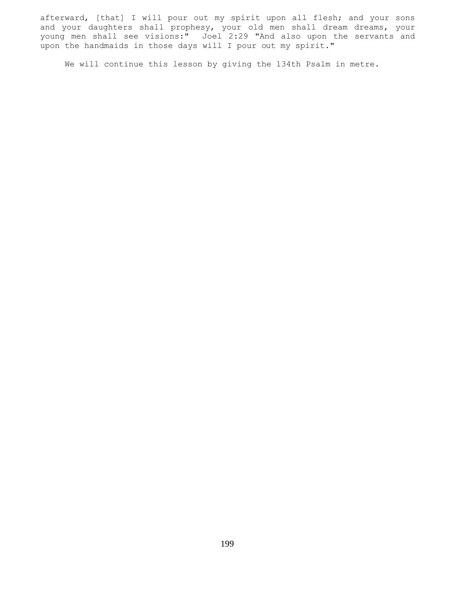afterward, [that] I will pour out my spirit upon all flesh; and your sons and your daughters shall prophesy, your old men shall dream dreams, your young men shall see visions:" Joel 2:29 "And also upon the servants and upon the handmaids in those days will I pour out my spirit."

We will continue this lesson by giving the 134th Psalm in metre.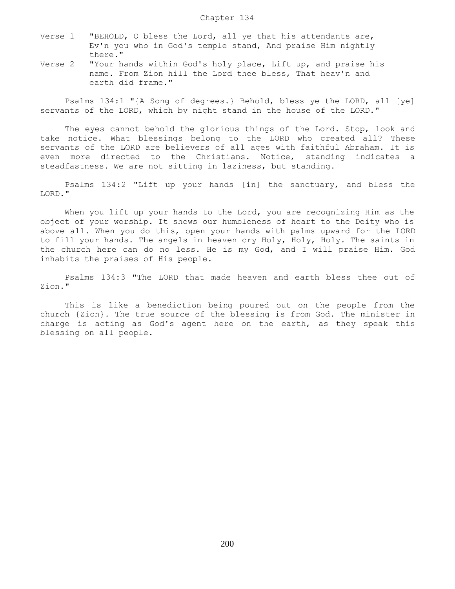- Verse 1 "BEHOLD, O bless the Lord, all ye that his attendants are, Ev'n you who in God's temple stand, And praise Him nightly there."
- Verse 2 "Your hands within God's holy place, Lift up, and praise his name. From Zion hill the Lord thee bless, That heav'n and earth did frame."

 Psalms 134:1 "{A Song of degrees.} Behold, bless ye the LORD, all [ye] servants of the LORD, which by night stand in the house of the LORD."

 The eyes cannot behold the glorious things of the Lord. Stop, look and take notice. What blessings belong to the LORD who created all? These servants of the LORD are believers of all ages with faithful Abraham. It is even more directed to the Christians. Notice, standing indicates a steadfastness. We are not sitting in laziness, but standing.

 Psalms 134:2 "Lift up your hands [in] the sanctuary, and bless the LORD."

 When you lift up your hands to the Lord, you are recognizing Him as the object of your worship. It shows our humbleness of heart to the Deity who is above all. When you do this, open your hands with palms upward for the LORD to fill your hands. The angels in heaven cry Holy, Holy, Holy. The saints in the church here can do no less. He is my God, and I will praise Him. God inhabits the praises of His people.

 Psalms 134:3 "The LORD that made heaven and earth bless thee out of Zion."

 This is like a benediction being poured out on the people from the church {Zion}. The true source of the blessing is from God. The minister in charge is acting as God's agent here on the earth, as they speak this blessing on all people.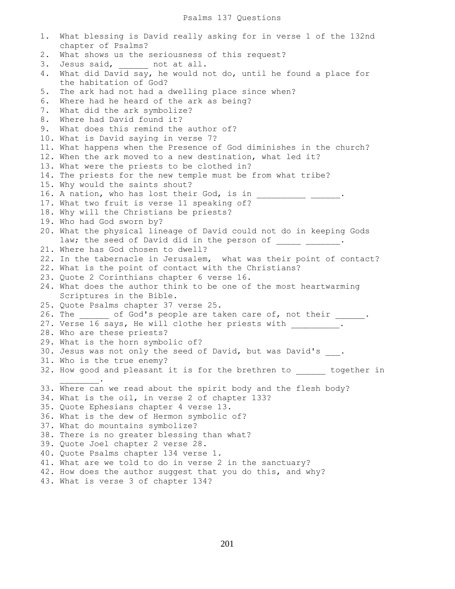1. What blessing is David really asking for in verse 1 of the 132nd chapter of Psalms? 2. What shows us the seriousness of this request? 3. Jesus said, \_\_\_\_\_\_ not at all. 4. What did David say, he would not do, until he found a place for the habitation of God? 5. The ark had not had a dwelling place since when? 6. Where had he heard of the ark as being? 7. What did the ark symbolize? 8. Where had David found it? 9. What does this remind the author of? 10. What is David saying in verse 7? 11. What happens when the Presence of God diminishes in the church? 12. When the ark moved to a new destination, what led it? 13. What were the priests to be clothed in? 14. The priests for the new temple must be from what tribe? 15. Why would the saints shout? 16. A nation, who has lost their God, is in \_\_\_\_\_\_\_\_\_\_\_\_\_\_\_\_\_\_\_\_. 17. What two fruit is verse 11 speaking of? 18. Why will the Christians be priests? 19. Who had God sworn by? 20. What the physical lineage of David could not do in keeping Gods law; the seed of David did in the person of . 21. Where has God chosen to dwell? 22. In the tabernacle in Jerusalem, what was their point of contact? 22. What is the point of contact with the Christians? 23. Quote 2 Corinthians chapter 6 verse 16. 24. What does the author think to be one of the most heartwarming Scriptures in the Bible. 25. Quote Psalms chapter 37 verse 25. 26. The \_\_\_\_\_\_ of God's people are taken care of, not their \_\_\_\_\_\_. 27. Verse 16 says, He will clothe her priests with \_\_\_\_\_\_\_\_. 28. Who are these priests? 29. What is the horn symbolic of? 30. Jesus was not only the seed of David, but was David's . 31. Who is the true enemy? 32. How good and pleasant it is for the brethren to \_\_\_\_\_\_ together in  $\frac{1}{2}$ . 33. Where can we read about the spirit body and the flesh body? 34. What is the oil, in verse 2 of chapter 133? 35. Quote Ephesians chapter 4 verse 13. 36. What is the dew of Hermon symbolic of? 37. What do mountains symbolize? 38. There is no greater blessing than what? 39. Quote Joel chapter 2 verse 28. 40. Quote Psalms chapter 134 verse 1. 41. What are we told to do in verse 2 in the sanctuary? 42. How does the author suggest that you do this, and why? 43. What is verse 3 of chapter 134?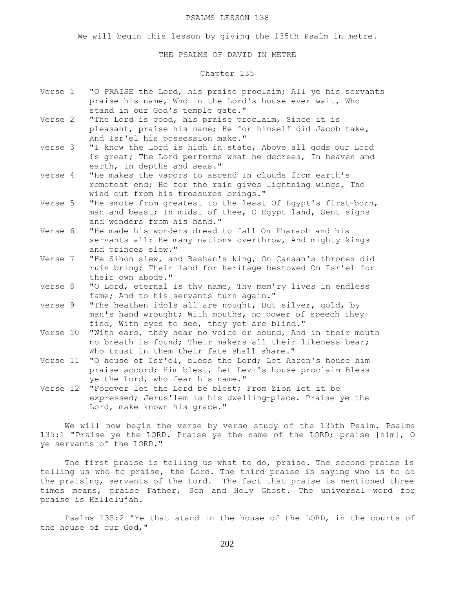### PSALMS LESSON 138

We will begin this lesson by giving the 135th Psalm in metre.

THE PSALMS OF DAVID IN METRE

## Chapter 135

- Verse 1 "O PRAISE the Lord, his praise proclaim; All ye his servants praise his name, Who in the Lord's house ever wait, Who stand in our God's temple gate."
- Verse 2 "The Lord is good, his praise proclaim, Since it is pleasant, praise his name; He for himself did Jacob take, And Isr'el his possession make."
- Verse 3 "I know the Lord is high in state, Above all gods our Lord is great; The Lord performs what he decrees, In heaven and earth, in depths and seas."
- Verse 4 "He makes the vapors to ascend In clouds from earth's remotest end; He for the rain gives lightning wings, The wind out from his treasures brings."
- Verse 5 "He smote from greatest to the least Of Egypt's first-born, man and beast; In midst of thee, O Egypt land, Sent signs and wonders from his hand."
- Verse 6 "He made his wonders dread to fall On Pharaoh and his servants all: He many nations overthrow, And mighty kings and princes slew."
- Verse 7 "He Sihon slew, and Bashan's king, On Canaan's thrones did ruin bring; Their land for heritage bestowed On Isr'el for their own abode."
- Verse 8 "O Lord, eternal is thy name, Thy mem'ry lives in endless fame; And to his servants turn again."
- Verse 9 "The heathen idols all are nought, But silver, gold, by man's hand wrought; With mouths, no power of speech they find, With eyes to see, they yet are blind."
- Verse 10 "With ears, they hear no voice or sound, And in their mouth no breath is found; Their makers all their likeness bear; Who trust in them their fate shall share."
- Verse 11 "O house of Isr'el, bless the Lord; Let Aaron's house him praise accord; Him blest, Let Levi's house proclaim Bless ye the Lord, who fear his name."
- Verse 12 "Forever let the Lord be blest; From Zion let it be expressed; Jerus'lem is his dwelling-place. Praise ye the Lord, make known his grace."

We will now begin the verse by verse study of the 135th Psalm. Psalms 135:1 "Praise ye the LORD. Praise ye the name of the LORD; praise [him], O ye servants of the LORD."

The first praise is telling us what to do, praise. The second praise is telling us who to praise, the Lord. The third praise is saying who is to do the praising, servants of the Lord. The fact that praise is mentioned three times means, praise Father, Son and Holy Ghost. The universal word for praise is Hallelujah.

 Psalms 135:2 "Ye that stand in the house of the LORD, in the courts of the house of our God,"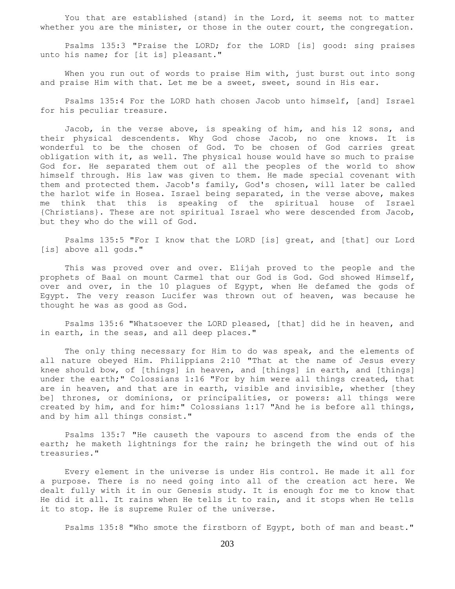You that are established {stand} in the Lord, it seems not to matter whether you are the minister, or those in the outer court, the congregation.

 Psalms 135:3 "Praise the LORD; for the LORD [is] good: sing praises unto his name; for [it is] pleasant."

When you run out of words to praise Him with, just burst out into song and praise Him with that. Let me be a sweet, sweet, sound in His ear.

 Psalms 135:4 For the LORD hath chosen Jacob unto himself, [and] Israel for his peculiar treasure.

 Jacob, in the verse above, is speaking of him, and his 12 sons, and their physical descendents. Why God chose Jacob, no one knows. It is wonderful to be the chosen of God. To be chosen of God carries great obligation with it, as well. The physical house would have so much to praise God for. He separated them out of all the peoples of the world to show himself through. His law was given to them. He made special covenant with them and protected them. Jacob's family, God's chosen, will later be called the harlot wife in Hosea. Israel being separated, in the verse above, makes me think that this is speaking of the spiritual house of Israel {Christians}. These are not spiritual Israel who were descended from Jacob, but they who do the will of God.

 Psalms 135:5 "For I know that the LORD [is] great, and [that] our Lord [is] above all gods."

 This was proved over and over. Elijah proved to the people and the prophets of Baal on mount Carmel that our God is God. God showed Himself, over and over, in the 10 plagues of Egypt, when He defamed the gods of Egypt. The very reason Lucifer was thrown out of heaven, was because he thought he was as good as God.

 Psalms 135:6 "Whatsoever the LORD pleased, [that] did he in heaven, and in earth, in the seas, and all deep places."

 The only thing necessary for Him to do was speak, and the elements of all nature obeyed Him. Philippians 2:10 "That at the name of Jesus every knee should bow, of [things] in heaven, and [things] in earth, and [things] under the earth;" Colossians 1:16 "For by him were all things created, that are in heaven, and that are in earth, visible and invisible, whether [they be] thrones, or dominions, or principalities, or powers: all things were created by him, and for him:" Colossians 1:17 "And he is before all things, and by him all things consist."

 Psalms 135:7 "He causeth the vapours to ascend from the ends of the earth; he maketh lightnings for the rain; he bringeth the wind out of his treasuries."

 Every element in the universe is under His control. He made it all for a purpose. There is no need going into all of the creation act here. We dealt fully with it in our Genesis study. It is enough for me to know that He did it all. It rains when He tells it to rain, and it stops when He tells it to stop. He is supreme Ruler of the universe.

Psalms 135:8 "Who smote the firstborn of Egypt, both of man and beast."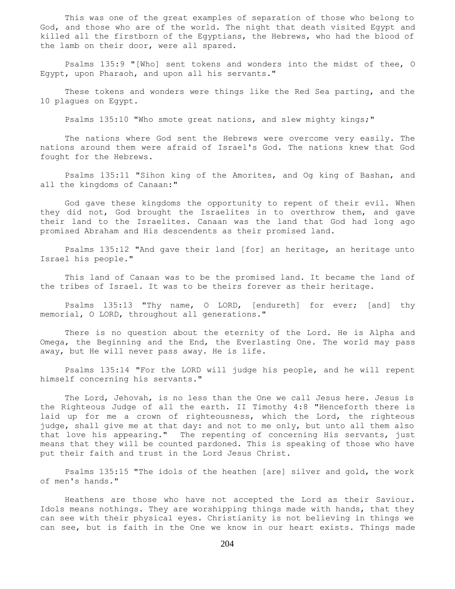This was one of the great examples of separation of those who belong to God, and those who are of the world. The night that death visited Egypt and killed all the firstborn of the Egyptians, the Hebrews, who had the blood of the lamb on their door, were all spared.

 Psalms 135:9 "[Who] sent tokens and wonders into the midst of thee, O Egypt, upon Pharaoh, and upon all his servants."

 These tokens and wonders were things like the Red Sea parting, and the 10 plagues on Egypt.

Psalms 135:10 "Who smote great nations, and slew mighty kings;"

 The nations where God sent the Hebrews were overcome very easily. The nations around them were afraid of Israel's God. The nations knew that God fought for the Hebrews.

 Psalms 135:11 "Sihon king of the Amorites, and Og king of Bashan, and all the kingdoms of Canaan:"

 God gave these kingdoms the opportunity to repent of their evil. When they did not, God brought the Israelites in to overthrow them, and gave their land to the Israelites. Canaan was the land that God had long ago promised Abraham and His descendents as their promised land.

 Psalms 135:12 "And gave their land [for] an heritage, an heritage unto Israel his people."

 This land of Canaan was to be the promised land. It became the land of the tribes of Israel. It was to be theirs forever as their heritage.

 Psalms 135:13 "Thy name, O LORD, [endureth] for ever; [and] thy memorial, O LORD, throughout all generations."

 There is no question about the eternity of the Lord. He is Alpha and Omega, the Beginning and the End, the Everlasting One. The world may pass away, but He will never pass away. He is life.

 Psalms 135:14 "For the LORD will judge his people, and he will repent himself concerning his servants."

 The Lord, Jehovah, is no less than the One we call Jesus here. Jesus is the Righteous Judge of all the earth. II Timothy 4:8 "Henceforth there is laid up for me a crown of righteousness, which the Lord, the righteous judge, shall give me at that day: and not to me only, but unto all them also that love his appearing." The repenting of concerning His servants, just means that they will be counted pardoned. This is speaking of those who have put their faith and trust in the Lord Jesus Christ.

 Psalms 135:15 "The idols of the heathen [are] silver and gold, the work of men's hands."

 Heathens are those who have not accepted the Lord as their Saviour. Idols means nothings. They are worshipping things made with hands, that they can see with their physical eyes. Christianity is not believing in things we can see, but is faith in the One we know in our heart exists. Things made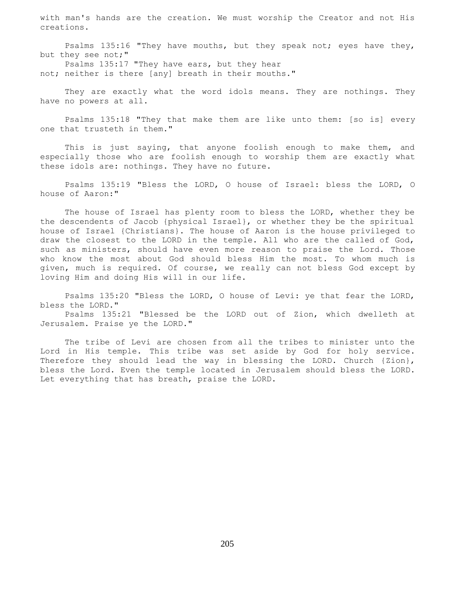with man's hands are the creation. We must worship the Creator and not His creations.

 Psalms 135:16 "They have mouths, but they speak not; eyes have they, but they see not;" Psalms 135:17 "They have ears, but they hear

not; neither is there [any] breath in their mouths."

 They are exactly what the word idols means. They are nothings. They have no powers at all.

 Psalms 135:18 "They that make them are like unto them: [so is] every one that trusteth in them."

 This is just saying, that anyone foolish enough to make them, and especially those who are foolish enough to worship them are exactly what these idols are: nothings. They have no future.

 Psalms 135:19 "Bless the LORD, O house of Israel: bless the LORD, O house of Aaron:"

 The house of Israel has plenty room to bless the LORD, whether they be the descendents of Jacob {physical Israel}, or whether they be the spiritual house of Israel {Christians}. The house of Aaron is the house privileged to draw the closest to the LORD in the temple. All who are the called of God, such as ministers, should have even more reason to praise the Lord. Those who know the most about God should bless Him the most. To whom much is given, much is required. Of course, we really can not bless God except by loving Him and doing His will in our life.

 Psalms 135:20 "Bless the LORD, O house of Levi: ye that fear the LORD, bless the LORD."

 Psalms 135:21 "Blessed be the LORD out of Zion, which dwelleth at Jerusalem. Praise ye the LORD."

 The tribe of Levi are chosen from all the tribes to minister unto the Lord in His temple. This tribe was set aside by God for holy service. Therefore they should lead the way in blessing the LORD. Church {Zion}, bless the Lord. Even the temple located in Jerusalem should bless the LORD. Let everything that has breath, praise the LORD.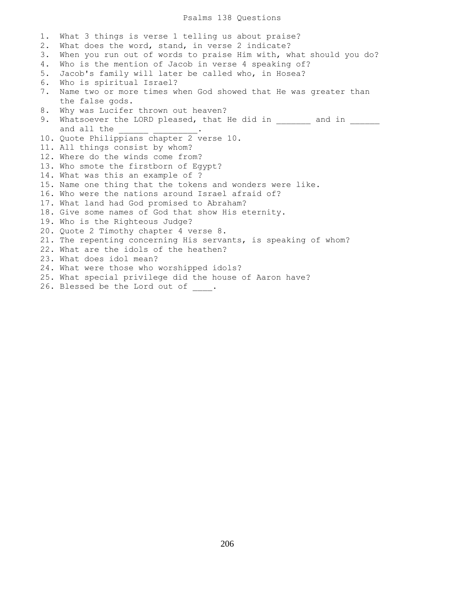### Psalms 138 Questions

1. What 3 things is verse 1 telling us about praise? 2. What does the word, stand, in verse 2 indicate? 3. When you run out of words to praise Him with, what should you do? 4. Who is the mention of Jacob in verse 4 speaking of? 5. Jacob's family will later be called who, in Hosea? 6. Who is spiritual Israel? 7. Name two or more times when God showed that He was greater than the false gods. 8. Why was Lucifer thrown out heaven? 9. Whatsoever the LORD pleased, that He did in and in  $\qquad$ and all the 10. Quote Philippians chapter 2 verse 10. 11. All things consist by whom? 12. Where do the winds come from? 13. Who smote the firstborn of Egypt? 14. What was this an example of ? 15. Name one thing that the tokens and wonders were like. 16. Who were the nations around Israel afraid of? 17. What land had God promised to Abraham? 18. Give some names of God that show His eternity. 19. Who is the Righteous Judge? 20. Quote 2 Timothy chapter 4 verse 8. 21. The repenting concerning His servants, is speaking of whom? 22. What are the idols of the heathen? 23. What does idol mean? 24. What were those who worshipped idols? 25. What special privilege did the house of Aaron have? 26. Blessed be the Lord out of .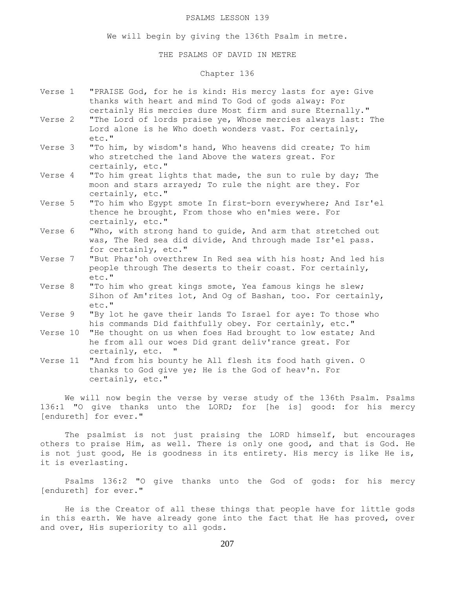### PSALMS LESSON 139

We will begin by giving the 136th Psalm in metre.

### THE PSALMS OF DAVID IN METRE

## Chapter 136

- Verse 1 "PRAISE God, for he is kind: His mercy lasts for aye: Give thanks with heart and mind To God of gods alway: For certainly His mercies dure Most firm and sure Eternally."
- Verse 2 "The Lord of lords praise ye, Whose mercies always last: The Lord alone is he Who doeth wonders vast. For certainly, etc."
- Verse 3 "To him, by wisdom's hand, Who heavens did create; To him who stretched the land Above the waters great. For certainly, etc."
- Verse 4 "To him great lights that made, the sun to rule by day; The moon and stars arrayed; To rule the night are they. For certainly, etc."
- Verse 5 "To him who Egypt smote In first-born everywhere; And Isr'el thence he brought, From those who en'mies were. For certainly, etc."
- Verse 6 "Who, with strong hand to guide, And arm that stretched out was, The Red sea did divide, And through made Isr'el pass. for certainly, etc."
- Verse 7 "But Phar'oh overthrew In Red sea with his host; And led his people through The deserts to their coast. For certainly, etc."
- Verse 8 "To him who great kings smote, Yea famous kings he slew; Sihon of Am'rites lot, And Oq of Bashan, too. For certainly, etc."
- Verse 9 "By lot he gave their lands To Israel for aye: To those who his commands Did faithfully obey. For certainly, etc."
- Verse 10 "He thought on us when foes Had brought to low estate; And he from all our woes Did grant deliv'rance great. For certainly, etc. "
- Verse 11 "And from his bounty he All flesh its food hath given. O thanks to God give ye; He is the God of heav'n. For certainly, etc."

 We will now begin the verse by verse study of the 136th Psalm. Psalms 136:1 "O give thanks unto the LORD; for [he is] good: for his mercy [endureth] for ever."

 The psalmist is not just praising the LORD himself, but encourages others to praise Him, as well. There is only one good, and that is God. He is not just good, He is goodness in its entirety. His mercy is like He is, it is everlasting.

 Psalms 136:2 "O give thanks unto the God of gods: for his mercy [endureth] for ever."

 He is the Creator of all these things that people have for little gods in this earth. We have already gone into the fact that He has proved, over and over, His superiority to all gods.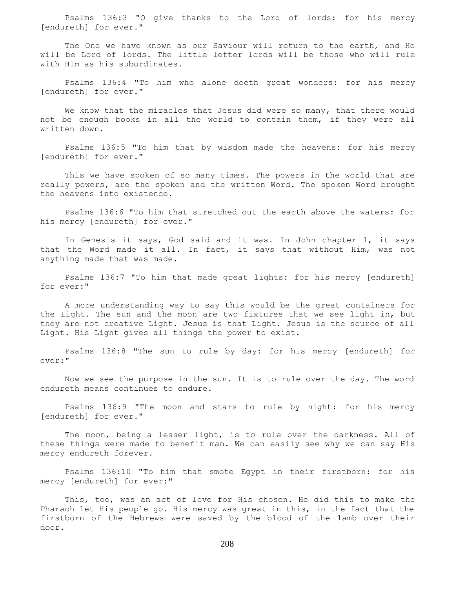Psalms 136:3 "O give thanks to the Lord of lords: for his mercy [endureth] for ever."

 The One we have known as our Saviour will return to the earth, and He will be Lord of lords. The little letter lords will be those who will rule with Him as his subordinates.

 Psalms 136:4 "To him who alone doeth great wonders: for his mercy [endureth] for ever."

 We know that the miracles that Jesus did were so many, that there would not be enough books in all the world to contain them, if they were all written down.

 Psalms 136:5 "To him that by wisdom made the heavens: for his mercy [endureth] for ever."

 This we have spoken of so many times. The powers in the world that are really powers, are the spoken and the written Word. The spoken Word brought the heavens into existence.

 Psalms 136:6 "To him that stretched out the earth above the waters: for his mercy [endureth] for ever."

 In Genesis it says, God said and it was. In John chapter 1, it says that the Word made it all. In fact, it says that without Him, was not anything made that was made.

 Psalms 136:7 "To him that made great lights: for his mercy [endureth] for ever:"

 A more understanding way to say this would be the great containers for the Light. The sun and the moon are two fixtures that we see light in, but they are not creative Light. Jesus is that Light. Jesus is the source of all Light. His Light gives all things the power to exist.

 Psalms 136:8 "The sun to rule by day: for his mercy [endureth] for ever:"

 Now we see the purpose in the sun. It is to rule over the day. The word endureth means continues to endure.

 Psalms 136:9 "The moon and stars to rule by night: for his mercy [endureth] for ever."

The moon, being a lesser light, is to rule over the darkness. All of these things were made to benefit man. We can easily see why we can say His mercy endureth forever.

 Psalms 136:10 "To him that smote Egypt in their firstborn: for his mercy [endureth] for ever:"

 This, too, was an act of love for His chosen. He did this to make the Pharaoh let His people go. His mercy was great in this, in the fact that the firstborn of the Hebrews were saved by the blood of the lamb over their door.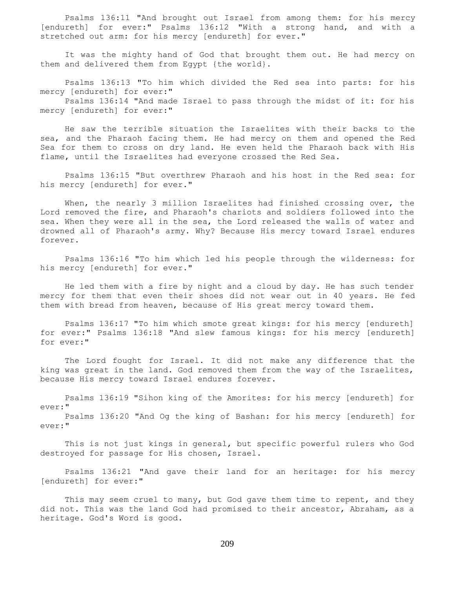Psalms 136:11 "And brought out Israel from among them: for his mercy [endureth] for ever:" Psalms 136:12 "With a strong hand, and with a stretched out arm: for his mercy [endureth] for ever."

 It was the mighty hand of God that brought them out. He had mercy on them and delivered them from Egypt {the world}.

 Psalms 136:13 "To him which divided the Red sea into parts: for his mercy [endureth] for ever:"

 Psalms 136:14 "And made Israel to pass through the midst of it: for his mercy [endureth] for ever:"

 He saw the terrible situation the Israelites with their backs to the sea, and the Pharaoh facing them. He had mercy on them and opened the Red Sea for them to cross on dry land. He even held the Pharaoh back with His flame, until the Israelites had everyone crossed the Red Sea.

 Psalms 136:15 "But overthrew Pharaoh and his host in the Red sea: for his mercy [endureth] for ever."

When, the nearly 3 million Israelites had finished crossing over, the Lord removed the fire, and Pharaoh's chariots and soldiers followed into the sea. When they were all in the sea, the Lord released the walls of water and drowned all of Pharaoh's army. Why? Because His mercy toward Israel endures forever.

 Psalms 136:16 "To him which led his people through the wilderness: for his mercy [endureth] for ever."

 He led them with a fire by night and a cloud by day. He has such tender mercy for them that even their shoes did not wear out in 40 years. He fed them with bread from heaven, because of His great mercy toward them.

 Psalms 136:17 "To him which smote great kings: for his mercy [endureth] for ever:" Psalms 136:18 "And slew famous kings: for his mercy [endureth] for ever:"

 The Lord fought for Israel. It did not make any difference that the king was great in the land. God removed them from the way of the Israelites, because His mercy toward Israel endures forever.

 Psalms 136:19 "Sihon king of the Amorites: for his mercy [endureth] for ever:"

 Psalms 136:20 "And Og the king of Bashan: for his mercy [endureth] for ever:"

 This is not just kings in general, but specific powerful rulers who God destroyed for passage for His chosen, Israel.

 Psalms 136:21 "And gave their land for an heritage: for his mercy [endureth] for ever:"

This may seem cruel to many, but God gave them time to repent, and they did not. This was the land God had promised to their ancestor, Abraham, as a heritage. God's Word is good.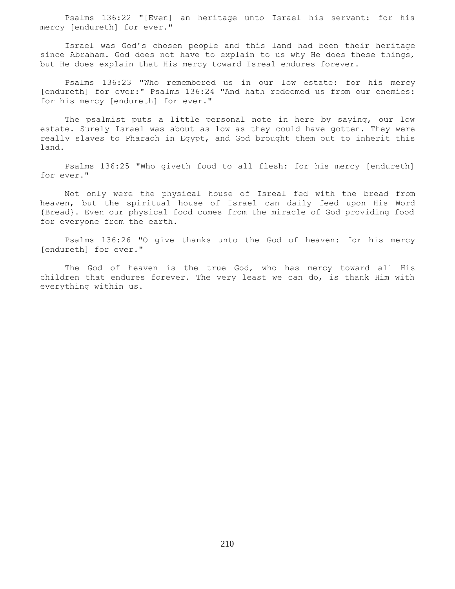Psalms 136:22 "[Even] an heritage unto Israel his servant: for his mercy [endureth] for ever."

 Israel was God's chosen people and this land had been their heritage since Abraham. God does not have to explain to us why He does these things, but He does explain that His mercy toward Isreal endures forever.

 Psalms 136:23 "Who remembered us in our low estate: for his mercy [endureth] for ever:" Psalms 136:24 "And hath redeemed us from our enemies: for his mercy [endureth] for ever."

The psalmist puts a little personal note in here by saying, our low estate. Surely Israel was about as low as they could have gotten. They were really slaves to Pharaoh in Egypt, and God brought them out to inherit this land.

 Psalms 136:25 "Who giveth food to all flesh: for his mercy [endureth] for ever."

 Not only were the physical house of Isreal fed with the bread from heaven, but the spiritual house of Israel can daily feed upon His Word {Bread}. Even our physical food comes from the miracle of God providing food for everyone from the earth.

 Psalms 136:26 "O give thanks unto the God of heaven: for his mercy [endureth] for ever."

 The God of heaven is the true God, who has mercy toward all His children that endures forever. The very least we can do, is thank Him with everything within us.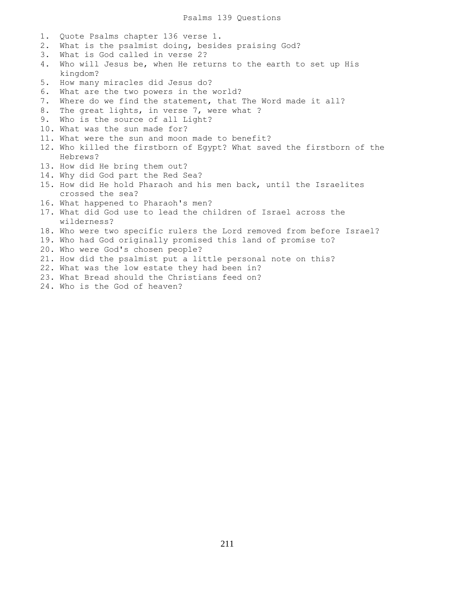1. Quote Psalms chapter 136 verse 1. 2. What is the psalmist doing, besides praising God? 3. What is God called in verse 2? 4. Who will Jesus be, when He returns to the earth to set up His kingdom? 5. How many miracles did Jesus do? 6. What are the two powers in the world? 7. Where do we find the statement, that The Word made it all? 8. The great lights, in verse 7, were what ? 9. Who is the source of all Light? 10. What was the sun made for? 11. What were the sun and moon made to benefit? 12. Who killed the firstborn of Egypt? What saved the firstborn of the Hebrews? 13. How did He bring them out? 14. Why did God part the Red Sea? 15. How did He hold Pharaoh and his men back, until the Israelites crossed the sea? 16. What happened to Pharaoh's men? 17. What did God use to lead the children of Israel across the wilderness? 18. Who were two specific rulers the Lord removed from before Israel? 19. Who had God originally promised this land of promise to? 20. Who were God's chosen people? 21. How did the psalmist put a little personal note on this? 22. What was the low estate they had been in? 23. What Bread should the Christians feed on? 24. Who is the God of heaven?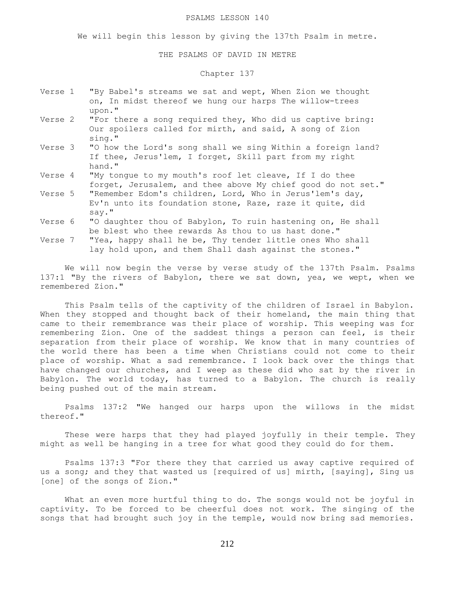### PSALMS LESSON 140

We will begin this lesson by giving the 137th Psalm in metre.

THE PSALMS OF DAVID IN METRE

### Chapter 137

- Verse 1 "By Babel's streams we sat and wept, When Zion we thought on, In midst thereof we hung our harps The willow-trees upon."
- "For there a song required they, Who did us captive bring: Our spoilers called for mirth, and said, A song of Zion sing."
- Verse 3 "O how the Lord's song shall we sing Within a foreign land? If thee, Jerus'lem, I forget, Skill part from my right hand."
- Verse 4 "My tongue to my mouth's roof let cleave, If I do thee forget, Jerusalem, and thee above My chief good do not set."
- Verse 5 "Remember Edom's children, Lord, Who in Jerus'lem's day, Ev'n unto its foundation stone, Raze, raze it quite, did say."
- Verse 6 "O daughter thou of Babylon, To ruin hastening on, He shall be blest who thee rewards As thou to us hast done."
- Verse 7 "Yea, happy shall he be, Thy tender little ones Who shall lay hold upon, and them Shall dash against the stones."

We will now begin the verse by verse study of the 137th Psalm. Psalms 137:1 "By the rivers of Babylon, there we sat down, yea, we wept, when we remembered Zion."

 This Psalm tells of the captivity of the children of Israel in Babylon. When they stopped and thought back of their homeland, the main thing that came to their remembrance was their place of worship. This weeping was for remembering Zion. One of the saddest things a person can feel, is their separation from their place of worship. We know that in many countries of the world there has been a time when Christians could not come to their place of worship. What a sad remembrance. I look back over the things that have changed our churches, and I weep as these did who sat by the river in Babylon. The world today, has turned to a Babylon. The church is really being pushed out of the main stream.

 Psalms 137:2 "We hanged our harps upon the willows in the midst thereof."

 These were harps that they had played joyfully in their temple. They might as well be hanging in a tree for what good they could do for them.

 Psalms 137:3 "For there they that carried us away captive required of us a song; and they that wasted us [required of us] mirth, [saying], Sing us [one] of the songs of Zion."

 What an even more hurtful thing to do. The songs would not be joyful in captivity. To be forced to be cheerful does not work. The singing of the songs that had brought such joy in the temple, would now bring sad memories.

212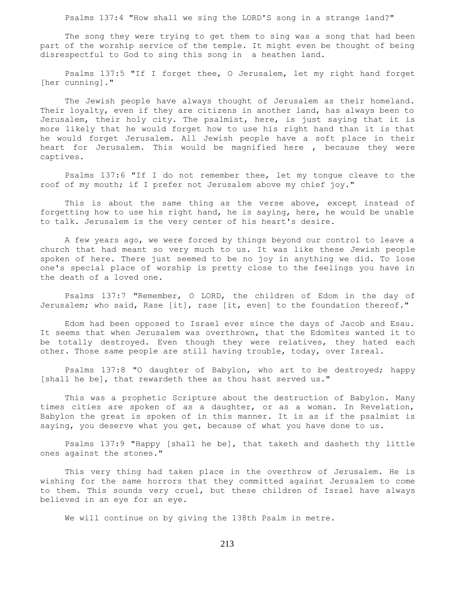Psalms 137:4 "How shall we sing the LORD'S song in a strange land?"

 The song they were trying to get them to sing was a song that had been part of the worship service of the temple. It might even be thought of being disrespectful to God to sing this song in a heathen land.

 Psalms 137:5 "If I forget thee, O Jerusalem, let my right hand forget [her cunning]."

 The Jewish people have always thought of Jerusalem as their homeland. Their loyalty, even if they are citizens in another land, has always been to Jerusalem, their holy city. The psalmist, here, is just saying that it is more likely that he would forget how to use his right hand than it is that he would forget Jerusalem. All Jewish people have a soft place in their heart for Jerusalem. This would be magnified here , because they were captives.

 Psalms 137:6 "If I do not remember thee, let my tongue cleave to the roof of my mouth; if I prefer not Jerusalem above my chief joy."

 This is about the same thing as the verse above, except instead of forgetting how to use his right hand, he is saying, here, he would be unable to talk. Jerusalem is the very center of his heart's desire.

 A few years ago, we were forced by things beyond our control to leave a church that had meant so very much to us. It was like these Jewish people spoken of here. There just seemed to be no joy in anything we did. To lose one's special place of worship is pretty close to the feelings you have in the death of a loved one.

 Psalms 137:7 "Remember, O LORD, the children of Edom in the day of Jerusalem; who said, Rase [it], rase [it, even] to the foundation thereof."

 Edom had been opposed to Israel ever since the days of Jacob and Esau. It seems that when Jerusalem was overthrown, that the Edomites wanted it to be totally destroyed. Even though they were relatives, they hated each other. Those same people are still having trouble, today, over Isreal.

 Psalms 137:8 "O daughter of Babylon, who art to be destroyed; happy [shall he be], that rewardeth thee as thou hast served us."

 This was a prophetic Scripture about the destruction of Babylon. Many times cities are spoken of as a daughter, or as a woman. In Revelation, Babylon the great is spoken of in this manner. It is as if the psalmist is saying, you deserve what you get, because of what you have done to us.

 Psalms 137:9 "Happy [shall he be], that taketh and dasheth thy little ones against the stones."

 This very thing had taken place in the overthrow of Jerusalem. He is wishing for the same horrors that they committed against Jerusalem to come to them. This sounds very cruel, but these children of Israel have always believed in an eye for an eye.

We will continue on by giving the 138th Psalm in metre.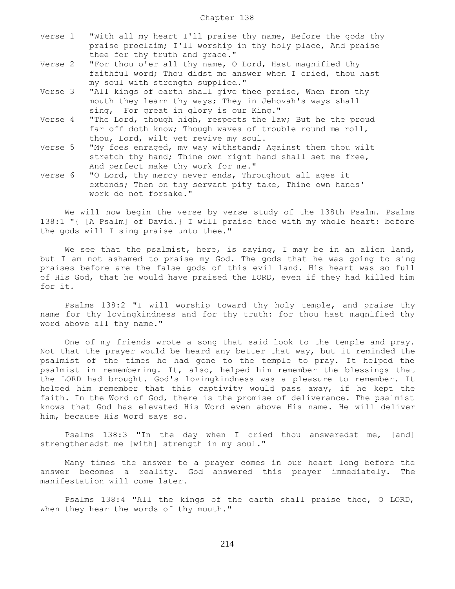- Verse 1 "With all my heart I'll praise thy name, Before the gods thy praise proclaim; I'll worship in thy holy place, And praise thee for thy truth and grace."
- Verse 2 "For thou o'er all thy name, O Lord, Hast magnified thy faithful word; Thou didst me answer when I cried, thou hast my soul with strength supplied."
- Verse 3 "All kings of earth shall give thee praise, When from thy mouth they learn thy ways; They in Jehovah's ways shall sing, For great in glory is our King."
- Verse 4 "The Lord, though high, respects the law; But he the proud far off doth know; Though waves of trouble round me roll, thou, Lord, wilt yet revive my soul.
- Verse 5 "My foes enraged, my way withstand; Against them thou wilt stretch thy hand; Thine own right hand shall set me free, And perfect make thy work for me."
- Verse 6 "O Lord, thy mercy never ends, Throughout all ages it extends; Then on thy servant pity take, Thine own hands' work do not forsake."

 We will now begin the verse by verse study of the 138th Psalm. Psalms 138:1 "{ [A Psalm] of David.} I will praise thee with my whole heart: before the gods will I sing praise unto thee."

We see that the psalmist, here, is saying, I may be in an alien land, but I am not ashamed to praise my God. The gods that he was going to sing praises before are the false gods of this evil land. His heart was so full of His God, that he would have praised the LORD, even if they had killed him for it.

 Psalms 138:2 "I will worship toward thy holy temple, and praise thy name for thy lovingkindness and for thy truth: for thou hast magnified thy word above all thy name."

 One of my friends wrote a song that said look to the temple and pray. Not that the prayer would be heard any better that way, but it reminded the psalmist of the times he had gone to the temple to pray. It helped the psalmist in remembering. It, also, helped him remember the blessings that the LORD had brought. God's lovingkindness was a pleasure to remember. It helped him remember that this captivity would pass away, if he kept the faith. In the Word of God, there is the promise of deliverance. The psalmist knows that God has elevated His Word even above His name. He will deliver him, because His Word says so.

 Psalms 138:3 "In the day when I cried thou answeredst me, [and] strengthenedst me [with] strength in my soul."

 Many times the answer to a prayer comes in our heart long before the answer becomes a reality. God answered this prayer immediately. The manifestation will come later.

 Psalms 138:4 "All the kings of the earth shall praise thee, O LORD, when they hear the words of thy mouth."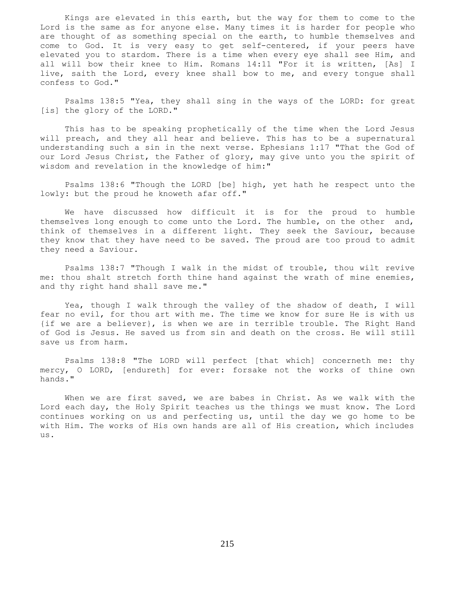Kings are elevated in this earth, but the way for them to come to the Lord is the same as for anyone else. Many times it is harder for people who are thought of as something special on the earth, to humble themselves and come to God. It is very easy to get self-centered, if your peers have elevated you to stardom. There is a time when every eye shall see Him, and all will bow their knee to Him. Romans 14:11 "For it is written, [As] I live, saith the Lord, every knee shall bow to me, and every tongue shall confess to God."

 Psalms 138:5 "Yea, they shall sing in the ways of the LORD: for great [is] the glory of the LORD."

 This has to be speaking prophetically of the time when the Lord Jesus will preach, and they all hear and believe. This has to be a supernatural understanding such a sin in the next verse. Ephesians 1:17 "That the God of our Lord Jesus Christ, the Father of glory, may give unto you the spirit of wisdom and revelation in the knowledge of him:"

 Psalms 138:6 "Though the LORD [be] high, yet hath he respect unto the lowly: but the proud he knoweth afar off."

 We have discussed how difficult it is for the proud to humble themselves long enough to come unto the Lord. The humble, on the other and, think of themselves in a different light. They seek the Saviour, because they know that they have need to be saved. The proud are too proud to admit they need a Saviour.

 Psalms 138:7 "Though I walk in the midst of trouble, thou wilt revive me: thou shalt stretch forth thine hand against the wrath of mine enemies, and thy right hand shall save me."

 Yea, though I walk through the valley of the shadow of death, I will fear no evil, for thou art with me. The time we know for sure He is with us {if we are a believer}, is when we are in terrible trouble. The Right Hand of God is Jesus. He saved us from sin and death on the cross. He will still save us from harm.

 Psalms 138:8 "The LORD will perfect [that which] concerneth me: thy mercy, O LORD, [endureth] for ever: forsake not the works of thine own hands."

 When we are first saved, we are babes in Christ. As we walk with the Lord each day, the Holy Spirit teaches us the things we must know. The Lord continues working on us and perfecting us, until the day we go home to be with Him. The works of His own hands are all of His creation, which includes us.

215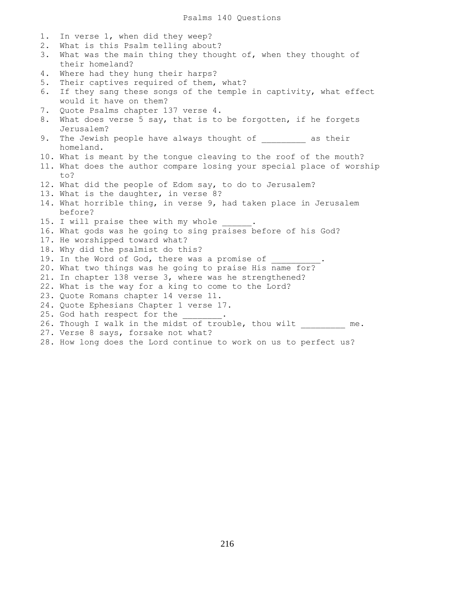1. In verse 1, when did they weep? 2. What is this Psalm telling about? 3. What was the main thing they thought of, when they thought of their homeland? 4. Where had they hung their harps? 5. Their captives required of them, what? 6. If they sang these songs of the temple in captivity, what effect would it have on them? 7. Quote Psalms chapter 137 verse 4. 8. What does verse 5 say, that is to be forgotten, if he forgets Jerusalem? 9. The Jewish people have always thought of  $\qquad \qquad$  as their homeland. 10. What is meant by the tongue cleaving to the roof of the mouth? 11. What does the author compare losing your special place of worship to? 12. What did the people of Edom say, to do to Jerusalem? 13. What is the daughter, in verse 8? 14. What horrible thing, in verse 9, had taken place in Jerusalem before? 15. I will praise thee with my whole 16. What gods was he going to sing praises before of his God? 17. He worshipped toward what? 18. Why did the psalmist do this? 19. In the Word of God, there was a promise of 20. What two things was he going to praise His name for? 21. In chapter 138 verse 3, where was he strengthened? 22. What is the way for a king to come to the Lord? 23. Quote Romans chapter 14 verse 11. 24. Quote Ephesians Chapter 1 verse 17. 25. God hath respect for the 26. Though I walk in the midst of trouble, thou wilt me. 27. Verse 8 says, forsake not what?

28. How long does the Lord continue to work on us to perfect us?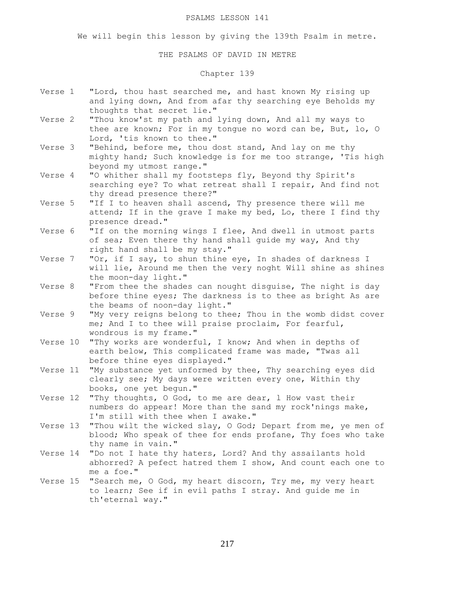#### PSALMS LESSON 141

We will begin this lesson by giving the 139th Psalm in metre.

THE PSALMS OF DAVID IN METRE

# Chapter 139

- Verse 1 "Lord, thou hast searched me, and hast known My rising up and lying down, And from afar thy searching eye Beholds my thoughts that secret lie."
- Verse 2 "Thou know'st my path and lying down, And all my ways to thee are known; For in my tongue no word can be, But, lo, O Lord, 'tis known to thee."
- Verse 3 "Behind, before me, thou dost stand, And lay on me thy mighty hand; Such knowledge is for me too strange, 'Tis high beyond my utmost range."
- Verse 4 "O whither shall my footsteps fly, Beyond thy Spirit's searching eye? To what retreat shall I repair, And find not thy dread presence there?"
- Verse 5 "If I to heaven shall ascend, Thy presence there will me attend; If in the grave I make my bed, Lo, there I find thy presence dread."
- Verse 6 "If on the morning wings I flee, And dwell in utmost parts of sea; Even there thy hand shall guide my way, And thy right hand shall be my stay."
- Verse 7 "Or, if I say, to shun thine eye, In shades of darkness I will lie, Around me then the very noght Will shine as shines the moon-day light."
- Verse 8 "From thee the shades can nought disguise, The night is day before thine eyes; The darkness is to thee as bright As are the beams of noon-day light."
- Verse 9 "My very reigns belong to thee; Thou in the womb didst cover me; And I to thee will praise proclaim, For fearful, wondrous is my frame."
- Verse 10 "Thy works are wonderful, I know; And when in depths of earth below, This complicated frame was made, "Twas all before thine eyes displayed."
- Verse 11 "My substance yet unformed by thee, Thy searching eyes did clearly see; My days were written every one, Within thy books, one yet begun."
- Verse 12 "Thy thoughts, O God, to me are dear, l How vast their numbers do appear! More than the sand my rock'nings make, I'm still with thee when I awake."
- Verse 13 "Thou wilt the wicked slay, O God; Depart from me, ye men of blood; Who speak of thee for ends profane, Thy foes who take thy name in vain."
- Verse 14 "Do not I hate thy haters, Lord? And thy assailants hold abhorred? A pefect hatred them I show, And count each one to me a foe."
- Verse 15 "Search me, O God, my heart discorn, Try me, my very heart to learn; See if in evil paths I stray. And guide me in th'eternal way."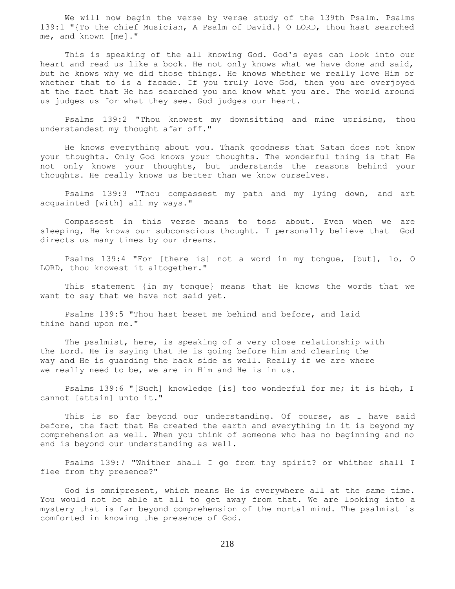We will now begin the verse by verse study of the 139th Psalm. Psalms 139:1 "{To the chief Musician, A Psalm of David.} O LORD, thou hast searched me, and known [me]."

 This is speaking of the all knowing God. God's eyes can look into our heart and read us like a book. He not only knows what we have done and said, but he knows why we did those things. He knows whether we really love Him or whether that to is a facade. If you truly love God, then you are overjoyed at the fact that He has searched you and know what you are. The world around us judges us for what they see. God judges our heart.

 Psalms 139:2 "Thou knowest my downsitting and mine uprising, thou understandest my thought afar off."

 He knows everything about you. Thank goodness that Satan does not know your thoughts. Only God knows your thoughts. The wonderful thing is that He not only knows your thoughts, but understands the reasons behind your thoughts. He really knows us better than we know ourselves.

 Psalms 139:3 "Thou compassest my path and my lying down, and art acquainted [with] all my ways."

 Compassest in this verse means to toss about. Even when we are sleeping, He knows our subconscious thought. I personally believe that God directs us many times by our dreams.

 Psalms 139:4 "For [there is] not a word in my tongue, [but], lo, O LORD, thou knowest it altogether."

 This statement {in my tongue} means that He knows the words that we want to say that we have not said yet.

 Psalms 139:5 "Thou hast beset me behind and before, and laid thine hand upon me."

 The psalmist, here, is speaking of a very close relationship with the Lord. He is saying that He is going before him and clearing the way and He is guarding the back side as well. Really if we are where we really need to be, we are in Him and He is in us.

 Psalms 139:6 "[Such] knowledge [is] too wonderful for me; it is high, I cannot [attain] unto it."

 This is so far beyond our understanding. Of course, as I have said before, the fact that He created the earth and everything in it is beyond my comprehension as well. When you think of someone who has no beginning and no end is beyond our understanding as well.

 Psalms 139:7 "Whither shall I go from thy spirit? or whither shall I flee from thy presence?"

 God is omnipresent, which means He is everywhere all at the same time. You would not be able at all to get away from that. We are looking into a mystery that is far beyond comprehension of the mortal mind. The psalmist is comforted in knowing the presence of God.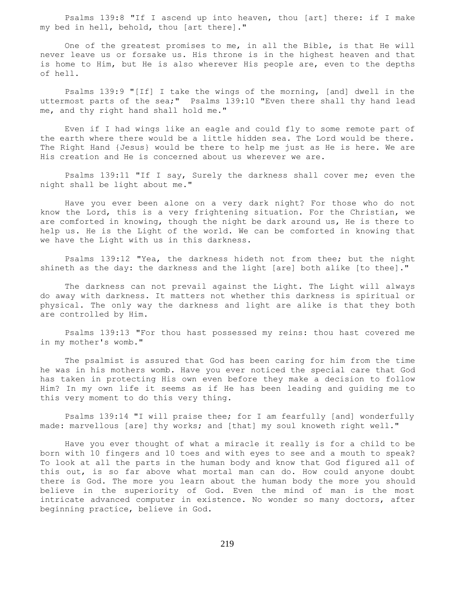Psalms 139:8 "If I ascend up into heaven, thou [art] there: if I make my bed in hell, behold, thou [art there]."

 One of the greatest promises to me, in all the Bible, is that He will never leave us or forsake us. His throne is in the highest heaven and that is home to Him, but He is also wherever His people are, even to the depths of hell.

 Psalms 139:9 "[If] I take the wings of the morning, [and] dwell in the uttermost parts of the sea;" Psalms 139:10 "Even there shall thy hand lead me, and thy right hand shall hold me."

 Even if I had wings like an eagle and could fly to some remote part of the earth where there would be a little hidden sea. The Lord would be there. The Right Hand {Jesus} would be there to help me just as He is here. We are His creation and He is concerned about us wherever we are.

 Psalms 139:11 "If I say, Surely the darkness shall cover me; even the night shall be light about me."

 Have you ever been alone on a very dark night? For those who do not know the Lord, this is a very frightening situation. For the Christian, we are comforted in knowing, though the night be dark around us, He is there to help us. He is the Light of the world. We can be comforted in knowing that we have the Light with us in this darkness.

 Psalms 139:12 "Yea, the darkness hideth not from thee; but the night shineth as the day: the darkness and the light [are] both alike [to thee]."

 The darkness can not prevail against the Light. The Light will always do away with darkness. It matters not whether this darkness is spiritual or physical. The only way the darkness and light are alike is that they both are controlled by Him.

 Psalms 139:13 "For thou hast possessed my reins: thou hast covered me in my mother's womb."

 The psalmist is assured that God has been caring for him from the time he was in his mothers womb. Have you ever noticed the special care that God has taken in protecting His own even before they make a decision to follow Him? In my own life it seems as if He has been leading and guiding me to this very moment to do this very thing.

 Psalms 139:14 "I will praise thee; for I am fearfully [and] wonderfully made: marvellous [are] thy works; and [that] my soul knoweth right well."

 Have you ever thought of what a miracle it really is for a child to be born with 10 fingers and 10 toes and with eyes to see and a mouth to speak? To look at all the parts in the human body and know that God figured all of this out, is so far above what mortal man can do. How could anyone doubt there is God. The more you learn about the human body the more you should believe in the superiority of God. Even the mind of man is the most intricate advanced computer in existence. No wonder so many doctors, after beginning practice, believe in God.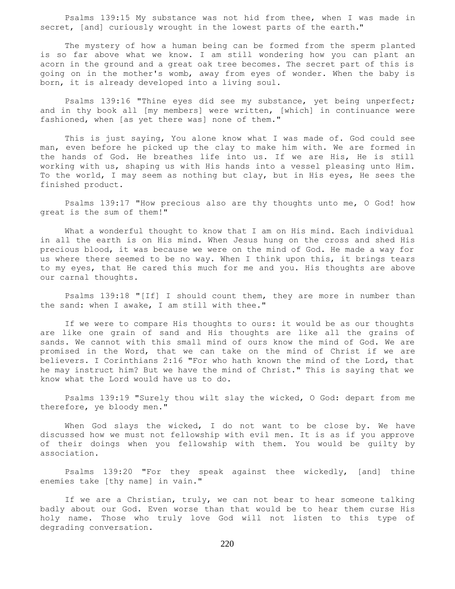Psalms 139:15 My substance was not hid from thee, when I was made in secret, [and] curiously wrought in the lowest parts of the earth."

 The mystery of how a human being can be formed from the sperm planted is so far above what we know. I am still wondering how you can plant an acorn in the ground and a great oak tree becomes. The secret part of this is going on in the mother's womb, away from eyes of wonder. When the baby is born, it is already developed into a living soul.

 Psalms 139:16 "Thine eyes did see my substance, yet being unperfect; and in thy book all [my members] were written, [which] in continuance were fashioned, when [as yet there was] none of them."

 This is just saying, You alone know what I was made of. God could see man, even before he picked up the clay to make him with. We are formed in the hands of God. He breathes life into us. If we are His, He is still working with us, shaping us with His hands into a vessel pleasing unto Him. To the world, I may seem as nothing but clay, but in His eyes, He sees the finished product.

 Psalms 139:17 "How precious also are thy thoughts unto me, O God! how great is the sum of them!"

 What a wonderful thought to know that I am on His mind. Each individual in all the earth is on His mind. When Jesus hung on the cross and shed His precious blood, it was because we were on the mind of God. He made a way for us where there seemed to be no way. When I think upon this, it brings tears to my eyes, that He cared this much for me and you. His thoughts are above our carnal thoughts.

 Psalms 139:18 "[If] I should count them, they are more in number than the sand: when I awake, I am still with thee."

 If we were to compare His thoughts to ours: it would be as our thoughts are like one grain of sand and His thoughts are like all the grains of sands. We cannot with this small mind of ours know the mind of God. We are promised in the Word, that we can take on the mind of Christ if we are believers. I Corinthians 2:16 "For who hath known the mind of the Lord, that he may instruct him? But we have the mind of Christ." This is saying that we know what the Lord would have us to do.

 Psalms 139:19 "Surely thou wilt slay the wicked, O God: depart from me therefore, ye bloody men."

When God slays the wicked, I do not want to be close by. We have discussed how we must not fellowship with evil men. It is as if you approve of their doings when you fellowship with them. You would be guilty by association.

 Psalms 139:20 "For they speak against thee wickedly, [and] thine enemies take [thy name] in vain."

 If we are a Christian, truly, we can not bear to hear someone talking badly about our God. Even worse than that would be to hear them curse His holy name. Those who truly love God will not listen to this type of degrading conversation.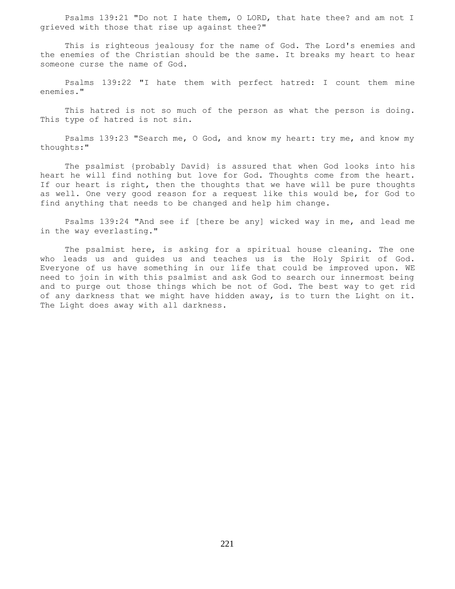Psalms 139:21 "Do not I hate them, O LORD, that hate thee? and am not I grieved with those that rise up against thee?"

 This is righteous jealousy for the name of God. The Lord's enemies and the enemies of the Christian should be the same. It breaks my heart to hear someone curse the name of God.

 Psalms 139:22 "I hate them with perfect hatred: I count them mine enemies."

 This hatred is not so much of the person as what the person is doing. This type of hatred is not sin.

 Psalms 139:23 "Search me, O God, and know my heart: try me, and know my thoughts:"

 The psalmist {probably David} is assured that when God looks into his heart he will find nothing but love for God. Thoughts come from the heart. If our heart is right, then the thoughts that we have will be pure thoughts as well. One very good reason for a request like this would be, for God to find anything that needs to be changed and help him change.

 Psalms 139:24 "And see if [there be any] wicked way in me, and lead me in the way everlasting."

 The psalmist here, is asking for a spiritual house cleaning. The one who leads us and guides us and teaches us is the Holy Spirit of God. Everyone of us have something in our life that could be improved upon. WE need to join in with this psalmist and ask God to search our innermost being and to purge out those things which be not of God. The best way to get rid of any darkness that we might have hidden away, is to turn the Light on it. The Light does away with all darkness.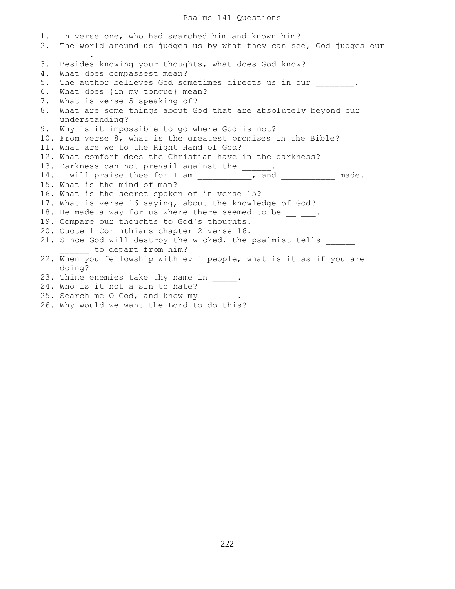#### Psalms 141 Questions

1. In verse one, who had searched him and known him? 2. The world around us judges us by what they can see, God judges our  $\frac{1}{2}$  and  $\frac{1}{2}$  and  $\frac{1}{2}$  . 3. Besides knowing your thoughts, what does God know? 4. What does compassest mean? 5. The author believes God sometimes directs us in our  $\qquad \qquad$ 6. What does {in my tongue} mean? 7. What is verse 5 speaking of? 8. What are some things about God that are absolutely beyond our understanding? 9. Why is it impossible to go where God is not? 10. From verse 8, what is the greatest promises in the Bible? 11. What are we to the Right Hand of God? 12. What comfort does the Christian have in the darkness? 13. Darkness can not prevail against the \_\_\_\_\_\_. 14. I will praise thee for I am \_\_\_\_\_\_\_\_\_\_\_, and \_\_\_\_\_\_\_\_\_\_\_ made. 15. What is the mind of man? 16. What is the secret spoken of in verse 15? 17. What is verse 16 saying, about the knowledge of God? 18. He made a way for us where there seemed to be  $\frac{1}{2}$ . 19. Compare our thoughts to God's thoughts. 20. Quote 1 Corinthians chapter 2 verse 16. 21. Since God will destroy the wicked, the psalmist tells \_\_\_\_\_\_ to depart from him? 22. When you fellowship with evil people, what is it as if you are doing? 23. Thine enemies take thy name in \_\_\_\_\_. 24. Who is it not a sin to hate? 25. Search me O God, and know my 26. Why would we want the Lord to do this?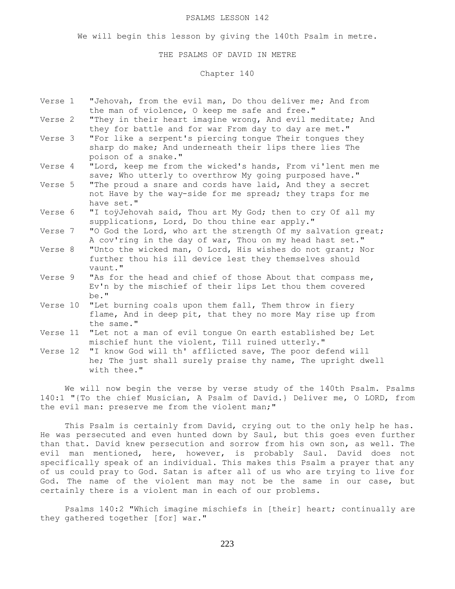#### PSALMS LESSON 142

We will begin this lesson by giving the 140th Psalm in metre.

#### THE PSALMS OF DAVID IN METRE

Chapter 140

- Verse 1 "Jehovah, from the evil man, Do thou deliver me; And from the man of violence, O keep me safe and free."
- Verse 2 "They in their heart imagine wrong, And evil meditate; And they for battle and for war From day to day are met."
- Verse 3 "For like a serpent's piercing tongue Their tongues they sharp do make; And underneath their lips there lies The poison of a snake."
- Verse 4 "Lord, keep me from the wicked's hands, From vi'lent men me save; Who utterly to overthrow My going purposed have."
- Verse 5 "The proud a snare and cords have laid, And they a secret not Have by the way-side for me spread; they traps for me have set."
- Verse 6 "I toÿJehovah said, Thou art My God; then to cry Of all my supplications, Lord, Do thou thine ear apply."
- Verse 7 "O God the Lord, who art the strength Of my salvation great; A cov'ring in the day of war, Thou on my head hast set."
- Verse 8 "Unto the wicked man, O Lord, His wishes do not grant; Nor further thou his ill device lest they themselves should vaunt."
- Verse 9 "As for the head and chief of those About that compass me, Ev'n by the mischief of their lips Let thou them covered be."
- Verse 10 "Let burning coals upon them fall, Them throw in fiery flame, And in deep pit, that they no more May rise up from the same."
- Verse 11 "Let not a man of evil tongue On earth established be; Let mischief hunt the violent, Till ruined utterly."

Verse 12 "I know God will th' afflicted save, The poor defend will he; The just shall surely praise thy name, The upright dwell with thee."

 We will now begin the verse by verse study of the 140th Psalm. Psalms 140:1 "{To the chief Musician, A Psalm of David.} Deliver me, O LORD, from the evil man: preserve me from the violent man;"

 This Psalm is certainly from David, crying out to the only help he has. He was persecuted and even hunted down by Saul, but this goes even further than that. David knew persecution and sorrow from his own son, as well. The evil man mentioned, here, however, is probably Saul. David does not specifically speak of an individual. This makes this Psalm a prayer that any of us could pray to God. Satan is after all of us who are trying to live for God. The name of the violent man may not be the same in our case, but certainly there is a violent man in each of our problems.

 Psalms 140:2 "Which imagine mischiefs in [their] heart; continually are they gathered together [for] war."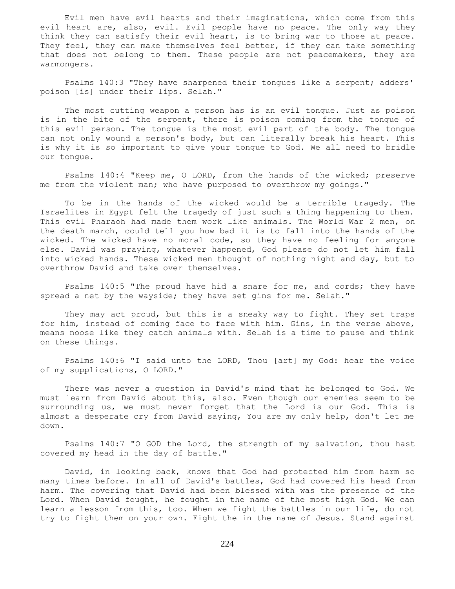Evil men have evil hearts and their imaginations, which come from this evil heart are, also, evil. Evil people have no peace. The only way they think they can satisfy their evil heart, is to bring war to those at peace. They feel, they can make themselves feel better, if they can take something that does not belong to them. These people are not peacemakers, they are warmongers.

 Psalms 140:3 "They have sharpened their tongues like a serpent; adders' poison [is] under their lips. Selah."

 The most cutting weapon a person has is an evil tongue. Just as poison is in the bite of the serpent, there is poison coming from the tongue of this evil person. The tongue is the most evil part of the body. The tongue can not only wound a person's body, but can literally break his heart. This is why it is so important to give your tongue to God. We all need to bridle our tongue.

 Psalms 140:4 "Keep me, O LORD, from the hands of the wicked; preserve me from the violent man; who have purposed to overthrow my goings."

 To be in the hands of the wicked would be a terrible tragedy. The Israelites in Egypt felt the tragedy of just such a thing happening to them. This evil Pharaoh had made them work like animals. The World War 2 men, on the death march, could tell you how bad it is to fall into the hands of the wicked. The wicked have no moral code, so they have no feeling for anyone else. David was praying, whatever happened, God please do not let him fall into wicked hands. These wicked men thought of nothing night and day, but to overthrow David and take over themselves.

 Psalms 140:5 "The proud have hid a snare for me, and cords; they have spread a net by the wayside; they have set gins for me. Selah."

They may act proud, but this is a sneaky way to fight. They set traps for him, instead of coming face to face with him. Gins, in the verse above, means noose like they catch animals with. Selah is a time to pause and think on these things.

 Psalms 140:6 "I said unto the LORD, Thou [art] my God: hear the voice of my supplications, O LORD."

 There was never a question in David's mind that he belonged to God. We must learn from David about this, also. Even though our enemies seem to be surrounding us, we must never forget that the Lord is our God. This is almost a desperate cry from David saying, You are my only help, don't let me down.

 Psalms 140:7 "O GOD the Lord, the strength of my salvation, thou hast covered my head in the day of battle."

 David, in looking back, knows that God had protected him from harm so many times before. In all of David's battles, God had covered his head from harm. The covering that David had been blessed with was the presence of the Lord. When David fought, he fought in the name of the most high God. We can learn a lesson from this, too. When we fight the battles in our life, do not try to fight them on your own. Fight the in the name of Jesus. Stand against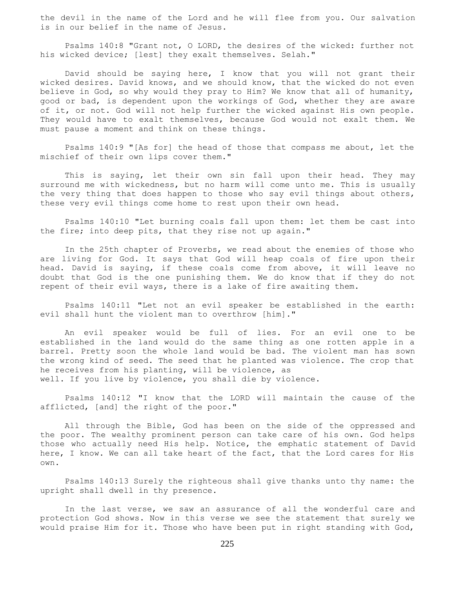the devil in the name of the Lord and he will flee from you. Our salvation is in our belief in the name of Jesus.

 Psalms 140:8 "Grant not, O LORD, the desires of the wicked: further not his wicked device; [lest] they exalt themselves. Selah."

 David should be saying here, I know that you will not grant their wicked desires. David knows, and we should know, that the wicked do not even believe in God, so why would they pray to Him? We know that all of humanity, good or bad, is dependent upon the workings of God, whether they are aware of it, or not. God will not help further the wicked against His own people. They would have to exalt themselves, because God would not exalt them. We must pause a moment and think on these things.

 Psalms 140:9 "[As for] the head of those that compass me about, let the mischief of their own lips cover them."

 This is saying, let their own sin fall upon their head. They may surround me with wickedness, but no harm will come unto me. This is usually the very thing that does happen to those who say evil things about others, these very evil things come home to rest upon their own head.

 Psalms 140:10 "Let burning coals fall upon them: let them be cast into the fire; into deep pits, that they rise not up again."

 In the 25th chapter of Proverbs, we read about the enemies of those who are living for God. It says that God will heap coals of fire upon their head. David is saying, if these coals come from above, it will leave no doubt that God is the one punishing them. We do know that if they do not repent of their evil ways, there is a lake of fire awaiting them.

 Psalms 140:11 "Let not an evil speaker be established in the earth: evil shall hunt the violent man to overthrow [him]."

 An evil speaker would be full of lies. For an evil one to be established in the land would do the same thing as one rotten apple in a barrel. Pretty soon the whole land would be bad. The violent man has sown the wrong kind of seed. The seed that he planted was violence. The crop that he receives from his planting, will be violence, as well. If you live by violence, you shall die by violence.

 Psalms 140:12 "I know that the LORD will maintain the cause of the afflicted, [and] the right of the poor."

 All through the Bible, God has been on the side of the oppressed and the poor. The wealthy prominent person can take care of his own. God helps those who actually need His help. Notice, the emphatic statement of David here, I know. We can all take heart of the fact, that the Lord cares for His own.

 Psalms 140:13 Surely the righteous shall give thanks unto thy name: the upright shall dwell in thy presence.

 In the last verse, we saw an assurance of all the wonderful care and protection God shows. Now in this verse we see the statement that surely we would praise Him for it. Those who have been put in right standing with God,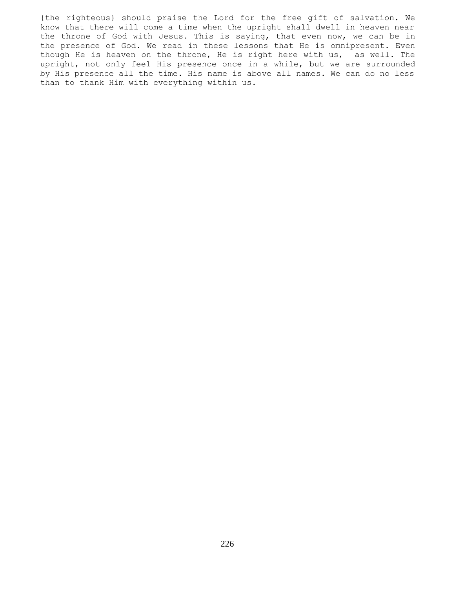{the righteous} should praise the Lord for the free gift of salvation. We know that there will come a time when the upright shall dwell in heaven near the throne of God with Jesus. This is saying, that even now, we can be in the presence of God. We read in these lessons that He is omnipresent. Even though He is heaven on the throne, He is right here with us, as well. The upright, not only feel His presence once in a while, but we are surrounded by His presence all the time. His name is above all names. We can do no less than to thank Him with everything within us.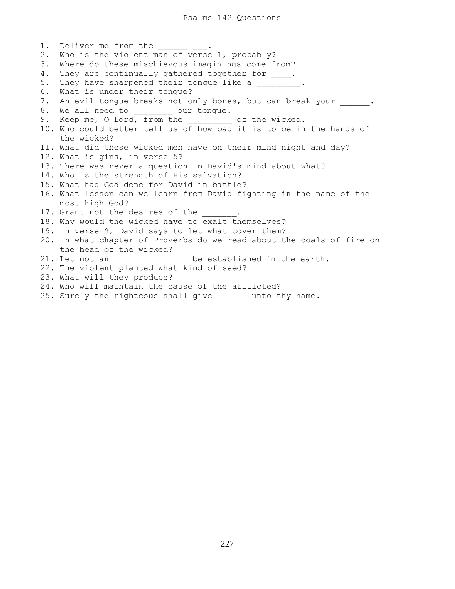1. Deliver me from the 2. Who is the violent man of verse 1, probably? 3. Where do these mischievous imaginings come from? 4. They are continually gathered together for \_\_\_\_. 5. They have sharpened their tongue like a \_\_\_\_\_\_\_. 6. What is under their tongue? 7. An evil tongue breaks not only bones, but can break your \_\_\_\_\_\_. 8. We all need to our tongue. 9. Keep me, O Lord, from the \_\_\_\_\_\_\_\_ of the wicked. 10. Who could better tell us of how bad it is to be in the hands of the wicked? 11. What did these wicked men have on their mind night and day? 12. What is gins, in verse 5? 13. There was never a question in David's mind about what? 14. Who is the strength of His salvation? 15. What had God done for David in battle? 16. What lesson can we learn from David fighting in the name of the most high God? 17. Grant not the desires of the 18. Why would the wicked have to exalt themselves? 19. In verse 9, David says to let what cover them? 20. In what chapter of Proverbs do we read about the coals of fire on the head of the wicked? 21. Let not an \_\_\_\_\_ \_\_\_\_\_\_\_\_\_ be established in the earth. 22. The violent planted what kind of seed? 23. What will they produce? 24. Who will maintain the cause of the afflicted?

25. Surely the righteous shall give \_\_\_\_\_\_ unto thy name.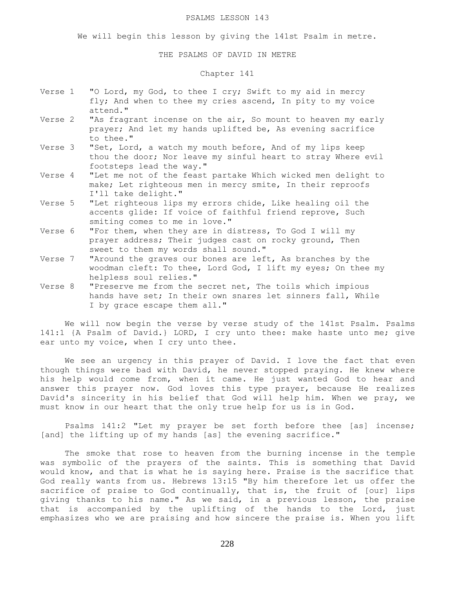#### PSALMS LESSON 143

We will begin this lesson by giving the 141st Psalm in metre.

## THE PSALMS OF DAVID IN METRE

# Chapter 141

- Verse 1 "O Lord, my God, to thee I cry; Swift to my aid in mercy fly; And when to thee my cries ascend, In pity to my voice attend."
- Verse 2 "As fragrant incense on the air, So mount to heaven my early prayer; And let my hands uplifted be, As evening sacrifice to thee."
- Verse 3 "Set, Lord, a watch my mouth before, And of my lips keep thou the door; Nor leave my sinful heart to stray Where evil footsteps lead the way."
- Verse 4 "Let me not of the feast partake Which wicked men delight to make; Let righteous men in mercy smite, In their reproofs I'll take delight."
- Verse 5 "Let righteous lips my errors chide, Like healing oil the accents glide: If voice of faithful friend reprove, Such smiting comes to me in love."
- Verse 6 "For them, when they are in distress, To God I will my prayer address; Their judges cast on rocky ground, Then sweet to them my words shall sound."
- Verse 7 "Around the graves our bones are left, As branches by the woodman cleft: To thee, Lord God, I lift my eyes; On thee my helpless soul relies."
- Verse 8 "Preserve me from the secret net, The toils which impious hands have set; In their own snares let sinners fall, While I by grace escape them all."

 We will now begin the verse by verse study of the 141st Psalm. Psalms 141:1 {A Psalm of David.} LORD, I cry unto thee: make haste unto me; give ear unto my voice, when I cry unto thee.

We see an urgency in this prayer of David. I love the fact that even though things were bad with David, he never stopped praying. He knew where his help would come from, when it came. He just wanted God to hear and answer this prayer now. God loves this type prayer, because He realizes David's sincerity in his belief that God will help him. When we pray, we must know in our heart that the only true help for us is in God.

 Psalms 141:2 "Let my prayer be set forth before thee [as] incense; [and] the lifting up of my hands [as] the evening sacrifice."

 The smoke that rose to heaven from the burning incense in the temple was symbolic of the prayers of the saints. This is something that David would know, and that is what he is saying here. Praise is the sacrifice that God really wants from us. Hebrews 13:15 "By him therefore let us offer the sacrifice of praise to God continually, that is, the fruit of [our] lips giving thanks to his name." As we said, in a previous lesson, the praise that is accompanied by the uplifting of the hands to the Lord, just emphasizes who we are praising and how sincere the praise is. When you lift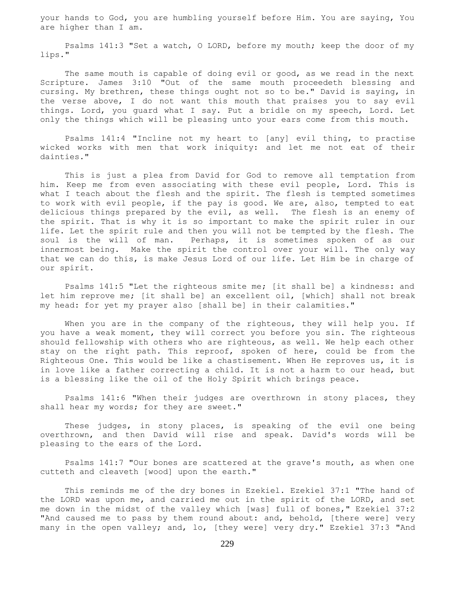your hands to God, you are humbling yourself before Him. You are saying, You are higher than I am.

 Psalms 141:3 "Set a watch, O LORD, before my mouth; keep the door of my lips."

 The same mouth is capable of doing evil or good, as we read in the next Scripture. James 3:10 "Out of the same mouth proceedeth blessing and cursing. My brethren, these things ought not so to be." David is saying, in the verse above, I do not want this mouth that praises you to say evil things. Lord, you guard what I say. Put a bridle on my speech, Lord. Let only the things which will be pleasing unto your ears come from this mouth.

 Psalms 141:4 "Incline not my heart to [any] evil thing, to practise wicked works with men that work iniquity: and let me not eat of their dainties."

 This is just a plea from David for God to remove all temptation from him. Keep me from even associating with these evil people, Lord. This is what I teach about the flesh and the spirit. The flesh is tempted sometimes to work with evil people, if the pay is good. We are, also, tempted to eat delicious things prepared by the evil, as well. The flesh is an enemy of the spirit. That is why it is so important to make the spirit ruler in our life. Let the spirit rule and then you will not be tempted by the flesh. The soul is the will of man. Perhaps, it is sometimes spoken of as our innermost being. Make the spirit the control over your will. The only way that we can do this, is make Jesus Lord of our life. Let Him be in charge of our spirit.

 Psalms 141:5 "Let the righteous smite me; [it shall be] a kindness: and let him reprove me; [it shall be] an excellent oil, [which] shall not break my head: for yet my prayer also [shall be] in their calamities."

When you are in the company of the righteous, they will help you. If you have a weak moment, they will correct you before you sin. The righteous should fellowship with others who are righteous, as well. We help each other stay on the right path. This reproof, spoken of here, could be from the Righteous One. This would be like a chastisement. When He reproves us, it is in love like a father correcting a child. It is not a harm to our head, but is a blessing like the oil of the Holy Spirit which brings peace.

 Psalms 141:6 "When their judges are overthrown in stony places, they shall hear my words; for they are sweet."

 These judges, in stony places, is speaking of the evil one being overthrown, and then David will rise and speak. David's words will be pleasing to the ears of the Lord.

 Psalms 141:7 "Our bones are scattered at the grave's mouth, as when one cutteth and cleaveth [wood] upon the earth."

 This reminds me of the dry bones in Ezekiel. Ezekiel 37:1 "The hand of the LORD was upon me, and carried me out in the spirit of the LORD, and set me down in the midst of the valley which [was] full of bones," Ezekiel 37:2 "And caused me to pass by them round about: and, behold, [there were] very many in the open valley; and, lo, [they were] very dry." Ezekiel 37:3 "And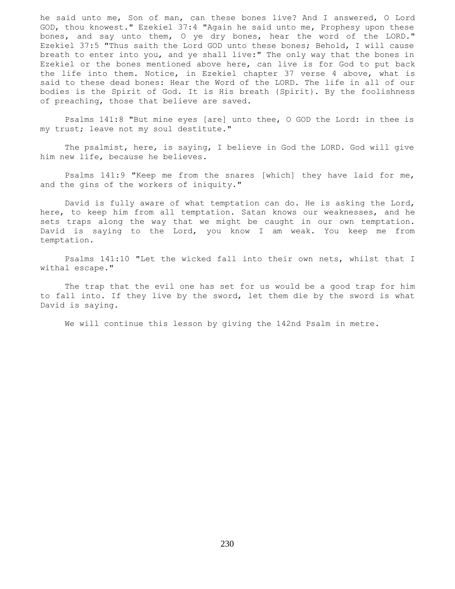he said unto me, Son of man, can these bones live? And I answered, O Lord GOD, thou knowest." Ezekiel 37:4 "Again he said unto me, Prophesy upon these bones, and say unto them, O ye dry bones, hear the word of the LORD." Ezekiel 37:5 "Thus saith the Lord GOD unto these bones; Behold, I will cause breath to enter into you, and ye shall live:" The only way that the bones in Ezekiel or the bones mentioned above here, can live is for God to put back the life into them. Notice, in Ezekiel chapter 37 verse 4 above, what is said to these dead bones: Hear the Word of the LORD. The life in all of our bodies is the Spirit of God. It is His breath {Spirit}. By the foolishness of preaching, those that believe are saved.

 Psalms 141:8 "But mine eyes [are] unto thee, O GOD the Lord: in thee is my trust; leave not my soul destitute."

 The psalmist, here, is saying, I believe in God the LORD. God will give him new life, because he believes.

 Psalms 141:9 "Keep me from the snares [which] they have laid for me, and the gins of the workers of iniquity."

 David is fully aware of what temptation can do. He is asking the Lord, here, to keep him from all temptation. Satan knows our weaknesses, and he sets traps along the way that we might be caught in our own temptation. David is saying to the Lord, you know I am weak. You keep me from temptation.

 Psalms 141:10 "Let the wicked fall into their own nets, whilst that I withal escape."

 The trap that the evil one has set for us would be a good trap for him to fall into. If they live by the sword, let them die by the sword is what David is saying.

We will continue this lesson by giving the 142nd Psalm in metre.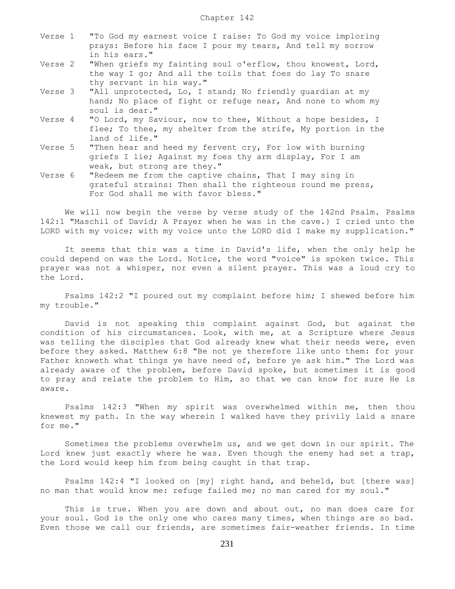| Verse 1 | "To God my earnest voice I raise: To God my voice imploring<br>prays: Before his face I pour my tears, And tell my sorrow<br>in his ears."                  |
|---------|-------------------------------------------------------------------------------------------------------------------------------------------------------------|
| Verse 2 | "When griefs my fainting soul o'erflow, thou knowest, Lord,<br>the way I go; And all the toils that foes do lay To snare<br>thy servant in his way."        |
| Verse 3 | "All unprotected, Lo, I stand; No friendly guardian at my<br>hand; No place of fight or refuge near, And none to whom my<br>soul is dear."                  |
| Verse 4 | "O Lord, my Saviour, now to thee, Without a hope besides, I<br>flee; To thee, my shelter from the strife, My portion in the<br>land of life."               |
| Verse 5 | "Then hear and heed my fervent cry, For low with burning<br>griefs I lie; Against my foes thy arm display, For I am<br>weak, but strong are they."          |
| Verse 6 | "Redeem me from the captive chains, That I may sing in<br>grateful strains: Then shall the righteous round me press,<br>For God shall me with favor bless." |

 We will now begin the verse by verse study of the 142nd Psalm. Psalms 142:1 "Maschil of David; A Prayer when he was in the cave.} I cried unto the LORD with my voice; with my voice unto the LORD did I make my supplication."

 It seems that this was a time in David's life, when the only help he could depend on was the Lord. Notice, the word "voice" is spoken twice. This prayer was not a whisper, nor even a silent prayer. This was a loud cry to the Lord.

 Psalms 142:2 "I poured out my complaint before him; I shewed before him my trouble."

 David is not speaking this complaint against God, but against the condition of his circumstances. Look, with me, at a Scripture where Jesus was telling the disciples that God already knew what their needs were, even before they asked. Matthew 6:8 "Be not ye therefore like unto them: for your Father knoweth what things ye have need of, before ye ask him." The Lord was already aware of the problem, before David spoke, but sometimes it is good to pray and relate the problem to Him, so that we can know for sure He is aware.

 Psalms 142:3 "When my spirit was overwhelmed within me, then thou knewest my path. In the way wherein I walked have they privily laid a snare for me."

 Sometimes the problems overwhelm us, and we get down in our spirit. The Lord knew just exactly where he was. Even though the enemy had set a trap, the Lord would keep him from being caught in that trap.

 Psalms 142:4 "I looked on [my] right hand, and beheld, but [there was] no man that would know me: refuge failed me; no man cared for my soul."

This is true. When you are down and about out, no man does care for your soul. God is the only one who cares many times, when things are so bad. Even those we call our friends, are sometimes fair-weather friends. In time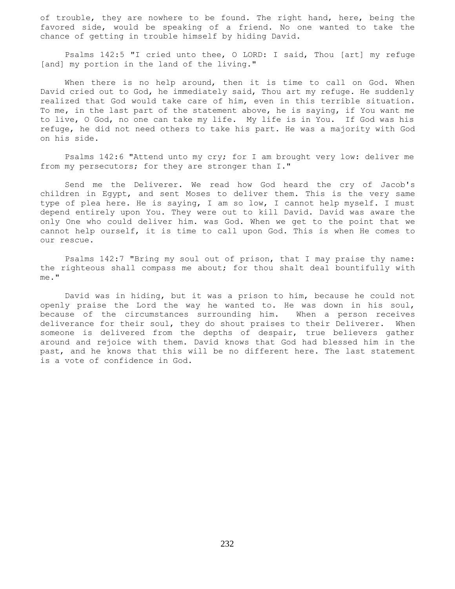of trouble, they are nowhere to be found. The right hand, here, being the favored side, would be speaking of a friend. No one wanted to take the chance of getting in trouble himself by hiding David.

 Psalms 142:5 "I cried unto thee, O LORD: I said, Thou [art] my refuge [and] my portion in the land of the living."

When there is no help around, then it is time to call on God. When David cried out to God, he immediately said, Thou art my refuge. He suddenly realized that God would take care of him, even in this terrible situation. To me, in the last part of the statement above, he is saying, if You want me to live, O God, no one can take my life. My life is in You. If God was his refuge, he did not need others to take his part. He was a majority with God on his side.

 Psalms 142:6 "Attend unto my cry; for I am brought very low: deliver me from my persecutors; for they are stronger than I."

 Send me the Deliverer. We read how God heard the cry of Jacob's children in Egypt, and sent Moses to deliver them. This is the very same type of plea here. He is saying, I am so low, I cannot help myself. I must depend entirely upon You. They were out to kill David. David was aware the only One who could deliver him. was God. When we get to the point that we cannot help ourself, it is time to call upon God. This is when He comes to our rescue.

 Psalms 142:7 "Bring my soul out of prison, that I may praise thy name: the righteous shall compass me about; for thou shalt deal bountifully with me."

 David was in hiding, but it was a prison to him, because he could not openly praise the Lord the way he wanted to. He was down in his soul, because of the circumstances surrounding him. When a person receives deliverance for their soul, they do shout praises to their Deliverer. When someone is delivered from the depths of despair, true believers gather around and rejoice with them. David knows that God had blessed him in the past, and he knows that this will be no different here. The last statement is a vote of confidence in God.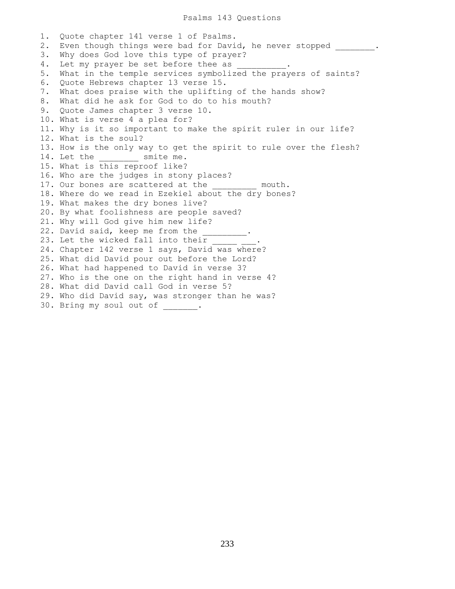1. Quote chapter 141 verse 1 of Psalms. 2. Even though things were bad for David, he never stopped . 3. Why does God love this type of prayer? 4. Let my prayer be set before thee as 5. What in the temple services symbolized the prayers of saints? 6. Quote Hebrews chapter 13 verse 15. 7. What does praise with the uplifting of the hands show? 8. What did he ask for God to do to his mouth? 9. Quote James chapter 3 verse 10. 10. What is verse 4 a plea for? 11. Why is it so important to make the spirit ruler in our life? 12. What is the soul? 13. How is the only way to get the spirit to rule over the flesh? 14. Let the smite me. 15. What is this reproof like? 16. Who are the judges in stony places? 17. Our bones are scattered at the \_\_\_\_\_\_\_\_\_ mouth. 18. Where do we read in Ezekiel about the dry bones? 19. What makes the dry bones live? 20. By what foolishness are people saved? 21. Why will God give him new life? 22. David said, keep me from the \_\_\_\_\_\_\_\_\_. 23. Let the wicked fall into their 24. Chapter 142 verse 1 says, David was where? 25. What did David pour out before the Lord? 26. What had happened to David in verse 3? 27. Who is the one on the right hand in verse 4? 28. What did David call God in verse 5? 29. Who did David say, was stronger than he was? 30. Bring my soul out of .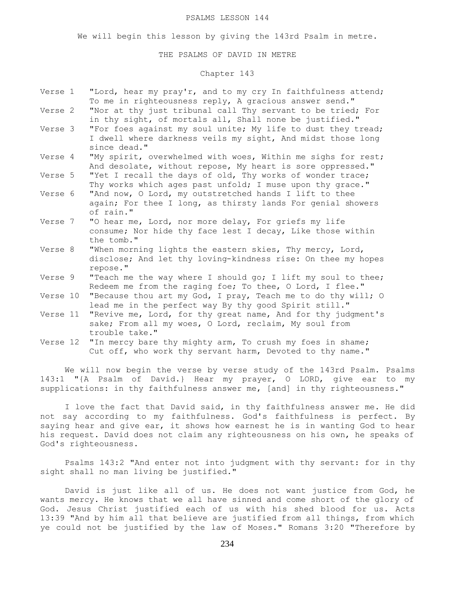#### PSALMS LESSON 144

We will begin this lesson by giving the 143rd Psalm in metre.

## THE PSALMS OF DAVID IN METRE

# Chapter 143

| Verse 1  | "Lord, hear my pray'r, and to my cry In faithfulness attend;<br>To me in righteousness reply, A gracious answer send."                      |
|----------|---------------------------------------------------------------------------------------------------------------------------------------------|
| Verse 2  | "Nor at thy just tribunal call Thy servant to be tried; For<br>in thy sight, of mortals all, Shall none be justified."                      |
| Verse 3  | "For foes against my soul unite; My life to dust they tread;<br>I dwell where darkness veils my sight, And midst those long<br>since dead." |
| Verse 4  | "My spirit, overwhelmed with woes, Within me sighs for rest;<br>And desolate, without repose, My heart is sore oppressed."                  |
| Verse 5  | "Yet I recall the days of old, Thy works of wonder trace;<br>Thy works which ages past unfold; I muse upon thy grace."                      |
| Verse 6  | "And now, O Lord, my outstretched hands I lift to thee<br>again; For thee I long, as thirsty lands For genial showers<br>of rain."          |
| Verse 7  | "O hear me, Lord, nor more delay, For griefs my life<br>consume; Nor hide thy face lest I decay, Like those within<br>the tomb."            |
| Verse 8  | "When morning lights the eastern skies, Thy mercy, Lord,<br>disclose; And let thy loving-kindness rise: On thee my hopes<br>repose."        |
| Verse 9  | "Teach me the way where I should go; I lift my soul to thee;<br>Redeem me from the raging foe; To thee, O Lord, I flee."                    |
| Verse 10 | "Because thou art my God, I pray, Teach me to do thy will; O<br>lead me in the perfect way By thy good Spirit still."                       |
| Verse 11 | "Revive me, Lord, for thy great name, And for thy judgment's<br>sake; From all my woes, O Lord, reclaim, My soul from<br>trouble take."     |
| Verse 12 | "In mercy bare thy mighty arm, To crush my foes in shame;<br>Cut off, who work thy servant harm, Devoted to thy name."                      |
|          | We will now begin the verse by verse study of the 143rd Psalm. Psalms<br>143.1 "IA Bealm of David L Hoar my prover a LOPD give oar to my    |

143:1 "{A Psalm of David.} Hear my prayer, O LORD, give ear to my supplications: in thy faithfulness answer me, [and] in thy righteousness."

 I love the fact that David said, in thy faithfulness answer me. He did not say according to my faithfulness. God's faithfulness is perfect. By saying hear and give ear, it shows how earnest he is in wanting God to hear his request. David does not claim any righteousness on his own, he speaks of God's righteousness.

 Psalms 143:2 "And enter not into judgment with thy servant: for in thy sight shall no man living be justified."

 David is just like all of us. He does not want justice from God, he wants mercy. He knows that we all have sinned and come short of the glory of God. Jesus Christ justified each of us with his shed blood for us. Acts 13:39 "And by him all that believe are justified from all things, from which ye could not be justified by the law of Moses." Romans 3:20 "Therefore by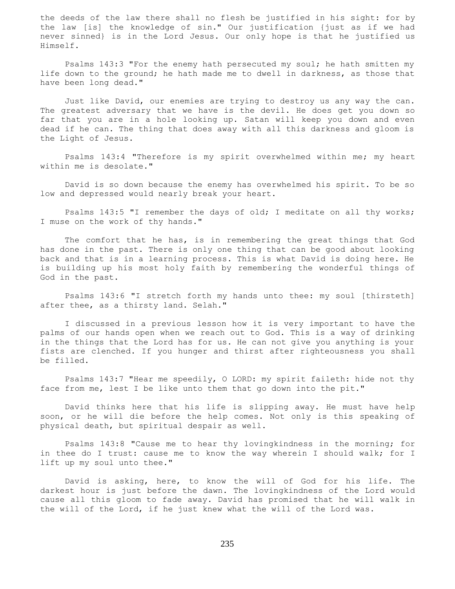the deeds of the law there shall no flesh be justified in his sight: for by the law [is] the knowledge of sin." Our justification {just as if we had never sinned} is in the Lord Jesus. Our only hope is that he justified us Himself.

 Psalms 143:3 "For the enemy hath persecuted my soul; he hath smitten my life down to the ground; he hath made me to dwell in darkness, as those that have been long dead."

 Just like David, our enemies are trying to destroy us any way the can. The greatest adversary that we have is the devil. He does get you down so far that you are in a hole looking up. Satan will keep you down and even dead if he can. The thing that does away with all this darkness and gloom is the Light of Jesus.

 Psalms 143:4 "Therefore is my spirit overwhelmed within me; my heart within me is desolate."

 David is so down because the enemy has overwhelmed his spirit. To be so low and depressed would nearly break your heart.

 Psalms 143:5 "I remember the days of old; I meditate on all thy works; I muse on the work of thy hands."

 The comfort that he has, is in remembering the great things that God has done in the past. There is only one thing that can be good about looking back and that is in a learning process. This is what David is doing here. He is building up his most holy faith by remembering the wonderful things of God in the past.

 Psalms 143:6 "I stretch forth my hands unto thee: my soul [thirsteth] after thee, as a thirsty land. Selah."

 I discussed in a previous lesson how it is very important to have the palms of our hands open when we reach out to God. This is a way of drinking in the things that the Lord has for us. He can not give you anything is your fists are clenched. If you hunger and thirst after righteousness you shall be filled.

 Psalms 143:7 "Hear me speedily, O LORD: my spirit faileth: hide not thy face from me, lest I be like unto them that go down into the pit."

 David thinks here that his life is slipping away. He must have help soon, or he will die before the help comes. Not only is this speaking of physical death, but spiritual despair as well.

 Psalms 143:8 "Cause me to hear thy lovingkindness in the morning; for in thee do I trust: cause me to know the way wherein I should walk; for I lift up my soul unto thee."

 David is asking, here, to know the will of God for his life. The darkest hour is just before the dawn. The lovingkindness of the Lord would cause all this gloom to fade away. David has promised that he will walk in the will of the Lord, if he just knew what the will of the Lord was.

235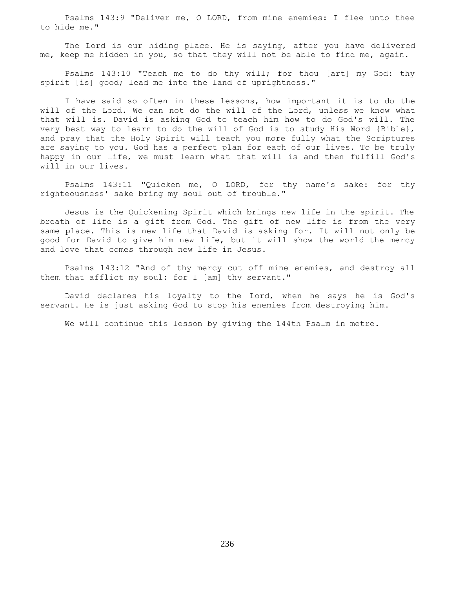Psalms 143:9 "Deliver me, O LORD, from mine enemies: I flee unto thee to hide me."

 The Lord is our hiding place. He is saying, after you have delivered me, keep me hidden in you, so that they will not be able to find me, again.

 Psalms 143:10 "Teach me to do thy will; for thou [art] my God: thy spirit [is] good; lead me into the land of uprightness."

 I have said so often in these lessons, how important it is to do the will of the Lord. We can not do the will of the Lord, unless we know what that will is. David is asking God to teach him how to do God's will. The very best way to learn to do the will of God is to study His Word {Bible}, and pray that the Holy Spirit will teach you more fully what the Scriptures are saying to you. God has a perfect plan for each of our lives. To be truly happy in our life, we must learn what that will is and then fulfill God's will in our lives.

 Psalms 143:11 "Quicken me, O LORD, for thy name's sake: for thy righteousness' sake bring my soul out of trouble."

 Jesus is the Quickening Spirit which brings new life in the spirit. The breath of life is a gift from God. The gift of new life is from the very same place. This is new life that David is asking for. It will not only be good for David to give him new life, but it will show the world the mercy and love that comes through new life in Jesus.

 Psalms 143:12 "And of thy mercy cut off mine enemies, and destroy all them that afflict my soul: for I [am] thy servant."

 David declares his loyalty to the Lord, when he says he is God's servant. He is just asking God to stop his enemies from destroying him.

We will continue this lesson by giving the 144th Psalm in metre.

236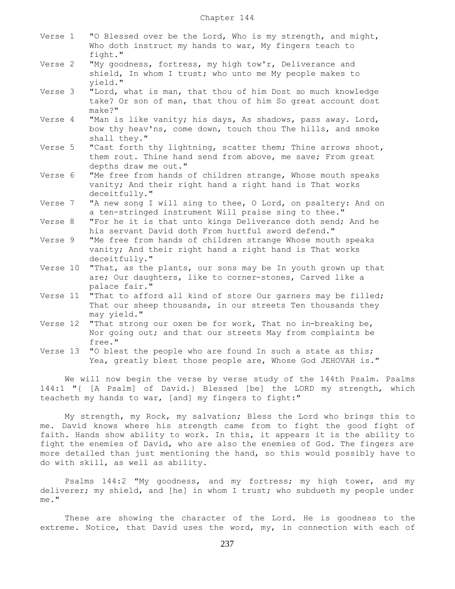| Verse 1  | "O Blessed over be the Lord, Who is my strength, and might,<br>Who doth instruct my hands to war, My fingers teach to<br>fight."                   |
|----------|----------------------------------------------------------------------------------------------------------------------------------------------------|
| Verse 2  | "My goodness, fortress, my high tow'r, Deliverance and<br>shield, In whom I trust; who unto me My people makes to<br>vield."                       |
| Verse 3  | "Lord, what is man, that thou of him Dost so much knowledge<br>take? Or son of man, that thou of him So great account dost<br>$make?$ "            |
| Verse 4  | "Man is like vanity; his days, As shadows, pass away. Lord,<br>bow thy heav'ns, come down, touch thou The hills, and smoke<br>shall they."         |
| Verse 5  | "Cast forth thy lightning, scatter them; Thine arrows shoot,<br>them rout. Thine hand send from above, me save; From great<br>depths draw me out." |
| Verse 6  | "Me free from hands of children strange, Whose mouth speaks<br>vanity; And their right hand a right hand is That works<br>deceitfully."            |
| Verse 7  | "A new song I will sing to thee, O Lord, on psaltery: And on<br>a ten-stringed instrument Will praise sing to thee."                               |
| Verse 8  | "For he it is that unto kings Deliverance doth send; And he<br>his servant David doth From hurtful sword defend."                                  |
| Verse 9  | "Me free from hands of children strange Whose mouth speaks<br>vanity; And their right hand a right hand is That works<br>deceitfully."             |
| Verse 10 | "That, as the plants, our sons may be In youth grown up that<br>are; Our daughters, like to corner-stones, Carved like a<br>palace fair."          |
| Verse 11 | "That to afford all kind of store Our garners may be filled;<br>That our sheep thousands, in our streets Ten thousands they<br>may yield."         |
| Verse 12 | "That strong our oxen be for work, That no in-breaking be,<br>Nor going out; and that our streets May from complaints be<br>free."                 |
| Verse 13 | "O blest the people who are found In such a state as this;<br>Yea, greatly blest those people are, Whose God JEHOVAH is."                          |

 We will now begin the verse by verse study of the 144th Psalm. Psalms 144:1 "{ [A Psalm] of David.} Blessed [be] the LORD my strength, which teacheth my hands to war, [and] my fingers to fight:"

 My strength, my Rock, my salvation; Bless the Lord who brings this to me. David knows where his strength came from to fight the good fight of faith. Hands show ability to work. In this, it appears it is the ability to fight the enemies of David, who are also the enemies of God. The fingers are more detailed than just mentioning the hand, so this would possibly have to do with skill, as well as ability.

 Psalms 144:2 "My goodness, and my fortress; my high tower, and my deliverer; my shield, and [he] in whom I trust; who subdueth my people under me."

 These are showing the character of the Lord. He is goodness to the extreme. Notice, that David uses the word, my, in connection with each of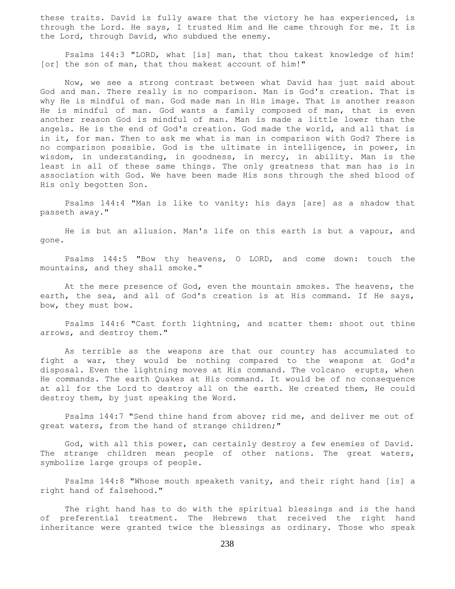these traits. David is fully aware that the victory he has experienced, is through the Lord. He says, I trusted Him and He came through for me. It is the Lord, through David, who subdued the enemy.

 Psalms 144:3 "LORD, what [is] man, that thou takest knowledge of him! [or] the son of man, that thou makest account of him!"

 Now, we see a strong contrast between what David has just said about God and man. There really is no comparison. Man is God's creation. That is why He is mindful of man. God made man in His image. That is another reason He is mindful of man. God wants a family composed of man, that is even another reason God is mindful of man. Man is made a little lower than the angels. He is the end of God's creation. God made the world, and all that is in it, for man. Then to ask me what is man in comparison with God? There is no comparison possible. God is the ultimate in intelligence, in power, in wisdom, in understanding, in goodness, in mercy, in ability. Man is the least in all of these same things. The only greatness that man has is in association with God. We have been made His sons through the shed blood of His only begotten Son.

 Psalms 144:4 "Man is like to vanity: his days [are] as a shadow that passeth away."

 He is but an allusion. Man's life on this earth is but a vapour, and gone.

 Psalms 144:5 "Bow thy heavens, O LORD, and come down: touch the mountains, and they shall smoke."

 At the mere presence of God, even the mountain smokes. The heavens, the earth, the sea, and all of God's creation is at His command. If He says, bow, they must bow.

 Psalms 144:6 "Cast forth lightning, and scatter them: shoot out thine arrows, and destroy them."

 As terrible as the weapons are that our country has accumulated to fight a war, they would be nothing compared to the weapons at God's disposal. Even the lightning moves at His command. The volcano erupts, when He commands. The earth Quakes at His command. It would be of no consequence at all for the Lord to destroy all on the earth. He created them, He could destroy them, by just speaking the Word.

 Psalms 144:7 "Send thine hand from above; rid me, and deliver me out of great waters, from the hand of strange children;"

 God, with all this power, can certainly destroy a few enemies of David. The strange children mean people of other nations. The great waters, symbolize large groups of people.

 Psalms 144:8 "Whose mouth speaketh vanity, and their right hand [is] a right hand of falsehood."

 The right hand has to do with the spiritual blessings and is the hand of preferential treatment. The Hebrews that received the right hand inheritance were granted twice the blessings as ordinary. Those who speak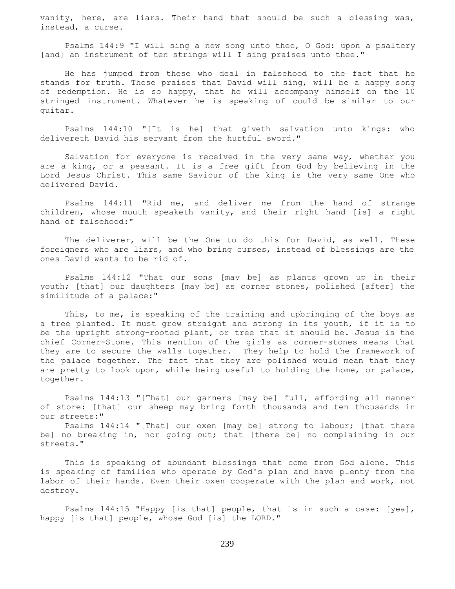vanity, here, are liars. Their hand that should be such a blessing was, instead, a curse.

 Psalms 144:9 "I will sing a new song unto thee, O God: upon a psaltery [and] an instrument of ten strings will I sing praises unto thee."

 He has jumped from these who deal in falsehood to the fact that he stands for truth. These praises that David will sing, will be a happy song of redemption. He is so happy, that he will accompany himself on the 10 stringed instrument. Whatever he is speaking of could be similar to our guitar.

 Psalms 144:10 "[It is he] that giveth salvation unto kings: who delivereth David his servant from the hurtful sword."

 Salvation for everyone is received in the very same way, whether you are a king, or a peasant. It is a free gift from God by believing in the Lord Jesus Christ. This same Saviour of the king is the very same One who delivered David.

 Psalms 144:11 "Rid me, and deliver me from the hand of strange children, whose mouth speaketh vanity, and their right hand [is] a right hand of falsehood:"

 The deliverer, will be the One to do this for David, as well. These foreigners who are liars, and who bring curses, instead of blessings are the ones David wants to be rid of.

 Psalms 144:12 "That our sons [may be] as plants grown up in their youth; [that] our daughters [may be] as corner stones, polished [after] the similitude of a palace:"

This, to me, is speaking of the training and upbringing of the boys as a tree planted. It must grow straight and strong in its youth, if it is to be the upright strong-rooted plant, or tree that it should be. Jesus is the chief Corner-Stone. This mention of the girls as corner-stones means that they are to secure the walls together. They help to hold the framework of the palace together. The fact that they are polished would mean that they are pretty to look upon, while being useful to holding the home, or palace, together.

 Psalms 144:13 "[That] our garners [may be] full, affording all manner of store: [that] our sheep may bring forth thousands and ten thousands in our streets:"

 Psalms 144:14 "[That] our oxen [may be] strong to labour; [that there be] no breaking in, nor going out; that [there be] no complaining in our streets."

 This is speaking of abundant blessings that come from God alone. This is speaking of families who operate by God's plan and have plenty from the labor of their hands. Even their oxen cooperate with the plan and work, not destroy.

 Psalms 144:15 "Happy [is that] people, that is in such a case: [yea], happy [is that] people, whose God [is] the LORD."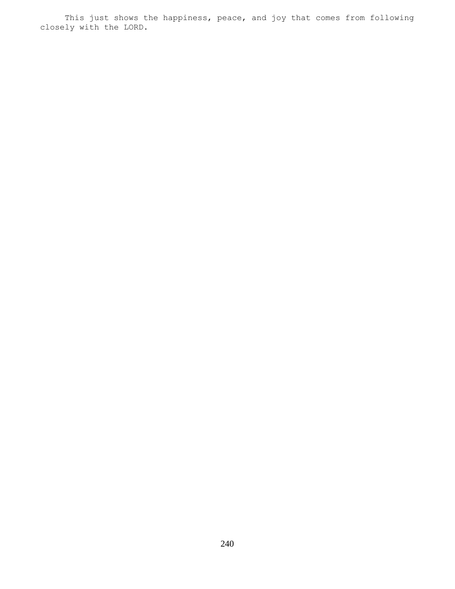This just shows the happiness, peace, and joy that comes from following closely with the LORD.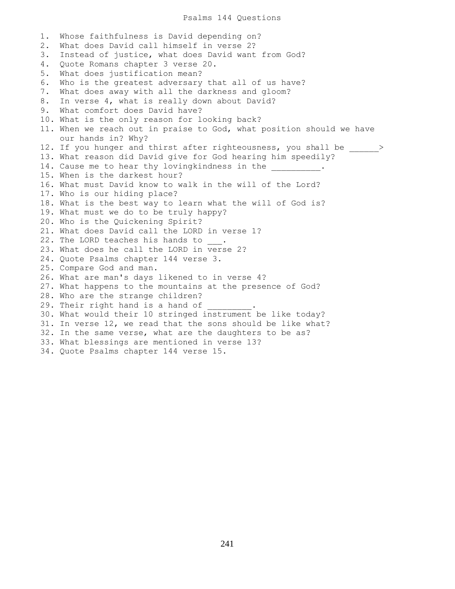#### Psalms 144 Questions

1. Whose faithfulness is David depending on? 2. What does David call himself in verse 2? 3. Instead of justice, what does David want from God? 4. Quote Romans chapter 3 verse 20. 5. What does justification mean? 6. Who is the greatest adversary that all of us have? 7. What does away with all the darkness and gloom? 8. In verse 4, what is really down about David? 9. What comfort does David have? 10. What is the only reason for looking back? 11. When we reach out in praise to God, what position should we have our hands in? Why? 12. If you hunger and thirst after righteousness, you shall be  $>$ 13. What reason did David give for God hearing him speedily? 14. Cause me to hear thy lovingkindness in the 15. When is the darkest hour? 16. What must David know to walk in the will of the Lord? 17. Who is our hiding place? 18. What is the best way to learn what the will of God is? 19. What must we do to be truly happy? 20. Who is the Quickening Spirit? 21. What does David call the LORD in verse 1? 22. The LORD teaches his hands to . 23. What does he call the LORD in verse 2? 24. Quote Psalms chapter 144 verse 3. 25. Compare God and man. 26. What are man's days likened to in verse 4? 27. What happens to the mountains at the presence of God? 28. Who are the strange children? 29. Their right hand is a hand of 30. What would their 10 stringed instrument be like today? 31. In verse 12, we read that the sons should be like what? 32. In the same verse, what are the daughters to be as? 33. What blessings are mentioned in verse 13? 34. Quote Psalms chapter 144 verse 15.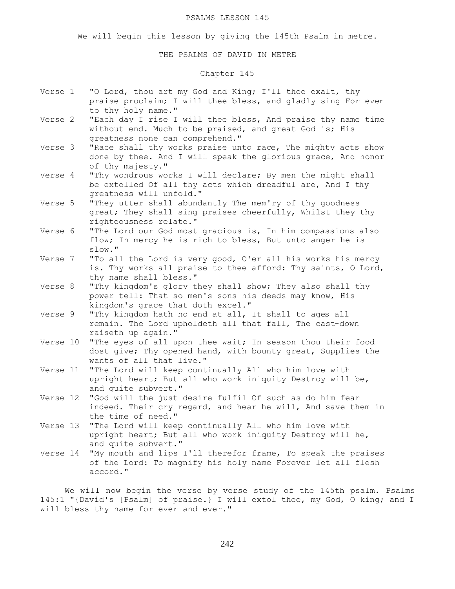#### PSALMS LESSON 145

We will begin this lesson by giving the 145th Psalm in metre.

## THE PSALMS OF DAVID IN METRE

# Chapter 145

- Verse 1 "O Lord, thou art my God and King; I'll thee exalt, thy praise proclaim; I will thee bless, and gladly sing For ever to thy holy name."
- Verse 2 "Each day I rise I will thee bless, And praise thy name time without end. Much to be praised, and great God is; His greatness none can comprehend."
- Verse 3 "Race shall thy works praise unto race, The mighty acts show done by thee. And I will speak the glorious grace, And honor of thy majesty."
- Verse 4 "Thy wondrous works I will declare; By men the might shall be extolled Of all thy acts which dreadful are, And I thy greatness will unfold."
- Verse 5 "They utter shall abundantly The mem'ry of thy goodness great; They shall sing praises cheerfully, Whilst they thy righteousness relate."
- Verse 6 "The Lord our God most gracious is, In him compassions also flow; In mercy he is rich to bless, But unto anger he is slow."
- Verse 7 "To all the Lord is very good, O'er all his works his mercy is. Thy works all praise to thee afford: Thy saints, O Lord, thy name shall bless."
- Verse 8 "Thy kingdom's glory they shall show; They also shall thy power tell: That so men's sons his deeds may know, His kingdom's grace that doth excel."
- Verse 9 "Thy kingdom hath no end at all, It shall to ages all remain. The Lord upholdeth all that fall, The cast-down raiseth up again."
- Verse 10 "The eyes of all upon thee wait; In season thou their food dost give; Thy opened hand, with bounty great, Supplies the wants of all that live."
- Verse 11 "The Lord will keep continually All who him love with upright heart; But all who work iniquity Destroy will be, and quite subvert."
- Verse 12 "God will the just desire fulfil Of such as do him fear indeed. Their cry regard, and hear he will, And save them in the time of need."
- Verse 13 "The Lord will keep continually All who him love with upright heart; But all who work iniquity Destroy will he, and quite subvert."
- Verse 14 "My mouth and lips I'll therefor frame, To speak the praises of the Lord: To magnify his holy name Forever let all flesh accord."

 We will now begin the verse by verse study of the 145th psalm. Psalms 145:1 "{David's [Psalm] of praise.} I will extol thee, my God, O king; and I will bless thy name for ever and ever."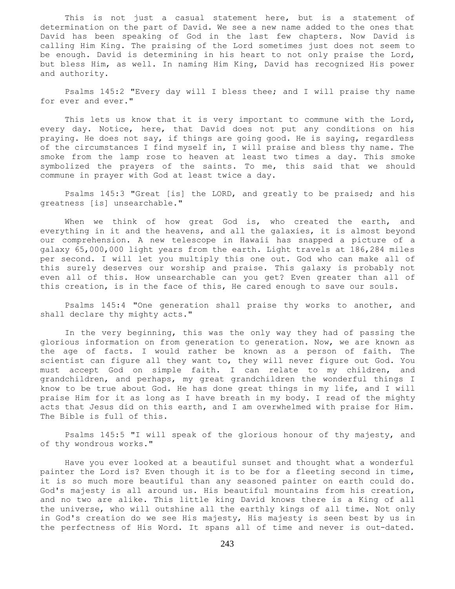This is not just a casual statement here, but is a statement of determination on the part of David. We see a new name added to the ones that David has been speaking of God in the last few chapters. Now David is calling Him King. The praising of the Lord sometimes just does not seem to be enough. David is determining in his heart to not only praise the Lord, but bless Him, as well. In naming Him King, David has recognized His power and authority.

 Psalms 145:2 "Every day will I bless thee; and I will praise thy name for ever and ever."

This lets us know that it is very important to commune with the Lord, every day. Notice, here, that David does not put any conditions on his praying. He does not say, if things are going good. He is saying, regardless of the circumstances I find myself in, I will praise and bless thy name. The smoke from the lamp rose to heaven at least two times a day. This smoke symbolized the prayers of the saints. To me, this said that we should commune in prayer with God at least twice a day.

 Psalms 145:3 "Great [is] the LORD, and greatly to be praised; and his greatness [is] unsearchable."

When we think of how great God is, who created the earth, and everything in it and the heavens, and all the galaxies, it is almost beyond our comprehension. A new telescope in Hawaii has snapped a picture of a galaxy 65,000,000 light years from the earth. Light travels at 186,284 miles per second. I will let you multiply this one out. God who can make all of this surely deserves our worship and praise. This galaxy is probably not even all of this. How unsearchable can you get? Even greater than all of this creation, is in the face of this, He cared enough to save our souls.

 Psalms 145:4 "One generation shall praise thy works to another, and shall declare thy mighty acts."

 In the very beginning, this was the only way they had of passing the glorious information on from generation to generation. Now, we are known as the age of facts. I would rather be known as a person of faith. The scientist can figure all they want to, they will never figure out God. You must accept God on simple faith. I can relate to my children, and grandchildren, and perhaps, my great grandchildren the wonderful things I know to be true about God. He has done great things in my life, and I will praise Him for it as long as I have breath in my body. I read of the mighty acts that Jesus did on this earth, and I am overwhelmed with praise for Him. The Bible is full of this.

 Psalms 145:5 "I will speak of the glorious honour of thy majesty, and of thy wondrous works."

 Have you ever looked at a beautiful sunset and thought what a wonderful painter the Lord is? Even though it is to be for a fleeting second in time, it is so much more beautiful than any seasoned painter on earth could do. God's majesty is all around us. His beautiful mountains from his creation, and no two are alike. This little king David knows there is a King of all the universe, who will outshine all the earthly kings of all time. Not only in God's creation do we see His majesty, His majesty is seen best by us in the perfectness of His Word. It spans all of time and never is out-dated.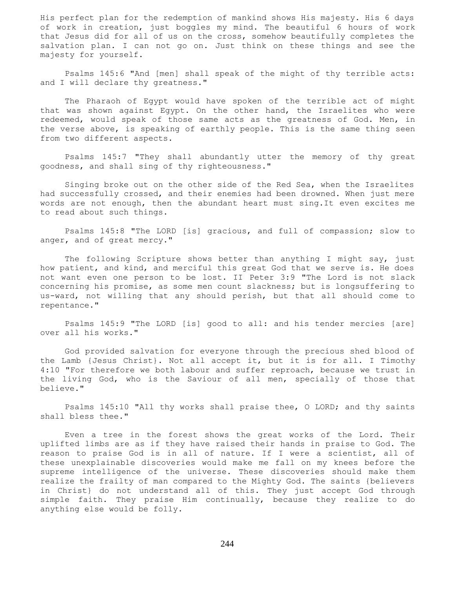His perfect plan for the redemption of mankind shows His majesty. His 6 days of work in creation, just boggles my mind. The beautiful 6 hours of work that Jesus did for all of us on the cross, somehow beautifully completes the salvation plan. I can not go on. Just think on these things and see the majesty for yourself.

 Psalms 145:6 "And [men] shall speak of the might of thy terrible acts: and I will declare thy greatness."

 The Pharaoh of Egypt would have spoken of the terrible act of might that was shown against Egypt. On the other hand, the Israelites who were redeemed, would speak of those same acts as the greatness of God. Men, in the verse above, is speaking of earthly people. This is the same thing seen from two different aspects.

 Psalms 145:7 "They shall abundantly utter the memory of thy great goodness, and shall sing of thy righteousness."

 Singing broke out on the other side of the Red Sea, when the Israelites had successfully crossed, and their enemies had been drowned. When just mere words are not enough, then the abundant heart must sing.It even excites me to read about such things.

 Psalms 145:8 "The LORD [is] gracious, and full of compassion; slow to anger, and of great mercy."

 The following Scripture shows better than anything I might say, just how patient, and kind, and merciful this great God that we serve is. He does not want even one person to be lost. II Peter 3:9 "The Lord is not slack concerning his promise, as some men count slackness; but is longsuffering to us-ward, not willing that any should perish, but that all should come to repentance."

 Psalms 145:9 "The LORD [is] good to all: and his tender mercies [are] over all his works."

 God provided salvation for everyone through the precious shed blood of the Lamb {Jesus Christ}. Not all accept it, but it is for all. I Timothy 4:10 "For therefore we both labour and suffer reproach, because we trust in the living God, who is the Saviour of all men, specially of those that believe."

 Psalms 145:10 "All thy works shall praise thee, O LORD; and thy saints shall bless thee."

 Even a tree in the forest shows the great works of the Lord. Their uplifted limbs are as if they have raised their hands in praise to God. The reason to praise God is in all of nature. If I were a scientist, all of these unexplainable discoveries would make me fall on my knees before the supreme intelligence of the universe. These discoveries should make them realize the frailty of man compared to the Mighty God. The saints {believers in Christ} do not understand all of this. They just accept God through simple faith. They praise Him continually, because they realize to do anything else would be folly.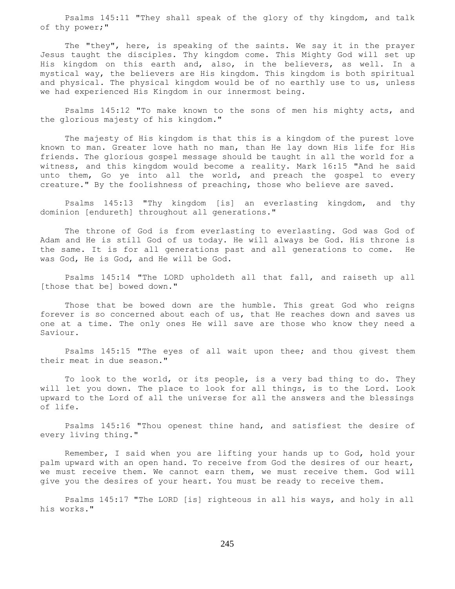Psalms 145:11 "They shall speak of the glory of thy kingdom, and talk of thy power;"

 The "they", here, is speaking of the saints. We say it in the prayer Jesus taught the disciples. Thy kingdom come. This Mighty God will set up His kingdom on this earth and, also, in the believers, as well. In a mystical way, the believers are His kingdom. This kingdom is both spiritual and physical. The physical kingdom would be of no earthly use to us, unless we had experienced His Kingdom in our innermost being.

 Psalms 145:12 "To make known to the sons of men his mighty acts, and the glorious majesty of his kingdom."

 The majesty of His kingdom is that this is a kingdom of the purest love known to man. Greater love hath no man, than He lay down His life for His friends. The glorious gospel message should be taught in all the world for a witness, and this kingdom would become a reality. Mark 16:15 "And he said unto them, Go ye into all the world, and preach the gospel to every creature." By the foolishness of preaching, those who believe are saved.

 Psalms 145:13 "Thy kingdom [is] an everlasting kingdom, and thy dominion [endureth] throughout all generations."

 The throne of God is from everlasting to everlasting. God was God of Adam and He is still God of us today. He will always be God. His throne is the same. It is for all generations past and all generations to come. He was God, He is God, and He will be God.

 Psalms 145:14 "The LORD upholdeth all that fall, and raiseth up all [those that be] bowed down."

 Those that be bowed down are the humble. This great God who reigns forever is so concerned about each of us, that He reaches down and saves us one at a time. The only ones He will save are those who know they need a Saviour.

 Psalms 145:15 "The eyes of all wait upon thee; and thou givest them their meat in due season."

 To look to the world, or its people, is a very bad thing to do. They will let you down. The place to look for all things, is to the Lord. Look upward to the Lord of all the universe for all the answers and the blessings of life.

 Psalms 145:16 "Thou openest thine hand, and satisfiest the desire of every living thing."

 Remember, I said when you are lifting your hands up to God, hold your palm upward with an open hand. To receive from God the desires of our heart, we must receive them. We cannot earn them, we must receive them. God will give you the desires of your heart. You must be ready to receive them.

 Psalms 145:17 "The LORD [is] righteous in all his ways, and holy in all his works."

245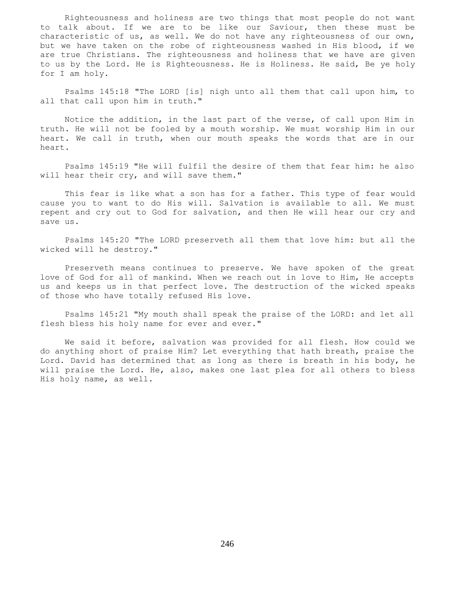Righteousness and holiness are two things that most people do not want to talk about. If we are to be like our Saviour, then these must be characteristic of us, as well. We do not have any righteousness of our own, but we have taken on the robe of righteousness washed in His blood, if we are true Christians. The righteousness and holiness that we have are given to us by the Lord. He is Righteousness. He is Holiness. He said, Be ye holy for I am holy.

 Psalms 145:18 "The LORD [is] nigh unto all them that call upon him, to all that call upon him in truth."

 Notice the addition, in the last part of the verse, of call upon Him in truth. He will not be fooled by a mouth worship. We must worship Him in our heart. We call in truth, when our mouth speaks the words that are in our heart.

 Psalms 145:19 "He will fulfil the desire of them that fear him: he also will hear their cry, and will save them."

 This fear is like what a son has for a father. This type of fear would cause you to want to do His will. Salvation is available to all. We must repent and cry out to God for salvation, and then He will hear our cry and save us.

 Psalms 145:20 "The LORD preserveth all them that love him: but all the wicked will he destroy."

 Preserveth means continues to preserve. We have spoken of the great love of God for all of mankind. When we reach out in love to Him, He accepts us and keeps us in that perfect love. The destruction of the wicked speaks of those who have totally refused His love.

 Psalms 145:21 "My mouth shall speak the praise of the LORD: and let all flesh bless his holy name for ever and ever."

 We said it before, salvation was provided for all flesh. How could we do anything short of praise Him? Let everything that hath breath, praise the Lord. David has determined that as long as there is breath in his body, he will praise the Lord. He, also, makes one last plea for all others to bless His holy name, as well.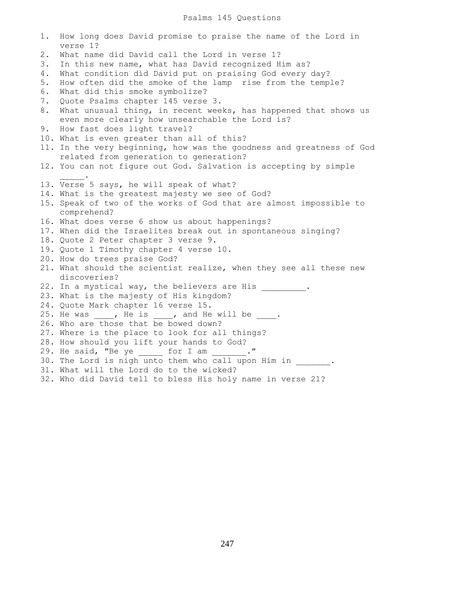# Psalms 145 Questions

| 1. | How long does David promise to praise the name of the Lord in<br>verse 1?                                          |
|----|--------------------------------------------------------------------------------------------------------------------|
| 2. | What name did David call the Lord in verse 1?                                                                      |
| 3. | In this new name, what has David recognized Him as?                                                                |
| 4. | What condition did David put on praising God every day?                                                            |
| 5. | How often did the smoke of the lamp rise from the temple?                                                          |
| 6. | What did this smoke symbolize?                                                                                     |
| 7. | Quote Psalms chapter 145 verse 3.                                                                                  |
| 8. | What unusual thing, in recent weeks, has happened that shows us<br>even more clearly how unsearchable the Lord is? |
| 9. | How fast does light travel?                                                                                        |
|    | 10. What is even greater than all of this?                                                                         |
|    | 11. In the very beginning, how was the goodness and greatness of God                                               |
|    | related from generation to generation?                                                                             |
|    | 12. You can not figure out God. Salvation is accepting by simple                                                   |
|    |                                                                                                                    |
|    | 13. Verse 5 says, he will speak of what?                                                                           |
|    | 14. What is the greatest majesty we see of God?                                                                    |
|    | 15. Speak of two of the works of God that are almost impossible to                                                 |
|    | comprehend?                                                                                                        |
|    | 16. What does verse 6 show us about happenings?                                                                    |
|    | 17. When did the Israelites break out in spontaneous singing?                                                      |
|    | 18. Quote 2 Peter chapter 3 verse 9.<br>19. Quote 1 Timothy chapter 4 verse 10.                                    |
|    | 20. How do trees praise God?                                                                                       |
|    | 21. What should the scientist realize, when they see all these new                                                 |
|    | discoveries?                                                                                                       |
|    | 22. In a mystical way, the believers are His _______ .                                                             |
|    | 23. What is the majesty of His kingdom?                                                                            |
|    | 24. Quote Mark chapter 16 verse 15.                                                                                |
|    | 25. He was , He is , and He will be .                                                                              |
|    | 26. Who are those that be bowed down?                                                                              |
|    | 27. Where is the place to look for all things?                                                                     |
|    | 28. How should you lift your hands to God?                                                                         |
|    | 29. He said, "Be ye _______ for I am _______ ."                                                                    |
|    | 30. The Lord is nigh unto them who call upon Him in                                                                |
|    | 31. What will the Lord do to the wicked?                                                                           |
|    | 32. Who did David tell to bless His holy name in verse 21?                                                         |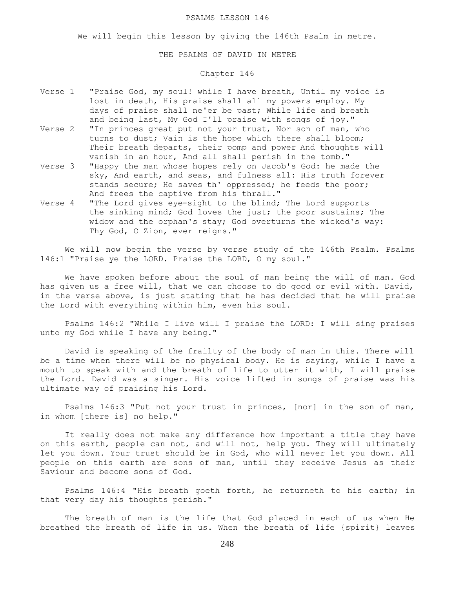#### PSALMS LESSON 146

We will begin this lesson by giving the 146th Psalm in metre.

## THE PSALMS OF DAVID IN METRE

# Chapter 146

- Verse 1 "Praise God, my soul! while I have breath, Until my voice is lost in death, His praise shall all my powers employ. My days of praise shall ne'er be past; While life and breath and being last, My God I'll praise with songs of joy."
- Verse 2 "In princes great put not your trust, Nor son of man, who turns to dust; Vain is the hope which there shall bloom; Their breath departs, their pomp and power And thoughts will vanish in an hour, And all shall perish in the tomb."
- Verse 3 "Happy the man whose hopes rely on Jacob's God: he made the sky, And earth, and seas, and fulness all: His truth forever stands secure; He saves th' oppressed; he feeds the poor; And frees the captive from his thrall."
- Verse 4 "The Lord gives eye-sight to the blind; The Lord supports the sinking mind; God loves the just; the poor sustains; The widow and the orphan's stay; God overturns the wicked's way: Thy God, O Zion, ever reigns."

We will now begin the verse by verse study of the 146th Psalm. Psalms 146:1 "Praise ye the LORD. Praise the LORD, O my soul."

 We have spoken before about the soul of man being the will of man. God has given us a free will, that we can choose to do good or evil with. David, in the verse above, is just stating that he has decided that he will praise the Lord with everything within him, even his soul.

 Psalms 146:2 "While I live will I praise the LORD: I will sing praises unto my God while I have any being."

 David is speaking of the frailty of the body of man in this. There will be a time when there will be no physical body. He is saying, while I have a mouth to speak with and the breath of life to utter it with, I will praise the Lord. David was a singer. His voice lifted in songs of praise was his ultimate way of praising his Lord.

 Psalms 146:3 "Put not your trust in princes, [nor] in the son of man, in whom [there is] no help."

 It really does not make any difference how important a title they have on this earth, people can not, and will not, help you. They will ultimately let you down. Your trust should be in God, who will never let you down. All people on this earth are sons of man, until they receive Jesus as their Saviour and become sons of God.

 Psalms 146:4 "His breath goeth forth, he returneth to his earth; in that very day his thoughts perish."

 The breath of man is the life that God placed in each of us when He breathed the breath of life in us. When the breath of life {spirit} leaves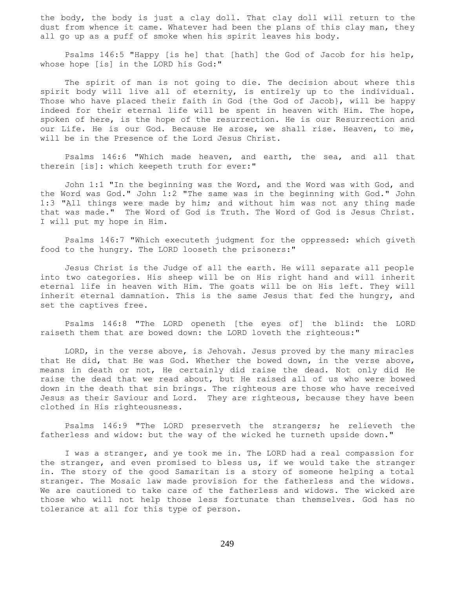the body, the body is just a clay doll. That clay doll will return to the dust from whence it came. Whatever had been the plans of this clay man, they all go up as a puff of smoke when his spirit leaves his body.

 Psalms 146:5 "Happy [is he] that [hath] the God of Jacob for his help, whose hope [is] in the LORD his God:"

 The spirit of man is not going to die. The decision about where this spirit body will live all of eternity, is entirely up to the individual. Those who have placed their faith in God {the God of Jacob}, will be happy indeed for their eternal life will be spent in heaven with Him. The hope, spoken of here, is the hope of the resurrection. He is our Resurrection and our Life. He is our God. Because He arose, we shall rise. Heaven, to me, will be in the Presence of the Lord Jesus Christ.

 Psalms 146:6 "Which made heaven, and earth, the sea, and all that therein [is]: which keepeth truth for ever:"

 John 1:1 "In the beginning was the Word, and the Word was with God, and the Word was God." John 1:2 "The same was in the beginning with God." John 1:3 "All things were made by him; and without him was not any thing made that was made." The Word of God is Truth. The Word of God is Jesus Christ. I will put my hope in Him.

 Psalms 146:7 "Which executeth judgment for the oppressed: which giveth food to the hungry. The LORD looseth the prisoners:"

 Jesus Christ is the Judge of all the earth. He will separate all people into two categories. His sheep will be on His right hand and will inherit eternal life in heaven with Him. The goats will be on His left. They will inherit eternal damnation. This is the same Jesus that fed the hungry, and set the captives free.

 Psalms 146:8 "The LORD openeth [the eyes of] the blind: the LORD raiseth them that are bowed down: the LORD loveth the righteous:"

 LORD, in the verse above, is Jehovah. Jesus proved by the many miracles that He did, that He was God. Whether the bowed down, in the verse above, means in death or not, He certainly did raise the dead. Not only did He raise the dead that we read about, but He raised all of us who were bowed down in the death that sin brings. The righteous are those who have received Jesus as their Saviour and Lord. They are righteous, because they have been clothed in His righteousness.

 Psalms 146:9 "The LORD preserveth the strangers; he relieveth the fatherless and widow: but the way of the wicked he turneth upside down."

 I was a stranger, and ye took me in. The LORD had a real compassion for the stranger, and even promised to bless us, if we would take the stranger in. The story of the good Samaritan is a story of someone helping a total stranger. The Mosaic law made provision for the fatherless and the widows. We are cautioned to take care of the fatherless and widows. The wicked are those who will not help those less fortunate than themselves. God has no tolerance at all for this type of person.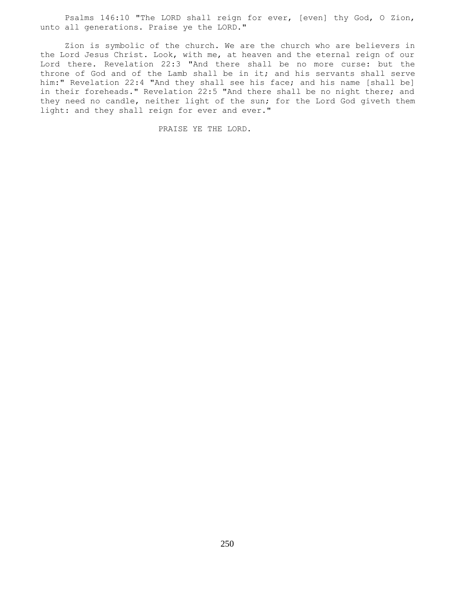Psalms 146:10 "The LORD shall reign for ever, [even] thy God, O Zion, unto all generations. Praise ye the LORD."

 Zion is symbolic of the church. We are the church who are believers in the Lord Jesus Christ. Look, with me, at heaven and the eternal reign of our Lord there. Revelation 22:3 "And there shall be no more curse: but the throne of God and of the Lamb shall be in it; and his servants shall serve him:" Revelation 22:4 "And they shall see his face; and his name [shall be] in their foreheads." Revelation 22:5 "And there shall be no night there; and they need no candle, neither light of the sun; for the Lord God giveth them light: and they shall reign for ever and ever."

PRAISE YE THE LORD.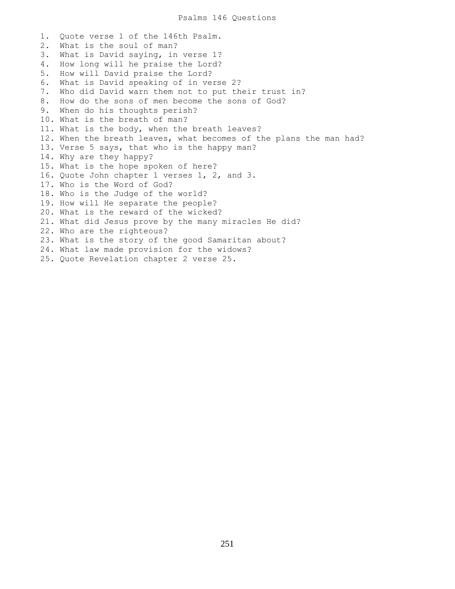1. Quote verse 1 of the 146th Psalm. 2. What is the soul of man? 3. What is David saying, in verse 1? 4. How long will he praise the Lord? 5. How will David praise the Lord? 6. What is David speaking of in verse 2? 7. Who did David warn them not to put their trust in? 8. How do the sons of men become the sons of God? 9. When do his thoughts perish? 10. What is the breath of man? 11. What is the body, when the breath leaves? 12. When the breath leaves, what becomes of the plans the man had? 13. Verse 5 says, that who is the happy man? 14. Why are they happy? 15. What is the hope spoken of here? 16. Quote John chapter 1 verses 1, 2, and 3. 17. Who is the Word of God? 18. Who is the Judge of the world? 19. How will He separate the people? 20. What is the reward of the wicked? 21. What did Jesus prove by the many miracles He did? 22. Who are the righteous? 23. What is the story of the good Samaritan about? 24. What law made provision for the widows? 25. Quote Revelation chapter 2 verse 25.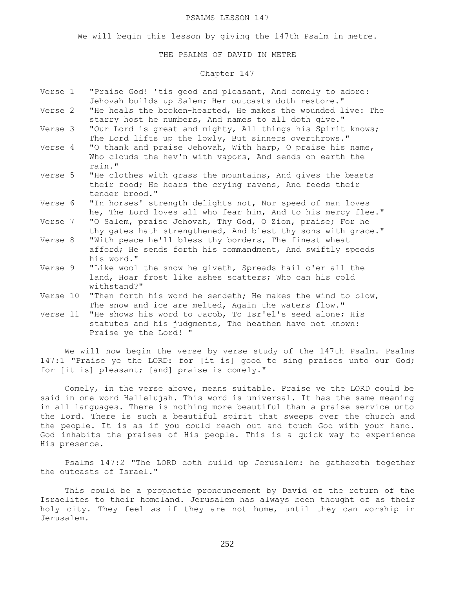#### PSALMS LESSON 147

We will begin this lesson by giving the 147th Psalm in metre.

## THE PSALMS OF DAVID IN METRE

# Chapter 147

| Verse 1  | "Praise God! 'tis good and pleasant, And comely to adore:<br>Jehovah builds up Salem; Her outcasts doth restore."                          |
|----------|--------------------------------------------------------------------------------------------------------------------------------------------|
| Verse 2  | "He heals the broken-hearted, He makes the wounded live: The<br>starry host he numbers, And names to all doth give."                       |
| Verse 3  | "Our Lord is great and mighty, All things his Spirit knows;<br>The Lord lifts up the lowly, But sinners overthrows."                       |
| Verse 4  | "O thank and praise Jehovah, With harp, O praise his name,<br>Who clouds the hev'n with vapors, And sends on earth the<br>rain."           |
| Verse 5  | "He clothes with grass the mountains, And gives the beasts<br>their food; He hears the crying ravens, And feeds their<br>tender brood."    |
| Verse 6  | "In horses' strength delights not, Nor speed of man loves<br>he, The Lord loves all who fear him, And to his mercy flee."                  |
| Verse 7  | "O Salem, praise Jehovah, Thy God, O Zion, praise; For he<br>thy gates hath strengthened, And blest thy sons with grace."                  |
| Verse 8  | "With peace he'll bless thy borders, The finest wheat<br>afford; He sends forth his commandment, And swiftly speeds<br>his word."          |
| Verse 9  | "Like wool the snow he giveth, Spreads hail o'er all the<br>land, Hoar frost like ashes scatters; Who can his cold<br>withstand?"          |
| Verse 10 | "Then forth his word he sendeth; He makes the wind to blow,<br>The snow and ice are melted, Again the waters flow."                        |
| Verse 11 | "He shows his word to Jacob, To Isr'el's seed alone; His<br>statutes and his judgments, The heathen have not known:<br>Praise ye the Lord! |
|          |                                                                                                                                            |

We will now begin the verse by verse study of the 147th Psalm. Psalms 147:1 "Praise ye the LORD: for [it is] good to sing praises unto our God; for [it is] pleasant; [and] praise is comely."

 Comely, in the verse above, means suitable. Praise ye the LORD could be said in one word Hallelujah. This word is universal. It has the same meaning in all languages. There is nothing more beautiful than a praise service unto the Lord. There is such a beautiful spirit that sweeps over the church and the people. It is as if you could reach out and touch God with your hand. God inhabits the praises of His people. This is a quick way to experience His presence.

 Psalms 147:2 "The LORD doth build up Jerusalem: he gathereth together the outcasts of Israel."

 This could be a prophetic pronouncement by David of the return of the Israelites to their homeland. Jerusalem has always been thought of as their holy city. They feel as if they are not home, until they can worship in Jerusalem.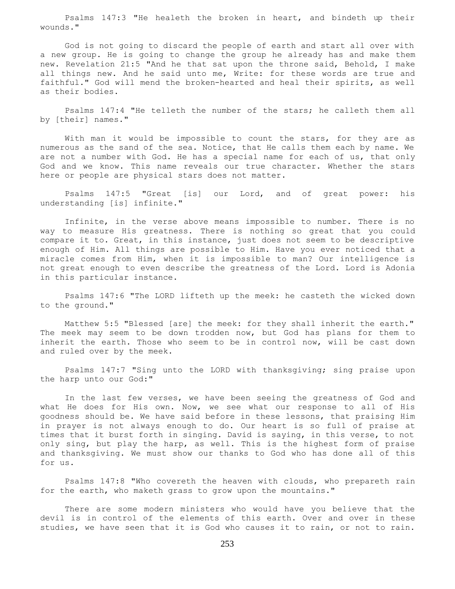Psalms 147:3 "He healeth the broken in heart, and bindeth up their wounds."

 God is not going to discard the people of earth and start all over with a new group. He is going to change the group he already has and make them new. Revelation 21:5 "And he that sat upon the throne said, Behold, I make all things new. And he said unto me, Write: for these words are true and faithful." God will mend the broken-hearted and heal their spirits, as well as their bodies.

 Psalms 147:4 "He telleth the number of the stars; he calleth them all by [their] names."

With man it would be impossible to count the stars, for they are as numerous as the sand of the sea. Notice, that He calls them each by name. We are not a number with God. He has a special name for each of us, that only God and we know. This name reveals our true character. Whether the stars here or people are physical stars does not matter.

 Psalms 147:5 "Great [is] our Lord, and of great power: his understanding [is] infinite."

 Infinite, in the verse above means impossible to number. There is no way to measure His greatness. There is nothing so great that you could compare it to. Great, in this instance, just does not seem to be descriptive enough of Him. All things are possible to Him. Have you ever noticed that a miracle comes from Him, when it is impossible to man? Our intelligence is not great enough to even describe the greatness of the Lord. Lord is Adonia in this particular instance.

 Psalms 147:6 "The LORD lifteth up the meek: he casteth the wicked down to the ground."

 Matthew 5:5 "Blessed [are] the meek: for they shall inherit the earth." The meek may seem to be down trodden now, but God has plans for them to inherit the earth. Those who seem to be in control now, will be cast down and ruled over by the meek.

 Psalms 147:7 "Sing unto the LORD with thanksgiving; sing praise upon the harp unto our God:"

 In the last few verses, we have been seeing the greatness of God and what He does for His own. Now, we see what our response to all of His goodness should be. We have said before in these lessons, that praising Him in prayer is not always enough to do. Our heart is so full of praise at times that it burst forth in singing. David is saying, in this verse, to not only sing, but play the harp, as well. This is the highest form of praise and thanksgiving. We must show our thanks to God who has done all of this for us.

 Psalms 147:8 "Who covereth the heaven with clouds, who prepareth rain for the earth, who maketh grass to grow upon the mountains."

 There are some modern ministers who would have you believe that the devil is in control of the elements of this earth. Over and over in these studies, we have seen that it is God who causes it to rain, or not to rain.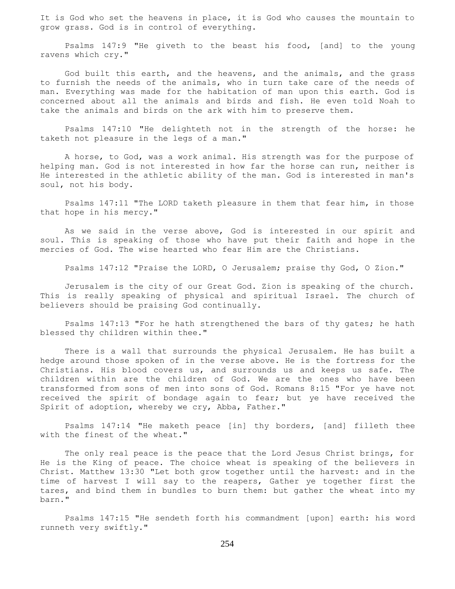It is God who set the heavens in place, it is God who causes the mountain to grow grass. God is in control of everything.

 Psalms 147:9 "He giveth to the beast his food, [and] to the young ravens which cry."

 God built this earth, and the heavens, and the animals, and the grass to furnish the needs of the animals, who in turn take care of the needs of man. Everything was made for the habitation of man upon this earth. God is concerned about all the animals and birds and fish. He even told Noah to take the animals and birds on the ark with him to preserve them.

 Psalms 147:10 "He delighteth not in the strength of the horse: he taketh not pleasure in the legs of a man."

 A horse, to God, was a work animal. His strength was for the purpose of helping man. God is not interested in how far the horse can run, neither is He interested in the athletic ability of the man. God is interested in man's soul, not his body.

 Psalms 147:11 "The LORD taketh pleasure in them that fear him, in those that hope in his mercy."

 As we said in the verse above, God is interested in our spirit and soul. This is speaking of those who have put their faith and hope in the mercies of God. The wise hearted who fear Him are the Christians.

Psalms 147:12 "Praise the LORD, O Jerusalem; praise thy God, O Zion."

 Jerusalem is the city of our Great God. Zion is speaking of the church. This is really speaking of physical and spiritual Israel. The church of believers should be praising God continually.

 Psalms 147:13 "For he hath strengthened the bars of thy gates; he hath blessed thy children within thee."

 There is a wall that surrounds the physical Jerusalem. He has built a hedge around those spoken of in the verse above. He is the fortress for the Christians. His blood covers us, and surrounds us and keeps us safe. The children within are the children of God. We are the ones who have been transformed from sons of men into sons of God. Romans 8:15 "For ye have not received the spirit of bondage again to fear; but ye have received the Spirit of adoption, whereby we cry, Abba, Father."

 Psalms 147:14 "He maketh peace [in] thy borders, [and] filleth thee with the finest of the wheat."

 The only real peace is the peace that the Lord Jesus Christ brings, for He is the King of peace. The choice wheat is speaking of the believers in Christ. Matthew 13:30 "Let both grow together until the harvest: and in the time of harvest I will say to the reapers, Gather ye together first the tares, and bind them in bundles to burn them: but gather the wheat into my barn."

 Psalms 147:15 "He sendeth forth his commandment [upon] earth: his word runneth very swiftly."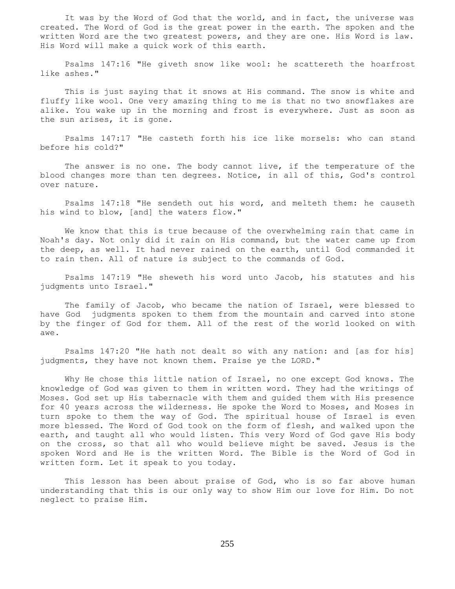It was by the Word of God that the world, and in fact, the universe was created. The Word of God is the great power in the earth. The spoken and the written Word are the two greatest powers, and they are one. His Word is law. His Word will make a quick work of this earth.

 Psalms 147:16 "He giveth snow like wool: he scattereth the hoarfrost like ashes."

 This is just saying that it snows at His command. The snow is white and fluffy like wool. One very amazing thing to me is that no two snowflakes are alike. You wake up in the morning and frost is everywhere. Just as soon as the sun arises, it is gone.

 Psalms 147:17 "He casteth forth his ice like morsels: who can stand before his cold?"

 The answer is no one. The body cannot live, if the temperature of the blood changes more than ten degrees. Notice, in all of this, God's control over nature.

 Psalms 147:18 "He sendeth out his word, and melteth them: he causeth his wind to blow, [and] the waters flow."

 We know that this is true because of the overwhelming rain that came in Noah's day. Not only did it rain on His command, but the water came up from the deep, as well. It had never rained on the earth, until God commanded it to rain then. All of nature is subject to the commands of God.

 Psalms 147:19 "He sheweth his word unto Jacob, his statutes and his judgments unto Israel."

 The family of Jacob, who became the nation of Israel, were blessed to have God judgments spoken to them from the mountain and carved into stone by the finger of God for them. All of the rest of the world looked on with awe.

 Psalms 147:20 "He hath not dealt so with any nation: and [as for his] judgments, they have not known them. Praise ye the LORD."

 Why He chose this little nation of Israel, no one except God knows. The knowledge of God was given to them in written word. They had the writings of Moses. God set up His tabernacle with them and guided them with His presence for 40 years across the wilderness. He spoke the Word to Moses, and Moses in turn spoke to them the way of God. The spiritual house of Israel is even more blessed. The Word of God took on the form of flesh, and walked upon the earth, and taught all who would listen. This very Word of God gave His body on the cross, so that all who would believe might be saved. Jesus is the spoken Word and He is the written Word. The Bible is the Word of God in written form. Let it speak to you today.

 This lesson has been about praise of God, who is so far above human understanding that this is our only way to show Him our love for Him. Do not neglect to praise Him.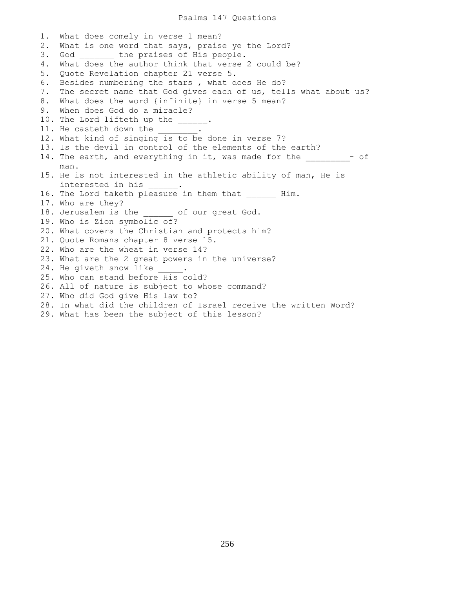1. What does comely in verse 1 mean? 2. What is one word that says, praise ye the Lord? 3. God the praises of His people. 4. What does the author think that verse 2 could be? 5. Quote Revelation chapter 21 verse 5. 6. Besides numbering the stars , what does He do? 7. The secret name that God gives each of us, tells what about us? 8. What does the word {infinite} in verse 5 mean? 9. When does God do a miracle? 10. The Lord lifteth up the \_\_\_\_\_. 11. He casteth down the \_\_\_\_\_\_\_\_. 12. What kind of singing is to be done in verse 7? 13. Is the devil in control of the elements of the earth? 14. The earth, and everything in it, was made for the  $-$  of man. 15. He is not interested in the athletic ability of man, He is interested in his \_\_\_\_\_\_. 16. The Lord taketh pleasure in them that Him. 17. Who are they? 18. Jerusalem is the of our great God. 19. Who is Zion symbolic of? 20. What covers the Christian and protects him? 21. Quote Romans chapter 8 verse 15. 22. Who are the wheat in verse 14? 23. What are the 2 great powers in the universe? 24. He giveth snow like . 25. Who can stand before His cold? 26. All of nature is subject to whose command? 27. Who did God give His law to? 28. In what did the children of Israel receive the written Word? 29. What has been the subject of this lesson?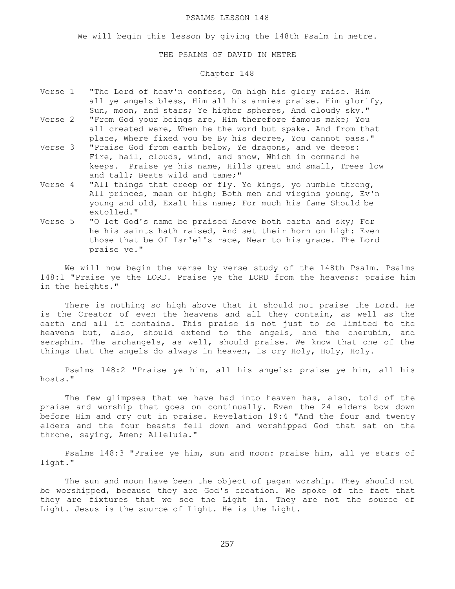### PSALMS LESSON 148

We will begin this lesson by giving the 148th Psalm in metre.

## THE PSALMS OF DAVID IN METRE

# Chapter 148

- Verse 1 "The Lord of heav'n confess, On high his glory raise. Him all ye angels bless, Him all his armies praise. Him glorify, Sun, moon, and stars; Ye higher spheres, And cloudy sky."
- Verse 2 "From God your beings are, Him therefore famous make; You all created were, When he the word but spake. And from that place, Where fixed you be By his decree, You cannot pass."
- Verse 3 "Praise God from earth below, Ye dragons, and ye deeps: Fire, hail, clouds, wind, and snow, Which in command he keeps. Praise ye his name, Hills great and small, Trees low and tall; Beats wild and tame;"
- Verse 4 "All things that creep or fly. Yo kings, yo humble throng, All princes, mean or high; Both men and virgins young, Ev'n young and old, Exalt his name; For much his fame Should be extolled."
- Verse 5 "O let God's name be praised Above both earth and sky; For he his saints hath raised, And set their horn on high: Even those that be Of Isr'el's race, Near to his grace. The Lord praise ye."

 We will now begin the verse by verse study of the 148th Psalm. Psalms 148:1 "Praise ye the LORD. Praise ye the LORD from the heavens: praise him in the heights."

 There is nothing so high above that it should not praise the Lord. He is the Creator of even the heavens and all they contain, as well as the earth and all it contains. This praise is not just to be limited to the heavens but, also, should extend to the angels, and the cherubim, and seraphim. The archangels, as well, should praise. We know that one of the things that the angels do always in heaven, is cry Holy, Holy, Holy.

 Psalms 148:2 "Praise ye him, all his angels: praise ye him, all his hosts."

 The few glimpses that we have had into heaven has, also, told of the praise and worship that goes on continually. Even the 24 elders bow down before Him and cry out in praise. Revelation 19:4 "And the four and twenty elders and the four beasts fell down and worshipped God that sat on the throne, saying, Amen; Alleluia."

 Psalms 148:3 "Praise ye him, sun and moon: praise him, all ye stars of light."

 The sun and moon have been the object of pagan worship. They should not be worshipped, because they are God's creation. We spoke of the fact that they are fixtures that we see the Light in. They are not the source of Light. Jesus is the source of Light. He is the Light.

257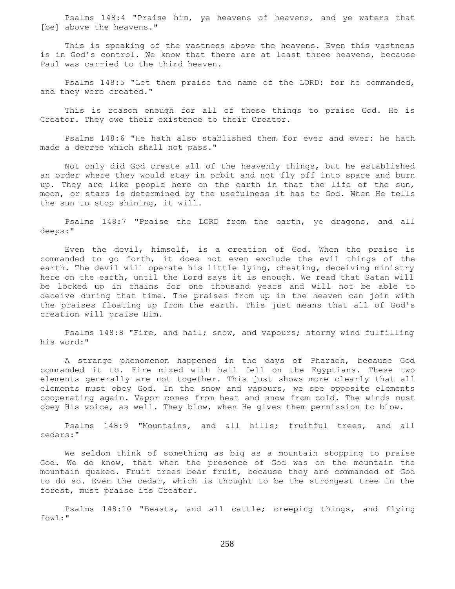Psalms 148:4 "Praise him, ye heavens of heavens, and ye waters that [be] above the heavens."

 This is speaking of the vastness above the heavens. Even this vastness is in God's control. We know that there are at least three heavens, because Paul was carried to the third heaven.

 Psalms 148:5 "Let them praise the name of the LORD: for he commanded, and they were created."

 This is reason enough for all of these things to praise God. He is Creator. They owe their existence to their Creator.

 Psalms 148:6 "He hath also stablished them for ever and ever: he hath made a decree which shall not pass."

 Not only did God create all of the heavenly things, but he established an order where they would stay in orbit and not fly off into space and burn up. They are like people here on the earth in that the life of the sun, moon, or stars is determined by the usefulness it has to God. When He tells the sun to stop shining, it will.

 Psalms 148:7 "Praise the LORD from the earth, ye dragons, and all deeps:"

 Even the devil, himself, is a creation of God. When the praise is commanded to go forth, it does not even exclude the evil things of the earth. The devil will operate his little lying, cheating, deceiving ministry here on the earth, until the Lord says it is enough. We read that Satan will be locked up in chains for one thousand years and will not be able to deceive during that time. The praises from up in the heaven can join with the praises floating up from the earth. This just means that all of God's creation will praise Him.

 Psalms 148:8 "Fire, and hail; snow, and vapours; stormy wind fulfilling his word:"

 A strange phenomenon happened in the days of Pharaoh, because God commanded it to. Fire mixed with hail fell on the Egyptians. These two elements generally are not together. This just shows more clearly that all elements must obey God. In the snow and vapours, we see opposite elements cooperating again. Vapor comes from heat and snow from cold. The winds must obey His voice, as well. They blow, when He gives them permission to blow.

 Psalms 148:9 "Mountains, and all hills; fruitful trees, and all cedars:"

 We seldom think of something as big as a mountain stopping to praise God. We do know, that when the presence of God was on the mountain the mountain quaked. Fruit trees bear fruit, because they are commanded of God to do so. Even the cedar, which is thought to be the strongest tree in the forest, must praise its Creator.

 Psalms 148:10 "Beasts, and all cattle; creeping things, and flying fowl:"

258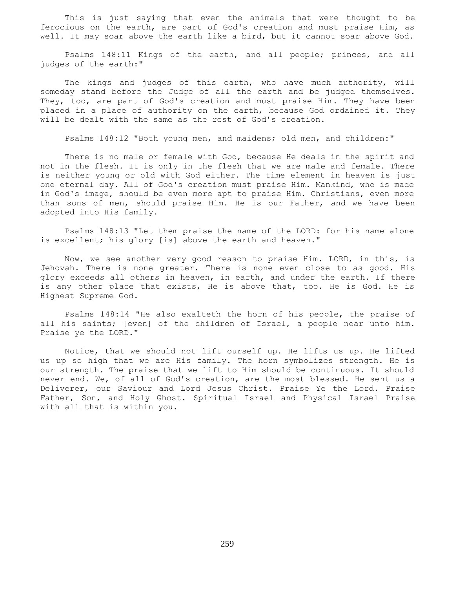This is just saying that even the animals that were thought to be ferocious on the earth, are part of God's creation and must praise Him, as well. It may soar above the earth like a bird, but it cannot soar above God.

 Psalms 148:11 Kings of the earth, and all people; princes, and all judges of the earth:"

 The kings and judges of this earth, who have much authority, will someday stand before the Judge of all the earth and be judged themselves. They, too, are part of God's creation and must praise Him. They have been placed in a place of authority on the earth, because God ordained it. They will be dealt with the same as the rest of God's creation.

Psalms 148:12 "Both young men, and maidens; old men, and children:"

 There is no male or female with God, because He deals in the spirit and not in the flesh. It is only in the flesh that we are male and female. There is neither young or old with God either. The time element in heaven is just one eternal day. All of God's creation must praise Him. Mankind, who is made in God's image, should be even more apt to praise Him. Christians, even more than sons of men, should praise Him. He is our Father, and we have been adopted into His family.

 Psalms 148:13 "Let them praise the name of the LORD: for his name alone is excellent; his glory [is] above the earth and heaven."

 Now, we see another very good reason to praise Him. LORD, in this, is Jehovah. There is none greater. There is none even close to as good. His glory exceeds all others in heaven, in earth, and under the earth. If there is any other place that exists, He is above that, too. He is God. He is Highest Supreme God.

 Psalms 148:14 "He also exalteth the horn of his people, the praise of all his saints; [even] of the children of Israel, a people near unto him. Praise ye the LORD."

 Notice, that we should not lift ourself up. He lifts us up. He lifted us up so high that we are His family. The horn symbolizes strength. He is our strength. The praise that we lift to Him should be continuous. It should never end. We, of all of God's creation, are the most blessed. He sent us a Deliverer, our Saviour and Lord Jesus Christ. Praise Ye the Lord. Praise Father, Son, and Holy Ghost. Spiritual Israel and Physical Israel Praise with all that is within you.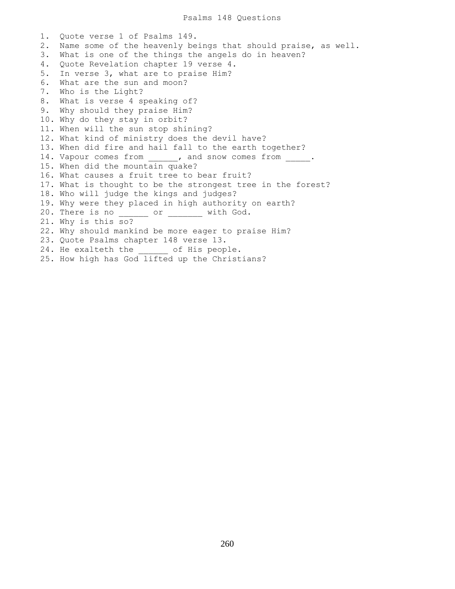1. Quote verse 1 of Psalms 149. 2. Name some of the heavenly beings that should praise, as well. 3. What is one of the things the angels do in heaven? 4. Quote Revelation chapter 19 verse 4. 5. In verse 3, what are to praise Him? 6. What are the sun and moon? 7. Who is the Light? 8. What is verse 4 speaking of? 9. Why should they praise Him? 10. Why do they stay in orbit? 11. When will the sun stop shining? 12. What kind of ministry does the devil have? 13. When did fire and hail fall to the earth together? 14. Vapour comes from  $\qquad \qquad$ , and snow comes from  $\qquad \qquad$ . 15. When did the mountain quake? 16. What causes a fruit tree to bear fruit? 17. What is thought to be the strongest tree in the forest? 18. Who will judge the kings and judges? 19. Why were they placed in high authority on earth? 20. There is no \_\_\_\_\_\_\_ or \_\_\_\_\_\_\_ with God. 21. Why is this so? 22. Why should mankind be more eager to praise Him? 23. Quote Psalms chapter 148 verse 13. 24. He exalteth the of His people. 25. How high has God lifted up the Christians?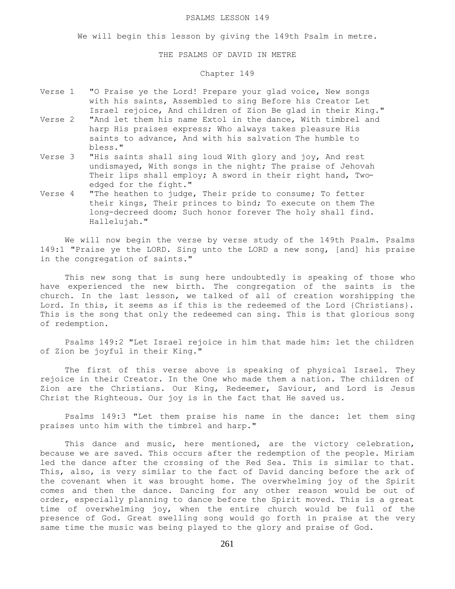### PSALMS LESSON 149

We will begin this lesson by giving the 149th Psalm in metre.

## THE PSALMS OF DAVID IN METRE

# Chapter 149

- Verse 1 "O Praise ye the Lord! Prepare your glad voice, New songs with his saints, Assembled to sing Before his Creator Let Israel rejoice, And children of Zion Be glad in their King."
- Verse 2 "And let them his name Extol in the dance, With timbrel and harp His praises express; Who always takes pleasure His saints to advance, And with his salvation The humble to bless."
- Verse 3 "His saints shall sing loud With glory and joy, And rest undismayed, With songs in the night; The praise of Jehovah Their lips shall employ; A sword in their right hand, Twoedged for the fight."
- Verse 4 "The heathen to judge, Their pride to consume; To fetter their kings, Their princes to bind; To execute on them The long-decreed doom; Such honor forever The holy shall find. Hallelujah."

 We will now begin the verse by verse study of the 149th Psalm. Psalms 149:1 "Praise ye the LORD. Sing unto the LORD a new song, [and] his praise in the congregation of saints."

 This new song that is sung here undoubtedly is speaking of those who have experienced the new birth. The congregation of the saints is the church. In the last lesson, we talked of all of creation worshipping the Lord. In this, it seems as if this is the redeemed of the Lord {Christians}. This is the song that only the redeemed can sing. This is that glorious song of redemption.

 Psalms 149:2 "Let Israel rejoice in him that made him: let the children of Zion be joyful in their King."

 The first of this verse above is speaking of physical Israel. They rejoice in their Creator. In the One who made them a nation. The children of Zion are the Christians. Our King, Redeemer, Saviour, and Lord is Jesus Christ the Righteous. Our joy is in the fact that He saved us.

 Psalms 149:3 "Let them praise his name in the dance: let them sing praises unto him with the timbrel and harp."

This dance and music, here mentioned, are the victory celebration, because we are saved. This occurs after the redemption of the people. Miriam led the dance after the crossing of the Red Sea. This is similar to that. This, also, is very similar to the fact of David dancing before the ark of the covenant when it was brought home. The overwhelming joy of the Spirit comes and then the dance. Dancing for any other reason would be out of order, especially planning to dance before the Spirit moved. This is a great time of overwhelming joy, when the entire church would be full of the presence of God. Great swelling song would go forth in praise at the very same time the music was being played to the glory and praise of God.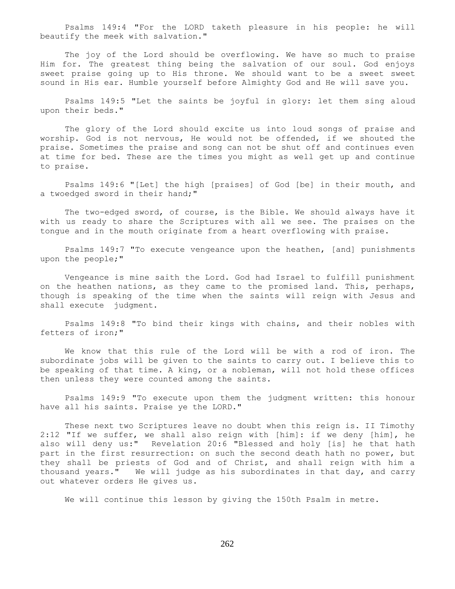Psalms 149:4 "For the LORD taketh pleasure in his people: he will beautify the meek with salvation."

 The joy of the Lord should be overflowing. We have so much to praise Him for. The greatest thing being the salvation of our soul. God enjoys sweet praise going up to His throne. We should want to be a sweet sweet sound in His ear. Humble yourself before Almighty God and He will save you.

 Psalms 149:5 "Let the saints be joyful in glory: let them sing aloud upon their beds."

 The glory of the Lord should excite us into loud songs of praise and worship. God is not nervous, He would not be offended, if we shouted the praise. Sometimes the praise and song can not be shut off and continues even at time for bed. These are the times you might as well get up and continue to praise.

 Psalms 149:6 "[Let] the high [praises] of God [be] in their mouth, and a twoedged sword in their hand;"

The two-edged sword, of course, is the Bible. We should always have it with us ready to share the Scriptures with all we see. The praises on the tongue and in the mouth originate from a heart overflowing with praise.

 Psalms 149:7 "To execute vengeance upon the heathen, [and] punishments upon the people;"

 Vengeance is mine saith the Lord. God had Israel to fulfill punishment on the heathen nations, as they came to the promised land. This, perhaps, though is speaking of the time when the saints will reign with Jesus and shall execute judgment.

 Psalms 149:8 "To bind their kings with chains, and their nobles with fetters of iron;"

 We know that this rule of the Lord will be with a rod of iron. The subordinate jobs will be given to the saints to carry out. I believe this to be speaking of that time. A king, or a nobleman, will not hold these offices then unless they were counted among the saints.

 Psalms 149:9 "To execute upon them the judgment written: this honour have all his saints. Praise ye the LORD."

 These next two Scriptures leave no doubt when this reign is. II Timothy 2:12 "If we suffer, we shall also reign with [him]: if we deny [him], he also will deny us:" Revelation 20:6 "Blessed and holy [is] he that hath part in the first resurrection: on such the second death hath no power, but they shall be priests of God and of Christ, and shall reign with him a thousand years." We will judge as his subordinates in that day, and carry out whatever orders He gives us.

We will continue this lesson by giving the 150th Psalm in metre.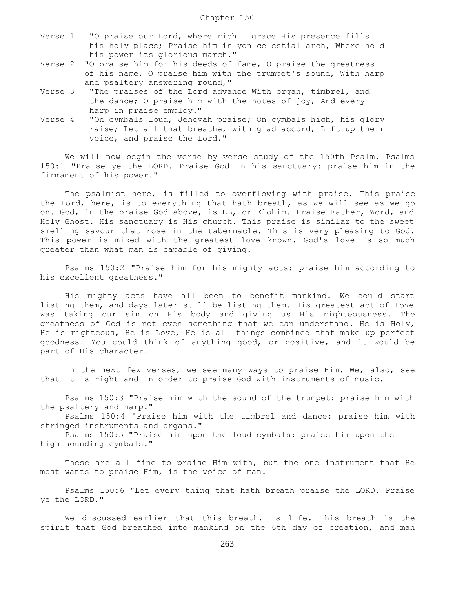- Verse 1 "O praise our Lord, where rich I grace His presence fills his holy place; Praise him in yon celestial arch, Where hold his power its glorious march."
- Verse 2 "O praise him for his deeds of fame, O praise the greatness of his name, O praise him with the trumpet's sound, With harp and psaltery answering round,"
- Verse 3 "The praises of the Lord advance With organ, timbrel, and the dance; O praise him with the notes of joy, And every harp in praise employ."
- Verse 4 "On cymbals loud, Jehovah praise; On cymbals high, his glory raise; Let all that breathe, with glad accord, Lift up their voice, and praise the Lord."

We will now begin the verse by verse study of the 150th Psalm. Psalms 150:1 "Praise ye the LORD. Praise God in his sanctuary: praise him in the firmament of his power."

 The psalmist here, is filled to overflowing with praise. This praise the Lord, here, is to everything that hath breath, as we will see as we go on. God, in the praise God above, is EL, or Elohim. Praise Father, Word, and Holy Ghost. His sanctuary is His church. This praise is similar to the sweet smelling savour that rose in the tabernacle. This is very pleasing to God. This power is mixed with the greatest love known. God's love is so much greater than what man is capable of giving.

 Psalms 150:2 "Praise him for his mighty acts: praise him according to his excellent greatness."

 His mighty acts have all been to benefit mankind. We could start listing them, and days later still be listing them. His greatest act of Love was taking our sin on His body and giving us His righteousness. The greatness of God is not even something that we can understand. He is Holy, He is righteous, He is Love, He is all things combined that make up perfect goodness. You could think of anything good, or positive, and it would be part of His character.

 In the next few verses, we see many ways to praise Him. We, also, see that it is right and in order to praise God with instruments of music.

 Psalms 150:3 "Praise him with the sound of the trumpet: praise him with the psaltery and harp."

 Psalms 150:4 "Praise him with the timbrel and dance: praise him with stringed instruments and organs."

 Psalms 150:5 "Praise him upon the loud cymbals: praise him upon the high sounding cymbals."

 These are all fine to praise Him with, but the one instrument that He most wants to praise Him, is the voice of man.

 Psalms 150:6 "Let every thing that hath breath praise the LORD. Praise ye the LORD."

 We discussed earlier that this breath, is life. This breath is the spirit that God breathed into mankind on the 6th day of creation, and man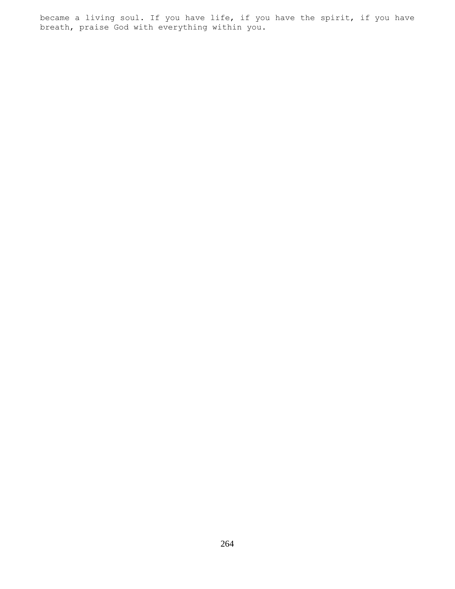became a living soul. If you have life, if you have the spirit, if you have breath, praise God with everything within you.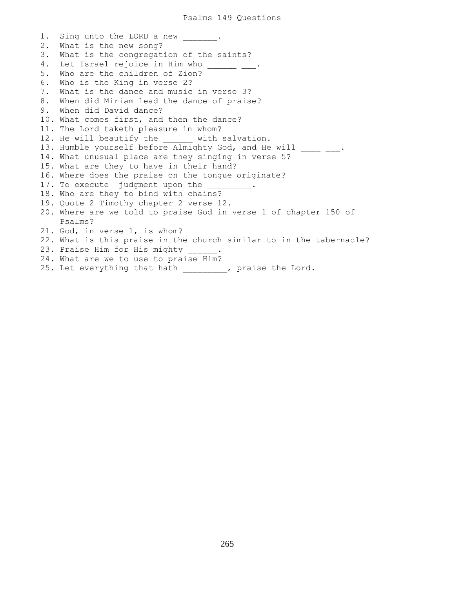1. Sing unto the LORD a new 2. What is the new song? 3. What is the congregation of the saints? 4. Let Israel rejoice in Him who 5. Who are the children of Zion? 6. Who is the King in verse 2? 7. What is the dance and music in verse 3? 8. When did Miriam lead the dance of praise? 9. When did David dance? 10. What comes first, and then the dance? 11. The Lord taketh pleasure in whom? 12. He will beautify the with salvation. 13. Humble yourself before Almighty God, and He will \_\_\_\_ \_\_\_. 14. What unusual place are they singing in verse 5? 15. What are they to have in their hand? 16. Where does the praise on the tongue originate? 17. To execute judgment upon the 18. Who are they to bind with chains? 19. Quote 2 Timothy chapter 2 verse 12. 20. Where are we told to praise God in verse 1 of chapter 150 of Psalms? 21. God, in verse 1, is whom? 22. What is this praise in the church similar to in the tabernacle? 23. Praise Him for His mighty 24. What are we to use to praise Him? 25. Let everything that hath \_\_\_\_\_\_\_\_, praise the Lord.